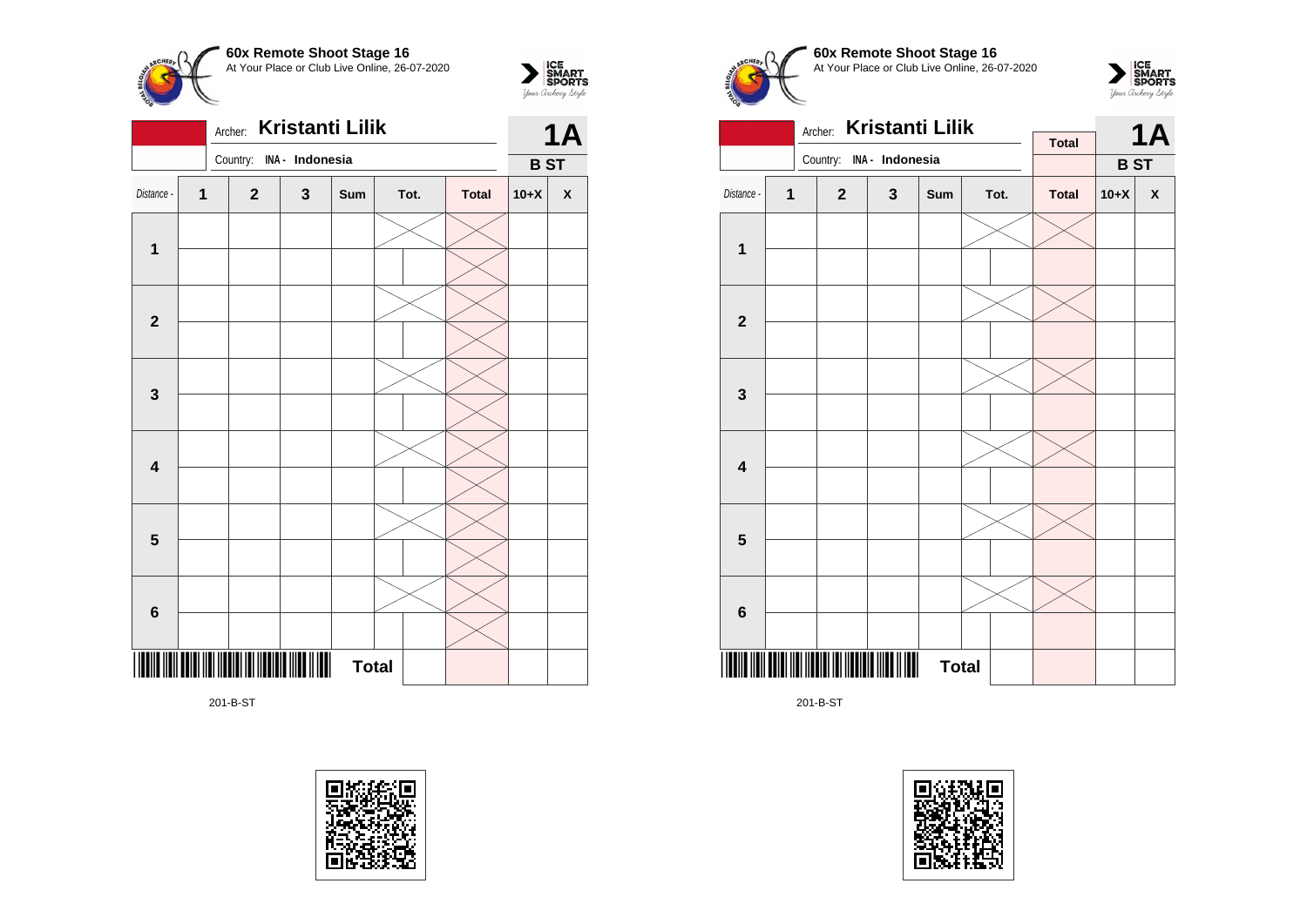



201-B-ST





 $\sum_{\text{S$ **MART** $<br>$ *Your Archary Style* 





201-B-ST

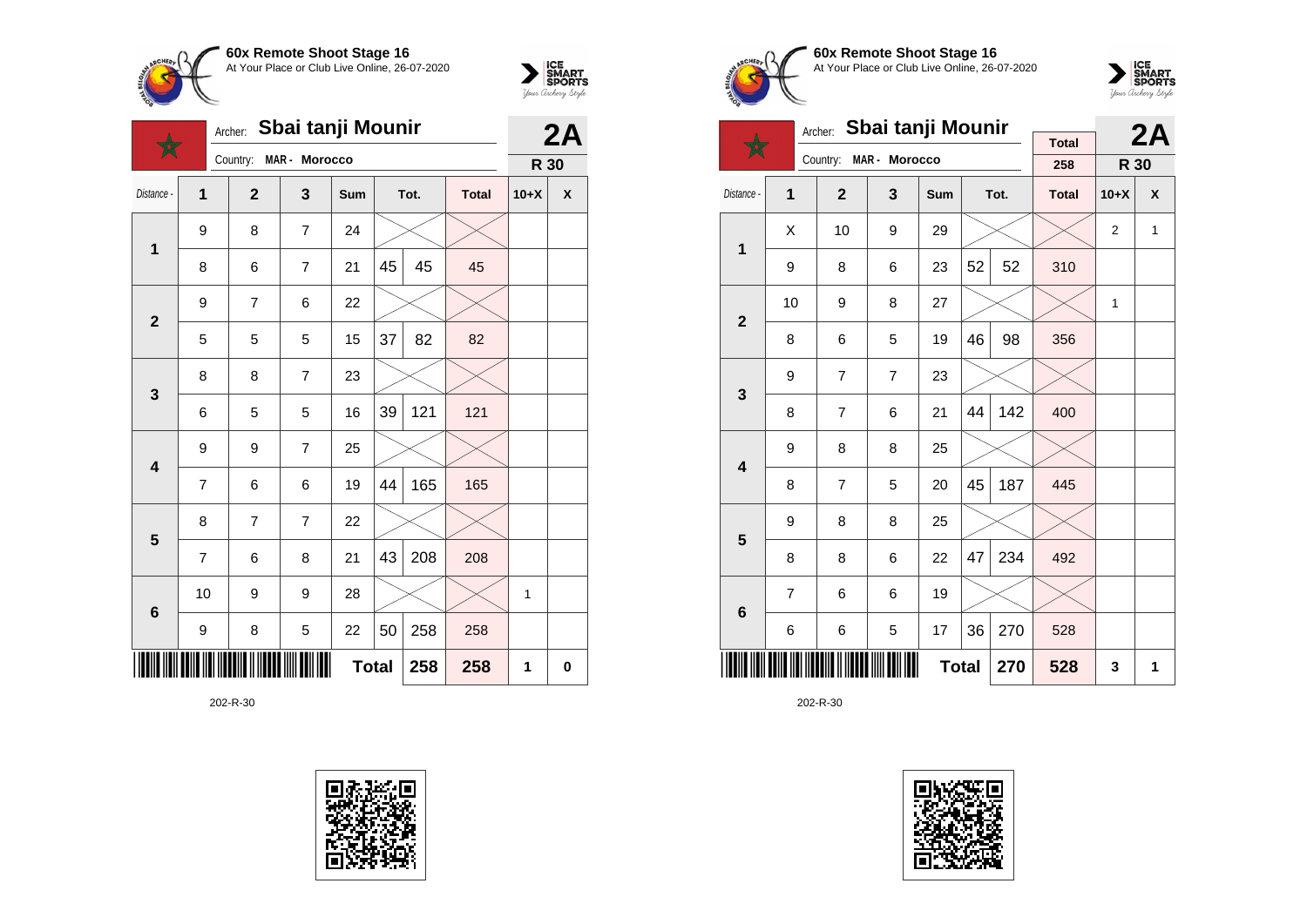



|                         |                | Archer:      | Sbai tanji Mounir |              |    | 2A   |              |        |   |
|-------------------------|----------------|--------------|-------------------|--------------|----|------|--------------|--------|---|
|                         |                | Country:     | MAR - Morocco     |              |    |      |              | R 30   |   |
| Distance -              | 1              | $\mathbf{2}$ | 3                 | Sum          |    | Tot. | <b>Total</b> | $10+X$ | X |
| $\mathbf 1$             | 9              | 8            | $\overline{7}$    | 24           |    |      |              |        |   |
|                         | 8              | 6            | 7                 | 21           | 45 | 45   | 45           |        |   |
| $\overline{\mathbf{2}}$ | 9              | 7            | 6                 | 22           |    |      |              |        |   |
|                         | 5              | 5            | 5                 | 15           | 37 | 82   | 82           |        |   |
| 3                       | 8              | 8            | $\overline{7}$    | 23           |    |      |              |        |   |
|                         | 6              | 5            | 5                 | 16           | 39 | 121  | 121          |        |   |
| $\overline{\mathbf{4}}$ | 9              | 9            | 7                 | 25           |    |      |              |        |   |
|                         | 7              | 6            | 6                 | 19           | 44 | 165  | 165          |        |   |
| 5                       | 8              | 7            | 7                 | 22           |    |      |              |        |   |
|                         | $\overline{7}$ | 6            | 8                 | 21           | 43 | 208  | 208          |        |   |
| 6                       | 10             | 9            | 9                 | 28           |    |      |              | 1      |   |
|                         | 9              | 8            | 5                 | 22           | 50 | 258  | 258          |        |   |
|                         |                |              |                   | <b>Total</b> |    | 258  | 258          | 1      | 0 |





**60x Remote Shoot Stage 16** At Your Place or Club Live Online, 26-07-2020



|                         | Sbai tanji Mounir<br>Archer: |                |                |              |    |      |                     |        | 2A |
|-------------------------|------------------------------|----------------|----------------|--------------|----|------|---------------------|--------|----|
|                         |                              | Country:       | MAR - Morocco  |              |    |      | <b>Total</b><br>258 | R 30   |    |
| Distance -              | $\mathbf{1}$                 | $\mathbf{2}$   | 3              | <b>Sum</b>   |    | Tot. | <b>Total</b>        | $10+X$ | X  |
| 1                       | X                            | 10             | 9              | 29           |    |      |                     | 2      | 1  |
|                         | 9                            | 8              | 6              | 23           | 52 | 52   | 310                 |        |    |
| $\overline{\mathbf{2}}$ | 10                           | 9              | 8              | 27           |    |      |                     | 1      |    |
|                         | 8                            | 6              | 5              | 19           | 46 | 98   | 356                 |        |    |
| 3                       | 9                            | 7              | $\overline{7}$ | 23           |    |      |                     |        |    |
|                         | 8                            | $\overline{7}$ | 6              | 21           | 44 | 142  | 400                 |        |    |
| $\overline{\mathbf{4}}$ | 9                            | 8              | 8              | 25           |    |      |                     |        |    |
|                         | 8                            | 7              | 5              | 20           | 45 | 187  | 445                 |        |    |
| 5                       | 9                            | 8              | 8              | 25           |    |      |                     |        |    |
|                         | 8                            | 8              | 6              | 22           | 47 | 234  | 492                 |        |    |
| $6\phantom{1}$          | $\overline{7}$               | 6              | 6              | 19           |    |      |                     |        |    |
|                         | 6                            | 6              | 5              | 17           | 36 | 270  | 528                 |        |    |
|                         |                              |                |                | <b>Total</b> |    | 270  | 528                 | 3      | 1  |

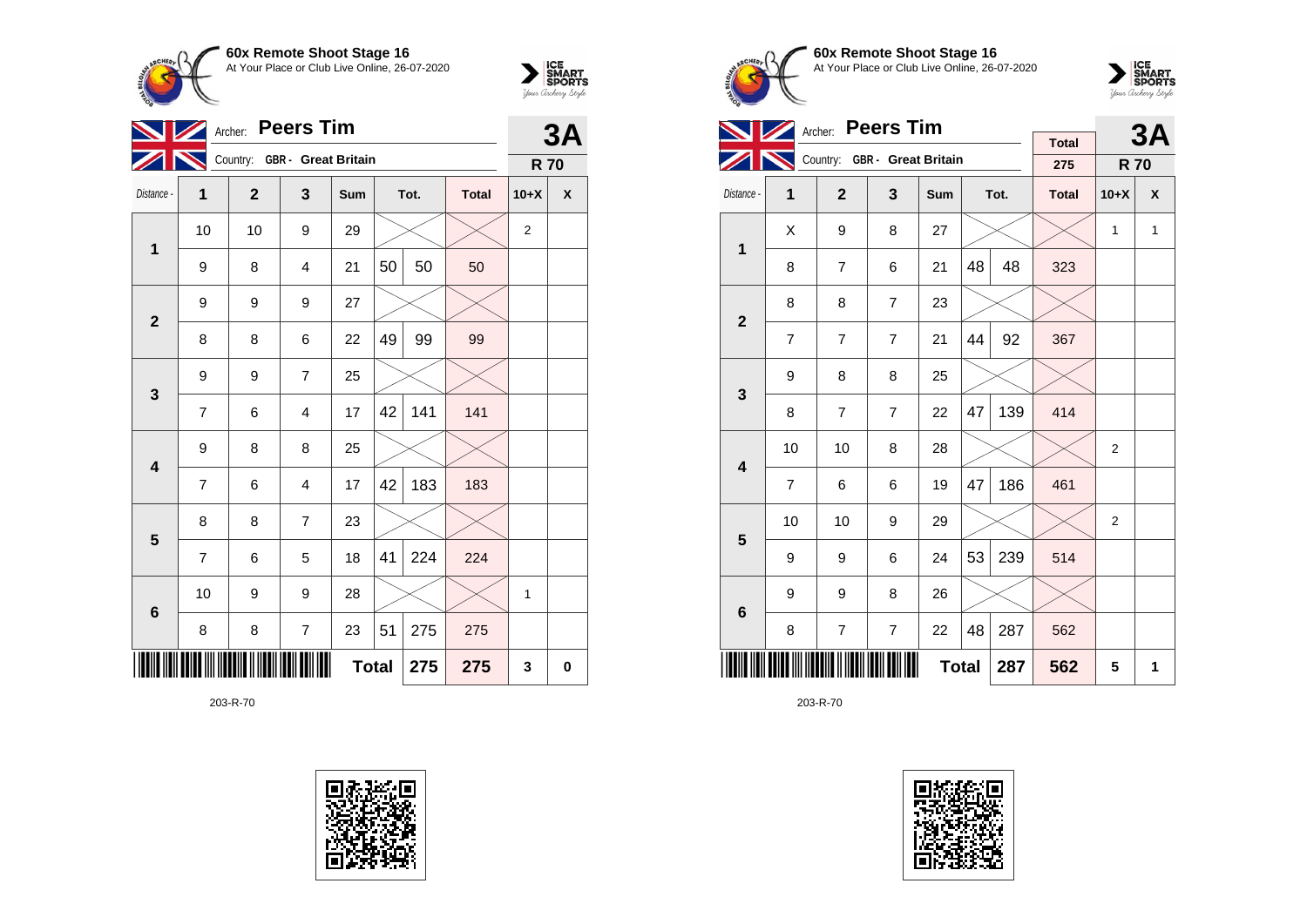



|                         |                | <b>Peers Tim</b><br>Archer: |                              | 3A           |    |      |              |                |                    |
|-------------------------|----------------|-----------------------------|------------------------------|--------------|----|------|--------------|----------------|--------------------|
|                         |                |                             | Country: GBR - Great Britain |              |    |      |              | <b>R70</b>     |                    |
| Distance -              | 1              | $\overline{2}$              | 3                            | Sum          |    | Tot. | <b>Total</b> | $10+X$         | $\pmb{\mathsf{X}}$ |
| $\mathbf 1$             | 10             | 10                          | 9                            | 29           |    |      |              | $\overline{2}$ |                    |
|                         | 9              | 8                           | $\overline{\mathbf{4}}$      | 21           | 50 | 50   | 50           |                |                    |
| $\mathbf{2}$            | 9              | 9                           | 9                            | 27           |    |      |              |                |                    |
|                         | 8              | 8                           | 6                            | 22           | 49 | 99   | 99           |                |                    |
| $\mathbf{3}$            | 9              | 9                           | $\overline{7}$               | 25           |    |      |              |                |                    |
|                         | $\overline{7}$ | 6                           | $\overline{4}$               | 17           | 42 | 141  | 141          |                |                    |
| $\overline{\mathbf{4}}$ | 9              | 8                           | 8                            | 25           |    |      |              |                |                    |
|                         | 7              | 6                           | $\overline{4}$               | 17           | 42 | 183  | 183          |                |                    |
| 5                       | 8              | 8                           | $\overline{7}$               | 23           |    |      |              |                |                    |
|                         | 7              | 6                           | 5                            | 18           | 41 | 224  | 224          |                |                    |
| $6\phantom{1}6$         | 10             | 9                           | 9                            | 28           |    |      |              | 1              |                    |
|                         | 8              | 8                           | $\overline{7}$               | 23           | 51 | 275  | 275          |                |                    |
|                         |                |                             |                              | <b>Total</b> |    | 275  | 275          | 3              | 0                  |





**60x Remote Shoot Stage 16** At Your Place or Club Live Online, 26-07-2020



|                         |                | Archer:        | <b>Peers Tim</b>             |              |    |      | 3A                  |              |   |
|-------------------------|----------------|----------------|------------------------------|--------------|----|------|---------------------|--------------|---|
|                         |                |                | Country: GBR - Great Britain |              |    |      | <b>Total</b><br>275 | <b>R70</b>   |   |
| Distance -              | 1              | $\mathbf{2}$   | $\overline{\mathbf{3}}$      | <b>Sum</b>   |    | Tot. | <b>Total</b>        | $10+X$       | X |
|                         | Χ              | 9              | 8                            | 27           |    |      |                     | $\mathbf{1}$ | 1 |
| $\mathbf{1}$            | 8              | $\overline{7}$ | 6                            | 21           | 48 | 48   | 323                 |              |   |
| $\overline{2}$          | 8              | 8              | $\overline{7}$               | 23           |    |      |                     |              |   |
|                         | 7              | $\overline{7}$ | $\overline{7}$               | 21           | 44 | 92   | 367                 |              |   |
| 3                       | 9              | 8              | 8                            | 25           |    |      |                     |              |   |
|                         | 8              | $\overline{7}$ | $\overline{7}$               | 22           | 47 | 139  | 414                 |              |   |
| $\overline{\mathbf{4}}$ | 10             | 10             | 8                            | 28           |    |      |                     | 2            |   |
|                         | $\overline{7}$ | 6              | 6                            | 19           | 47 | 186  | 461                 |              |   |
| 5                       | 10             | 10             | 9                            | 29           |    |      |                     | 2            |   |
|                         | 9              | 9              | 6                            | 24           | 53 | 239  | 514                 |              |   |
| $6\phantom{1}6$         | 9              | 9              | 8                            | 26           |    |      |                     |              |   |
|                         | 8              | $\overline{7}$ | 7                            | 22           | 48 | 287  | 562                 |              |   |
|                         |                |                |                              | <b>Total</b> |    | 287  | 562                 | 5            | 1 |

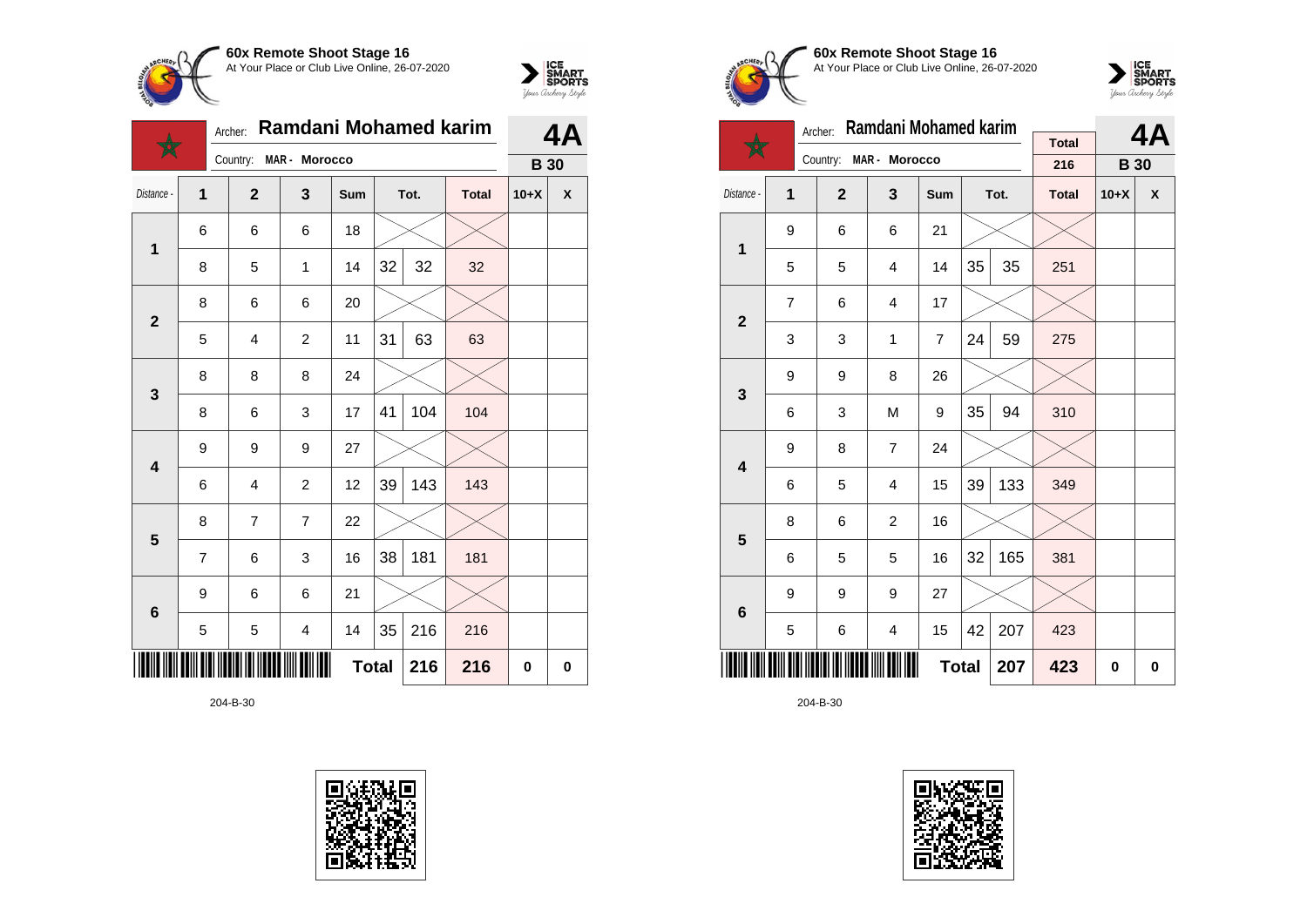



|                         |   | Archer:        | Ramdani Mohamed karim |     |              |      |              |             | 4Α                 |
|-------------------------|---|----------------|-----------------------|-----|--------------|------|--------------|-------------|--------------------|
|                         |   | Country:       | MAR - Morocco         |     |              |      |              | <b>B</b> 30 |                    |
| Distance -              | 1 | $\mathbf{2}$   | 3                     | Sum |              | Tot. | <b>Total</b> | $10+X$      | $\pmb{\mathsf{X}}$ |
| $\mathbf 1$             | 6 | 6              | 6                     | 18  |              |      |              |             |                    |
|                         | 8 | 5              | $\mathbf{1}$          | 14  | 32           | 32   | 32           |             |                    |
| $\overline{2}$          | 8 | 6              | 6                     | 20  |              |      |              |             |                    |
|                         | 5 | $\overline{4}$ | $\overline{c}$        | 11  | 31           | 63   | 63           |             |                    |
| $\mathbf{3}$            | 8 | 8              | 8                     | 24  |              |      |              |             |                    |
|                         | 8 | 6              | 3                     | 17  | 41           | 104  | 104          |             |                    |
| $\overline{\mathbf{4}}$ | 9 | 9              | 9                     | 27  |              |      |              |             |                    |
|                         | 6 | 4              | $\overline{c}$        | 12  | 39           | 143  | 143          |             |                    |
| $\overline{\mathbf{5}}$ | 8 | $\overline{7}$ | $\overline{7}$        | 22  |              |      |              |             |                    |
|                         | 7 | 6              | 3                     | 16  | 38           | 181  | 181          |             |                    |
| $6\phantom{1}6$         | 9 | 6              | 6                     | 21  |              |      |              |             |                    |
|                         | 5 | 5              | 4                     | 14  | 35           | 216  | 216          |             |                    |
|                         |   |                |                       |     | <b>Total</b> | 216  | 216          | 0           | $\bf{0}$           |

204-B-30





**60x Remote Shoot Stage 16** At Your Place or Club Live Online, 26-07-2020



|                         | Ramdani Mohamed karim<br>Archer: |                |                |                |    |      |                     |             | 4Α       |
|-------------------------|----------------------------------|----------------|----------------|----------------|----|------|---------------------|-------------|----------|
|                         |                                  | Country:       | MAR - Morocco  |                |    |      | <b>Total</b><br>216 | <b>B</b> 30 |          |
| Distance -              | 1                                | $\overline{2}$ | 3              | <b>Sum</b>     |    | Tot. | <b>Total</b>        | $10+X$      | X        |
| 1                       | 9                                | 6              | 6              | 21             |    |      |                     |             |          |
|                         | 5                                | 5              | $\overline{4}$ | 14             | 35 | 35   | 251                 |             |          |
| $\mathbf{2}$            | $\overline{7}$                   | 6              | 4              | 17             |    |      |                     |             |          |
|                         | 3                                | 3              | 1              | $\overline{7}$ | 24 | 59   | 275                 |             |          |
| 3                       | 9                                | 9              | 8              | 26             |    |      |                     |             |          |
|                         | 6                                | 3              | M              | 9              | 35 | 94   | 310                 |             |          |
| $\overline{\mathbf{4}}$ | 9                                | 8              | $\overline{7}$ | 24             |    |      |                     |             |          |
|                         | 6                                | 5              | 4              | 15             | 39 | 133  | 349                 |             |          |
| 5                       | 8                                | 6              | $\overline{2}$ | 16             |    |      |                     |             |          |
|                         | 6                                | 5              | 5              | 16             | 32 | 165  | 381                 |             |          |
| 6                       | 9                                | 9              | 9              | 27             |    |      |                     |             |          |
|                         | 5<br>6<br>4                      |                |                |                | 42 | 207  | 423                 |             |          |
|                         |                                  |                |                | <b>Total</b>   |    | 207  | 423                 | 0           | $\bf{0}$ |

204-B-30

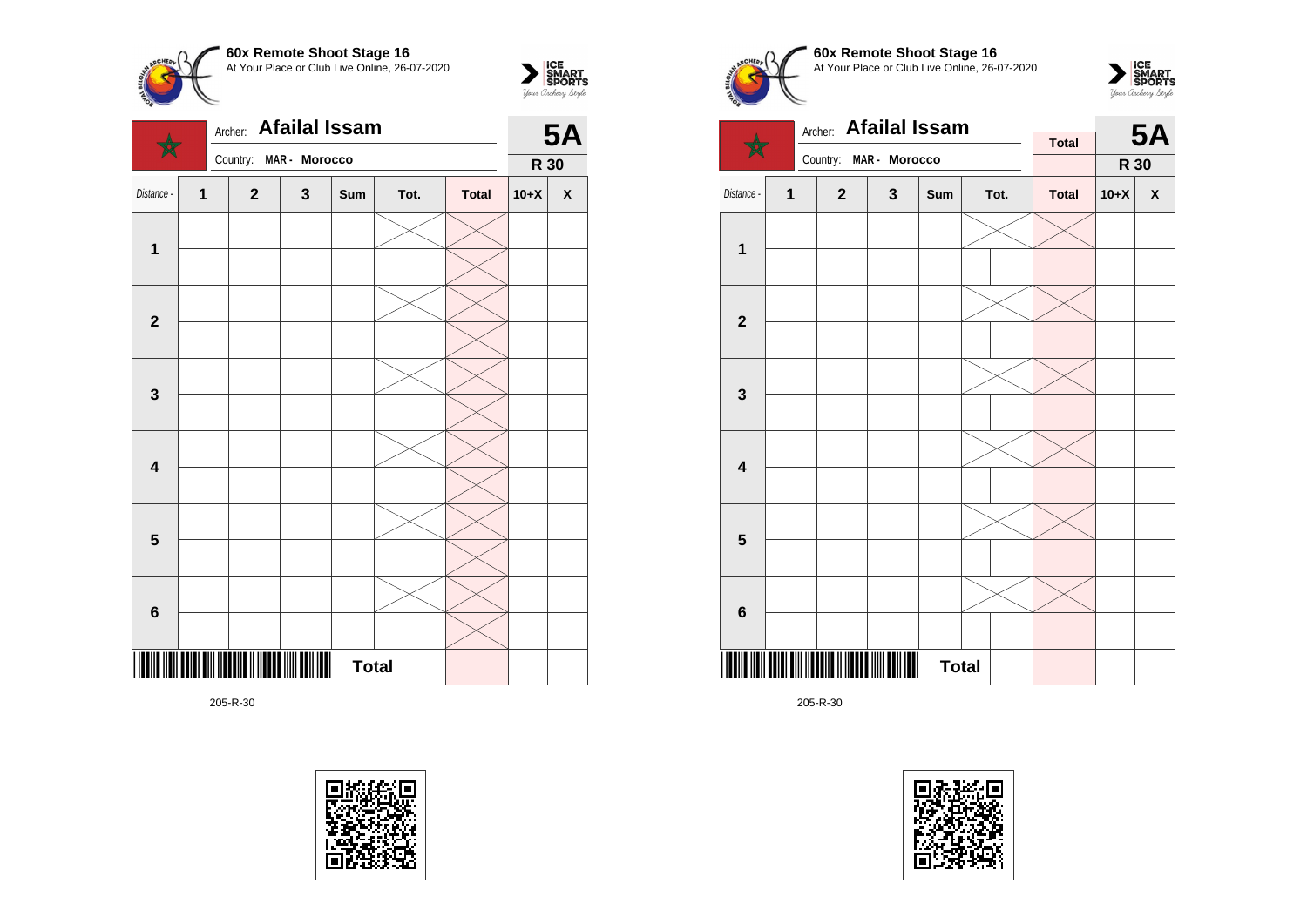







 $\sum_{\text{Vour }\text{Cuchy }\text{StyR}}\begin{matrix}\n\text{ICE} \\
\text{SDORTS} \\
\text{SPORTS}\n\end{matrix}$ 







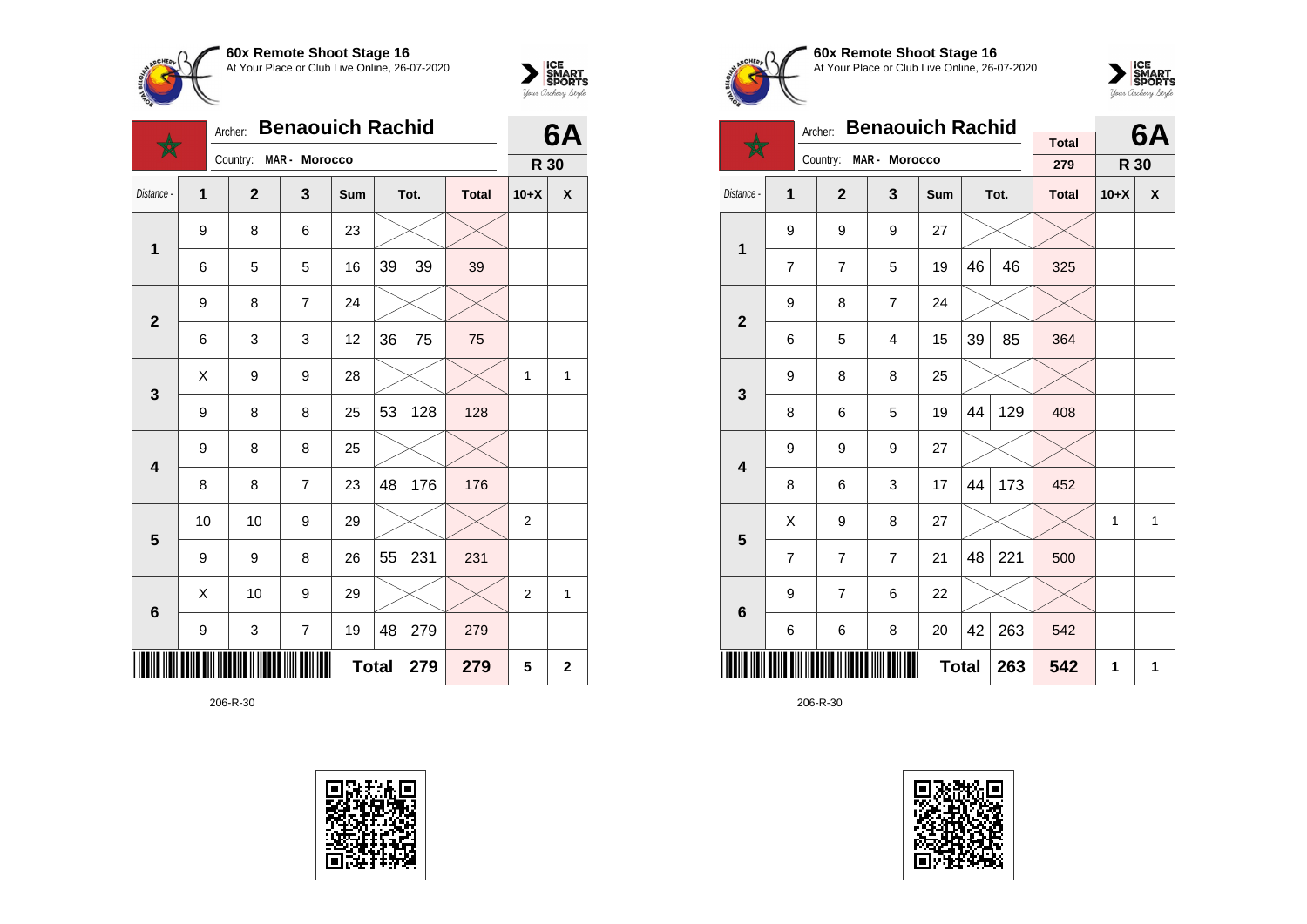



|                         |    | Archer:      | <b>Benaouich Rachid</b> |              |    |      |              |                |                         |
|-------------------------|----|--------------|-------------------------|--------------|----|------|--------------|----------------|-------------------------|
|                         |    | Country:     | MAR - Morocco           |              |    |      |              | R 30           |                         |
| Distance -              | 1  | $\mathbf{2}$ | 3                       | Sum          |    | Tot. | <b>Total</b> | $10+X$         | X                       |
| 1                       | 9  | 8            | 6                       | 23           |    |      |              |                |                         |
|                         | 6  | 5            | 5                       | 16           | 39 | 39   | 39           |                |                         |
| $\overline{2}$          | 9  | 8            | $\overline{7}$          | 24           |    |      |              |                |                         |
|                         | 6  | 3            | 3                       | 12           | 36 | 75   | 75           |                |                         |
| 3                       | Χ  | 9            | 9                       | 28           |    |      |              | 1              | 1                       |
|                         | 9  | 8            | 8                       | 25           | 53 | 128  | 128          |                |                         |
| $\overline{\mathbf{4}}$ | 9  | 8            | 8                       | 25           |    |      |              |                |                         |
|                         | 8  | 8            | $\overline{7}$          | 23           | 48 | 176  | 176          |                |                         |
| $5\phantom{1}$          | 10 | 10           | 9                       | 29           |    |      |              | $\overline{c}$ |                         |
|                         | 9  | 9            | 8                       | 26           | 55 | 231  | 231          |                |                         |
| $6\phantom{1}$          | X  | 10           | 9                       | 29           |    |      |              | $\overline{2}$ | 1                       |
|                         | 9  | 3            | $\overline{7}$          | 19           | 48 | 279  | 279          |                |                         |
|                         |    |              |                         | <b>Total</b> |    | 279  | 279          | 5              | $\overline{\mathbf{2}}$ |





**60x Remote Shoot Stage 16** At Your Place or Club Live Online, 26-07-2020



|                         | <b>Benaouich Rachid</b><br>Archer: |                |                |              |    |      |                     |        | 6A |
|-------------------------|------------------------------------|----------------|----------------|--------------|----|------|---------------------|--------|----|
|                         |                                    | Country:       | MAR - Morocco  |              |    |      | <b>Total</b><br>279 | R 30   |    |
| Distance -              | 1                                  | $\overline{2}$ | 3              | Sum          |    | Tot. | <b>Total</b>        | $10+X$ | X  |
| 1                       | 9                                  | 9              | 9              | 27           |    |      |                     |        |    |
|                         | $\overline{7}$                     | 7              | 5              | 19           | 46 | 46   | 325                 |        |    |
| $\mathbf{2}$            | 9                                  | 8              | $\overline{7}$ | 24           |    |      |                     |        |    |
|                         | 6                                  | 5              | 4              | 15           | 39 | 85   | 364                 |        |    |
| 3                       | 9                                  | 8              | 8              | 25           |    |      |                     |        |    |
|                         | 8                                  | 6              | 5              | 19           | 44 | 129  | 408                 |        |    |
| $\overline{\mathbf{4}}$ | 9                                  | 9              | 9              | 27           |    |      |                     |        |    |
|                         | 8                                  | 6              | 3              | 17           | 44 | 173  | 452                 |        |    |
| 5                       | Χ                                  | 9              | 8              | 27           |    |      |                     | 1      | 1  |
|                         | $\overline{7}$                     | 7              | $\overline{7}$ | 21           | 48 | 221  | 500                 |        |    |
| 6                       | 9                                  | $\overline{7}$ | 6              | 22           |    |      |                     |        |    |
|                         | 6                                  | 6              | 8              | 20           | 42 | 263  | 542                 |        |    |
|                         |                                    |                |                | <b>Total</b> |    | 263  | 542                 | 1      | 1  |

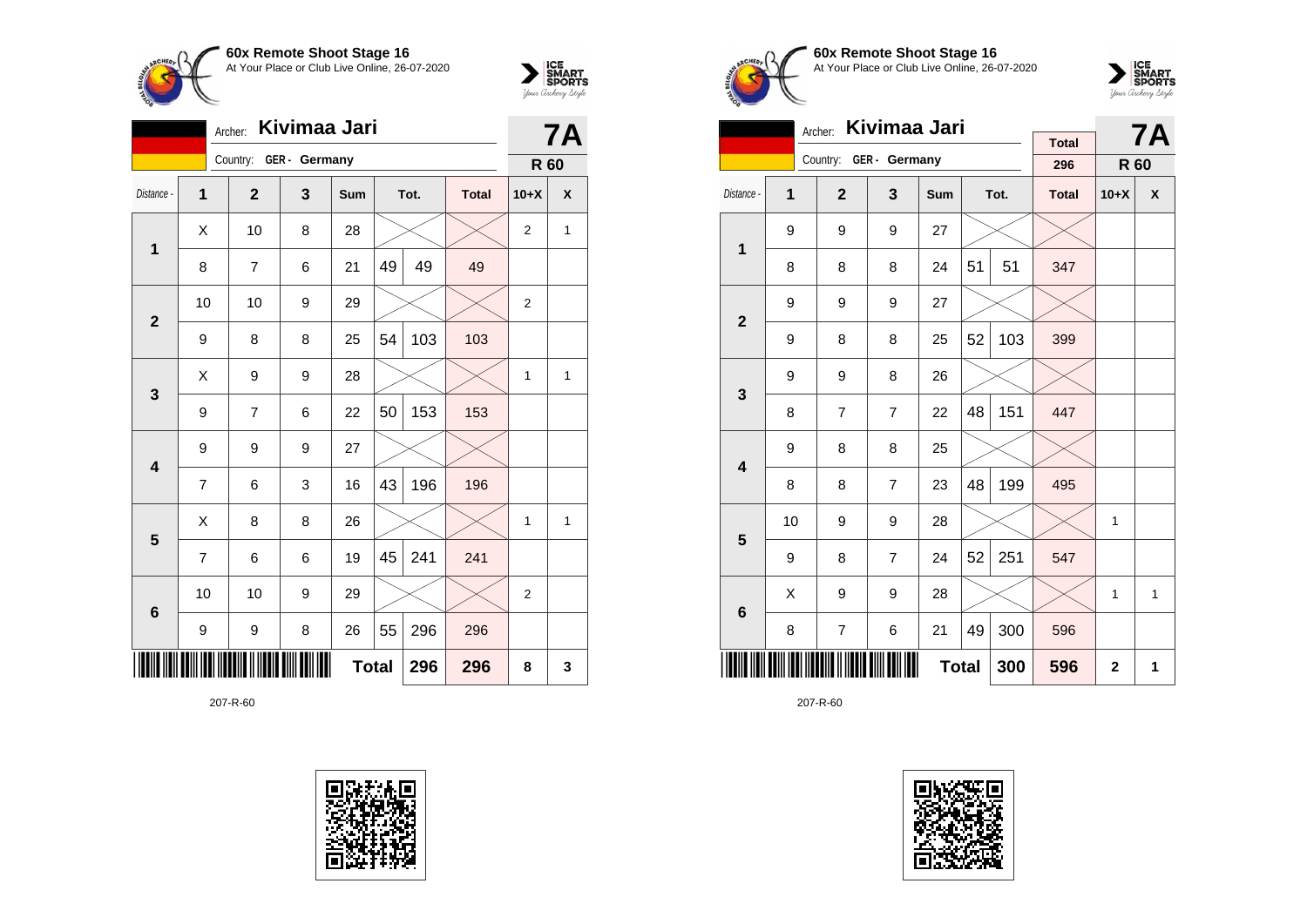



|                         | Kivimaa Jari<br>Archer: |              |                        |              |    |      |              |                |   |
|-------------------------|-------------------------|--------------|------------------------|--------------|----|------|--------------|----------------|---|
|                         |                         |              | Country: GER - Germany |              |    |      |              | R 60           |   |
| Distance -              | 1                       | $\mathbf{2}$ | 3                      | Sum          |    | Tot. | <b>Total</b> | $10+X$         | X |
| $\mathbf 1$             | X                       | 10           | 8                      | 28           |    |      |              | $\overline{2}$ | 1 |
|                         | 8                       | 7            | 6                      | 21           | 49 | 49   | 49           |                |   |
| $\overline{2}$          | 10                      | 10           | 9                      | 29           |    |      |              | $\overline{2}$ |   |
|                         | 9                       | 8            | 8                      | 25           | 54 | 103  | 103          |                |   |
| 3                       | X                       | 9            | 9                      | 28           |    |      |              | $\mathbf{1}$   | 1 |
|                         | 9                       | 7            | 6                      | 22           | 50 | 153  | 153          |                |   |
| $\overline{\mathbf{4}}$ | 9                       | 9            | 9                      | 27           |    |      |              |                |   |
|                         | 7                       | 6            | 3                      | 16           | 43 | 196  | 196          |                |   |
| 5                       | Χ                       | 8            | 8                      | 26           |    |      |              | 1              | 1 |
|                         | $\overline{7}$          | 6            | 6                      | 19           | 45 | 241  | 241          |                |   |
| $6\phantom{1}6$         | 10                      | 10           | 9                      | 29           |    |      |              | $\overline{2}$ |   |
|                         | 9                       | 9            | 8                      | 26           | 55 | 296  | 296          |                |   |
|                         |                         |              |                        | <b>Total</b> |    | 296  | 296          | 8              | 3 |





**60x Remote Shoot Stage 16** At Your Place or Club Live Online, 26-07-2020



|                         |    | Kivimaa Jari<br>Archer: |                | <b>Total</b> |    | <b>7A</b> |              |        |   |
|-------------------------|----|-------------------------|----------------|--------------|----|-----------|--------------|--------|---|
|                         |    | Country:                | GER - Germany  |              |    |           | 296          | R 60   |   |
| Distance -              | 1  | $\overline{2}$          | 3              | <b>Sum</b>   |    | Tot.      | <b>Total</b> | $10+X$ | X |
| 1                       | 9  | 9                       | 9              | 27           |    |           |              |        |   |
|                         | 8  | 8                       | 8              | 24           | 51 | 51        | 347          |        |   |
| $\overline{2}$          | 9  | 9                       | 9              | 27           |    |           |              |        |   |
|                         | 9  | 8                       | 8              | 25           | 52 | 103       | 399          |        |   |
| 3                       | 9  | 9                       | 8              | 26           |    |           |              |        |   |
|                         | 8  | $\overline{7}$          | $\overline{7}$ | 22           | 48 | 151       | 447          |        |   |
| $\overline{\mathbf{4}}$ | 9  | 8                       | 8              | 25           |    |           |              |        |   |
|                         | 8  | 8                       | $\overline{7}$ | 23           | 48 | 199       | 495          |        |   |
| 5                       | 10 | 9                       | 9              | 28           |    |           |              | 1      |   |
|                         | 9  | 8                       | $\overline{7}$ | 24           | 52 | 251       | 547          |        |   |
| $6\phantom{1}6$         | Χ  | 9                       | 9              | 28           |    |           |              | 1      | 1 |
|                         | 8  | 7                       | 6              | 21           | 49 | 300       | 596          |        |   |
|                         |    |                         | 596            | $\mathbf{2}$ | 1  |           |              |        |   |

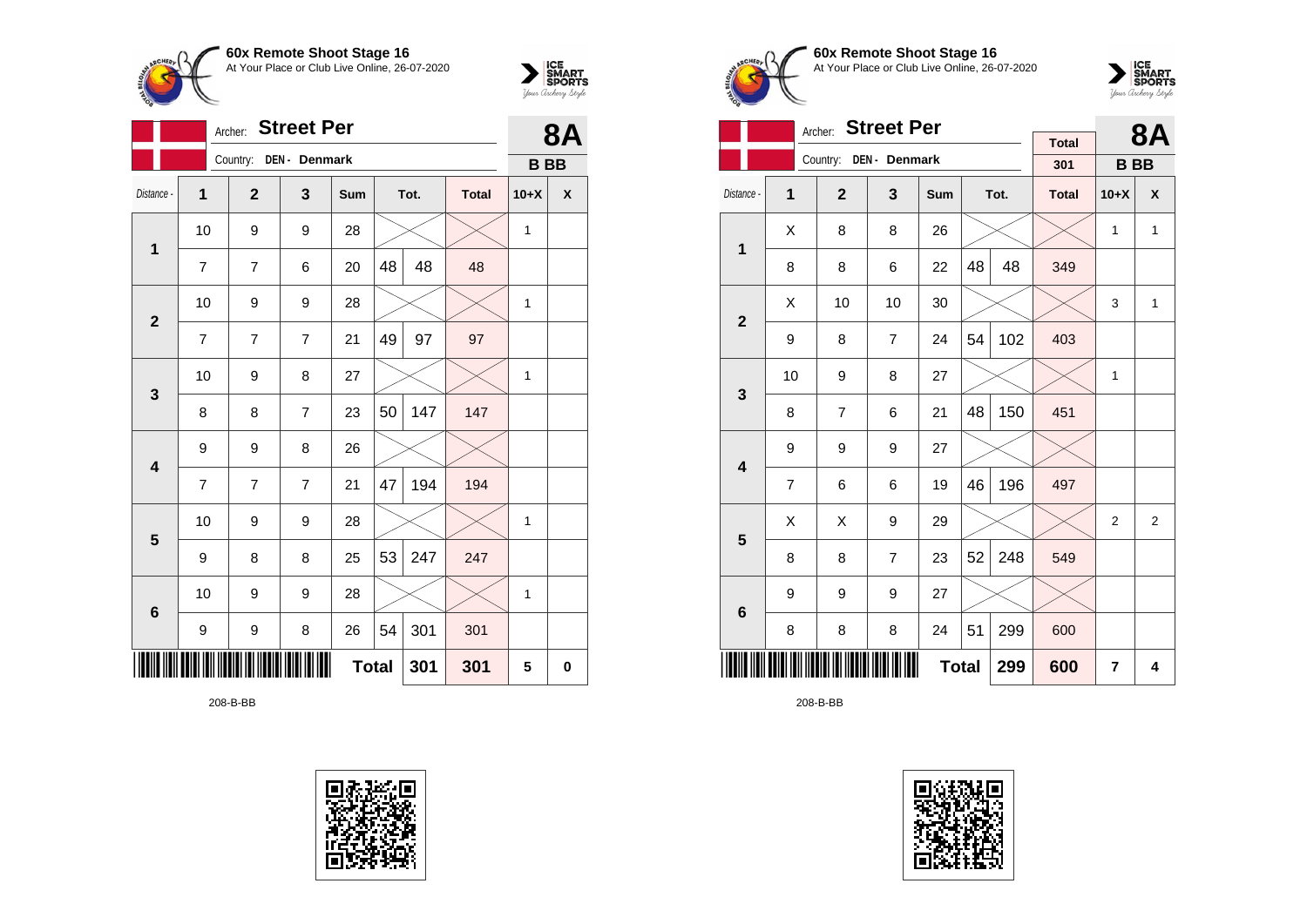



|                         | <b>Street Per</b><br>Archer: |                |                |              |    |      |              |              | <b>8A</b> |
|-------------------------|------------------------------|----------------|----------------|--------------|----|------|--------------|--------------|-----------|
|                         |                              | Country:       | DEN - Denmark  |              |    |      |              | <b>BB</b>    |           |
| Distance -              | $\mathbf{1}$                 | $\overline{2}$ | 3              | Sum          |    | Tot. | <b>Total</b> | $10+X$       | χ         |
| 1                       | 10                           | 9              | 9              | 28           |    |      |              | $\mathbf{1}$ |           |
|                         | $\overline{7}$               | $\overline{7}$ | 6              | 20           | 48 | 48   | 48           |              |           |
| $\mathbf{2}$            | 10                           | 9              | 9              | 28           |    |      |              | $\mathbf{1}$ |           |
|                         | $\overline{7}$               | 7              | $\overline{7}$ | 21           | 49 | 97   | 97           |              |           |
| $\mathbf{3}$            | 10                           | 9              | 8              | 27           |    |      |              | 1            |           |
|                         | 8                            | 8              | $\overline{7}$ | 23           | 50 | 147  | 147          |              |           |
| $\overline{\mathbf{4}}$ | 9                            | 9              | 8              | 26           |    |      |              |              |           |
|                         | $\overline{7}$               | $\overline{7}$ | $\overline{7}$ | 21           | 47 | 194  | 194          |              |           |
| $\overline{\mathbf{5}}$ | 10                           | 9              | 9              | 28           |    |      |              | 1            |           |
|                         | 9                            | 8              | 8              | 25           | 53 | 247  | 247          |              |           |
| $6\phantom{1}6$         | 10                           | 9              | 9              | 28           |    |      |              | 1            |           |
|                         | 9                            | 9              | 8              | 26           | 54 | 301  | 301          |              |           |
|                         |                              |                |                | <b>Total</b> |    | 301  | 301          | 5            | 0         |

208-B-BB





**60x Remote Shoot Stage 16** At Your Place or Club Live Online, 26-07-2020



|                         |                | <b>Street Per</b><br>Archer: |                |              |    | <b>8A</b> |                     |           |   |
|-------------------------|----------------|------------------------------|----------------|--------------|----|-----------|---------------------|-----------|---|
|                         |                | Country:                     | DEN - Denmark  |              |    |           | <b>Total</b><br>301 | <b>BB</b> |   |
| Distance -              | 1              | $\mathbf{2}$                 | 3              | Sum          |    | Tot.      | <b>Total</b>        | $10+X$    | X |
|                         | X              | 8                            | 8              | 26           |    |           |                     | 1         | 1 |
| 1                       | 8              | 8                            | 6              | 22           | 48 | 48        | 349                 |           |   |
| $\overline{\mathbf{2}}$ | X              | 10                           | 10             | 30           |    |           |                     | 3         | 1 |
|                         | 9              | 8                            | $\overline{7}$ | 24           | 54 | 102       | 403                 |           |   |
| 3                       | 10             | 9                            | 8              | 27           |    |           |                     | 1         |   |
|                         | 8              | $\overline{7}$               | 6              | 21           | 48 | 150       | 451                 |           |   |
| $\overline{\mathbf{4}}$ | 9              | 9                            | 9              | 27           |    |           |                     |           |   |
|                         | $\overline{7}$ | 6                            | 6              | 19           | 46 | 196       | 497                 |           |   |
| 5                       | X              | X                            | 9              | 29           |    |           |                     | 2         | 2 |
|                         | 8              | 8                            | $\overline{7}$ | 23           | 52 | 248       | 549                 |           |   |
| $6\phantom{1}6$         | 9              | 9                            | 9              | 27           |    |           |                     |           |   |
|                         | 8              | 8                            | 8              | 24           | 51 | 299       | 600                 |           |   |
|                         |                |                              |                | <b>Total</b> |    | 299       | 600                 | 7         | 4 |

208-B-BB

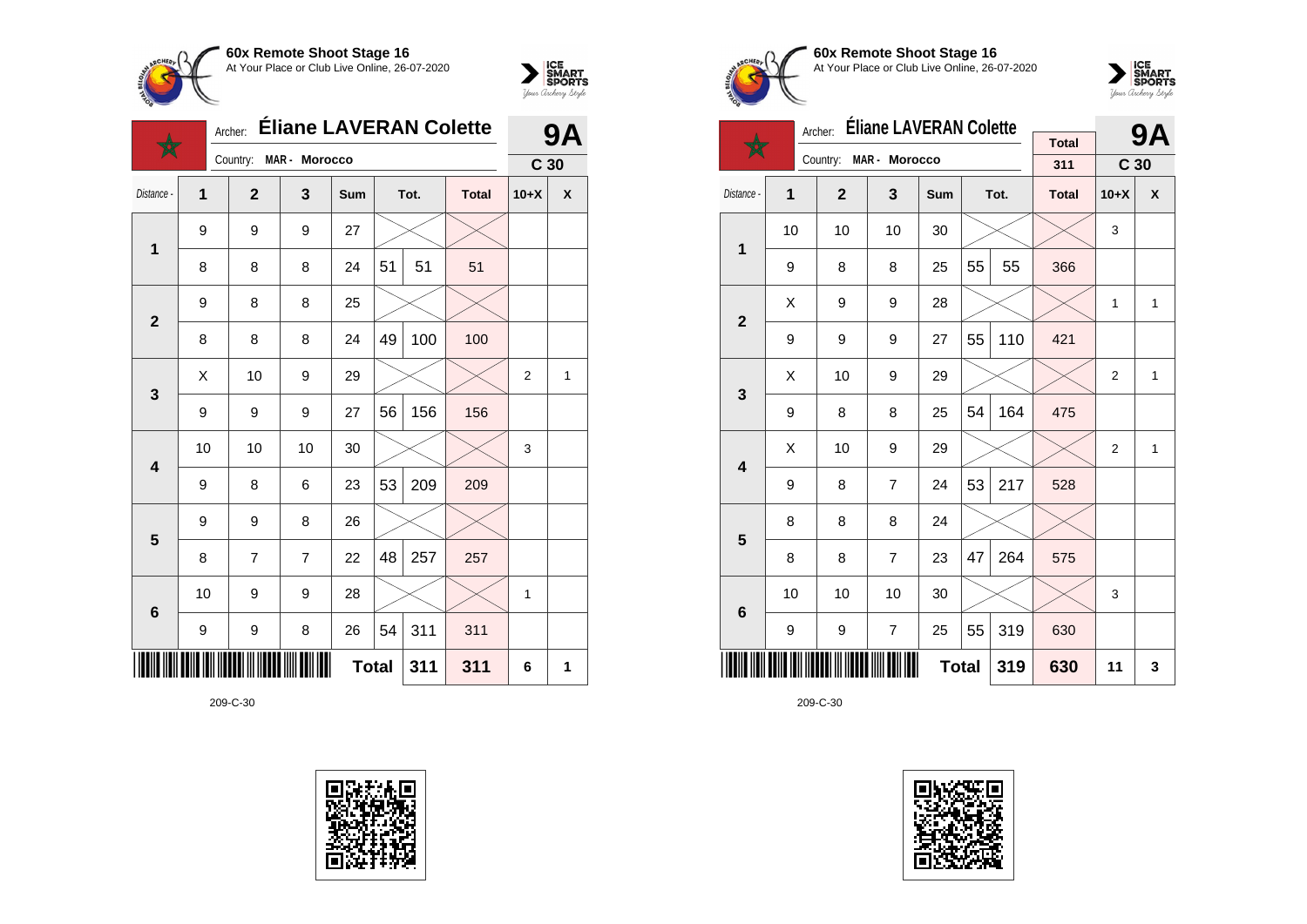



|              |              | <b>Eliane LAVERAN Colette</b><br>Archer: |                |              |    |      |              |                 |   |
|--------------|--------------|------------------------------------------|----------------|--------------|----|------|--------------|-----------------|---|
|              |              | Country:                                 | MAR - Morocco  |              |    |      |              | C <sub>30</sub> |   |
| Distance -   | $\mathbf{1}$ | $\mathbf{2}$                             | 3              | Sum          |    | Tot. | <b>Total</b> | $10+X$          | X |
| $\mathbf 1$  | 9            | 9                                        | 9              | 27           |    |      |              |                 |   |
|              | 8            | 8                                        | 8              | 24           | 51 | 51   | 51           |                 |   |
| $\mathbf{2}$ | 9            | 8                                        | 8              | 25           |    |      |              |                 |   |
|              | 8            | 8                                        | 8              | 24           | 49 | 100  | 100          |                 |   |
| 3            | Χ            | 10                                       | 9              | 29           |    |      |              | $\overline{2}$  | 1 |
|              | 9            | 9                                        | 9              | 27           | 56 | 156  | 156          |                 |   |
| 4            | 10           | 10                                       | 10             | 30           |    |      |              | 3               |   |
|              | 9            | 8                                        | 6              | 23           | 53 | 209  | 209          |                 |   |
| 5            | 9            | 9                                        | 8              | 26           |    |      |              |                 |   |
|              | 8            | $\overline{7}$                           | $\overline{7}$ | 22           | 48 | 257  | 257          |                 |   |
| 6            | 10           | 9                                        | 9              | 28           |    |      |              | $\mathbf{1}$    |   |
|              | 9            | 9                                        | 8              | 26           | 54 | 311  | 311          |                 |   |
|              |              |                                          |                | <b>Total</b> |    | 311  | 311          | 6               | 1 |





**60x Remote Shoot Stage 16** At Your Place or Club Live Online, 26-07-2020



|                         |                                                  | Archer:                | <b>Éliane LAVERAN Colette</b> |     |    | 9Α   |                     |                 |   |
|-------------------------|--------------------------------------------------|------------------------|-------------------------------|-----|----|------|---------------------|-----------------|---|
|                         |                                                  | Country: MAR - Morocco |                               |     |    |      | <b>Total</b><br>311 | C <sub>30</sub> |   |
| Distance -              | 1                                                | $\overline{2}$         | 3                             | Sum |    | Tot. | <b>Total</b>        | $10+X$          | X |
| 1                       | 10                                               | 10                     | 10                            | 30  |    |      |                     | 3               |   |
|                         | 9                                                | 8                      | 8                             | 25  | 55 | 55   | 366                 |                 |   |
|                         | X                                                | 9                      | 9                             | 28  |    |      |                     | 1               | 1 |
|                         | $\overline{2}$<br>55<br>110<br>9<br>9<br>9<br>27 |                        |                               |     |    |      |                     |                 |   |
| 3                       | X                                                | 10                     | 9                             | 29  |    |      |                     | $\overline{2}$  | 1 |
|                         | 9                                                | 8                      | 8                             | 25  | 54 | 164  | 475                 |                 |   |
| $\overline{\mathbf{4}}$ | X                                                | 10                     | 9                             | 29  |    |      |                     | $\overline{2}$  | 1 |
|                         | 9                                                | 8                      | 7                             | 24  | 53 | 217  | 528                 |                 |   |
| 5                       | 8                                                | 8                      | 8                             | 24  |    |      |                     |                 |   |
|                         | 8                                                | 8                      | $\overline{7}$                | 23  | 47 | 264  | 575                 |                 |   |
| 6                       | 10                                               | 10                     | 10                            | 30  |    |      |                     | 3               |   |
|                         | 55<br>319<br>9<br>7<br>25<br>9                   |                        |                               |     |    |      |                     |                 |   |
|                         |                                                  |                        | 319                           | 630 | 11 | 3    |                     |                 |   |

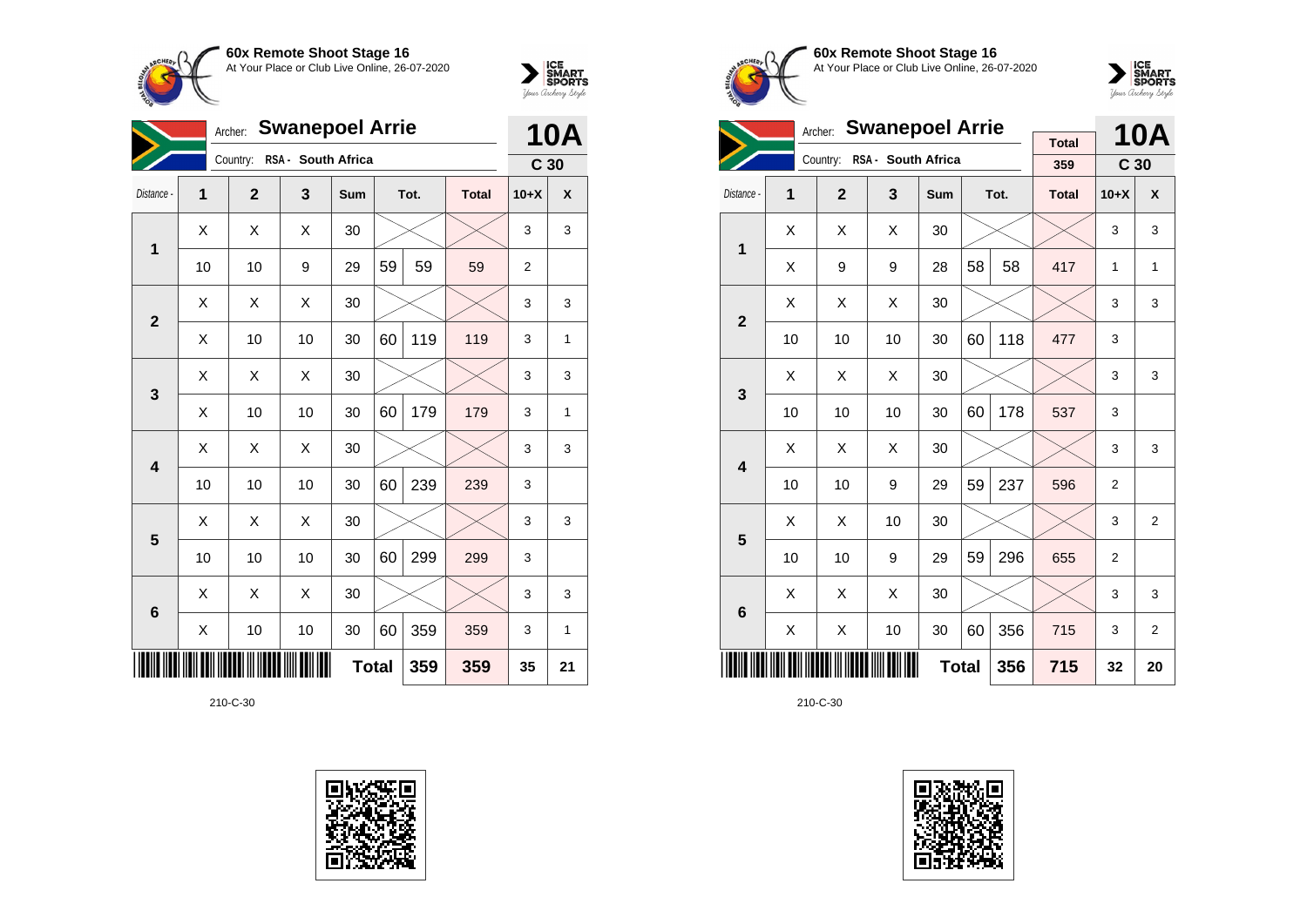



| <b>Swanepoel Arrie</b><br>Archer: |                                                           |                |                    |            |    |      |              |                 | <b>10A</b> |  |
|-----------------------------------|-----------------------------------------------------------|----------------|--------------------|------------|----|------|--------------|-----------------|------------|--|
|                                   |                                                           | Country:       | RSA - South Africa |            |    |      |              | C <sub>30</sub> |            |  |
| Distance -                        | 1                                                         | $\overline{2}$ | 3                  | <b>Sum</b> |    | Tot. | <b>Total</b> | $10+X$          | X          |  |
| 1                                 | Χ                                                         | Χ              | Χ                  | 30         |    |      |              | 3               | 3          |  |
|                                   | 10                                                        | 10             | 9                  | 29         | 59 | 59   | 59           | $\overline{2}$  |            |  |
|                                   | X                                                         | X              | Χ                  | 30         |    |      |              | 3               | 3          |  |
|                                   | $\overline{2}$<br>119<br>10<br>60<br>119<br>X<br>10<br>30 |                |                    |            |    |      |              |                 |            |  |
| 3                                 | X                                                         | Χ              | Χ                  | 30         |    |      |              | 3               | 3          |  |
|                                   | Χ                                                         | 10             | 10                 | 30         | 60 | 179  | 179          | 3               | 1          |  |
| $\overline{\mathbf{4}}$           | X                                                         | Χ              | Χ                  | 30         |    |      |              | 3               | 3          |  |
|                                   | 10                                                        | 10             | 10                 | 30         | 60 | 239  | 239          | 3               |            |  |
| 5                                 | X                                                         | Χ              | Χ                  | 30         |    |      |              | 3               | 3          |  |
|                                   | 10                                                        | 10             | 10                 | 30         | 60 | 299  | 299          | 3               |            |  |
| $6\phantom{1}6$                   | Χ                                                         | X              | Χ                  | 30         |    |      |              | 3               | 3          |  |
|                                   | Χ                                                         | 10             | 10                 | 30         | 60 | 359  | 359          | 3               | 1          |  |
|                                   | <b>Total</b><br>359<br>359                                |                |                    |            |    |      |              |                 |            |  |





**60x Remote Shoot Stage 16** At Your Place or Club Live Online, 26-07-2020



|                         |    | <b>Swanepoel Arrie</b><br>Archer: |                             | <b>Total</b> |    | <b>10A</b> |              |                 |                |
|-------------------------|----|-----------------------------------|-----------------------------|--------------|----|------------|--------------|-----------------|----------------|
|                         |    |                                   | Country: RSA - South Africa |              |    |            | 359          | C <sub>30</sub> |                |
| Distance -              | 1  | $\overline{2}$                    | 3                           | Sum          |    | Tot.       | <b>Total</b> | $10+X$          | X              |
| 1                       | X  | X                                 | X                           | 30           |    |            |              | 3               | 3              |
|                         | X  | 9                                 | 9                           | 28           | 58 | 58         | 417          | 1               | 1              |
| $\overline{2}$          | X  | X                                 | X                           | 30           |    |            |              | 3               | 3              |
|                         | 10 | 10                                | 10                          | 30           | 60 | 118        | 477          | 3               |                |
| 3                       | X  | X                                 | X                           | 30           |    |            |              | 3               | 3              |
|                         | 10 | 10                                | 10                          | 30           | 60 | 178        | 537          | 3               |                |
| $\overline{\mathbf{4}}$ | X  | X                                 | X                           | 30           |    |            |              | 3               | 3              |
|                         | 10 | 10                                | 9                           | 29           | 59 | 237        | 596          | 2               |                |
| 5                       | X  | X                                 | 10                          | 30           |    |            |              | 3               | 2              |
|                         | 10 | 10                                | 9                           | 29           | 59 | 296        | 655          | $\overline{2}$  |                |
| $6\phantom{1}6$         | X  | X                                 | X                           | 30           |    |            |              | 3               | 3              |
|                         | Χ  | Χ                                 | 10                          | 30           | 60 | 356        | 715          | 3               | $\overline{2}$ |
|                         |    |                                   | 356                         | 715          | 32 | 20         |              |                 |                |

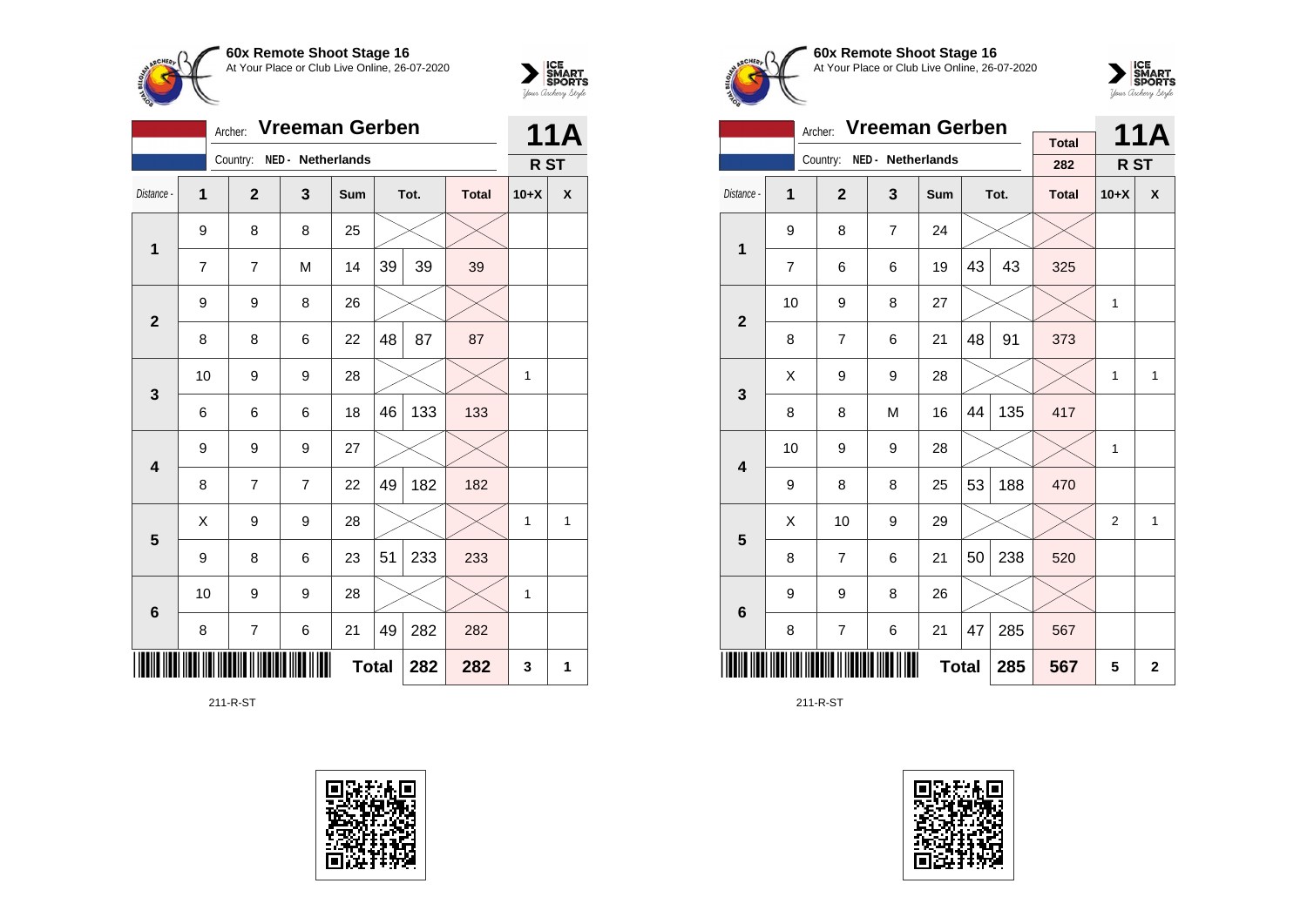



|              |                | <b>11A</b>     |                   |     |    |      |              |        |   |
|--------------|----------------|----------------|-------------------|-----|----|------|--------------|--------|---|
|              |                | Country:       | NED - Netherlands |     |    |      |              | R ST   |   |
| Distance -   | 1              | $\overline{2}$ | 3                 | Sum |    | Tot. | <b>Total</b> | $10+X$ | χ |
| 1            | 9              | 8              | 8                 | 25  |    |      |              |        |   |
|              | $\overline{7}$ | 7              | M                 | 14  | 39 | 39   | 39           |        |   |
| $\mathbf{2}$ | 9              | 9              | 8                 | 26  |    |      |              |        |   |
|              | 8              | 8              | 6                 | 22  | 48 | 87   | 87           |        |   |
| 3            | 10             | 9              | 9                 | 28  |    |      |              | 1      |   |
|              | 6              | 6              | 6                 | 18  | 46 | 133  | 133          |        |   |
| 4            | 9              | 9              | 9                 | 27  |    |      |              |        |   |
|              | 8              | 7              | $\overline{7}$    | 22  | 49 | 182  | 182          |        |   |
| 5            | X              | 9              | 9                 | 28  |    |      |              | 1      | 1 |
|              | 9              | 8              | 6                 | 23  | 51 | 233  | 233          |        |   |
| 6            | 10             | 9              | 9                 | 28  |    |      |              | 1      |   |
|              | 8              | 7              | 6                 | 21  | 49 | 282  | 282          |        |   |
|              | 3              | 1              |                   |     |    |      |              |        |   |

211-R-ST





**60x Remote Shoot Stage 16** At Your Place or Club Live Online, 26-07-2020



|                         |                | <b>Vreeman Gerben</b><br>Archer: |                            |     |    | <b>11A</b>   |                     |                 |   |
|-------------------------|----------------|----------------------------------|----------------------------|-----|----|--------------|---------------------|-----------------|---|
|                         |                |                                  | Country: NED - Netherlands |     |    |              | <b>Total</b><br>282 | R <sub>ST</sub> |   |
| Distance -              | 1              | $\mathbf{2}$                     | 3                          | Sum |    | Tot.         | <b>Total</b>        | $10+X$          | X |
| 1                       | 9              | 8                                | $\overline{7}$             | 24  |    |              |                     |                 |   |
|                         | $\overline{7}$ | 6                                | 6                          | 19  | 43 | 43           | 325                 |                 |   |
| $\mathbf{2}$            | 10             | 9                                |                            |     | 1  |              |                     |                 |   |
|                         | 8              | $\overline{7}$                   | 91                         | 373 |    |              |                     |                 |   |
| 3                       | X              | 9                                | 9                          | 28  |    |              |                     | 1               | 1 |
|                         | 8              | 8                                | M                          | 16  | 44 | 135          | 417                 |                 |   |
| $\overline{\mathbf{4}}$ | 10             | 9                                | 9                          | 28  |    |              |                     | 1               |   |
|                         | 9              | 8                                | 8                          | 25  | 53 | 188          | 470                 |                 |   |
| 5                       | X              | 10                               | 9                          | 29  |    |              |                     | $\overline{2}$  | 1 |
|                         | 8              | 7                                | 6                          | 21  | 50 | 238          | 520                 |                 |   |
| 6                       | 9              | 9                                |                            |     |    |              |                     |                 |   |
|                         | 8              | 7                                | 285                        | 567 |    |              |                     |                 |   |
|                         |                |                                  | 285                        | 567 | 5  | $\mathbf{2}$ |                     |                 |   |

211-R-ST

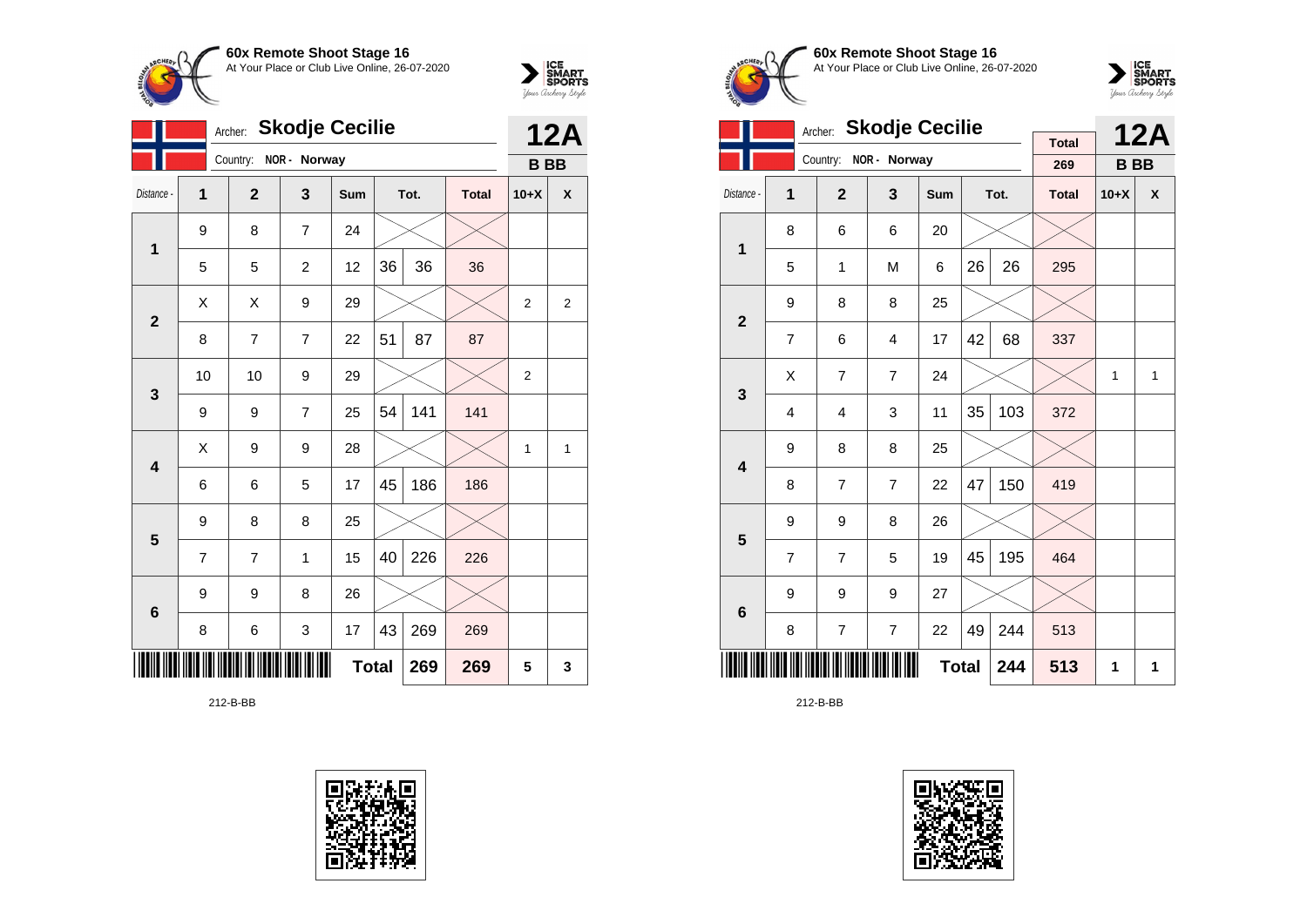



|                         | <b>Skodje Cecilie</b><br>Archer: |                |                  |              |    |      |              |                |                |
|-------------------------|----------------------------------|----------------|------------------|--------------|----|------|--------------|----------------|----------------|
|                         |                                  | Country:       | NOR - Norway     |              |    |      |              | <b>BB</b>      | <b>12A</b>     |
| Distance -              | 1                                | $\overline{2}$ | 3                | Sum          |    | Tot. | <b>Total</b> | $10+X$         | X              |
| 1                       | 9                                | 8              | $\overline{7}$   | 24           |    |      |              |                |                |
|                         | 5                                | 5              | $\boldsymbol{2}$ | 12           | 36 | 36   | 36           |                |                |
| $\overline{2}$          | X                                | X              | 9                | 29           |    |      |              | $\overline{2}$ | $\overline{2}$ |
|                         | 8                                | 7              | $\overline{7}$   | 22           | 51 | 87   | 87           |                |                |
| 3                       | 10                               | 10             | 9                | 29           |    |      |              | $\overline{2}$ |                |
|                         | 9                                | 9              | $\overline{7}$   | 25           | 54 | 141  | 141          |                |                |
| $\overline{\mathbf{4}}$ | Χ                                | 9              | 9                | 28           |    |      |              | $\mathbf{1}$   | 1              |
|                         | 6                                | 6              | 5                | 17           | 45 | 186  | 186          |                |                |
| 5                       | 9                                | 8              | 8                | 25           |    |      |              |                |                |
|                         | 7                                | 7              | 1                | 15           | 40 | 226  | 226          |                |                |
| $6\phantom{1}6$         | 9                                | 9              | 8                | 26           |    |      |              |                |                |
|                         | 8                                | 6              | 3                | 17           | 43 | 269  | 269          |                |                |
|                         |                                  |                |                  | <b>Total</b> |    | 269  | 269          | 5              | 3              |

212-B-BB





**60x Remote Shoot Stage 16** At Your Place or Club Live Online, 26-07-2020



|                         |                | <b>Skodje Cecilie</b><br>Archer: |                | <b>Total</b> |    | <b>12A</b> |              |           |   |
|-------------------------|----------------|----------------------------------|----------------|--------------|----|------------|--------------|-----------|---|
|                         |                | Country:                         | NOR - Norway   |              |    |            | 269          | <b>BB</b> |   |
| Distance -              | 1              | $\overline{2}$                   | 3              | Sum          |    | Tot.       | <b>Total</b> | $10+X$    | X |
| 1                       | 8              | 6                                | 6              | 20           |    |            |              |           |   |
|                         | 5              | 1                                | M              | 6            | 26 | 26         | 295          |           |   |
| $\overline{2}$          | 9              | 8                                | 8              | 25           |    |            |              |           |   |
|                         | $\overline{7}$ | 6                                | 4              | 17           | 42 | 68         | 337          |           |   |
| 3                       | X              | $\overline{7}$                   | $\overline{7}$ | 24           |    |            |              | 1         | 1 |
|                         | 4              | $\overline{4}$                   | 3              | 11           | 35 | 103        | 372          |           |   |
| $\overline{\mathbf{4}}$ | 9              | 8                                | 8              | 25           |    |            |              |           |   |
|                         | 8              | $\overline{7}$                   | $\overline{7}$ | 22           | 47 | 150        | 419          |           |   |
| 5                       | 9              | 9                                | 8              | 26           |    |            |              |           |   |
|                         | $\overline{7}$ | $\overline{7}$                   | 5              | 19           | 45 | 195        | 464          |           |   |
| 6                       | 9              | 9                                | 9              | 27           |    |            |              |           |   |
|                         | 8              | $\overline{7}$                   | 244            | 513          |    |            |              |           |   |
|                         |                |                                  | 244            | 513          | 1  | 1          |              |           |   |

212-B-BB

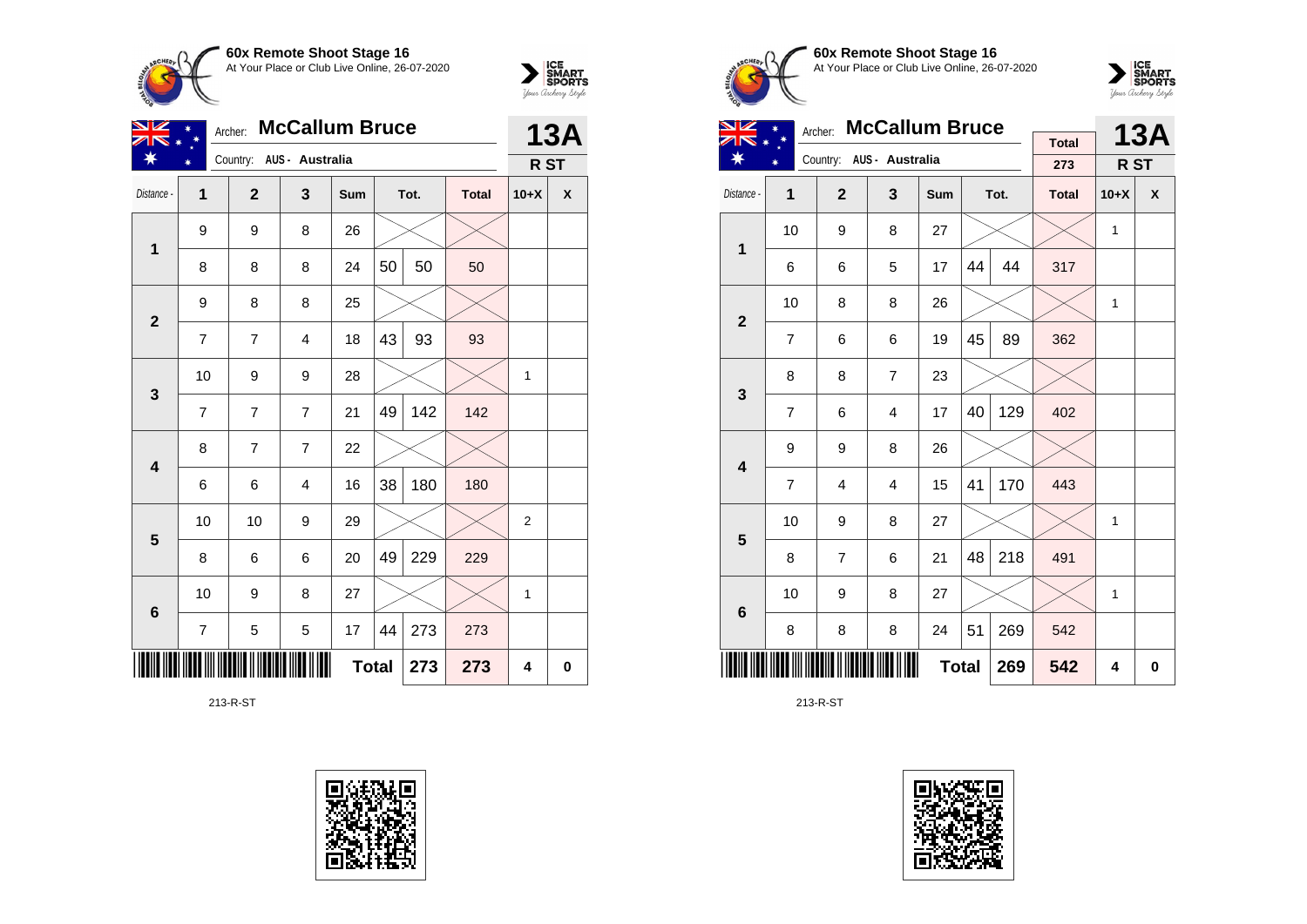



| $\overline{\mathscr{L}}$ | <b>McCallum Bruce</b><br>Archer: |                |                          |              |    |      |              |                 |            |  |
|--------------------------|----------------------------------|----------------|--------------------------|--------------|----|------|--------------|-----------------|------------|--|
|                          |                                  |                | Country: AUS - Australia |              |    |      |              | R <sub>ST</sub> | <b>13A</b> |  |
| Distance -               | $\overline{1}$                   | $\overline{2}$ | 3                        | Sum          |    | Tot. | <b>Total</b> | $10+X$          | X          |  |
| $\mathbf 1$              | 9                                | 9              | 8                        | 26           |    |      |              |                 |            |  |
|                          | 8                                | 8              | 8                        | 24           | 50 | 50   | 50           |                 |            |  |
| $\mathbf{2}$             | 9                                | 8              | 8                        | 25           |    |      |              |                 |            |  |
|                          | 7                                | $\overline{7}$ | $\overline{4}$           | 18           | 43 | 93   | 93           |                 |            |  |
| 3                        | 10                               | 9              | 9                        | 28           |    |      |              | 1               |            |  |
|                          | $\overline{7}$                   | 7              | $\overline{7}$           | 21           | 49 | 142  | 142          |                 |            |  |
| $\overline{\mathbf{4}}$  | 8                                | 7              | $\overline{7}$           | 22           |    |      |              |                 |            |  |
|                          | 6                                | 6              | $\overline{4}$           | 16           | 38 | 180  | 180          |                 |            |  |
| $\overline{\mathbf{5}}$  | 10                               | 10             | 9                        | 29           |    |      |              | $\overline{2}$  |            |  |
|                          | 8                                | 6              | 6                        | 20           | 49 | 229  | 229          |                 |            |  |
| $6\phantom{1}6$          | 10                               | 9              | 8                        | 27           |    |      |              | 1               |            |  |
|                          | 7                                | 5              | 5                        | 17           | 44 | 273  | 273          |                 |            |  |
|                          |                                  |                |                          | <b>Total</b> |    | 273  | 273          | 4               | 0          |  |

213-R-ST









| NZ                      |                | <b>McCallum Bruce</b><br>Archer: |                          |              |    | <b>13A</b> |                     |              |                  |
|-------------------------|----------------|----------------------------------|--------------------------|--------------|----|------------|---------------------|--------------|------------------|
|                         |                |                                  | Country: AUS - Australia |              |    |            | <b>Total</b><br>273 | R ST         |                  |
| Distance -              | 1              | $\overline{2}$                   | 3                        | Sum          |    | Tot.       | <b>Total</b>        | $10+X$       | $\boldsymbol{x}$ |
|                         |                |                                  |                          |              |    |            |                     |              |                  |
| $\mathbf{1}$            | 10             | 9                                | 8                        | 27           |    |            |                     | $\mathbf{1}$ |                  |
|                         | 6              | 6                                | 5                        | 17           | 44 | 44         | 317                 |              |                  |
| $\overline{2}$          | 10             | 8                                | 8                        | 26           |    |            |                     | 1            |                  |
|                         | 7              | 6                                | 6                        | 19           | 45 | 89         | 362                 |              |                  |
| 3                       | 8              | 8                                | $\overline{7}$           | 23           |    |            |                     |              |                  |
|                         | $\overline{7}$ | 6                                | $\overline{4}$           | 17           | 40 | 129        | 402                 |              |                  |
| $\overline{\mathbf{4}}$ | 9              | 9                                | 8                        | 26           |    |            |                     |              |                  |
|                         | 7              | 4                                | 4                        | 15           | 41 | 170        | 443                 |              |                  |
| 5                       | 10             | 9                                | 8                        | 27           |    |            |                     | 1            |                  |
|                         | 8              | $\overline{7}$                   | 6                        | 21           | 48 | 218        | 491                 |              |                  |
| 6                       | 10             | 9                                | 8                        | 27           |    |            |                     | 1            |                  |
|                         | 8              | 8                                | 8                        | 24           | 51 | 269        | 542                 |              |                  |
|                         |                |                                  |                          | <b>Total</b> |    | 269        | 542                 | 4            | 0                |

213-R-ST

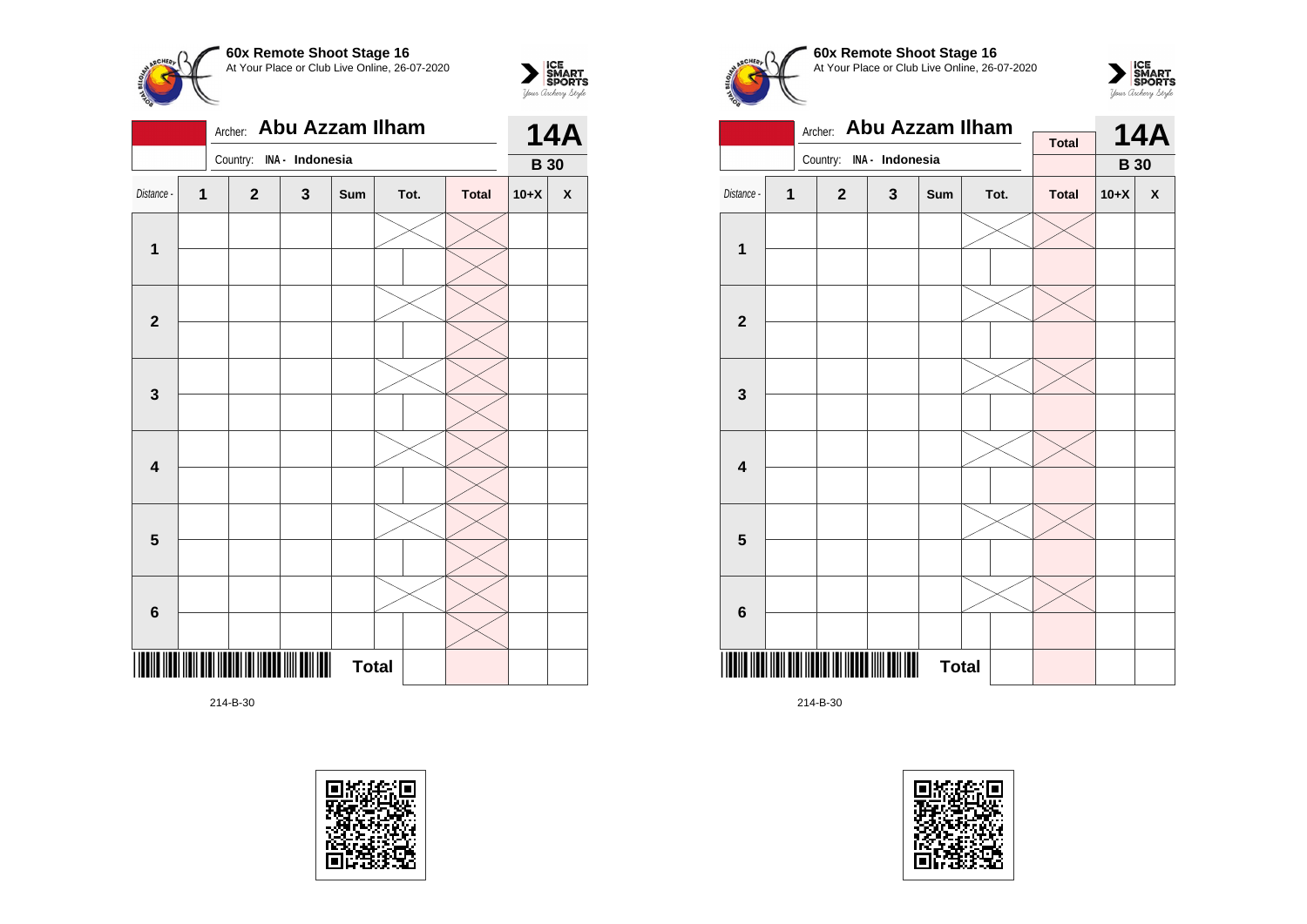



214-B-30





 $\sum_{\text{M}}\left|\underset{\text{GPORTS}}{\text{SIMART}}\right|$ 





|                         |   | <b>Abu Azzam Ilham</b><br>Archer: |              | <b>Total</b> |  | <b>14A</b> |              |             |   |
|-------------------------|---|-----------------------------------|--------------|--------------|--|------------|--------------|-------------|---|
|                         |   | Country: INA - Indonesia          |              |              |  |            |              | <b>B</b> 30 |   |
| Distance -              | 1 | $\mathbf{2}$                      | $\mathbf{3}$ | Sum          |  | Tot.       | <b>Total</b> | $10+X$      | X |
|                         |   |                                   |              |              |  |            |              |             |   |
| $\mathbf{1}$            |   |                                   |              |              |  |            |              |             |   |
|                         |   |                                   |              |              |  |            |              |             |   |
| $\mathbf{2}$            |   |                                   |              |              |  |            |              |             |   |
|                         |   |                                   |              |              |  |            |              |             |   |
| 3                       |   |                                   |              |              |  |            |              |             |   |
|                         |   |                                   |              |              |  |            |              |             |   |
| $\overline{\mathbf{4}}$ |   |                                   |              |              |  |            |              |             |   |
|                         |   |                                   |              |              |  |            |              |             |   |
| 5                       |   |                                   |              |              |  |            |              |             |   |
|                         |   |                                   |              |              |  |            |              |             |   |
| 6                       |   |                                   |              |              |  |            |              |             |   |
|                         |   |                                   | III          | <b>Total</b> |  |            |              |             |   |

214-B-30

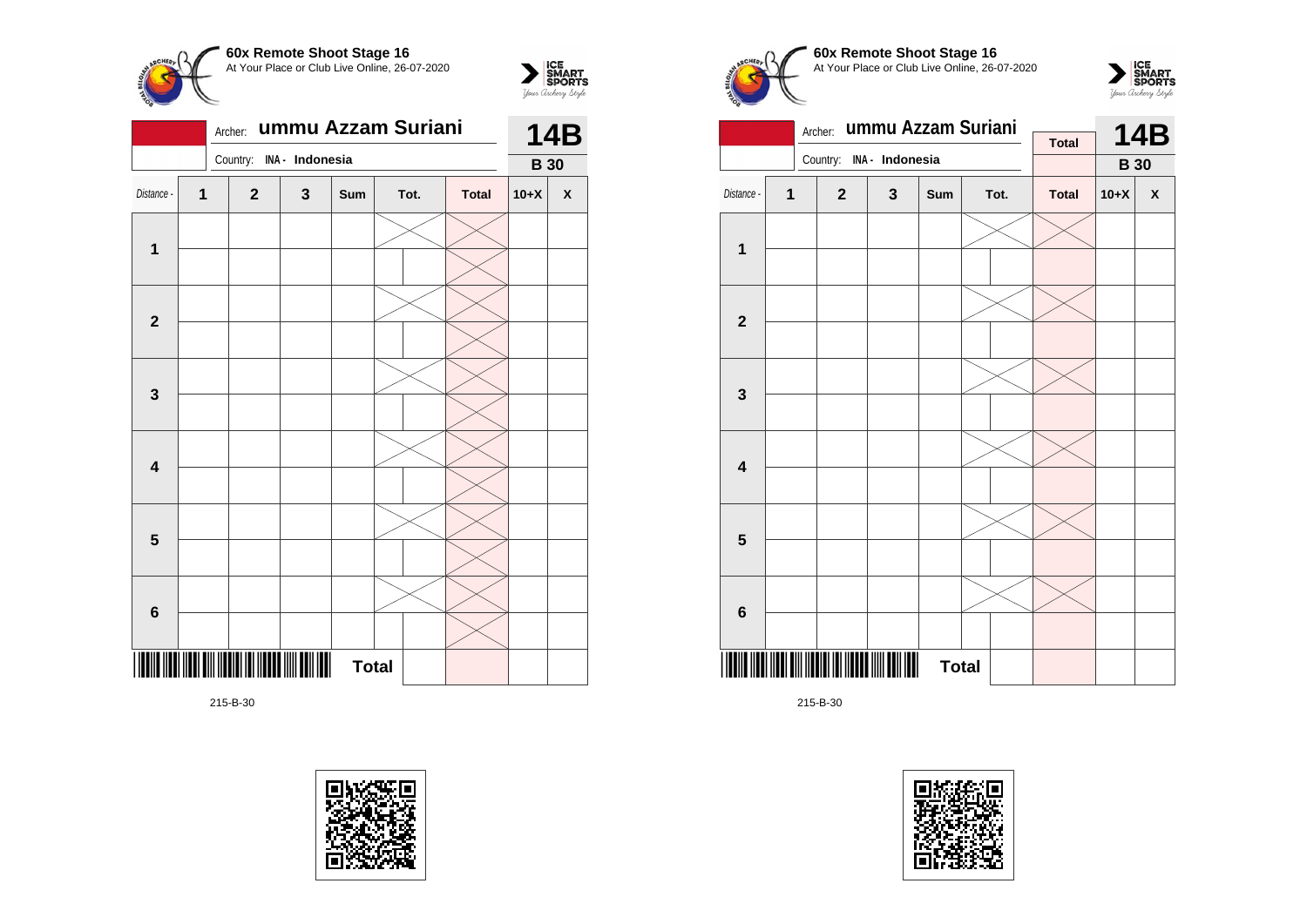



|                         |                         | Archer:      | ummu Azzam Suriani | <b>14B</b>   |      |              |             |                    |
|-------------------------|-------------------------|--------------|--------------------|--------------|------|--------------|-------------|--------------------|
|                         |                         | Country:     | INA - Indonesia    |              |      |              | <b>B</b> 30 |                    |
| Distance -              | $\overline{\mathbf{1}}$ | $\mathbf{2}$ | 3                  | Sum          | Tot. | <b>Total</b> | $10+X$      | $\pmb{\mathsf{X}}$ |
|                         |                         |              |                    |              |      |              |             |                    |
| $\mathbf 1$             |                         |              |                    |              |      |              |             |                    |
|                         |                         |              |                    |              |      |              |             |                    |
| $\mathbf{2}$            |                         |              |                    |              |      |              |             |                    |
|                         |                         |              |                    |              |      |              |             |                    |
| 3                       |                         |              |                    |              |      |              |             |                    |
|                         |                         |              |                    |              |      |              |             |                    |
| $\overline{\mathbf{4}}$ |                         |              |                    |              |      |              |             |                    |
|                         |                         |              |                    |              |      |              |             |                    |
| 5                       |                         |              |                    |              |      |              |             |                    |
|                         |                         |              |                    |              |      |              |             |                    |
| 6                       |                         |              |                    |              |      |              |             |                    |
|                         |                         |              |                    | <b>Total</b> |      |              |             |                    |

215-B-30





**60x Remote Shoot Stage 16** At Your Place or Club Live Online, 26-07-2020





215-B-30

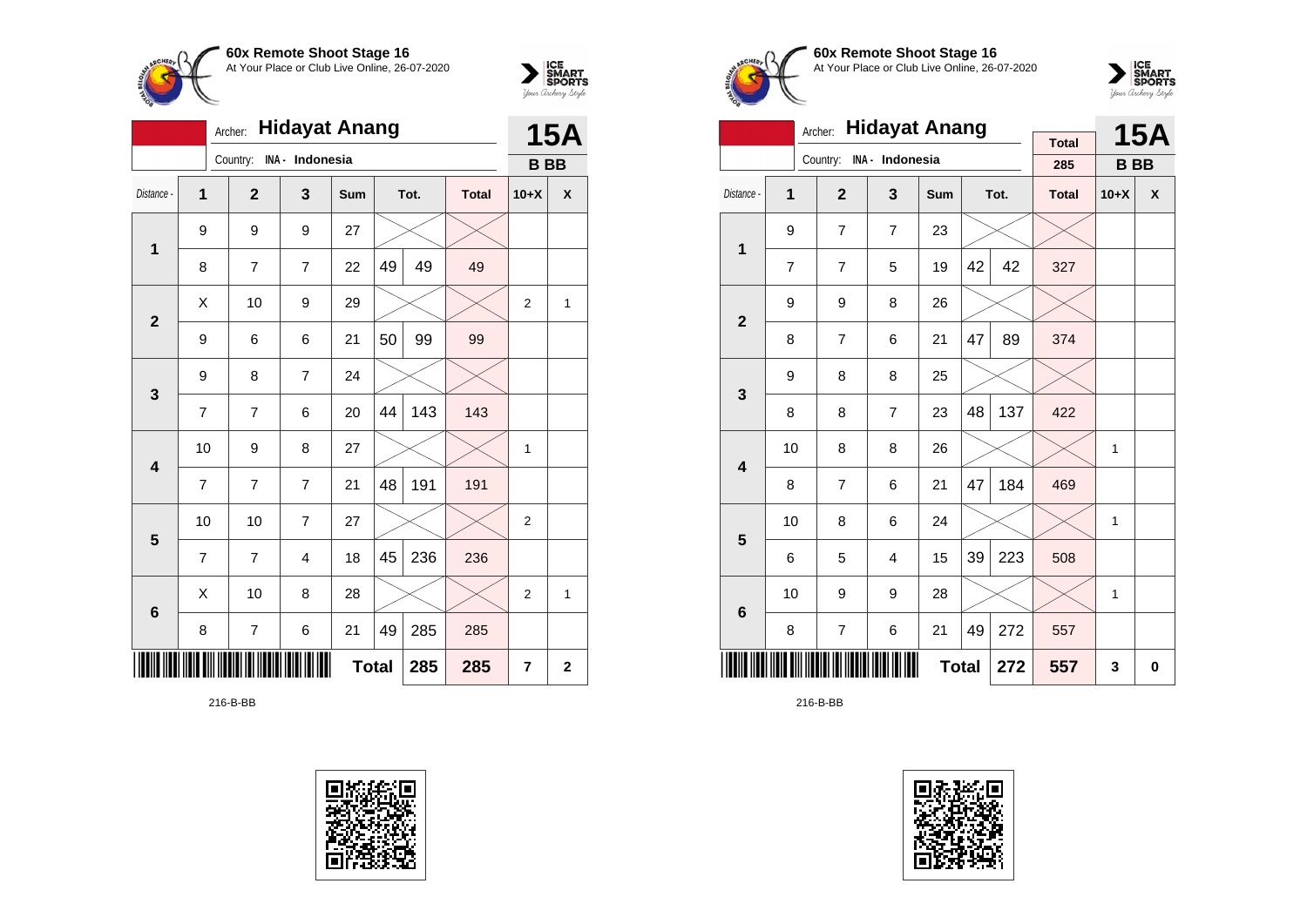



|                 | <b>Hidayat Anang</b><br>Archer: |                |                 |              |    |      |              |                |             |  |
|-----------------|---------------------------------|----------------|-----------------|--------------|----|------|--------------|----------------|-------------|--|
|                 |                                 | Country:       | INA - Indonesia |              |    |      |              | <b>BB</b>      | <b>15A</b>  |  |
| Distance -      | 1                               | $\overline{2}$ | 3               | <b>Sum</b>   |    | Tot. | <b>Total</b> | $10+X$         | X           |  |
| 1               | 9                               | 9              | 9               | 27           |    |      |              |                |             |  |
|                 | 8                               | $\overline{7}$ | $\overline{7}$  | 22           | 49 | 49   | 49           |                |             |  |
| $\overline{2}$  | X                               | 10             | 9               | 29           |    |      |              | $\overline{2}$ | 1           |  |
|                 | 9                               | 6              | 6               | 21           | 50 | 99   | 99           |                |             |  |
| 3               | 9                               | 8              | $\overline{7}$  | 24           |    |      |              |                |             |  |
|                 | $\overline{7}$                  | $\overline{7}$ | 6               | 20           | 44 | 143  | 143          |                |             |  |
| 4               | 10                              | 9              | 8               | 27           |    |      |              | 1              |             |  |
|                 | $\overline{7}$                  | 7              | $\overline{7}$  | 21           | 48 | 191  | 191          |                |             |  |
| 5               | 10                              | 10             | $\overline{7}$  | 27           |    |      |              | $\overline{2}$ |             |  |
|                 | 7                               | 7              | 4               | 18           | 45 | 236  | 236          |                |             |  |
| $6\phantom{1}6$ | X                               | 10             | 8               | 28           |    |      |              | $\overline{2}$ | 1           |  |
|                 | 8                               | 7              | 6               | 21           | 49 | 285  | 285          |                |             |  |
|                 |                                 |                |                 | <b>Total</b> |    | 285  | 285          | 7              | $\mathbf 2$ |  |

216-B-BB





**60x Remote Shoot Stage 16** At Your Place or Club Live Online, 26-07-2020



|                                                 |                | <b>Hidayat Anang</b><br>Archer: |                 |              |    | <b>15A</b> |                     |           |                  |
|-------------------------------------------------|----------------|---------------------------------|-----------------|--------------|----|------------|---------------------|-----------|------------------|
|                                                 |                | Country:                        | INA - Indonesia |              |    |            | <b>Total</b><br>285 | <b>BB</b> |                  |
| Distance -                                      | 1              | $\overline{2}$                  | 3               | <b>Sum</b>   |    | Tot.       | <b>Total</b>        | $10+X$    | $\boldsymbol{x}$ |
| 1                                               | 9              | 7                               | $\overline{7}$  | 23           |    |            |                     |           |                  |
|                                                 | $\overline{7}$ | 7                               | 5               | 19           | 42 | 42         | 327                 |           |                  |
|                                                 | 9              | 9                               | 8               | 26           |    |            |                     |           |                  |
| $\overline{2}$<br>47<br>89<br>21<br>8<br>7<br>6 |                |                                 |                 |              |    |            | 374                 |           |                  |
| 3                                               | 9              | 8                               | 8               | 25           |    |            |                     |           |                  |
|                                                 | 8              | 8                               | $\overline{7}$  | 23           | 48 | 137        | 422                 |           |                  |
| $\overline{\mathbf{4}}$                         | 10             | 8                               | 8               | 26           |    |            |                     | 1         |                  |
|                                                 | 8              | 7                               | 6               | 21           | 47 | 184        | 469                 |           |                  |
| 5                                               | 10             | 8                               | 6               | 24           |    |            |                     | 1         |                  |
|                                                 | 6              | 5                               | 4               | 15           | 39 | 223        | 508                 |           |                  |
| $6\phantom{1}6$                                 | 10             | 9                               | 9               | 28           |    |            |                     | 1         |                  |
|                                                 | 8              | 7                               | 272             | 557          |    |            |                     |           |                  |
|                                                 |                |                                 |                 | <b>Total</b> |    | 272        | 557                 | 3         | 0                |

216-B-BB

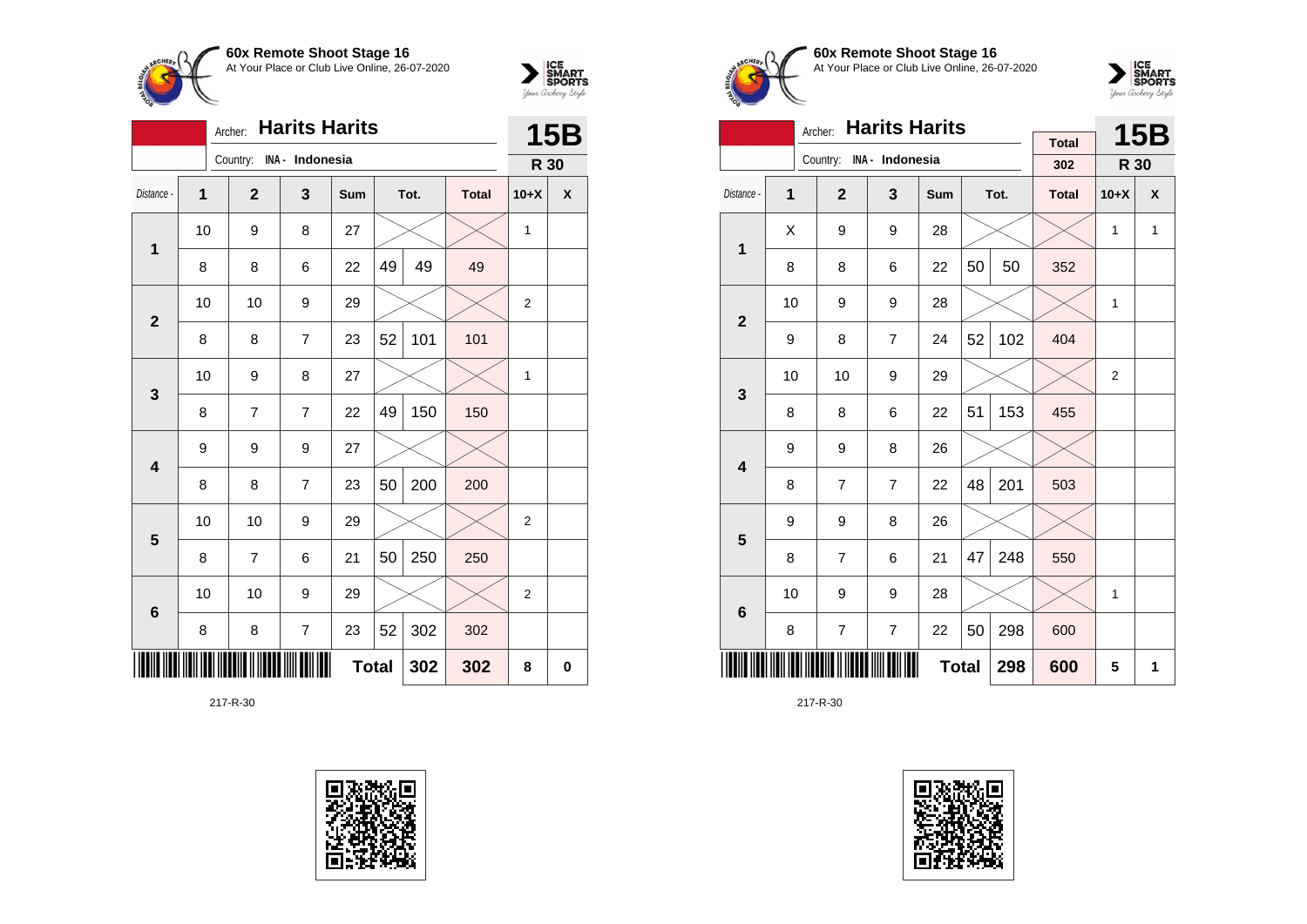



|                |    | Archer:                  | <b>Harits Harits</b> |              |    |      |              |                | <b>15B</b> |
|----------------|----|--------------------------|----------------------|--------------|----|------|--------------|----------------|------------|
|                |    | Country: INA - Indonesia |                      |              |    |      |              | R 30           |            |
| Distance -     | 1  | $\overline{2}$           | 3                    | Sum          |    | Tot. | <b>Total</b> | $10+X$         | X          |
| 1              | 10 | 9                        | 8                    | 27           |    |      |              | 1              |            |
|                | 8  | 8                        | 6                    | 22           | 49 | 49   | 49           |                |            |
| $\overline{2}$ | 10 | 10                       | 9                    | 29           |    |      |              | $\overline{2}$ |            |
|                | 8  | 8                        | 7                    | 23           | 52 | 101  | 101          |                |            |
| 3              | 10 | 9                        | 8                    | 27           |    |      |              | 1              |            |
|                | 8  | $\overline{7}$           | 7                    | 22           | 49 | 150  | 150          |                |            |
| 4              | 9  | 9                        | 9                    | 27           |    |      |              |                |            |
|                | 8  | 8                        | 7                    | 23           | 50 | 200  | 200          |                |            |
| 5              | 10 | 10                       | 9                    | 29           |    |      |              | $\overline{c}$ |            |
|                | 8  | $\overline{7}$           | 6                    | 21           | 50 | 250  | 250          |                |            |
| 6              | 10 | 10                       | 9                    | 29           |    |      |              | $\overline{2}$ |            |
|                | 8  | 8                        | $\overline{7}$       | 23           | 52 | 302  | 302          |                |            |
|                |    |                          |                      | <b>Total</b> |    | 302  | 302          | 8              | $\bf{0}$   |





**60x Remote Shoot Stage 16** At Your Place or Club Live Online, 26-07-2020



|                         |                                                               | <b>Harits Harits</b><br>Archer: |                          |     |    | <b>15B</b> |              |              |                           |
|-------------------------|---------------------------------------------------------------|---------------------------------|--------------------------|-----|----|------------|--------------|--------------|---------------------------|
|                         |                                                               |                                 | Country: INA - Indonesia |     |    |            | <b>Total</b> |              |                           |
|                         |                                                               |                                 |                          |     |    |            | 302          | R 30         |                           |
| Distance -              | 1                                                             | $\overline{2}$                  | 3                        | Sum |    | Tot.       | <b>Total</b> | $10+X$       | $\boldsymbol{\mathsf{x}}$ |
| $\mathbf{1}$            | X                                                             | 9                               | 9                        | 28  |    |            |              | $\mathbf{1}$ | $\mathbf{1}$              |
|                         | 8                                                             | 8                               | 6                        | 22  | 50 | 50         | 352          |              |                           |
|                         | 10                                                            | 9                               | 9                        | 28  |    |            |              | 1            |                           |
|                         | $\overline{2}$<br>52<br>102<br>9<br>8<br>$\overline{7}$<br>24 |                                 |                          |     |    |            |              |              |                           |
| 3                       | 10                                                            | 10                              | 9                        | 29  |    |            |              | 2            |                           |
|                         | 8                                                             | 8                               | 6                        | 22  | 51 | 153        | 455          |              |                           |
| $\overline{\mathbf{4}}$ | 9                                                             | 9                               | 8                        | 26  |    |            |              |              |                           |
|                         | 8                                                             | 7                               | $\overline{7}$           | 22  | 48 | 201        | 503          |              |                           |
| 5                       | 9                                                             | 9                               | 8                        | 26  |    |            |              |              |                           |
|                         | 8                                                             | $\overline{7}$                  | 6                        | 21  | 47 | 248        | 550          |              |                           |
| 6                       | 10                                                            | 9                               | 9                        | 28  |    |            |              | 1            |                           |
|                         | $\overline{7}$<br>$\overline{7}$<br>50<br>298<br>8<br>22      |                                 |                          |     |    |            |              |              |                           |
|                         | <b>Total</b><br>298                                           |                                 |                          |     |    |            |              | 5            | 1                         |

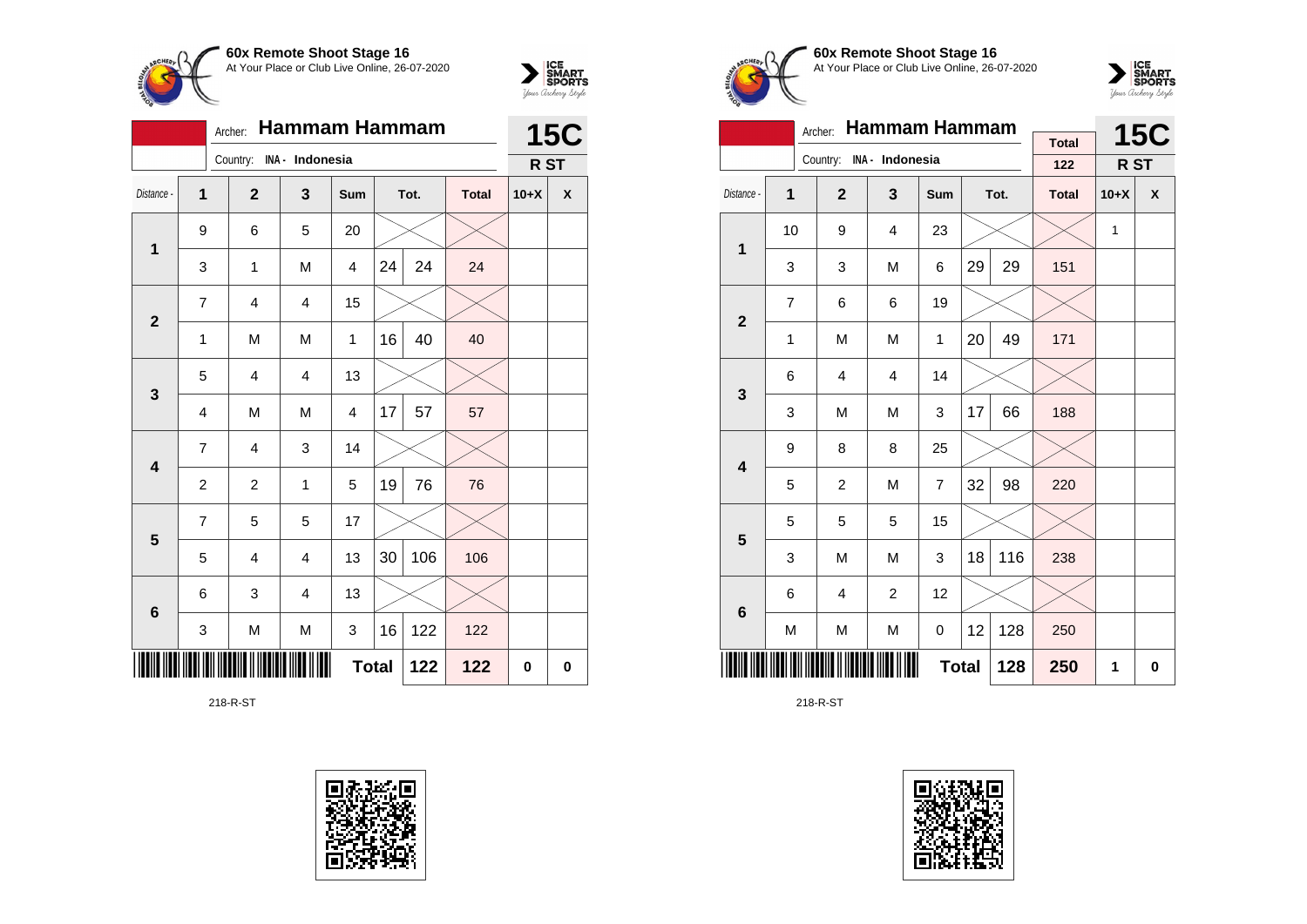



|                         |                | Archer:                 | Hammam Hammam           |              |    |      |              |        | <b>15C</b>         |
|-------------------------|----------------|-------------------------|-------------------------|--------------|----|------|--------------|--------|--------------------|
|                         |                | Country:                | INA - Indonesia         |              |    |      |              | R ST   |                    |
| Distance -              | $\mathbf{1}$   | $\overline{2}$          | 3                       | Sum          |    | Tot. | <b>Total</b> | $10+X$ | $\pmb{\mathsf{X}}$ |
| $\mathbf 1$             | 9              | 6                       | 5                       | 20           |    |      |              |        |                    |
|                         | 3              | $\mathbf 1$             | M                       | 4            | 24 | 24   | 24           |        |                    |
| $\mathbf{2}$            | $\overline{7}$ | $\overline{4}$          | $\overline{4}$          | 15           |    |      |              |        |                    |
|                         | $\mathbf 1$    | M                       | M                       | $\mathbf{1}$ | 16 | 40   | 40           |        |                    |
| $\mathbf{3}$            | 5              | $\overline{4}$          | $\overline{4}$          | 13           |    |      |              |        |                    |
|                         | 4              | M                       | M                       | 4            | 17 | 57   | 57           |        |                    |
| $\overline{\mathbf{4}}$ | 7              | 4                       | 3                       | 14           |    |      |              |        |                    |
|                         | $\overline{c}$ | $\overline{c}$          | 1                       | 5            | 19 | 76   | 76           |        |                    |
| $5\phantom{1}$          | $\overline{7}$ | 5                       | 5                       | 17           |    |      |              |        |                    |
|                         | 5              | $\overline{\mathbf{4}}$ | $\overline{\mathbf{4}}$ | 13           | 30 | 106  | 106          |        |                    |
| $\bf 6$                 | 6              | 3                       | $\overline{4}$          | 13           |    |      |              |        |                    |
|                         | 3              | M                       | M                       | 3            | 16 | 122  | 122          |        |                    |
|                         |                |                         |                         | <b>Total</b> |    | 122  | 122          | 0      | $\bf{0}$           |

218-R-ST





**60x Remote Shoot Stage 16** At Your Place or Club Live Online, 26-07-2020



|                         |                | Archer:        | <b>Hammam Hammam</b>     |              |    | <b>15C</b> |                     |        |                    |
|-------------------------|----------------|----------------|--------------------------|--------------|----|------------|---------------------|--------|--------------------|
|                         |                |                | Country: INA - Indonesia |              |    |            | <b>Total</b><br>122 | R ST   |                    |
|                         |                |                |                          |              |    |            |                     |        |                    |
| Distance -              | 1              | $\overline{2}$ | $\mathbf{3}$             | Sum          |    | Tot.       | <b>Total</b>        | $10+X$ | $\pmb{\mathsf{X}}$ |
| 1                       | 10             | 9              | 4                        | 23           |    |            |                     | 1      |                    |
|                         | 3              | 3              | M                        | 6            | 29 | 29         | 151                 |        |                    |
| $\overline{\mathbf{2}}$ | $\overline{7}$ | 6              | 6                        | 19           |    |            |                     |        |                    |
|                         | 1              | M              | M                        | 1            | 20 | 49         | 171                 |        |                    |
| 3                       | 6              | 4              | $\overline{4}$           | 14           |    |            |                     |        |                    |
|                         | 3              | M              | M                        | 3            | 17 | 66         | 188                 |        |                    |
| $\overline{\mathbf{4}}$ | 9              | 8              | 8                        | 25           |    |            |                     |        |                    |
|                         | 5              | $\overline{c}$ | M                        | 7            | 32 | 98         | 220                 |        |                    |
| 5                       | 5              | 5              | 5                        | 15           |    |            |                     |        |                    |
|                         | 3              | M              | M                        | 3            | 18 | 116        | 238                 |        |                    |
| 6                       | 6              | 4              | $\overline{2}$           | 12           |    |            |                     |        |                    |
|                         | M              | M              | M                        | 0            | 12 | 128        | 250                 |        |                    |
|                         |                |                |                          | <b>Total</b> |    | 128        | 250                 | 1      | 0                  |

218-R-ST

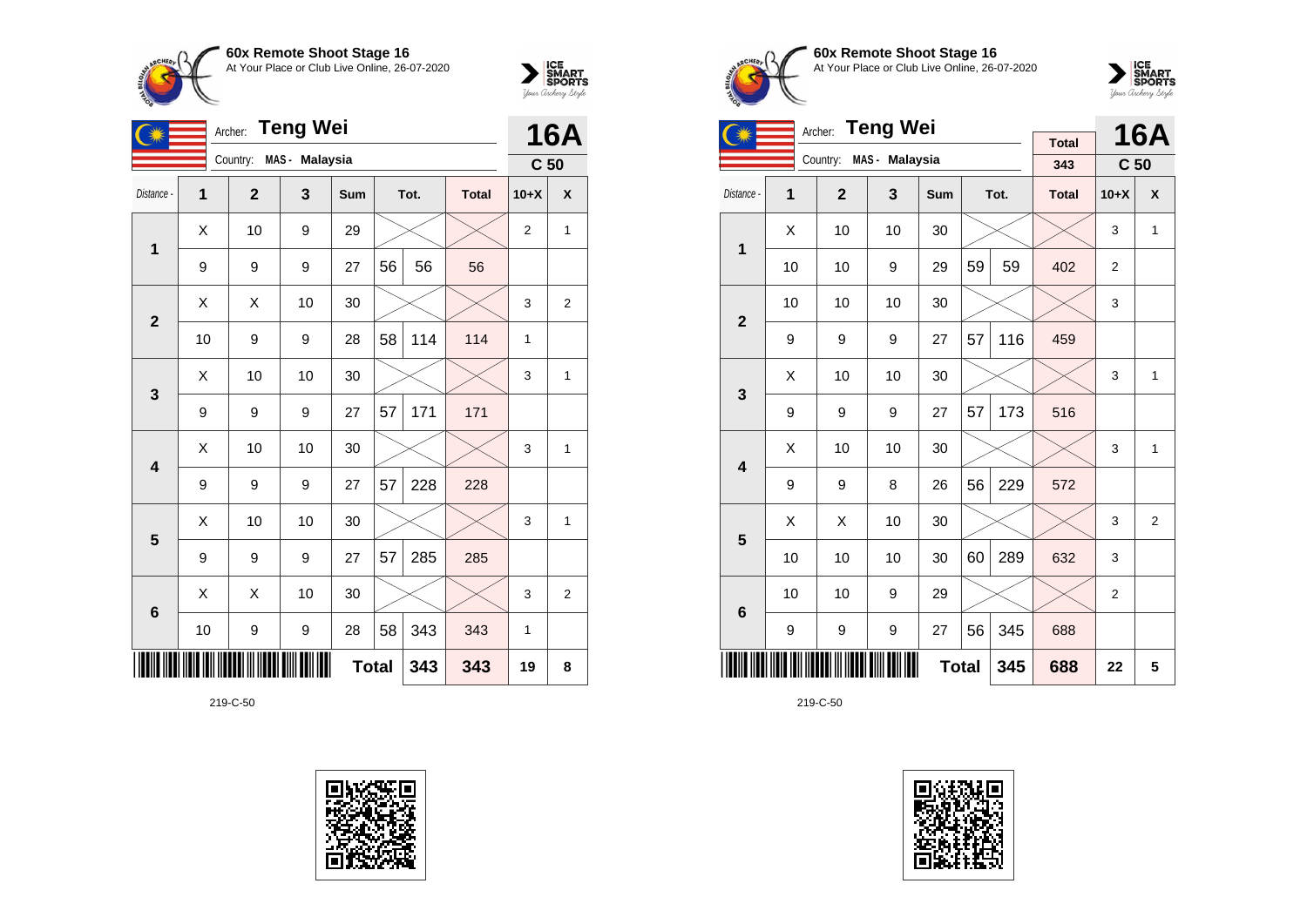



| <b>Teng Wei</b><br>Archer: |    |                |                |              |    |      |              |                 | <b>16A</b>     |  |
|----------------------------|----|----------------|----------------|--------------|----|------|--------------|-----------------|----------------|--|
|                            |    | Country:       | MAS - Malaysia |              |    |      |              | C <sub>50</sub> |                |  |
| Distance -                 | 1  | $\overline{2}$ | 3              | Sum          |    | Tot. | <b>Total</b> | $10+X$          | X              |  |
| 1                          | X  | 10             | 9              | 29           |    |      |              | $\overline{2}$  | 1              |  |
|                            | 9  | 9              | 9              | 27           | 56 | 56   | 56           |                 |                |  |
| $\overline{2}$             | X  | X              | 10             | 30           |    |      |              | 3               | $\overline{2}$ |  |
|                            | 10 | 9              | 9              | 28           | 58 | 114  | 114          | 1               |                |  |
| 3                          | X  | 10             | 10             | 30           |    |      |              | 3               | 1              |  |
|                            | 9  | 9              | 9              | 27           | 57 | 171  | 171          |                 |                |  |
| 4                          | X  | 10             | 10             | 30           |    |      |              | 3               | 1              |  |
|                            | 9  | 9              | 9              | 27           | 57 | 228  | 228          |                 |                |  |
| 5                          | Χ  | 10             | 10             | 30           |    |      |              | 3               | 1              |  |
|                            | 9  | 9              | 9              | 27           | 57 | 285  | 285          |                 |                |  |
| 6                          | X  | X              | 10             | 30           |    |      |              | 3               | $\overline{2}$ |  |
|                            | 10 | 9              | 9              | 28           | 58 | 343  | 343          | 1               |                |  |
|                            |    |                |                | <b>Total</b> |    | 343  | 343          | 19              | 8              |  |

219-C-50





**60x Remote Shoot Stage 16** At Your Place or Club Live Online, 26-07-2020



|                         |                                                  | <b>Teng Wei</b><br>Archer: |                |            |    | <b>16A</b> |                     |                 |                |
|-------------------------|--------------------------------------------------|----------------------------|----------------|------------|----|------------|---------------------|-----------------|----------------|
|                         |                                                  | Country:                   | MAS - Malaysia |            |    |            | <b>Total</b><br>343 | C <sub>50</sub> |                |
| Distance -              | 1                                                | $\overline{2}$             | 3              | <b>Sum</b> |    | Tot.       | <b>Total</b>        | $10+X$          | X              |
| 1                       | Χ                                                | 10                         | 10             | 30         |    |            |                     | 3               | 1              |
|                         | 10                                               | 10                         | 9              | 29         | 59 | 59         | 402                 | $\overline{2}$  |                |
|                         | 10                                               | 10                         | 10             | 30         |    |            |                     | 3               |                |
|                         | $\overline{2}$<br>57<br>116<br>27<br>9<br>9<br>9 |                            |                |            |    |            |                     |                 |                |
| 3                       | X                                                | 10                         | 10             | 30         |    |            |                     | 3               | $\mathbf{1}$   |
|                         | 9                                                | 9                          | 9              | 27         | 57 | 173        | 516                 |                 |                |
| $\overline{\mathbf{4}}$ | Χ                                                | 10                         | 10             | 30         |    |            |                     | 3               | 1              |
|                         | 9                                                | 9                          | 8              | 26         | 56 | 229        | 572                 |                 |                |
| 5                       | X                                                | X                          | 10             | 30         |    |            |                     | 3               | $\overline{2}$ |
|                         | 10                                               | 10                         | 10             | 30         | 60 | 289        | 632                 | 3               |                |
| 6                       | 10                                               | 10                         | 9              | 29         |    |            |                     | $\overline{2}$  |                |
|                         | 9                                                | 9                          | 9              | 27         | 56 | 345        | 688                 |                 |                |
|                         | <b>Total</b><br>345                              |                            |                |            |    |            |                     | 22              | 5              |

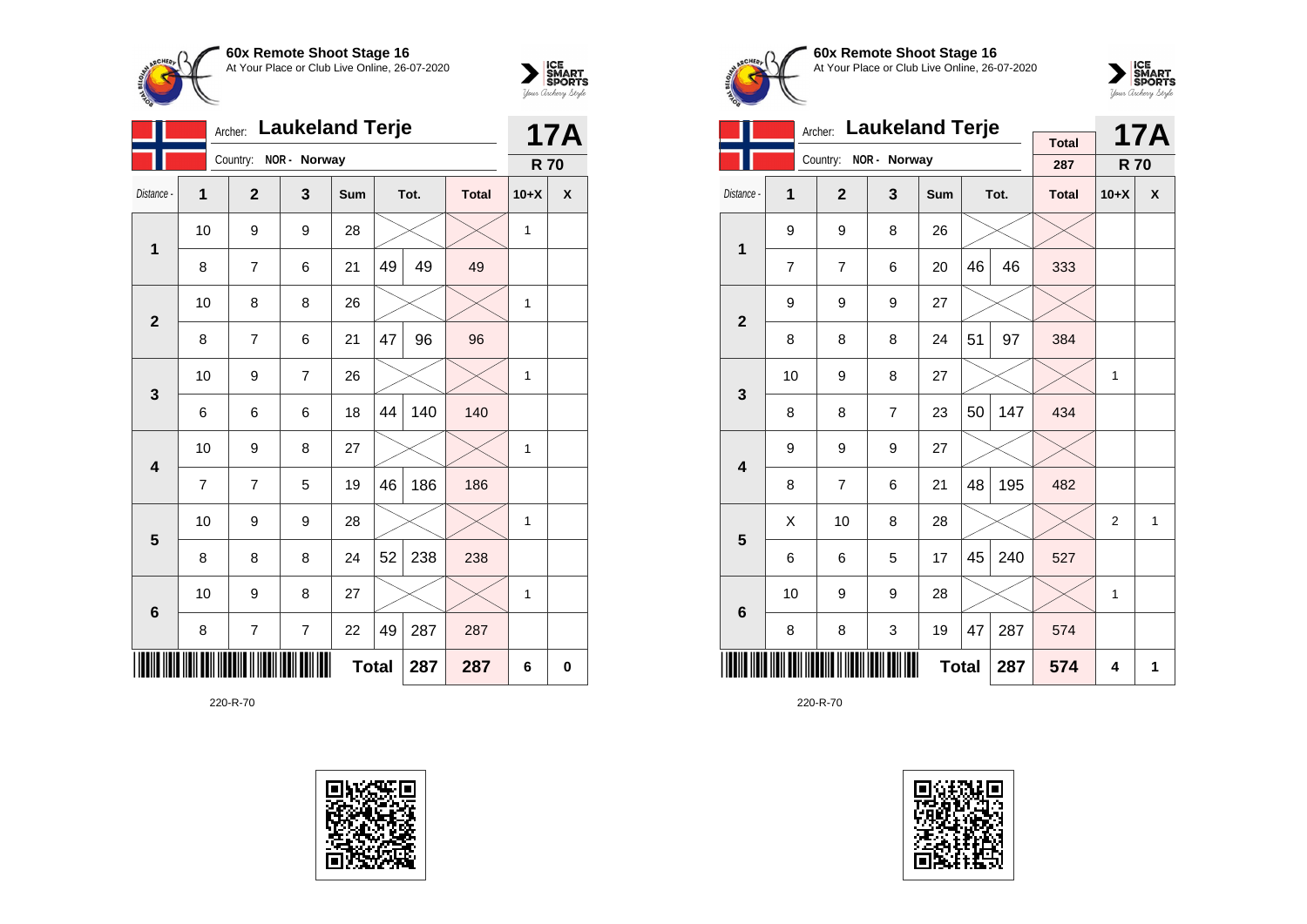



|                 | <b>Laukeland Terje</b><br>Archer: |                |                |              |    |      |              |              | 17A |
|-----------------|-----------------------------------|----------------|----------------|--------------|----|------|--------------|--------------|-----|
|                 |                                   | Country:       | NOR - Norway   |              |    |      |              | <b>R70</b>   |     |
| Distance -      | $\overline{1}$                    | $\overline{2}$ | 3              | Sum          |    | Tot. | <b>Total</b> | $10+X$       | X   |
| 1               | 10                                | 9              | 9              | 28           |    |      |              | 1            |     |
|                 | 8                                 | $\overline{7}$ | 6              | 21           | 49 | 49   | 49           |              |     |
| $\overline{2}$  | 10                                | 8              | 8              | 26           |    |      |              | 1            |     |
|                 | 8                                 | $\overline{7}$ | 6              | 21           | 47 | 96   | 96           |              |     |
| 3               | 10                                | 9              | 7              | 26           |    |      |              | $\mathbf{1}$ |     |
|                 | 6                                 | 6              | 6              | 18           | 44 | 140  | 140          |              |     |
| 4               | 10                                | 9              | 8              | 27           |    |      |              | 1            |     |
|                 | $\overline{7}$                    | $\overline{7}$ | 5              | 19           | 46 | 186  | 186          |              |     |
| 5               | 10                                | 9              | 9              | 28           |    |      |              | $\mathbf{1}$ |     |
|                 | 8                                 | 8              | 8              | 24           | 52 | 238  | 238          |              |     |
| $6\phantom{1}6$ | 10                                | 9              | 8              | 27           |    |      |              | 1            |     |
|                 | 8                                 | 7              | $\overline{7}$ | 22           | 49 | 287  | 287          |              |     |
|                 |                                   |                |                | <b>Total</b> |    | 287  | 287          | 6            | 0   |





**60x Remote Shoot Stage 16** At Your Place or Club Live Online, 26-07-2020



|                         |                     | <b>Laukeland Terje</b><br>Archer: |                | <b>Total</b> |    | <b>17A</b> |              |                |   |
|-------------------------|---------------------|-----------------------------------|----------------|--------------|----|------------|--------------|----------------|---|
|                         |                     | Country:                          | NOR - Norway   |              |    |            | 287          | <b>R70</b>     |   |
| Distance -              | 1                   | $\overline{2}$                    | 3              | <b>Sum</b>   |    | Tot.       | <b>Total</b> | $10+X$         | X |
| 1                       | 9                   | 9                                 | 8              | 26           |    |            |              |                |   |
|                         | $\overline{7}$      | $\overline{7}$                    | 6              | 20           | 46 | 46         | 333          |                |   |
| $\overline{2}$          | 9                   | 9                                 | 9              | 27           |    |            |              |                |   |
|                         | 8                   | 8                                 | 8              | 24           | 51 | 97         | 384          |                |   |
| 3                       | 10                  | 9                                 | 8              | 27           |    |            |              | 1              |   |
|                         | 8                   | 8                                 | $\overline{7}$ | 23           | 50 | 147        | 434          |                |   |
| $\overline{\mathbf{4}}$ | 9                   | 9                                 | 9              | 27           |    |            |              |                |   |
|                         | 8                   | $\overline{7}$                    | 6              | 21           | 48 | 195        | 482          |                |   |
| 5                       | Χ                   | 10                                | 8              | 28           |    |            |              | $\overline{2}$ | 1 |
|                         | 6                   | 6                                 | 5              | 17           | 45 | 240        | 527          |                |   |
| $6\phantom{1}6$         | 10                  | 9                                 | 9              | 28           |    |            |              | 1              |   |
|                         | 3<br>8<br>8         |                                   |                |              |    | 287        | 574          |                |   |
|                         | <b>Total</b><br>287 |                                   |                |              |    |            |              | 4              | 1 |

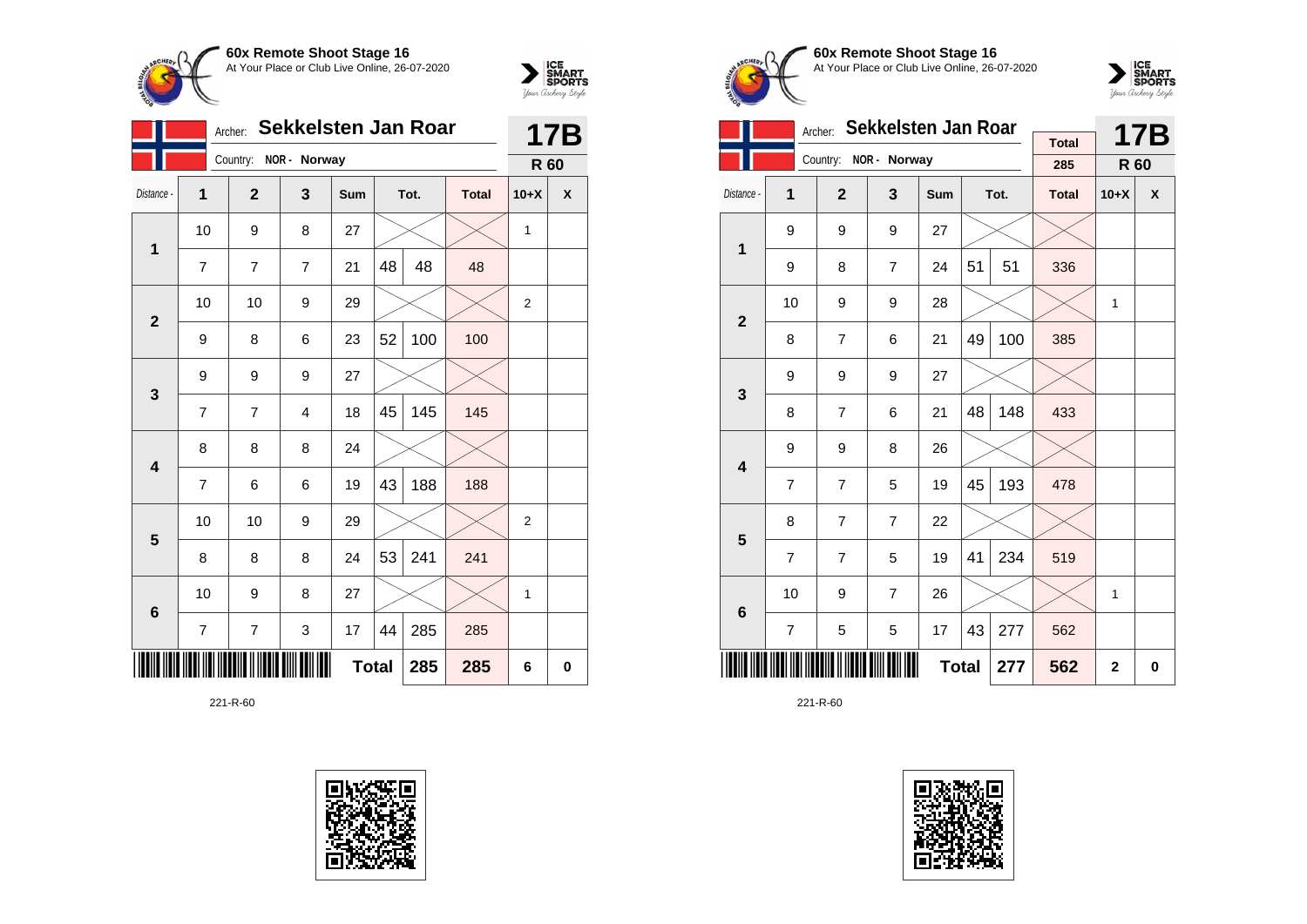



|                 |                | Archer:        | <b>Sekkelsten Jan Roar</b> |              |    |      |              |                | <b>17B</b> |
|-----------------|----------------|----------------|----------------------------|--------------|----|------|--------------|----------------|------------|
|                 |                |                | Country: NOR - Norway      |              |    |      |              | R 60           |            |
| Distance -      | 1              | $\mathbf{2}$   | 3                          | <b>Sum</b>   |    | Tot. | <b>Total</b> | $10+X$         | X          |
| 1               | 10             | 9              | 8                          | 27           |    |      |              | 1              |            |
|                 | 7              | $\overline{7}$ | $\overline{7}$             | 21           | 48 | 48   | 48           |                |            |
| $\mathbf{2}$    | 10             | 10             | 9                          | 29           |    |      |              | $\overline{2}$ |            |
|                 | 9              | 8              | 6                          | 23           | 52 | 100  | 100          |                |            |
| 3               | 9              | 9              | 9                          | 27           |    |      |              |                |            |
|                 | 7              | 7              | 4                          | 18           | 45 | 145  | 145          |                |            |
| 4               | 8              | 8              | 8                          | 24           |    |      |              |                |            |
|                 | $\overline{7}$ | 6              | 6                          | 19           | 43 | 188  | 188          |                |            |
| 5               | 10             | 10             | 9                          | 29           |    |      |              | 2              |            |
|                 | 8              | 8              | 8                          | 24           | 53 | 241  | 241          |                |            |
| $6\phantom{1}6$ | 10             | 9              | 8                          | 27           |    |      |              | 1              |            |
|                 | 7              | 7              | 3                          | 17           | 44 | 285  | 285          |                |            |
|                 |                |                |                            | <b>Total</b> |    | 285  | 285          | 6              | 0          |





**60x Remote Shoot Stage 16** At Your Place or Club Live Online, 26-07-2020



|                         |                     | Archer:        | Sekkelsten Jan Roar     | <b>Total</b> |     | <b>17B</b> |              |              |   |
|-------------------------|---------------------|----------------|-------------------------|--------------|-----|------------|--------------|--------------|---|
|                         |                     | Country:       | NOR - Norway            |              |     |            | 285          | R 60         |   |
| Distance -              | 1                   | $\mathbf{2}$   | $\overline{\mathbf{3}}$ | Sum          |     | Tot.       | <b>Total</b> | $10+X$       | X |
| 1                       | 9                   | 9              | 9                       | 27           |     |            |              |              |   |
|                         | 9                   | 8              | $\overline{7}$          | 24           | 51  | 51         | 336          |              |   |
| $\overline{2}$          | 10                  | 9              | 9                       | 28           |     |            |              | 1            |   |
|                         | 8                   | $\overline{7}$ | 6                       | 21           | 49  | 100        | 385          |              |   |
| 3                       | 9                   | 9              | 9                       | 27           |     |            |              |              |   |
|                         | 8                   | $\overline{7}$ | 6                       | 21           | 48  | 148        | 433          |              |   |
| $\overline{\mathbf{4}}$ | 9                   | 9              | 8                       | 26           |     |            |              |              |   |
|                         | $\overline{7}$      | $\overline{7}$ | 5                       | 19           | 45  | 193        | 478          |              |   |
| 5                       | 8                   | 7              | $\overline{7}$          | 22           |     |            |              |              |   |
|                         | $\overline{7}$      | $\overline{7}$ | 5                       | 19           | 41  | 234        | 519          |              |   |
| $6\phantom{1}$          | 10                  | 9              | 7                       | 26           |     |            |              | 1            |   |
|                         | $\overline{7}$      | 5              | 17                      | 43           | 277 | 562        |              |              |   |
|                         | <b>Total</b><br>277 |                |                         |              |     |            |              | $\mathbf{2}$ | 0 |

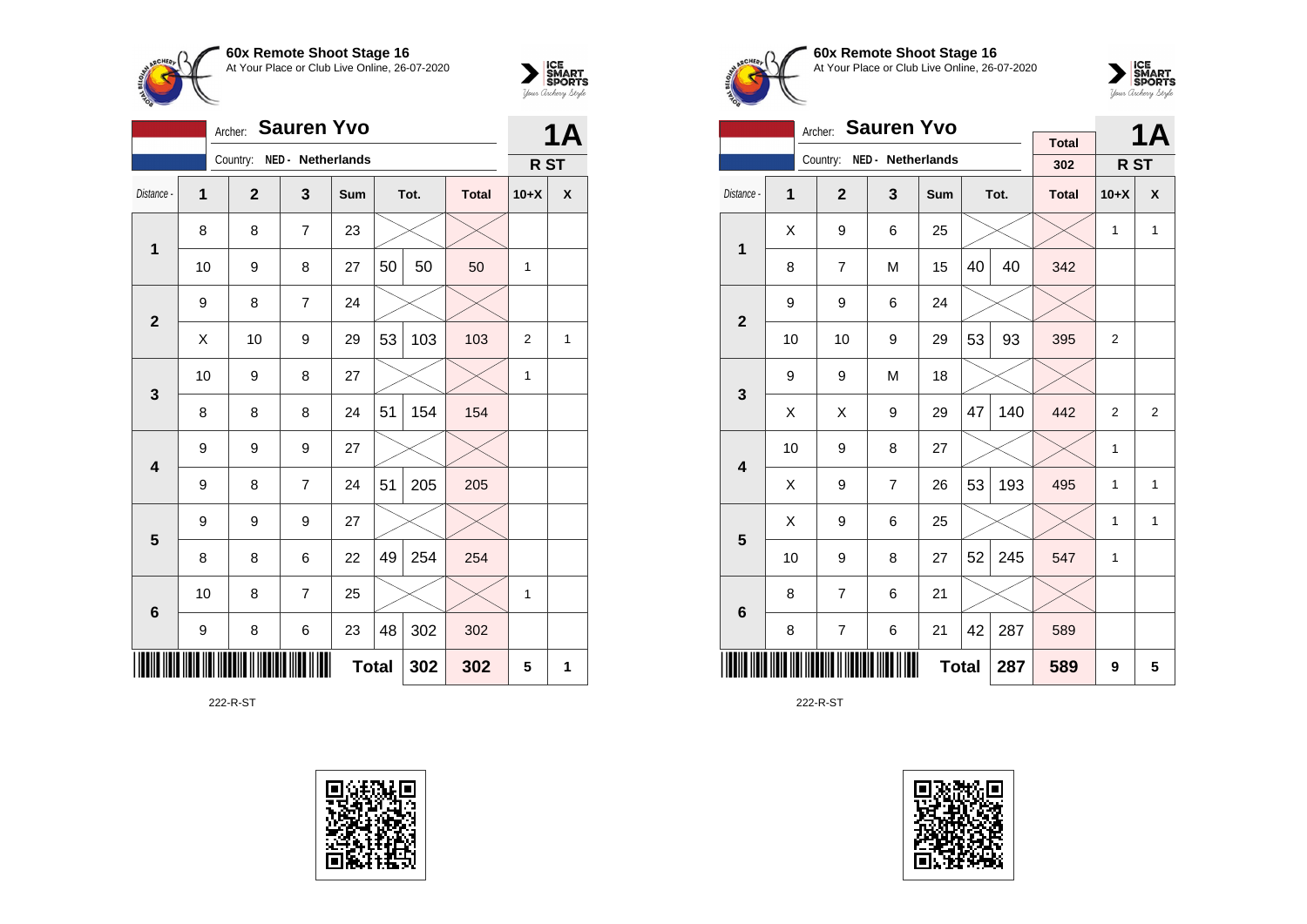



|                 | <b>Sauren Yvo</b><br>Archer: |                |                   |     |    |      |              |                 |                           |  |
|-----------------|------------------------------|----------------|-------------------|-----|----|------|--------------|-----------------|---------------------------|--|
|                 |                              | Country:       | NED - Netherlands |     |    |      |              | R <sub>ST</sub> |                           |  |
| Distance -      | 1                            | $\overline{2}$ | 3                 | Sum |    | Tot. | <b>Total</b> | $10+X$          | $\boldsymbol{\mathsf{x}}$ |  |
| 1               | 8                            | 8              | $\overline{7}$    | 23  |    |      |              |                 |                           |  |
|                 | 10                           | 9              | 8                 | 27  | 50 | 50   | 50           | 1               |                           |  |
| $\mathbf{2}$    | 9                            | 8              | $\overline{7}$    | 24  |    |      |              |                 |                           |  |
|                 | X                            | 2              | 1                 |     |    |      |              |                 |                           |  |
| 3               | 10                           | 9              | 8                 | 27  |    |      |              | $\mathbf{1}$    |                           |  |
|                 | 8                            | 8              | 8                 | 24  | 51 | 154  | 154          |                 |                           |  |
| 4               | 9                            | 9              | 9                 | 27  |    |      |              |                 |                           |  |
|                 | 9                            | 8              | $\overline{7}$    | 24  | 51 | 205  | 205          |                 |                           |  |
| 5               | 9                            | 9              | 9                 | 27  |    |      |              |                 |                           |  |
|                 | 8                            | 8              | 6                 | 22  | 49 | 254  | 254          |                 |                           |  |
| $6\phantom{1}6$ | 10                           | 8              | $\overline{7}$    | 25  |    |      |              | 1               |                           |  |
|                 | 9                            | 8              | 6                 | 23  | 48 | 302  | 302          |                 |                           |  |
|                 | <b>Total</b><br>302<br>302   |                |                   |     |    |      |              |                 |                           |  |

222-R-ST





**60x Remote Shoot Stage 16** At Your Place or Club Live Online, 26-07-2020



|                         |    | <b>Sauren Yvo</b><br>Archer: |                            |     |    | 1Α   |                     |                 |              |
|-------------------------|----|------------------------------|----------------------------|-----|----|------|---------------------|-----------------|--------------|
|                         |    |                              | Country: NED - Netherlands |     |    |      | <b>Total</b><br>302 |                 |              |
|                         |    |                              |                            |     |    |      |                     | R <sub>ST</sub> |              |
| Distance -              | 1  | $\mathbf{2}$                 | 3                          | Sum |    | Tot. | <b>Total</b>        | $10+X$          | X            |
| 1                       | X  | 9                            | 6                          | 25  |    |      |                     | 1               | $\mathbf{1}$ |
|                         | 8  | 7                            | M                          | 15  | 40 | 40   | 342                 |                 |              |
| $\overline{2}$          | 9  | 9                            |                            |     |    |      |                     |                 |              |
|                         | 10 | 10                           | 9                          | 29  | 53 | 93   | 395                 | 2               |              |
| 3                       | 9  | 9                            | M                          | 18  |    |      |                     |                 |              |
|                         | X  | X                            | 9                          | 29  | 47 | 140  | 442                 | $\overline{2}$  | 2            |
| $\overline{\mathbf{4}}$ | 10 | 9                            | 8                          | 27  |    |      |                     | 1               |              |
|                         | X  | 9                            | $\overline{7}$             | 26  | 53 | 193  | 495                 | 1               | $\mathbf{1}$ |
| 5                       | Χ  | 9                            | 6                          | 25  |    |      |                     | 1               | $\mathbf{1}$ |
|                         | 10 | 9                            | 8                          | 27  | 52 | 245  | 547                 | 1               |              |
| $6\phantom{1}6$         | 8  | 7                            | 6                          | 21  |    |      |                     |                 |              |
|                         | 8  | 7                            | 287                        | 589 |    |      |                     |                 |              |
|                         |    |                              | 589                        | 9   | 5  |      |                     |                 |              |

222-R-ST

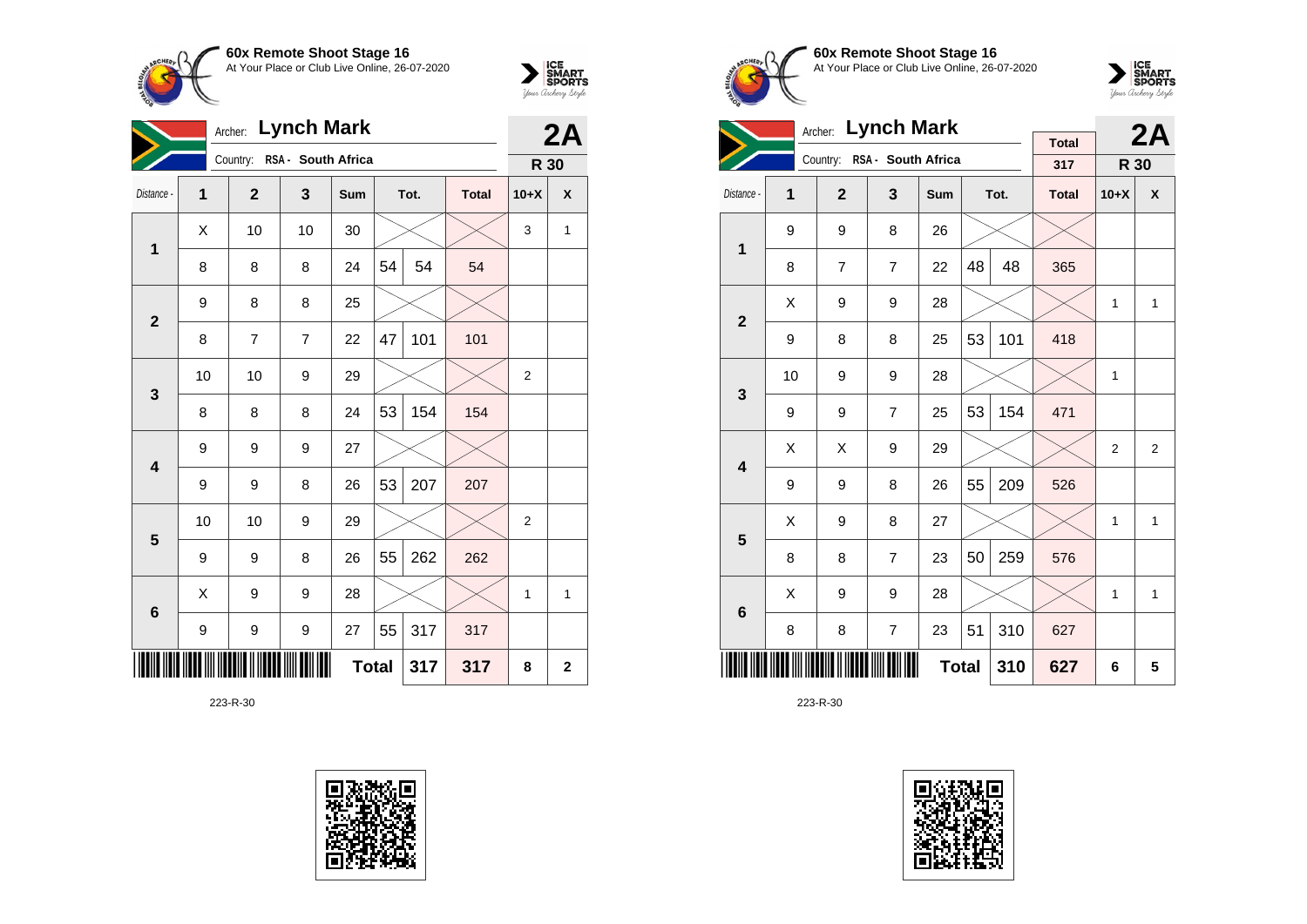



| Archer: Lynch Mark |    |                |                             |              |    |      |              |                | 2A           |  |
|--------------------|----|----------------|-----------------------------|--------------|----|------|--------------|----------------|--------------|--|
|                    |    |                | Country: RSA - South Africa |              |    |      |              | R 30           |              |  |
| Distance -         | 1  | $\overline{2}$ | 3                           | Sum          |    | Tot. | <b>Total</b> | $10+X$         | $\pmb{\chi}$ |  |
| $\mathbf 1$        | Χ  | 10             | 10                          | 30           |    |      |              | 3              | 1            |  |
|                    | 8  | 8              | 8                           | 24           | 54 | 54   | 54           |                |              |  |
| $\mathbf{2}$       | 9  | 8              | 8                           | 25           |    |      |              |                |              |  |
|                    | 8  | 7              | 7                           | 22           | 47 | 101  | 101          |                |              |  |
| 3                  | 10 | 10             | 9                           | 29           |    |      |              | $\overline{2}$ |              |  |
|                    | 8  | 8              | 8                           | 24           | 53 | 154  | 154          |                |              |  |
| 4                  | 9  | 9              | 9                           | 27           |    |      |              |                |              |  |
|                    | 9  | 9              | 8                           | 26           | 53 | 207  | 207          |                |              |  |
| 5                  | 10 | 10             | 9                           | 29           |    |      |              | 2              |              |  |
|                    | 9  | 9              | 8                           | 26           | 55 | 262  | 262          |                |              |  |
| $6\phantom{1}6$    | Χ  | 9              | 9                           | 28           |    |      |              | 1              | 1            |  |
|                    | 9  | 9              | 9                           | 27           | 55 | 317  | 317          |                |              |  |
|                    |    |                |                             | <b>Total</b> |    | 317  | 317          | 8              | $\mathbf 2$  |  |





**60x Remote Shoot Stage 16** At Your Place or Club Live Online, 26-07-2020



|                         |                     | <b>Lynch Mark</b><br>Archer: |                             |     |    | 2A   |                     |                |                |
|-------------------------|---------------------|------------------------------|-----------------------------|-----|----|------|---------------------|----------------|----------------|
|                         |                     |                              | Country: RSA - South Africa |     |    |      | <b>Total</b><br>317 | R 30           |                |
| Distance -              | 1                   | $\overline{2}$               | 3                           | Sum |    | Tot. | <b>Total</b>        | $10+X$         | X              |
| $\overline{1}$          | 9                   | 9                            | 8                           | 26  |    |      |                     |                |                |
|                         | 8                   | $\overline{7}$               | $\overline{7}$              | 22  | 48 | 48   | 365                 |                |                |
| $\overline{2}$          | X                   | 9                            |                             | 1   | 1  |      |                     |                |                |
|                         | 9                   | 8                            | 101                         | 418 |    |      |                     |                |                |
| 3                       | 10                  | 9                            | 9                           | 28  |    |      |                     | 1              |                |
|                         | 9                   | 9                            | $\overline{7}$              | 25  | 53 | 154  | 471                 |                |                |
| $\overline{\mathbf{4}}$ | X                   | X                            | 9                           | 29  |    |      |                     | $\overline{2}$ | $\overline{2}$ |
|                         | 9                   | 9                            | 8                           | 26  | 55 | 209  | 526                 |                |                |
| 5                       | X                   | 9                            | 8                           | 27  |    |      |                     | 1              | 1              |
|                         | 8                   | 8                            | $\overline{7}$              | 23  | 50 | 259  | 576                 |                |                |
| $6\phantom{1}6$         | X                   | 9                            | 9                           | 28  |    |      |                     | 1              | 1              |
|                         | 8                   | 8                            | $\overline{7}$              | 23  | 51 | 310  | 627                 |                |                |
|                         | <b>Total</b><br>310 |                              |                             |     |    |      |                     | 6              | 5              |

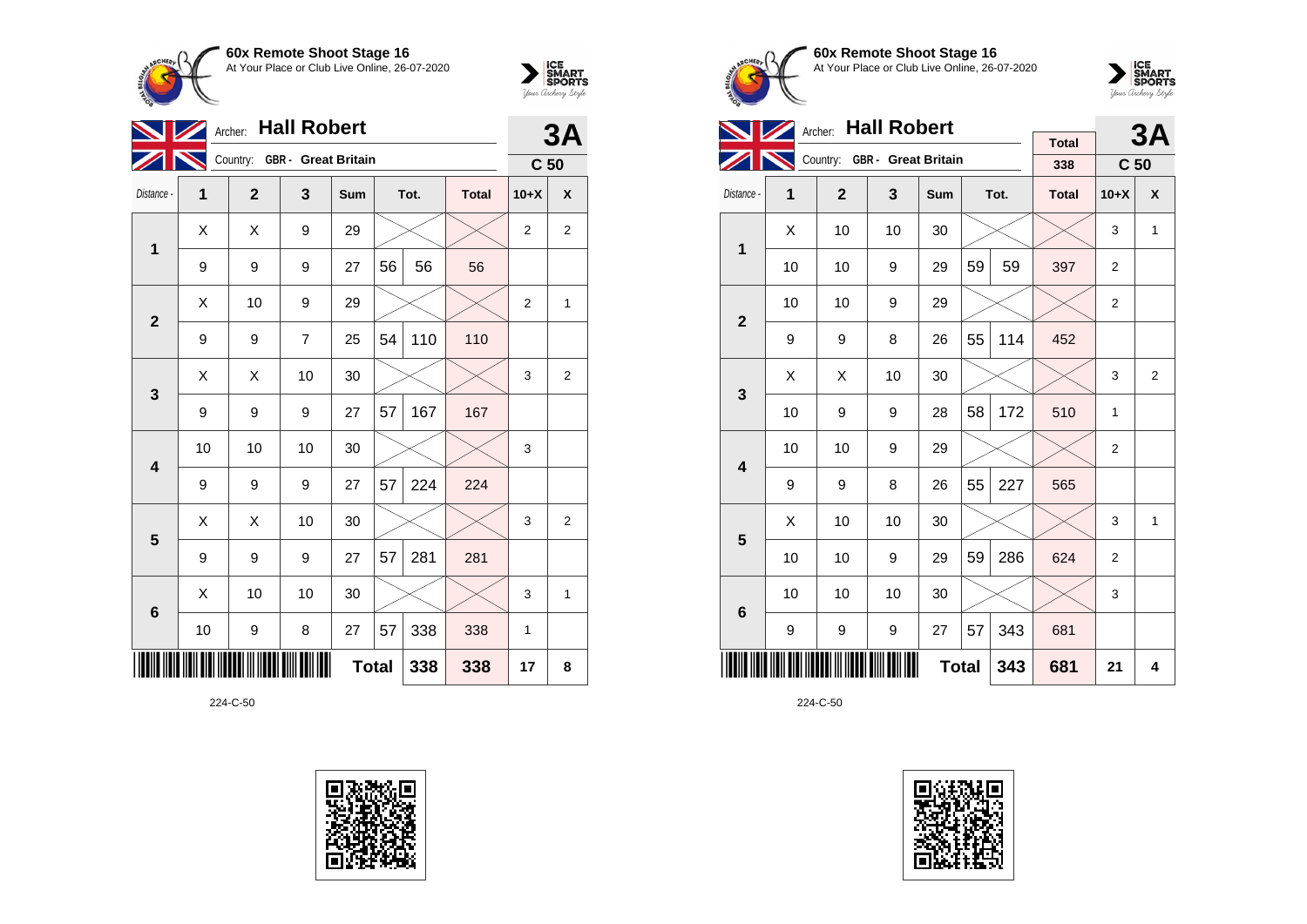



|                         | <b>Hall Robert</b><br>Archer: |                  |                              |     |    |      |              |                 |                |  |
|-------------------------|-------------------------------|------------------|------------------------------|-----|----|------|--------------|-----------------|----------------|--|
|                         |                               |                  | Country: GBR - Great Britain |     |    |      |              | C <sub>50</sub> |                |  |
| Distance -              | 1                             | $\mathbf{2}$     | 3                            | Sum |    | Tot. | <b>Total</b> | $10+X$          | X              |  |
| $\mathbf 1$             | X                             | X                | 9                            | 29  |    |      |              | $\overline{2}$  | $\overline{2}$ |  |
|                         | 9                             | 9                | 9                            | 27  | 56 | 56   | 56           |                 |                |  |
| $\overline{2}$          | X                             | 10               | 9                            | 29  |    |      |              | $\overline{2}$  | $\mathbf{1}$   |  |
|                         | 9                             | 9                | $\overline{7}$               | 25  | 54 | 110  | 110          |                 |                |  |
| 3                       | X                             | X                | 10                           | 30  |    |      |              | 3               | $\overline{2}$ |  |
|                         | 9                             | 9                | 9                            | 27  | 57 | 167  | 167          |                 |                |  |
| $\overline{\mathbf{4}}$ | 10                            | 10               | 10                           | 30  |    |      |              | 3               |                |  |
|                         | 9                             | 9                | 9                            | 27  | 57 | 224  | 224          |                 |                |  |
| 5                       | X                             | X                | 10                           | 30  |    |      |              | 3               | 2              |  |
|                         | 9                             | 9                | 9                            | 27  | 57 | 281  | 281          |                 |                |  |
| $6\phantom{1}6$         | Χ                             | 10               | 10                           | 30  |    |      |              | 3               | $\mathbf{1}$   |  |
|                         | 10                            | $\boldsymbol{9}$ | 8                            | 27  | 57 | 338  | 338          | 1               |                |  |
|                         | <b>Total</b><br>338<br>338    |                  |                              |     |    |      |              |                 |                |  |

224-C-50





**60x Remote Shoot Stage 16** At Your Place or Club Live Online, 26-07-2020



|                         |    | <b>Hall Robert</b><br>Archer: |                              | <b>Total</b> |    | 3A   |              |                 |                |
|-------------------------|----|-------------------------------|------------------------------|--------------|----|------|--------------|-----------------|----------------|
|                         |    |                               | Country: GBR - Great Britain |              |    |      | 338          | C <sub>50</sub> |                |
| Distance -              | 1  | $\overline{2}$                | 3                            | Sum          |    | Tot. | <b>Total</b> | $10+X$          | X              |
| $\overline{1}$          | X  | 10                            | 10                           | 30           |    |      |              | 3               | 1              |
|                         | 10 | 10                            | 9                            | 29           | 59 | 59   | 397          | $\overline{2}$  |                |
| $\overline{2}$          | 10 | 10                            | 9                            | 29           |    |      |              | $\overline{2}$  |                |
|                         | 9  | 9                             | 452                          |              |    |      |              |                 |                |
| 3                       | X  | X                             | 10                           | 30           |    |      |              | 3               | $\overline{2}$ |
|                         | 10 | 9                             | 9                            | 28           | 58 | 172  | 510          | 1               |                |
| $\overline{\mathbf{4}}$ | 10 | 10                            | 9                            | 29           |    |      |              | $\overline{2}$  |                |
|                         | 9  | 9                             | 8                            | 26           | 55 | 227  | 565          |                 |                |
| 5                       | X  | 10                            | 10                           | 30           |    |      |              | 3               | 1              |
|                         | 10 | 10                            | 9                            | 29           | 59 | 286  | 624          | $\overline{2}$  |                |
| $6\phantom{1}6$         | 10 | 10                            | 10                           | 30           |    |      |              | 3               |                |
|                         | 9  | 343                           | 681                          |              |    |      |              |                 |                |
|                         |    |                               | 681                          | 21           | 4  |      |              |                 |                |

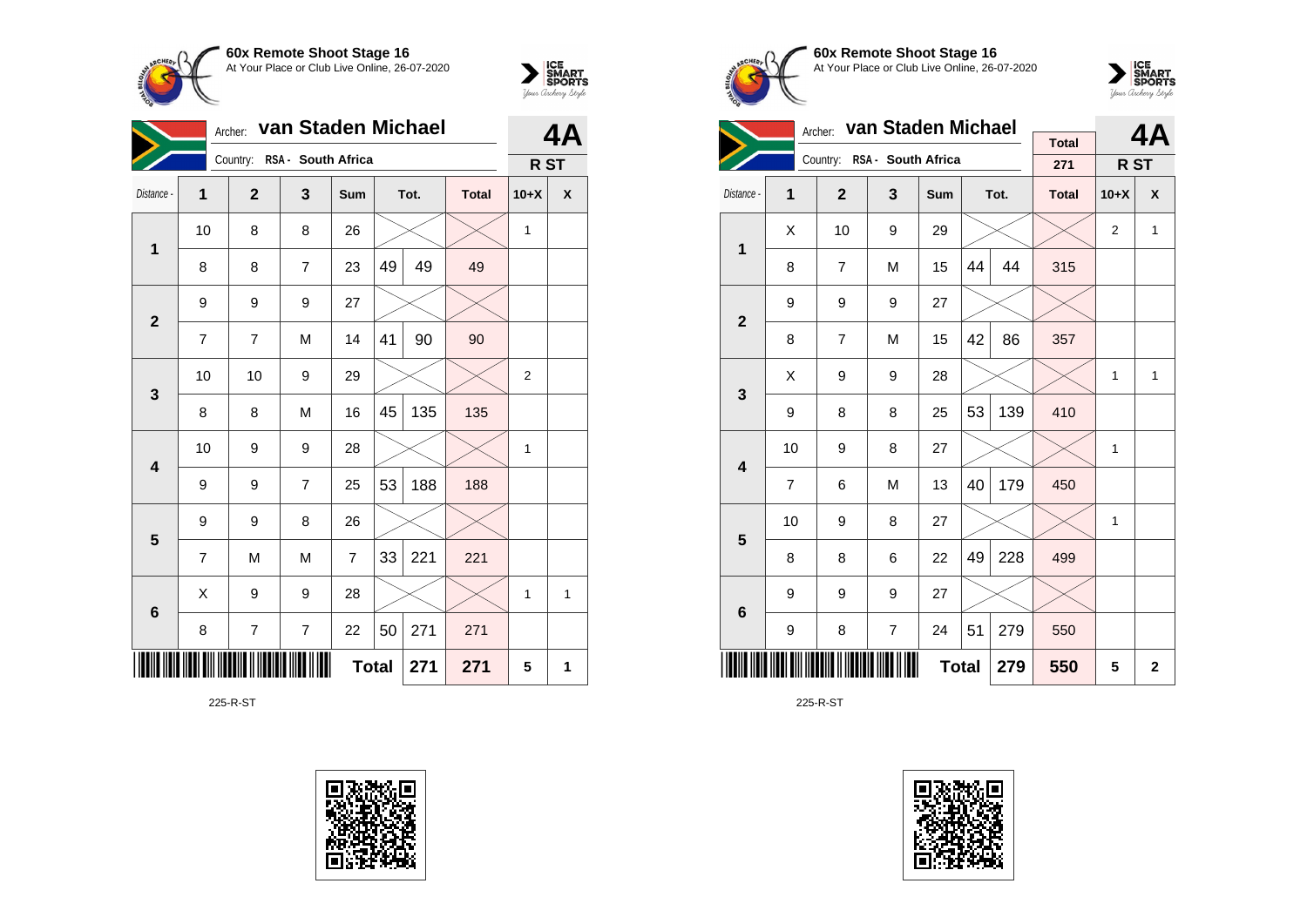



|                 | Archer:                    | van Staden Michael | <b>4A</b>                   |     |    |      |              |                |   |
|-----------------|----------------------------|--------------------|-----------------------------|-----|----|------|--------------|----------------|---|
|                 |                            |                    | Country: RSA - South Africa |     |    |      |              | R ST           |   |
| Distance -      | 1                          | $\mathbf{2}$       | 3                           | Sum |    | Tot. | <b>Total</b> | $10+X$         | X |
| 1               | 10                         | 8                  | 8                           | 26  |    |      |              | 1              |   |
|                 | 8                          | 8                  | $\overline{7}$              | 23  | 49 | 49   | 49           |                |   |
| $\mathbf{2}$    | 9<br>9<br>9<br>27          |                    |                             |     |    |      |              |                |   |
|                 | $\overline{7}$             | $\overline{7}$     | M                           | 14  | 41 | 90   | 90           |                |   |
| $\mathbf{3}$    | 10                         | 10                 | 9                           | 29  |    |      |              | $\overline{2}$ |   |
|                 | 8                          | 8                  | M                           | 16  | 45 | 135  | 135          |                |   |
| 4               | 10                         | 9                  | 9                           | 28  |    |      |              | 1              |   |
|                 | 9                          | 9                  | $\overline{7}$              | 25  | 53 | 188  | 188          |                |   |
| 5               | 9                          | 9                  | 8                           | 26  |    |      |              |                |   |
|                 | 7                          | M                  | M                           | 7   | 33 | 221  | 221          |                |   |
| $6\phantom{1}6$ | X                          | 9                  | 9                           | 28  |    |      |              | 1              | 1 |
|                 | 8                          | 7                  | $\overline{\mathcal{I}}$    | 22  | 50 | 271  | 271          |                |   |
|                 | <b>Total</b><br>271<br>271 |                    |                             |     |    |      |              |                | 1 |

225-R-ST





**60x Remote Shoot Stage 16** At Your Place or Club Live Online, 26-07-2020



|                         |                                | Archer:        | van Staden Michael          |              |    | 4Α   |                     |                |              |
|-------------------------|--------------------------------|----------------|-----------------------------|--------------|----|------|---------------------|----------------|--------------|
|                         |                                |                | Country: RSA - South Africa |              |    |      | <b>Total</b><br>271 | R ST           |              |
| Distance -              | 1                              | $\overline{2}$ | $\mathbf{3}$                | Sum          |    | Tot. | <b>Total</b>        | $10+X$         | X            |
| 1                       | X                              | 10             | 9                           | 29           |    |      |                     | $\overline{2}$ | $\mathbf{1}$ |
|                         | 8                              | $\overline{7}$ | M                           | 15           | 44 | 44   | 315                 |                |              |
| $\overline{2}$          | 9                              | 9              | 9                           | 27           |    |      |                     |                |              |
|                         | 8                              | $\overline{7}$ | M                           | 15           | 42 | 86   | 357                 |                |              |
| 3                       | X                              | 9              | 9                           | 28           |    |      |                     | 1              | 1            |
|                         | 9                              | 8              | 8                           | 25           | 53 | 139  | 410                 |                |              |
| $\overline{\mathbf{4}}$ | 10                             | 9              | 8                           | 27           |    |      |                     | 1              |              |
|                         | $\overline{7}$                 | 6              | M                           | 13           | 40 | 179  | 450                 |                |              |
| 5                       | 10                             | 9              | 8                           | 27           |    |      |                     | 1              |              |
|                         | 8                              | 8              | 6                           | 22           | 49 | 228  | 499                 |                |              |
| $6\phantom{1}$          | 9                              | 9              | 9                           | 27           |    |      |                     |                |              |
|                         | 51<br>279<br>8<br>7<br>9<br>24 |                |                             |              |    |      | 550                 |                |              |
|                         |                                | 550            | 5                           | $\mathbf{2}$ |    |      |                     |                |              |

225-R-ST

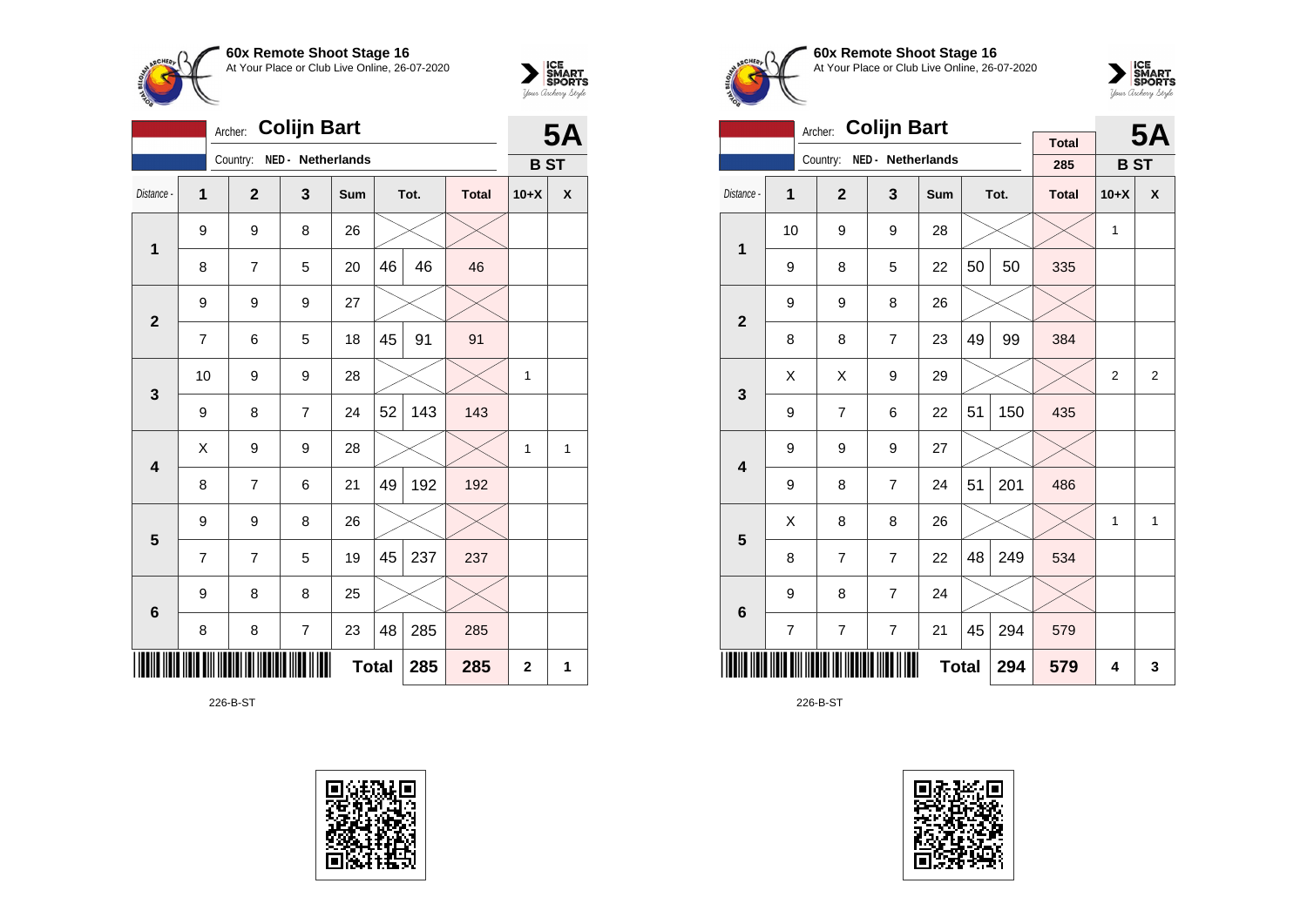



|                         | <b>5A</b> |                |                          |     |              |      |              |              |   |
|-------------------------|-----------|----------------|--------------------------|-----|--------------|------|--------------|--------------|---|
|                         |           | Country:       | NED - Netherlands        |     |              |      |              | <b>BST</b>   |   |
| Distance -              | 1         | $\overline{2}$ | 3                        | Sum |              | Tot. | <b>Total</b> | $10+X$       | X |
| 1                       | 9         | 9              | 8                        | 26  |              |      |              |              |   |
|                         | 8         | $\overline{7}$ | 5                        | 20  | 46           | 46   | 46           |              |   |
| $\overline{\mathbf{2}}$ | 9         | 9              | 9                        | 27  |              |      |              |              |   |
|                         | 7         | 6              | 5                        | 18  | 45           | 91   | 91           |              |   |
| 3                       | 10        | 9              | 9                        | 28  |              |      |              | 1            |   |
|                         | 9         | 8              | $\overline{7}$           | 24  | 52           | 143  | 143          |              |   |
| $\overline{\mathbf{4}}$ | X         | 9              | 9                        | 28  |              |      |              | 1            | 1 |
|                         | 8         | 7              | 6                        | 21  | 49           | 192  | 192          |              |   |
| 5                       | 9         | 9              | 8                        | 26  |              |      |              |              |   |
|                         | 7         | 7              | 5                        | 19  | 45           | 237  | 237          |              |   |
| $6\phantom{1}6$         | 9         | 8              | 8                        | 25  |              |      |              |              |   |
|                         | 8         | 8              | $\overline{\mathcal{I}}$ | 23  | 48           | 285  | 285          |              |   |
|                         |           |                |                          |     | <b>Total</b> | 285  | 285          | $\mathbf{2}$ | 1 |

226-B-ST





**60x Remote Shoot Stage 16** At Your Place or Club Live Online, 26-07-2020



|                         |                | <b>Colijn Bart</b><br>Archer: |                   |     |    | <b>5A</b> |                     |            |                |
|-------------------------|----------------|-------------------------------|-------------------|-----|----|-----------|---------------------|------------|----------------|
|                         |                | Country:                      | NED - Netherlands |     |    |           | <b>Total</b><br>285 | <b>BST</b> |                |
| Distance -              | 1              | $\overline{2}$                | 3                 | Sum |    | Tot.      | <b>Total</b>        | $10+X$     | X              |
|                         | 10             | 9                             | 9                 | 28  |    |           |                     | 1          |                |
| 1                       | 9              | 8                             | 5                 | 22  | 50 | 50        | 335                 |            |                |
| $\overline{\mathbf{2}}$ | 9              |                               |                   |     |    |           |                     |            |                |
|                         | 8              | 8                             | $\overline{7}$    | 23  | 49 | 99        | 384                 |            |                |
| 3                       | X              | Χ                             | 9                 | 29  |    |           |                     | 2          | $\overline{2}$ |
|                         | 9              | $\overline{7}$                | 6                 | 22  | 51 | 150       | 435                 |            |                |
| $\overline{\mathbf{4}}$ | 9              | 9                             | 9                 | 27  |    |           |                     |            |                |
|                         | 9              | 8                             | $\overline{7}$    | 24  | 51 | 201       | 486                 |            |                |
| 5                       | X              | 8                             | 8                 | 26  |    |           |                     | 1          | 1              |
|                         | 8              | $\overline{7}$                | $\overline{7}$    | 22  | 48 | 249       | 534                 |            |                |
| 6                       | 9              |                               |                   |     |    |           |                     |            |                |
|                         | $\overline{7}$ | $\overline{7}$                | 294               | 579 |    |           |                     |            |                |
|                         |                |                               | 579               | 4   | 3  |           |                     |            |                |

226-B-ST

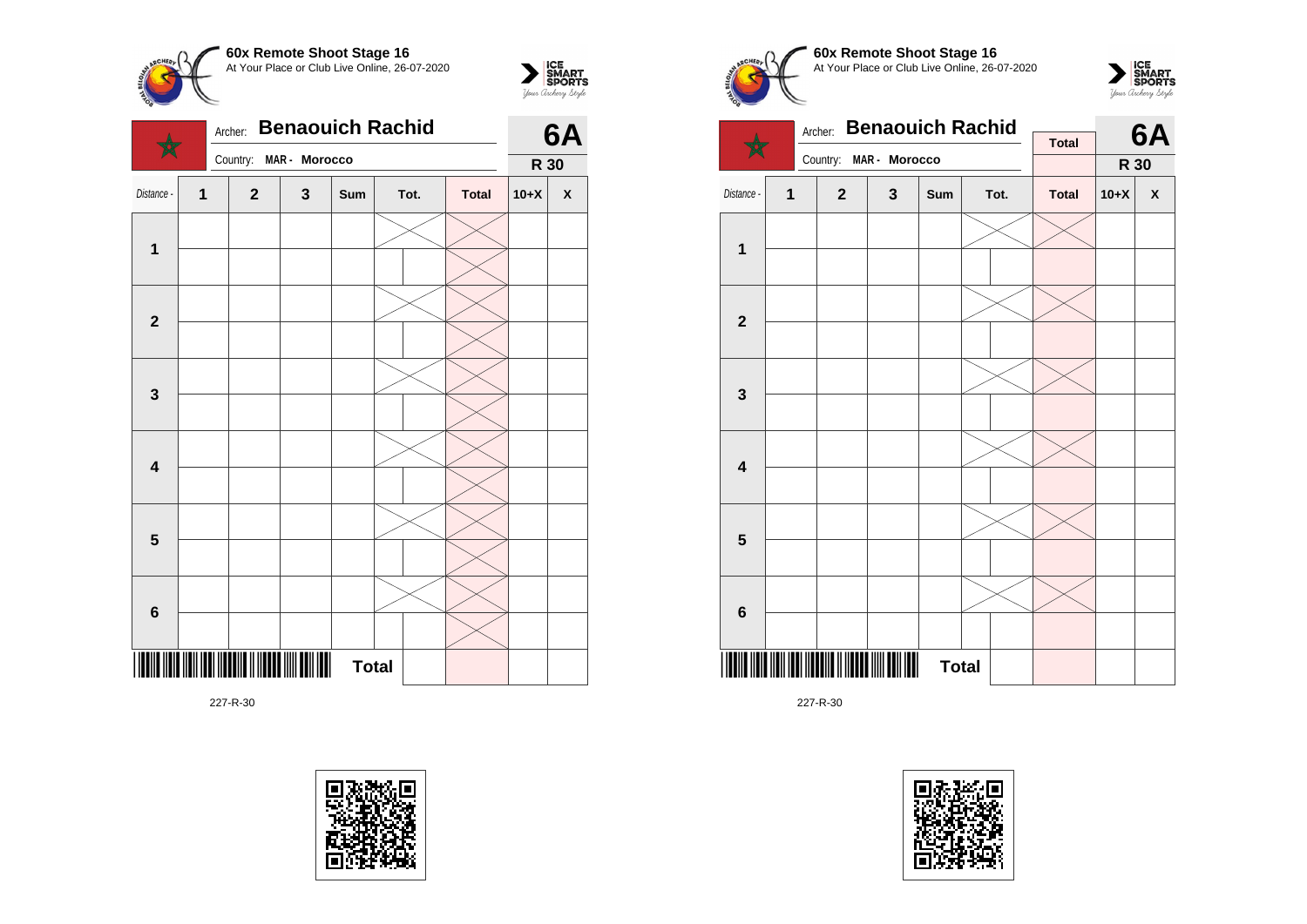







 $\sum_{\text{yow } \text{Gup RART}}$ 







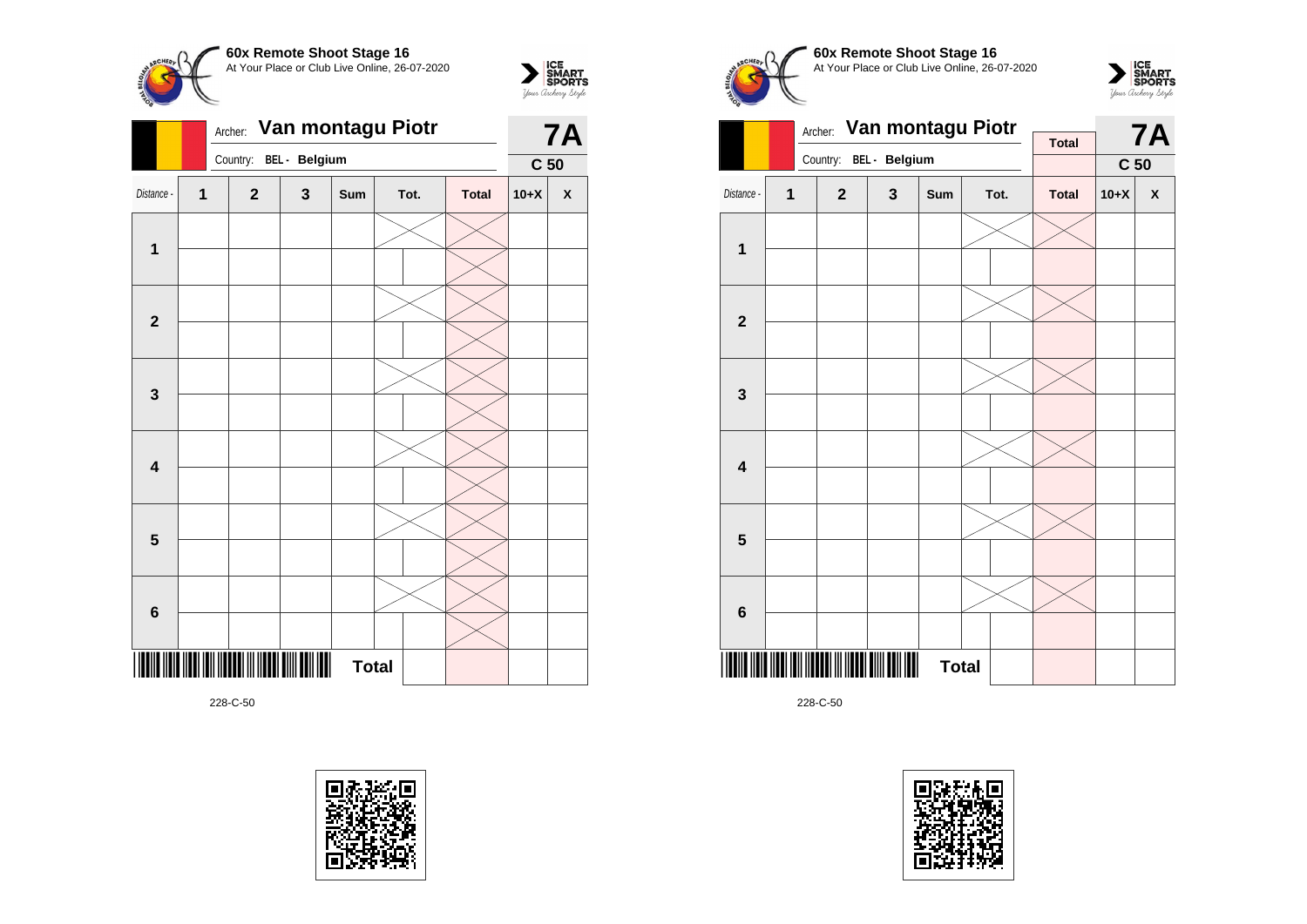



|                         |              | Archer: Van montagu Piotr |              |               | <b>7A</b>    |      |              |                 |                    |
|-------------------------|--------------|---------------------------|--------------|---------------|--------------|------|--------------|-----------------|--------------------|
|                         |              |                           | Country:     | BEL - Belgium |              |      |              | C <sub>50</sub> |                    |
| Distance -              | $\mathbf{1}$ |                           | $\mathbf{2}$ | $\mathbf{3}$  | Sum          | Tot. | <b>Total</b> | $10+X$          | $\pmb{\mathsf{X}}$ |
|                         |              |                           |              |               |              |      |              |                 |                    |
| $\overline{\mathbf{1}}$ |              |                           |              |               |              |      |              |                 |                    |
|                         |              |                           |              |               |              |      |              |                 |                    |
| $\mathbf{2}$            |              |                           |              |               |              |      |              |                 |                    |
|                         |              |                           |              |               |              |      |              |                 |                    |
| $\mathbf{3}$            |              |                           |              |               |              |      |              |                 |                    |
|                         |              |                           |              |               |              |      |              |                 |                    |
| 4                       |              |                           |              |               |              |      |              |                 |                    |
|                         |              |                           |              |               |              |      |              |                 |                    |
| 5                       |              |                           |              |               |              |      |              |                 |                    |
|                         |              |                           |              |               |              |      |              |                 |                    |
| 6                       |              |                           |              |               |              |      |              |                 |                    |
|                         |              |                           |              | III           | <b>Total</b> |      |              |                 |                    |









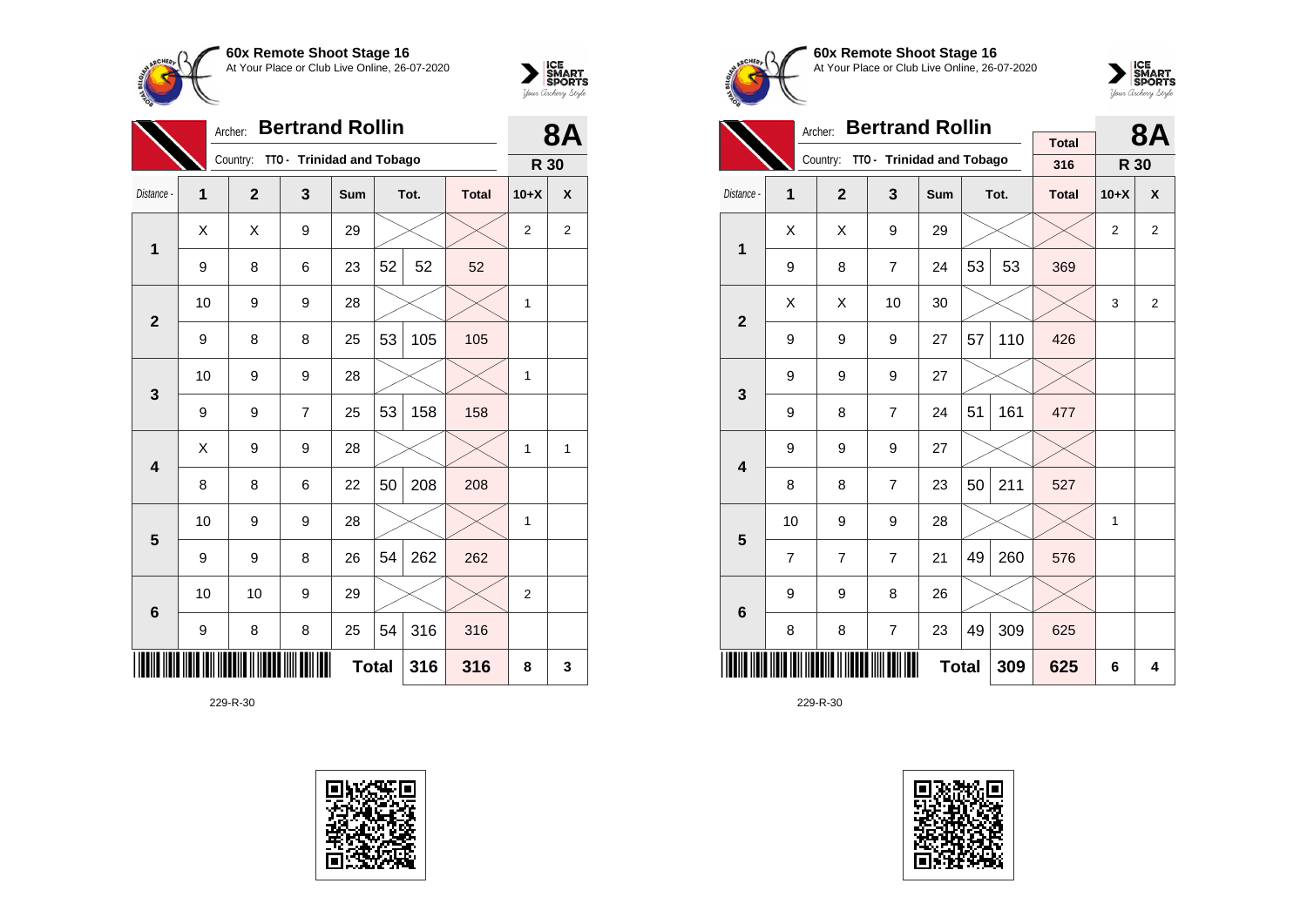



|                         | <b>Bertrand Rollin</b><br>Archer: |                |                           |     |    |      |              |                |                         |  |  |
|-------------------------|-----------------------------------|----------------|---------------------------|-----|----|------|--------------|----------------|-------------------------|--|--|
|                         |                                   | Country:       | TTO - Trinidad and Tobago |     |    |      |              | R 30           |                         |  |  |
| Distance -              | 1                                 | $\overline{2}$ | 3                         | Sum |    | Tot. | <b>Total</b> | $10+X$         | X                       |  |  |
| 1                       | X                                 | X              | 9                         | 29  |    |      |              | $\overline{2}$ | $\overline{\mathbf{c}}$ |  |  |
|                         | 9                                 | 8              | 6                         | 23  | 52 | 52   | 52           |                |                         |  |  |
| $\overline{2}$          | 10                                | 9              | 9                         | 28  |    |      |              | 1              |                         |  |  |
|                         | 9                                 | 8              | 8                         | 25  | 53 | 105  | 105          |                |                         |  |  |
| $\mathbf{3}$            | 10                                | 9              | 9                         | 28  |    |      |              | 1              |                         |  |  |
|                         | 9                                 | 9              | $\overline{7}$            | 25  | 53 | 158  | 158          |                |                         |  |  |
| $\overline{\mathbf{4}}$ | Χ                                 | 9              | 9                         | 28  |    |      |              | 1              | 1                       |  |  |
|                         | 8                                 | 8              | 6                         | 22  | 50 | 208  | 208          |                |                         |  |  |
| 5                       | 10                                | 9              | 9                         | 28  |    |      |              | 1              |                         |  |  |
|                         | 9                                 | 9              | 8                         | 26  | 54 | 262  | 262          |                |                         |  |  |
| $6\phantom{1}6$         | 10                                | 10             | 9                         | 29  |    |      |              | $\overline{2}$ |                         |  |  |
|                         | 9                                 | 8              | 8                         | 25  | 54 | 316  | 316          |                |                         |  |  |
|                         | <b>Total</b><br>316<br>316        |                |                           |     |    |      |              |                | 3                       |  |  |





**60x Remote Shoot Stage 16** At Your Place or Club Live Online, 26-07-2020



|                         |                | <b>Bertrand Rollin</b><br>Archer: |                                    |     |    | 8Α   |                     |                |                |
|-------------------------|----------------|-----------------------------------|------------------------------------|-----|----|------|---------------------|----------------|----------------|
|                         |                |                                   | Country: TTO - Trinidad and Tobago |     |    |      | <b>Total</b><br>316 | R 30           |                |
|                         |                |                                   |                                    |     |    |      |                     |                |                |
| Distance -              | 1              | $\overline{2}$                    | 3                                  | Sum |    | Tot. | <b>Total</b>        | $10+X$         | X              |
| 1                       | X              | X                                 | 9                                  | 29  |    |      |                     | $\overline{2}$ | $\overline{2}$ |
|                         | 9              | 8                                 | $\overline{7}$                     | 24  | 53 | 53   | 369                 |                |                |
| $\overline{2}$          | X              | X                                 | 10                                 | 30  |    |      |                     | 3              | 2              |
|                         | 9              | 9                                 | 9                                  | 27  | 57 | 110  | 426                 |                |                |
| 3                       | 9              | 9                                 | 9                                  | 27  |    |      |                     |                |                |
|                         | 9              | 8                                 | $\overline{7}$                     | 24  | 51 | 161  | 477                 |                |                |
| $\overline{\mathbf{4}}$ | 9              | 9                                 | 9                                  | 27  |    |      |                     |                |                |
|                         | 8              | 8                                 | $\overline{7}$                     | 23  | 50 | 211  | 527                 |                |                |
| 5                       | 10             | 9                                 | 9                                  | 28  |    |      |                     | 1              |                |
|                         | $\overline{7}$ | $\overline{7}$                    | $\overline{7}$                     | 21  | 49 | 260  | 576                 |                |                |
| 6                       | 9              | 9                                 | 8                                  | 26  |    |      |                     |                |                |
|                         | 8              | 8                                 | $\overline{7}$                     | 23  | 49 | 309  | 625                 |                |                |
|                         |                |                                   | 309                                | 625 | 6  | 4    |                     |                |                |

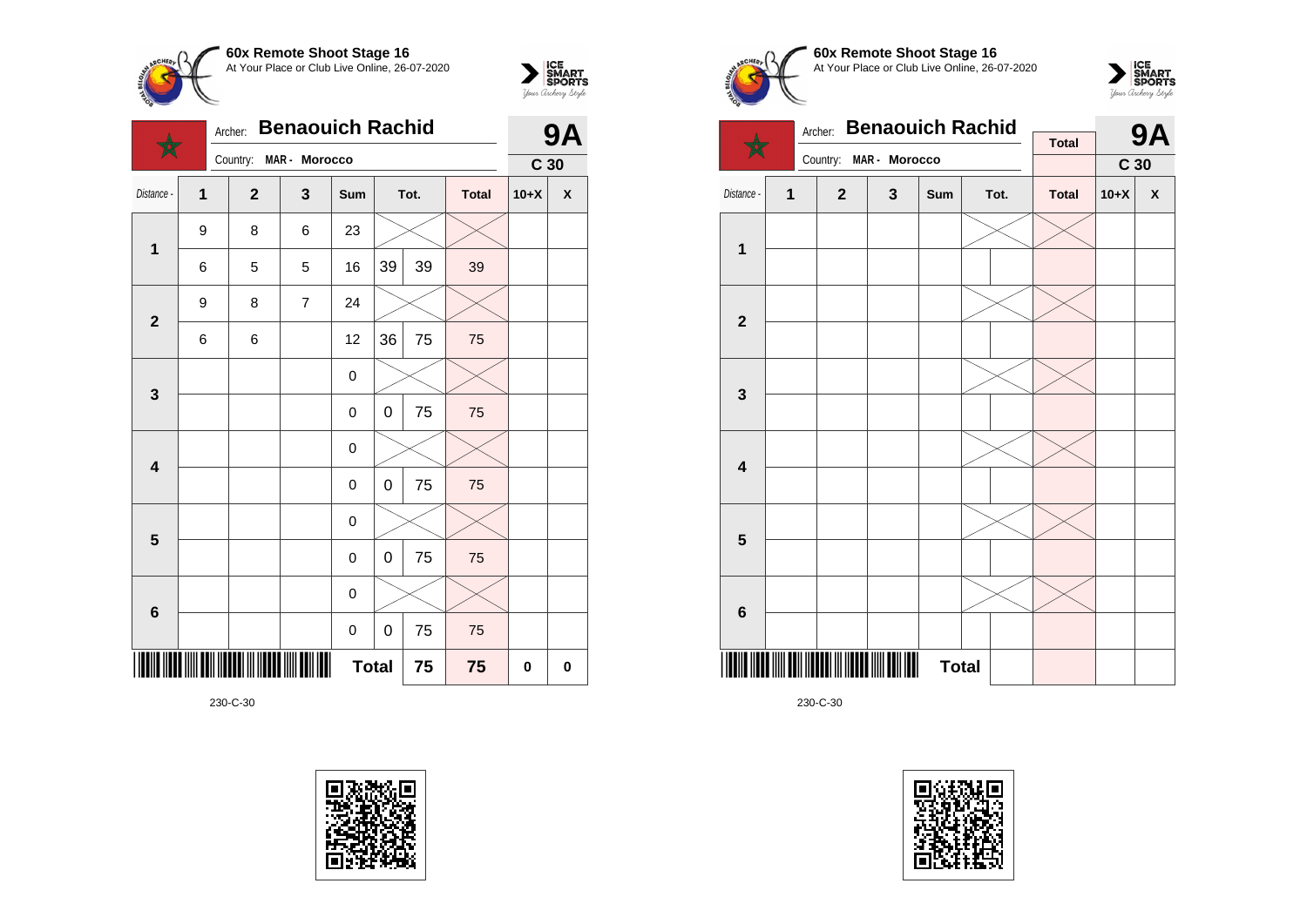



|                         | Archer:        |                | <b>9A</b>      |              |    |      |              |                 |                    |
|-------------------------|----------------|----------------|----------------|--------------|----|------|--------------|-----------------|--------------------|
|                         |                | Country:       | MAR - Morocco  |              |    |      |              | C <sub>30</sub> |                    |
| Distance -              | $\overline{1}$ | $\overline{2}$ | 3              | Sum          |    | Tot. | <b>Total</b> | $10+X$          | $\pmb{\mathsf{x}}$ |
| $\mathbf{1}$            | 9              | 8              | 6              | 23           |    |      |              |                 |                    |
|                         | 6              | 5              | 5              | 16           | 39 | 39   | 39           |                 |                    |
| $\mathbf{2}$            | 9              | 8              | $\overline{7}$ | 24           |    |      |              |                 |                    |
|                         | 6              | 6              |                | 12           | 36 | 75   | 75           |                 |                    |
| $\mathbf{3}$            |                |                |                | 0            |    |      |              |                 |                    |
|                         |                |                |                | 0            | 0  | 75   | 75           |                 |                    |
| $\overline{\mathbf{4}}$ |                |                |                | 0            |    |      |              |                 |                    |
|                         |                |                |                | 0            | 0  | 75   | 75           |                 |                    |
| $\overline{\mathbf{5}}$ |                |                |                | 0            |    |      |              |                 |                    |
|                         |                |                |                | 0            | 0  | 75   | 75           |                 |                    |
| $\bf 6$                 |                |                |                | 0            |    |      |              |                 |                    |
|                         |                |                |                | 0            | 0  | 75   | 75           |                 |                    |
|                         |                |                |                | <b>Total</b> |    | 75   | 75           | 0               | 0                  |









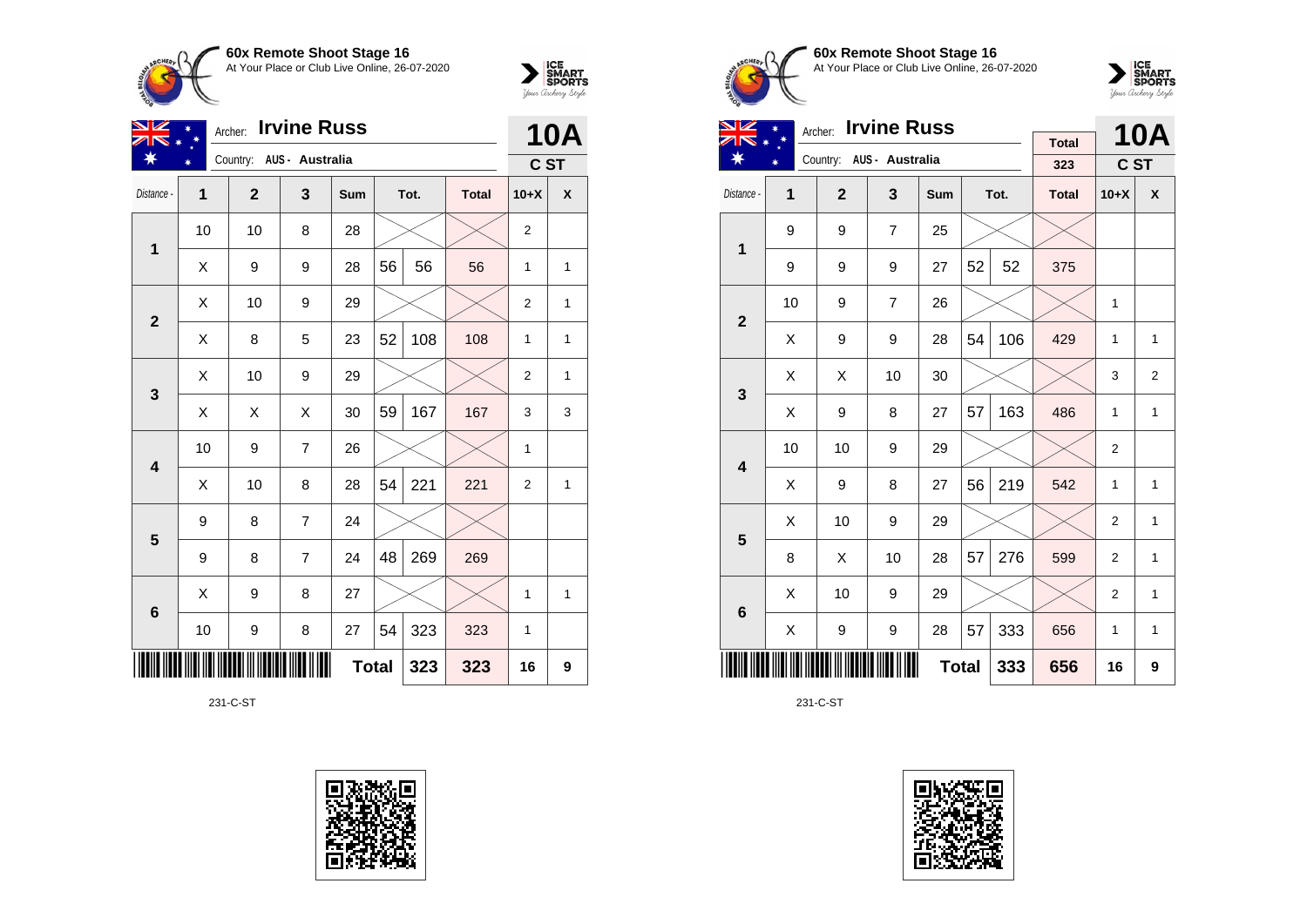



| NZ              |              | <b>Irvine Russ</b><br>Archer: |                          | <b>10A</b>   |    |      |              |                |              |
|-----------------|--------------|-------------------------------|--------------------------|--------------|----|------|--------------|----------------|--------------|
|                 |              |                               | Country: AUS - Australia |              |    |      |              | C ST           |              |
| Distance -      | $\mathbf{1}$ | $\overline{2}$                | 3                        | Sum          |    | Tot. | <b>Total</b> | $10+X$         | X            |
| 1               | 10           | 10                            | 8                        | 28           |    |      |              | $\overline{2}$ |              |
|                 | X            | 9                             | 9                        | 28           | 56 | 56   | 56           | 1              | 1            |
| $\overline{2}$  | X            | 10                            | 9                        | 29           |    |      |              | $\overline{2}$ | 1            |
|                 | Χ            | 8                             | 5                        | 23           | 52 | 108  | 108          | 1              | $\mathbf{1}$ |
| $\mathbf{3}$    | X            | 10                            | 9                        | 29           |    |      |              | $\overline{2}$ | 1            |
|                 | X            | X                             | X                        | 30           | 59 | 167  | 167          | 3              | 3            |
| 4               | 10           | 9                             | $\overline{7}$           | 26           |    |      |              | 1              |              |
|                 | Χ            | 10                            | 8                        | 28           | 54 | 221  | 221          | $\overline{2}$ | 1            |
| 5               | 9            | 8                             | $\overline{7}$           | 24           |    |      |              |                |              |
|                 | 9            | 8                             | $\overline{7}$           | 24           | 48 | 269  | 269          |                |              |
| $6\phantom{1}6$ | X            | 9                             | 8                        | 27           |    |      |              | 1              | 1            |
|                 | 10           | 9                             | 8                        | 27           | 54 | 323  | 323          | 1              |              |
|                 |              |                               |                          | <b>Total</b> |    | 323  | 323          | 16             | 9            |

231-C-ST









| VZ                      |    | <b>Irvine Russ</b><br>Archer: |                          |              |    | <b>10A</b> |              |                |                    |
|-------------------------|----|-------------------------------|--------------------------|--------------|----|------------|--------------|----------------|--------------------|
| ☀                       |    |                               | Country: AUS - Australia |              |    |            | <b>Total</b> |                |                    |
|                         |    |                               |                          |              |    |            | 323          | C ST           |                    |
| Distance -              | 1  | $\overline{2}$                | 3                        | Sum          |    | Tot.       | <b>Total</b> | $10+X$         | $\pmb{\mathsf{X}}$ |
| 1                       | 9  | 9                             | $\overline{7}$           | 25           |    |            |              |                |                    |
|                         | 9  | 9                             | 9                        | 27           | 52 | 52         | 375          |                |                    |
| $\overline{\mathbf{2}}$ | 10 | 9                             | $\overline{7}$           | 26           |    |            |              | $\mathbf{1}$   |                    |
|                         | X  | 9                             | 9                        | 28           | 54 | 106        | 429          | 1              | 1                  |
| 3                       | X  | X                             | 10                       | 30           |    |            |              | 3              | 2                  |
|                         | X  | 9                             | 8                        | 27           | 57 | 163        | 486          | $\mathbf{1}$   | 1                  |
| $\overline{\mathbf{4}}$ | 10 | 10                            | 9                        | 29           |    |            |              | $\overline{2}$ |                    |
|                         | X  | 9                             | 8                        | 27           | 56 | 219        | 542          | 1              | 1                  |
| 5                       | X  | 10                            | 9                        | 29           |    |            |              | $\overline{c}$ | 1                  |
|                         | 8  | X                             | 10                       | 28           | 57 | 276        | 599          | $\overline{2}$ | 1                  |
| $6\phantom{1}$          | X  | 10                            | 9                        | 29           |    |            |              | $\overline{2}$ | 1                  |
|                         | X  | 9                             | 9                        | 28           | 57 | 333        | 656          | 1              | 1                  |
|                         |    |                               |                          | <b>Total</b> |    | 333        | 656          | 16             | 9                  |

231-C-ST

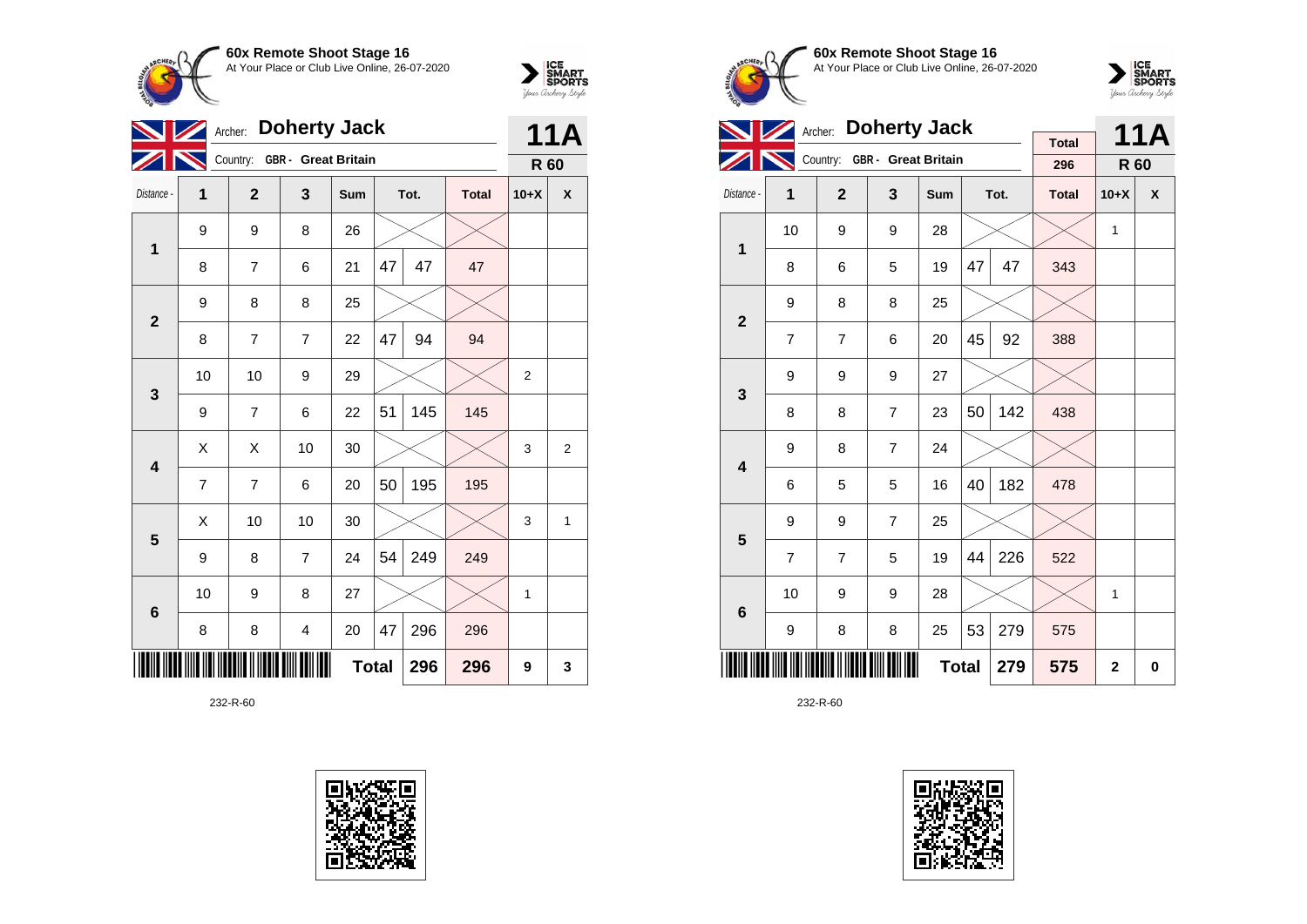



|                 | Archer: |                |                            | <b>11A</b>   |    |      |              |                |                |
|-----------------|---------|----------------|----------------------------|--------------|----|------|--------------|----------------|----------------|
|                 |         | Country:       | <b>GBR</b> - Great Britain |              |    |      |              | R 60           |                |
| Distance -      | 1       | $\overline{2}$ | 3                          | Sum          |    | Tot. | <b>Total</b> | $10+X$         | X              |
| $\mathbf 1$     | 9       | 9              | 8                          | 26           |    |      |              |                |                |
|                 | 8       | 7              | 6                          | 21           | 47 | 47   | 47           |                |                |
| $\overline{2}$  | 9       | 8              | 8                          | 25           |    |      |              |                |                |
|                 | 8       | $\overline{7}$ | $\overline{7}$             | 22           | 47 | 94   | 94           |                |                |
| 3               | 10      | 10             | 9                          | 29           |    |      |              | $\overline{2}$ |                |
|                 | 9       | $\overline{7}$ | 6                          | 22           | 51 | 145  | 145          |                |                |
| 4               | Χ       | Χ              | 10                         | 30           |    |      |              | 3              | $\overline{2}$ |
|                 | 7       | 7              | 6                          | 20           | 50 | 195  | 195          |                |                |
| 5               | X       | 10             | 10                         | 30           |    |      |              | 3              | 1              |
|                 | 9       | 8              | $\overline{7}$             | 24           | 54 | 249  | 249          |                |                |
| $6\phantom{1}6$ | 10      | 9              | 8                          | 27           |    |      |              | 1              |                |
|                 | 8       | 8              | $\overline{\mathbf{4}}$    | 20           | 47 | 296  | 296          |                |                |
|                 |         |                |                            | <b>Total</b> |    | 296  | 296          | 9              | 3              |





**60x Remote Shoot Stage 16** At Your Place or Club Live Online, 26-07-2020



|                         |                | <b>Doherty Jack</b><br>Archer: |                              |     |    | <b>11A</b> |                     |        |   |
|-------------------------|----------------|--------------------------------|------------------------------|-----|----|------------|---------------------|--------|---|
|                         |                |                                | Country: GBR - Great Britain |     |    |            | <b>Total</b><br>296 | R 60   |   |
| Distance -              | 1              | $\overline{2}$                 | 3                            | Sum |    | Tot.       | <b>Total</b>        | $10+X$ | X |
| 1                       | 10             | 9                              | 9                            | 28  |    |            |                     | 1      |   |
|                         | 8              | 6                              | 5                            | 19  | 47 | 47         | 343                 |        |   |
| $\overline{2}$          | 9              | 8                              | 8                            | 25  |    |            |                     |        |   |
|                         | $\overline{7}$ | $\overline{7}$                 | 6                            | 20  | 45 | 92         | 388                 |        |   |
| 3                       | 9              | 9                              | 9                            | 27  |    |            |                     |        |   |
|                         | 8              | 8                              | $\overline{7}$               | 23  | 50 | 142        | 438                 |        |   |
| $\overline{\mathbf{4}}$ | 9              | 8                              | $\overline{7}$               | 24  |    |            |                     |        |   |
|                         | 6              | 5                              | 5                            | 16  | 40 | 182        | 478                 |        |   |
| 5                       | 9              | 9                              | $\overline{7}$               | 25  |    |            |                     |        |   |
|                         | $\overline{7}$ | $\overline{7}$                 | 5                            | 19  | 44 | 226        | 522                 |        |   |
| $6\phantom{1}6$         | 10             | 9                              | 9                            | 28  |    |            |                     | 1      |   |
|                         | 9              | 8                              | 8                            | 25  | 53 | 279        | 575                 |        |   |
|                         |                |                                | 279                          | 575 | 2  | 0          |                     |        |   |

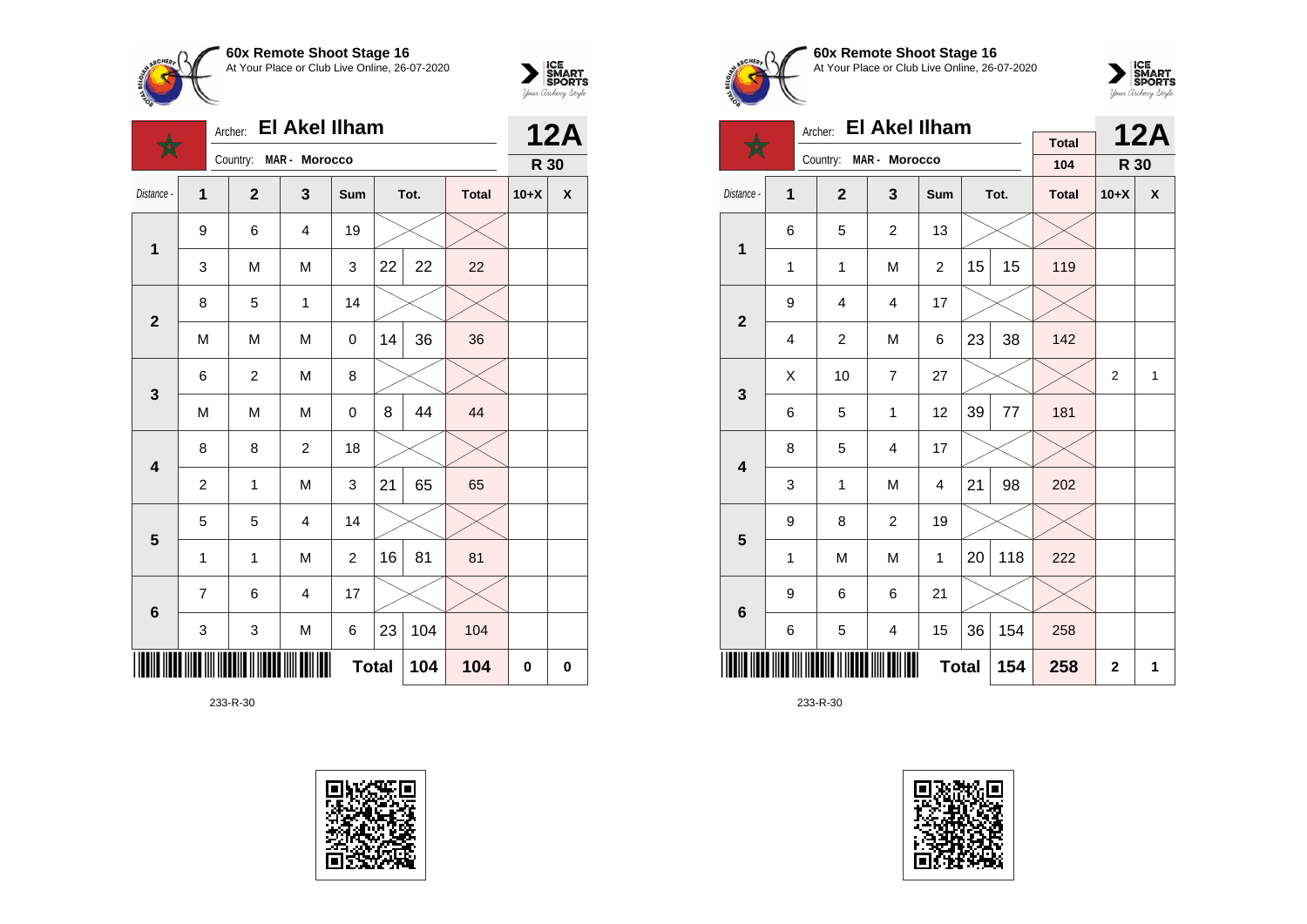



|                         |                | Archer:        | <b>El Akel Ilham</b>    |                |    | <b>12A</b> |              |          |                    |
|-------------------------|----------------|----------------|-------------------------|----------------|----|------------|--------------|----------|--------------------|
|                         |                | Country:       | MAR - Morocco           |                |    |            |              | R 30     |                    |
| Distance -              | 1              | $\mathbf{2}$   | 3                       | Sum            |    | Tot.       | <b>Total</b> | $10+X$   | $\pmb{\mathsf{X}}$ |
| 1                       | 9              | 6              | $\overline{\mathbf{4}}$ | 19             |    |            |              |          |                    |
|                         | 3              | M              | M                       | 3              | 22 | 22         | 22           |          |                    |
| $\overline{\mathbf{2}}$ | 8              | 5              | 1                       | 14             |    |            |              |          |                    |
|                         | M              | M              | M                       | 0              | 14 | 36         | 36           |          |                    |
| $\mathbf{3}$            | 6              | $\overline{c}$ | M                       | 8              |    |            |              |          |                    |
|                         | M              | M              | M                       | 0              | 8  | 44         | 44           |          |                    |
| $\overline{\mathbf{4}}$ | 8              | 8              | $\overline{c}$          | 18             |    |            |              |          |                    |
|                         | $\overline{2}$ | 1              | M                       | 3              | 21 | 65         | 65           |          |                    |
| 5                       | 5              | 5              | $\overline{4}$          | 14             |    |            |              |          |                    |
|                         | 1              | 1              | M                       | $\overline{c}$ | 16 | 81         | 81           |          |                    |
| $6\phantom{1}$          | 7              | 6              | $\overline{\mathbf{4}}$ | 17             |    |            |              |          |                    |
|                         | 3              | 3              | M                       | 6              | 23 | 104        | 104          |          |                    |
|                         |                |                |                         | <b>Total</b>   |    | 104        | 104          | $\bf{0}$ | 0                  |









|                         | <b>El Akel Ilham</b><br>Archer: |                |                         |              |    |         |                     |                | <b>12A</b> |
|-------------------------|---------------------------------|----------------|-------------------------|--------------|----|---------|---------------------|----------------|------------|
|                         |                                 | Country:       | MAR - Morocco           |              |    |         | <b>Total</b><br>104 | R 30           |            |
| Distance -              | 1                               | $\overline{2}$ | $\overline{\mathbf{3}}$ | Sum          |    | Tot.    | <b>Total</b>        | $10+X$         | X          |
| 1                       | 6                               | 5              | $\overline{c}$          | 13           |    |         |                     |                |            |
|                         | 1                               | 1              | M                       | 2            | 15 | 15      | 119                 |                |            |
| $\mathbf{2}$            | 9                               | 4              | 4                       | 17           |    |         |                     |                |            |
|                         | 4                               | 2              | M                       | 6            | 23 | 38      | 142                 |                |            |
| 3                       | X                               | 10             | $\overline{7}$          | 27           |    |         |                     | $\overline{2}$ | 1          |
|                         | 6                               | 5              | 1                       | 12           | 39 | $77 \,$ | 181                 |                |            |
| $\overline{\mathbf{4}}$ | 8                               | 5              | 4                       | 17           |    |         |                     |                |            |
|                         | 3                               | $\mathbf{1}$   | M                       | 4            | 21 | 98      | 202                 |                |            |
| 5                       | 9                               | 8              | $\overline{2}$          | 19           |    |         |                     |                |            |
|                         | 1                               | M              | M                       | 1            | 20 | 118     | 222                 |                |            |
| 6                       | 9                               | 6              | 6                       | 21           |    |         |                     |                |            |
|                         | 6                               | 5              | 4                       | 15           | 36 | 154     | 258                 |                |            |
|                         |                                 |                |                         | <b>Total</b> |    | 154     | 258                 | $\mathbf{2}$   | 1          |

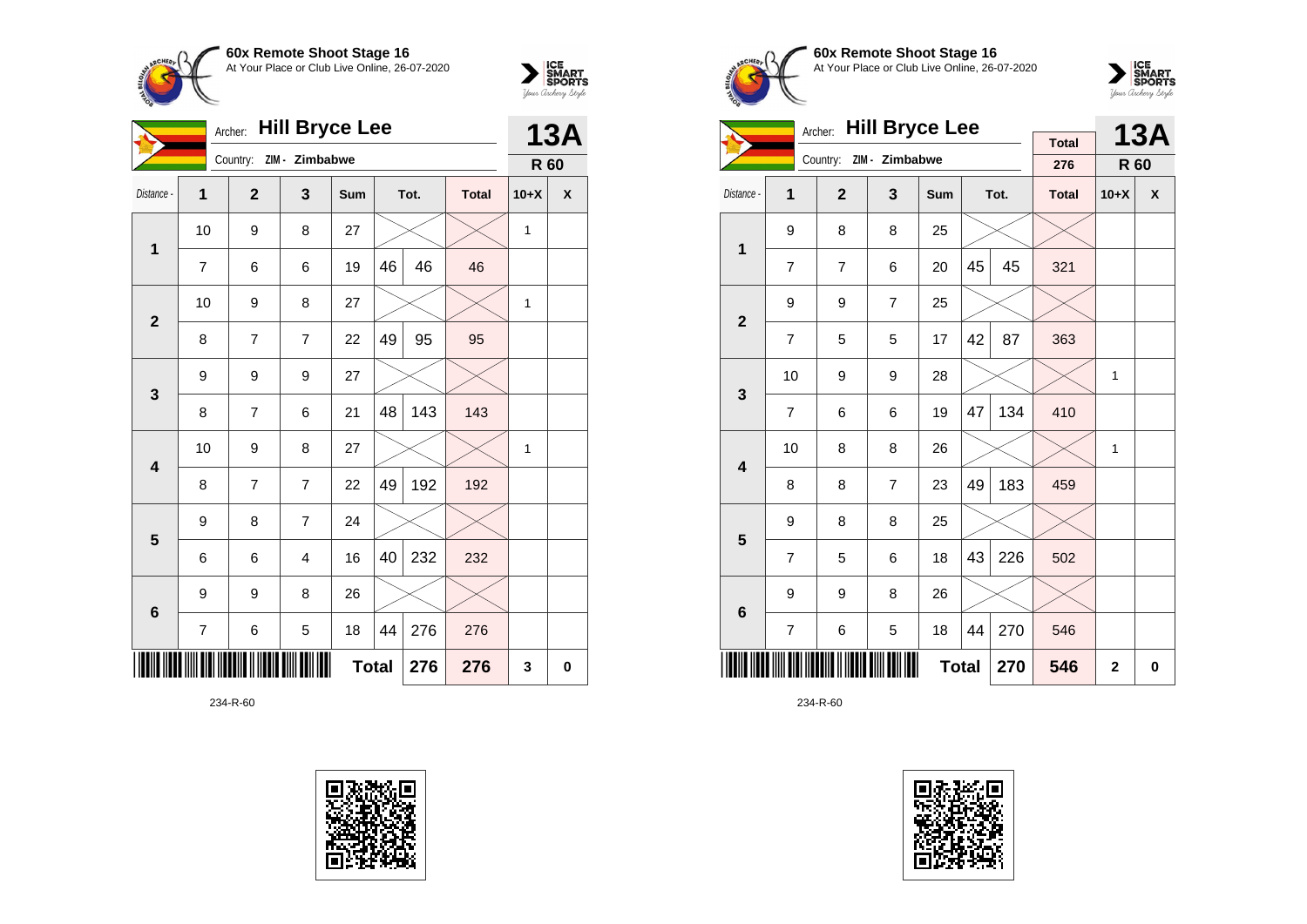



|                         | <b>Hill Bryce Lee</b><br>Archer: |              |                         |              |    |      |              |        | <b>13A</b> |
|-------------------------|----------------------------------|--------------|-------------------------|--------------|----|------|--------------|--------|------------|
|                         |                                  |              | Country: ZIM - Zimbabwe |              |    |      |              | R 60   |            |
| Distance -              | 1                                | $\mathbf{2}$ | 3                       | Sum          |    | Tot. | <b>Total</b> | $10+X$ | X          |
| 1                       | 10                               | 9            | 8                       | 27           |    |      |              | 1      |            |
|                         | $\overline{7}$                   | 6            | 6                       | 19           | 46 | 46   | 46           |        |            |
| $\overline{\mathbf{2}}$ | 10                               | 9            | 8                       | 27           |    |      |              | 1      |            |
|                         | 8                                | 7            | 7                       | 22           | 49 | 95   | 95           |        |            |
| 3                       | 9                                | 9            | 9                       | 27           |    |      |              |        |            |
|                         | 8                                | 7            | 6                       | 21           | 48 | 143  | 143          |        |            |
| $\overline{\mathbf{4}}$ | 10                               | 9            | 8                       | 27           |    |      |              | 1      |            |
|                         | 8                                | 7            | $\overline{7}$          | 22           | 49 | 192  | 192          |        |            |
| 5                       | 9                                | 8            | 7                       | 24           |    |      |              |        |            |
|                         | 6                                | 6            | $\overline{4}$          | 16           | 40 | 232  | 232          |        |            |
| $6\phantom{1}6$         | 9                                | 9            | 8                       | 26           |    |      |              |        |            |
|                         | 7                                | 6            | 5                       | 18           | 44 | 276  | 276          |        |            |
|                         |                                  |              |                         | <b>Total</b> |    | 276  | 276          | 3      | $\bf{0}$   |





**60x Remote Shoot Stage 16** At Your Place or Club Live Online, 26-07-2020



|                         |                | <b>Hill Bryce Lee</b><br>Archer: |                |              |    | <b>13A</b> |                     |        |   |
|-------------------------|----------------|----------------------------------|----------------|--------------|----|------------|---------------------|--------|---|
|                         |                | Country:                         | ZIM - Zimbabwe |              |    |            | <b>Total</b><br>276 | R 60   |   |
| Distance -              | 1              | $\overline{2}$                   | 3              | Sum          |    | Tot.       | <b>Total</b>        | $10+X$ | X |
| $\overline{1}$          | 9              | 8                                | 8              | 25           |    |            |                     |        |   |
|                         | $\overline{7}$ | $\overline{7}$                   | 6              | 20           | 45 | 45         | 321                 |        |   |
| $\overline{\mathbf{2}}$ | 9              | 9                                | $\overline{7}$ | 25           |    |            |                     |        |   |
|                         | $\overline{7}$ | 5                                | 5              | 17           | 42 | 87         | 363                 |        |   |
| 3                       | 10             | 9                                | 9              | 28           |    |            |                     | 1      |   |
|                         | $\overline{7}$ | 6                                | 6              | 19           | 47 | 134        | 410                 |        |   |
| $\overline{\mathbf{4}}$ | 10             | 8                                | 8              | 26           |    |            |                     | 1      |   |
|                         | 8              | 8                                | $\overline{7}$ | 23           | 49 | 183        | 459                 |        |   |
| 5                       | 9              | 8                                | 8              | 25           |    |            |                     |        |   |
|                         | $\overline{7}$ | 5                                | 6              | 18           | 43 | 226        | 502                 |        |   |
| $\bf 6$                 | 9              | 9                                | 8              | 26           |    |            |                     |        |   |
|                         | $\overline{7}$ | 6                                | 5              | 18           | 44 | 270        | 546                 |        |   |
|                         |                |                                  | 546            | $\mathbf{2}$ | 0  |            |                     |        |   |

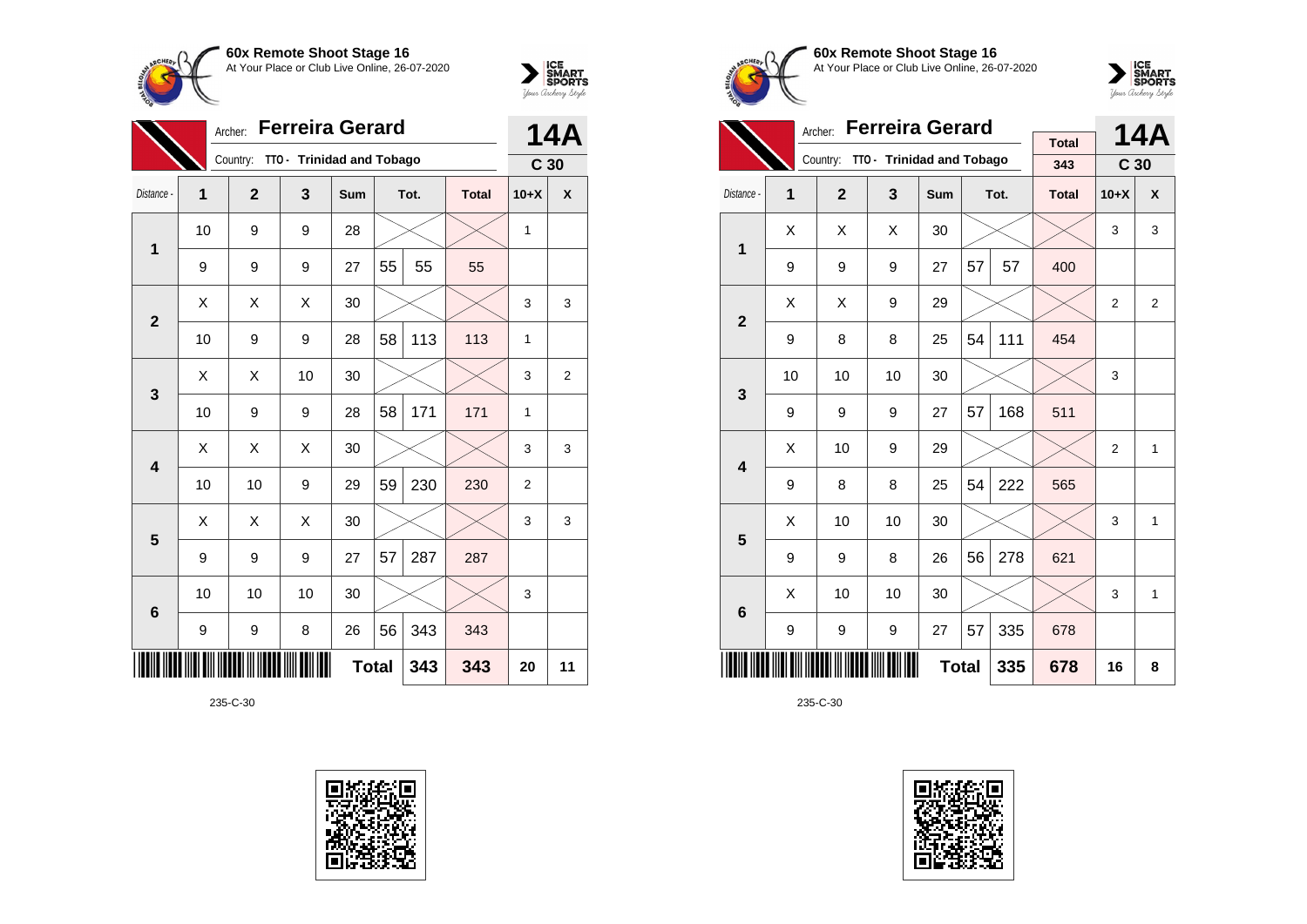



|              | Archer:        |                |                           | <b>14A</b>   |    |      |              |                 |                |
|--------------|----------------|----------------|---------------------------|--------------|----|------|--------------|-----------------|----------------|
|              |                | Country:       | TTO - Trinidad and Tobago |              |    |      |              | C <sub>30</sub> |                |
| Distance -   | $\overline{1}$ | $\overline{2}$ | 3                         | Sum          |    | Tot. | <b>Total</b> | $10+X$          | X              |
| 1            | 10             | 9              | 9                         | 28           |    |      |              | 1               |                |
|              | 9              | 9              | 9                         | 27           | 55 | 55   | 55           |                 |                |
| $\mathbf{2}$ | X              | Χ              | X                         | 30           |    |      |              | 3               | 3              |
|              | 10             | 9              | 9                         | 28           | 58 | 113  | 113          | $\mathbf{1}$    |                |
| 3            | X              | Χ              | 10                        | 30           |    |      |              | 3               | $\overline{2}$ |
|              | 10             | 9              | 9                         | 28           | 58 | 171  | 171          | 1               |                |
| 4            | X              | X              | Χ                         | 30           |    |      |              | 3               | 3              |
|              | 10             | 10             | 9                         | 29           | 59 | 230  | 230          | $\overline{c}$  |                |
| 5            | X              | X              | X                         | 30           |    |      |              | 3               | 3              |
|              | 9              | 9              | 9                         | 27           | 57 | 287  | 287          |                 |                |
| 6            | 10             | 10             | 10                        | 30           |    |      |              | 3               |                |
|              | 9              | 9              | 8                         | 26           | 56 | 343  | 343          |                 |                |
|              |                |                |                           | <b>Total</b> |    | 343  | 343          | 20              | 11             |









|                         |    | <b>Ferreira Gerard</b><br>Archer: |                                    |     |    | 14A  |              |                 |                  |
|-------------------------|----|-----------------------------------|------------------------------------|-----|----|------|--------------|-----------------|------------------|
|                         |    |                                   | Country: TTO - Trinidad and Tobago |     |    |      | <b>Total</b> |                 |                  |
|                         |    |                                   |                                    |     |    |      | 343          | C <sub>30</sub> |                  |
| Distance -              | 1  | $\overline{2}$                    | $\overline{\mathbf{3}}$            | Sum |    | Tot. | <b>Total</b> | $10+X$          | $\boldsymbol{x}$ |
| $\mathbf{1}$            | X  | X                                 | X                                  | 30  |    |      |              | 3               | 3                |
|                         | 9  | 9                                 | 9                                  | 27  | 57 | 57   | 400          |                 |                  |
| $\overline{2}$          | X  | X                                 | 9                                  | 29  |    |      |              | 2               | 2                |
|                         | 9  | 8                                 | 8                                  | 25  | 54 | 111  | 454          |                 |                  |
| 3                       | 10 | 10                                | 10                                 | 30  |    |      |              | 3               |                  |
|                         | 9  | 9                                 | 9                                  | 27  | 57 | 168  | 511          |                 |                  |
| $\overline{\mathbf{4}}$ | X  | 10                                | 9                                  | 29  |    |      |              | $\overline{2}$  | $\mathbf{1}$     |
|                         | 9  | 8                                 | 8                                  | 25  | 54 | 222  | 565          |                 |                  |
| 5                       | Χ  | 10                                | 10                                 | 30  |    |      |              | 3               | 1                |
|                         | 9  | 9                                 | 8                                  | 26  | 56 | 278  | 621          |                 |                  |
| $6\phantom{1}6$         | X  | 10                                | 10                                 | 30  |    |      |              | 3               | 1                |
|                         | 9  | 9                                 | 9                                  | 27  | 57 | 335  | 678          |                 |                  |
|                         |    |                                   | 335                                | 678 | 16 | 8    |              |                 |                  |

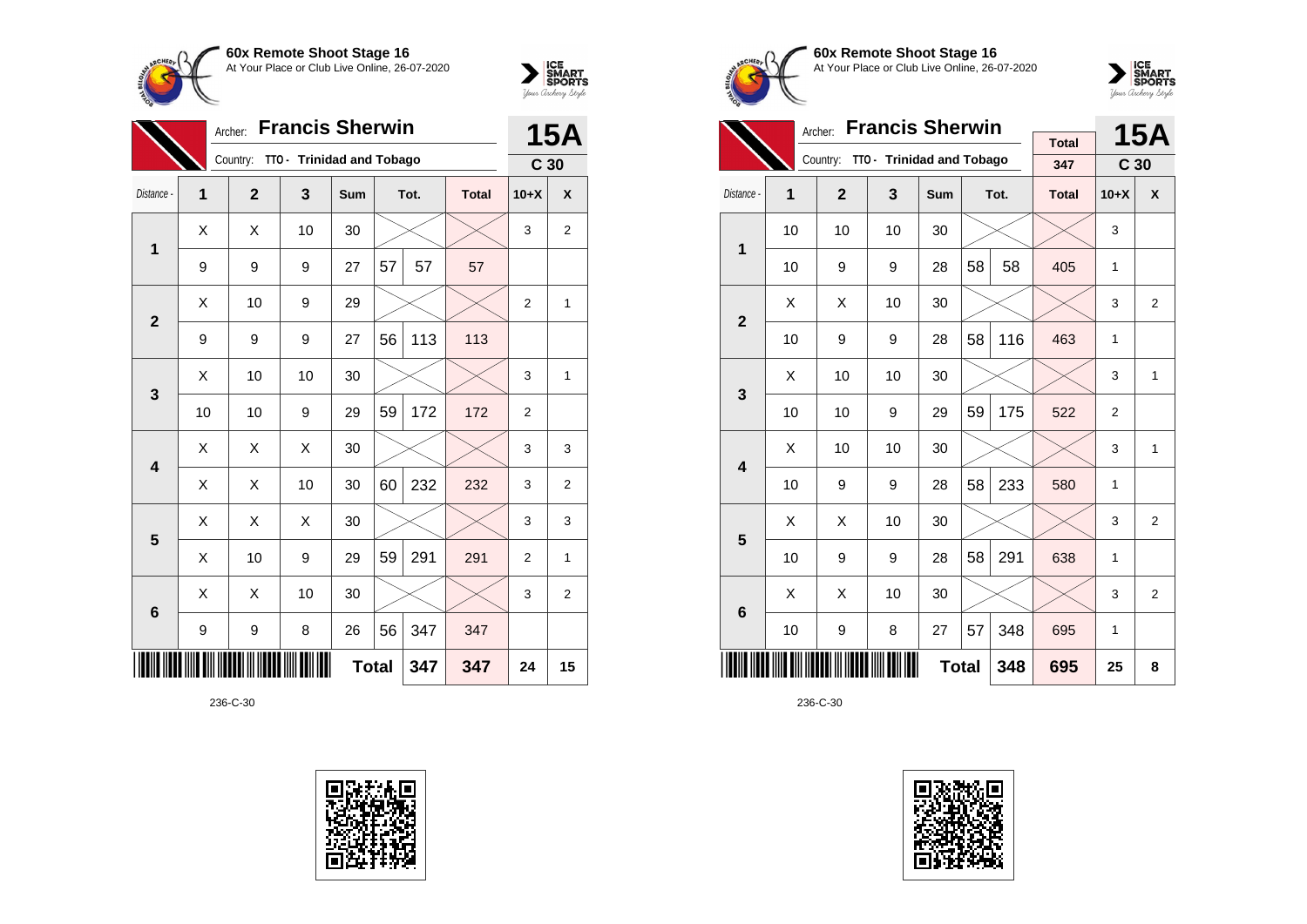



|                            |    | 15A            |                           |     |    |      |              |                 |                    |
|----------------------------|----|----------------|---------------------------|-----|----|------|--------------|-----------------|--------------------|
|                            |    | Country:       | TTO - Trinidad and Tobago |     |    |      |              | C <sub>30</sub> |                    |
| Distance -                 | 1  | $\overline{2}$ | 3                         | Sum |    | Tot. | <b>Total</b> | $10+X$          | $\pmb{\mathsf{X}}$ |
| $\mathbf 1$                | X  | X              | 10                        | 30  |    |      |              | 3               | 2                  |
|                            | 9  | 9              | 9                         | 27  | 57 | 57   | 57           |                 |                    |
| $\overline{2}$             | Χ  | 10             | 9                         | 29  |    |      |              | $\overline{2}$  | 1                  |
|                            | 9  | 9              | 9                         | 27  | 56 | 113  | 113          |                 |                    |
| $\mathbf{3}$               | X  | 10             | 10                        | 30  |    |      |              | 3               | 1                  |
|                            | 10 | 10             | 9                         | 29  | 59 | 172  | 172          | $\overline{2}$  |                    |
| 4                          | X  | Χ              | X                         | 30  |    |      |              | 3               | 3                  |
|                            | X  | X              | 10                        | 30  | 60 | 232  | 232          | 3               | 2                  |
| 5                          | X  | X              | X                         | 30  |    |      |              | 3               | 3                  |
|                            | X  | 10             | 9                         | 29  | 59 | 291  | 291          | $\overline{2}$  | $\mathbf{1}$       |
| $6\phantom{1}6$            | X  | X              | 10                        | 30  |    |      |              | 3               | 2                  |
|                            | 9  | 9              | 8                         | 26  | 56 | 347  | 347          |                 |                    |
| <b>Total</b><br>347<br>347 |    |                |                           |     |    |      |              | 24              | 15                 |





**60x Remote Shoot Stage 16** At Your Place or Club Live Online, 26-07-2020



|                         |                                                   | <b>Francis Sherwin</b><br>Archer: |                           |            |    | <b>15A</b> |                     |                 |   |
|-------------------------|---------------------------------------------------|-----------------------------------|---------------------------|------------|----|------------|---------------------|-----------------|---|
|                         |                                                   | Country:                          | TTO - Trinidad and Tobago |            |    |            | <b>Total</b><br>347 | C <sub>30</sub> |   |
|                         |                                                   |                                   |                           |            |    |            |                     |                 |   |
| Distance -              | 1                                                 | $\overline{2}$                    | 3                         | <b>Sum</b> |    | Tot.       | <b>Total</b>        | $10+X$          | X |
| 1                       | 10                                                | 10                                | 10                        | 30         |    |            |                     | 3               |   |
|                         | 10                                                | 9                                 | 9                         | 28         | 58 | 58         | 405                 | 1               |   |
|                         | X                                                 | X                                 | 10                        | 30         |    |            |                     | 3               | 2 |
|                         | $\overline{2}$<br>58<br>116<br>10<br>28<br>9<br>9 |                                   |                           |            |    |            |                     | 1               |   |
| 3                       | Χ                                                 | 10                                | 10                        | 30         |    |            |                     | 3               | 1 |
|                         | 10                                                | 10                                | 9                         | 29         | 59 | 175        | 522                 | $\overline{2}$  |   |
| $\overline{\mathbf{4}}$ | X                                                 | 10                                | 10                        | 30         |    |            |                     | 3               | 1 |
|                         | 10                                                | 9                                 | 9                         | 28         | 58 | 233        | 580                 | 1               |   |
| 5                       | Χ                                                 | Χ                                 | 10                        | 30         |    |            |                     | 3               | 2 |
|                         | 10                                                | 9                                 | 9                         | 28         | 58 | 291        | 638                 | 1               |   |
| 6                       | X                                                 | Χ                                 | 10                        | 30         |    |            |                     | 3               | 2 |
|                         | 57<br>348<br>10<br>8<br>27<br>9                   |                                   |                           |            |    |            |                     | 1               |   |
|                         |                                                   |                                   | 695                       | 25         | 8  |            |                     |                 |   |

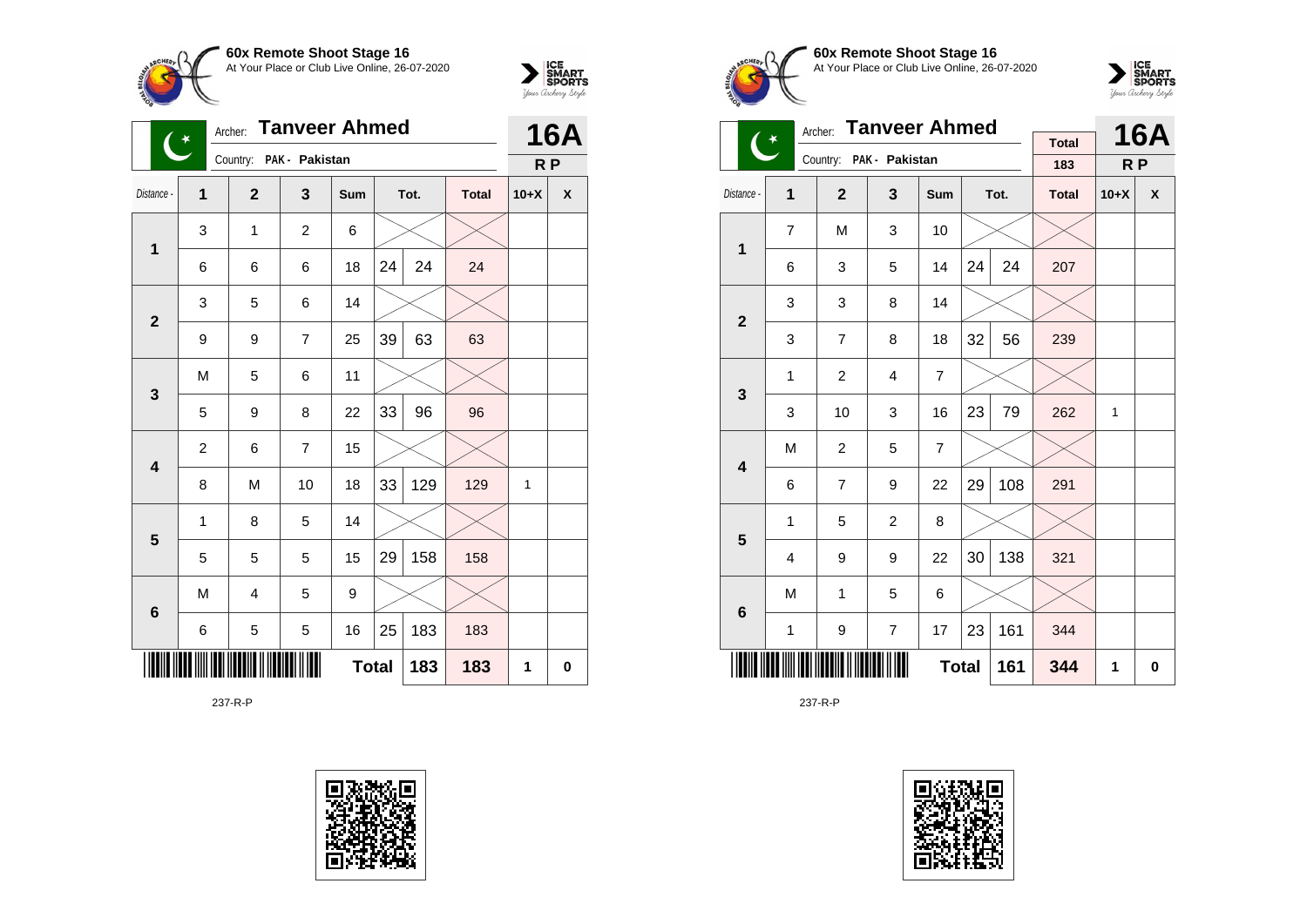



| <b>Tanveer Ahmed</b><br>Archer:<br>$\ddot{\ast}$ |                |                         |                |              |    |      |              |                | <b>16A</b> |  |
|--------------------------------------------------|----------------|-------------------------|----------------|--------------|----|------|--------------|----------------|------------|--|
|                                                  |                | Country: PAK - Pakistan |                |              |    |      |              | R <sub>P</sub> |            |  |
| Distance -                                       | $\mathbf{1}$   | $\overline{2}$          | $\mathbf{3}$   | Sum          |    | Tot. | <b>Total</b> | $10+X$         | X          |  |
| $\mathbf 1$                                      | 3              | 1                       | $\overline{c}$ | 6            |    |      |              |                |            |  |
|                                                  | 6              | 6                       | 6              | 18           | 24 | 24   | 24           |                |            |  |
| $\overline{2}$                                   | 3              | 5                       | 6              | 14           |    |      |              |                |            |  |
|                                                  | 9              | 9                       | $\overline{7}$ | 25           | 39 | 63   | 63           |                |            |  |
| 3                                                | M              | 5                       | 6              | 11           |    |      |              |                |            |  |
|                                                  | 5              | 9                       | 8              | 22           | 33 | 96   | 96           |                |            |  |
| 4                                                | $\overline{c}$ | 6                       | $\overline{7}$ | 15           |    |      |              |                |            |  |
|                                                  | 8              | M                       | 10             | 18           | 33 | 129  | 129          | 1              |            |  |
| 5                                                | 1              | 8                       | 5              | 14           |    |      |              |                |            |  |
|                                                  | 5              | 5                       | 5              | 15           | 29 | 158  | 158          |                |            |  |
| $6\phantom{1}6$                                  | M              | 4                       | 5              | 9            |    |      |              |                |            |  |
|                                                  | 6              | 5                       | 5              | 16           | 25 | 183  | 183          |                |            |  |
|                                                  |                |                         |                | <b>Total</b> |    | 183  | 183          | 1              | 0          |  |

237-R-P









|                         | $(\dot{ }^{\ast}% ,\dot{^{\ast}})$ | <b>Tanveer Ahmed</b><br>Archer: |                         | <b>Total</b>   |    | <b>16A</b> |              |                |                    |
|-------------------------|------------------------------------|---------------------------------|-------------------------|----------------|----|------------|--------------|----------------|--------------------|
|                         |                                    |                                 | Country: PAK - Pakistan |                |    |            | 183          | R <sub>P</sub> |                    |
| Distance -              | 1                                  | $\mathbf{2}$                    | $\overline{\mathbf{3}}$ | Sum            |    | Tot.       | <b>Total</b> | $10+X$         | $\pmb{\mathsf{x}}$ |
| $\mathbf{1}$            | $\overline{7}$                     | M                               | 3                       | 10             |    |            |              |                |                    |
|                         | 6                                  | 3                               | 5                       | 14             | 24 | 24         | 207          |                |                    |
| $\overline{2}$          | 3                                  | 3                               | 8                       | 14             |    |            |              |                |                    |
|                         | 3                                  | $\overline{7}$                  | 8                       | 18             | 32 | 56         | 239          |                |                    |
| 3                       | 1                                  | $\overline{2}$                  | $\overline{4}$          | $\overline{7}$ |    |            |              |                |                    |
|                         | 3                                  | 10                              | 3                       | 16             | 23 | 79         | 262          | 1              |                    |
| $\overline{\mathbf{4}}$ | M                                  | $\overline{2}$                  | 5                       | 7              |    |            |              |                |                    |
|                         | 6                                  | $\overline{7}$                  | 9                       | 22             | 29 | 108        | 291          |                |                    |
| 5                       | 1                                  | 5                               | $\overline{2}$          | 8              |    |            |              |                |                    |
|                         | 4                                  | 9                               | 9                       | 22             | 30 | 138        | 321          |                |                    |
| 6                       | M                                  | 1                               | 5                       | 6              |    |            |              |                |                    |
|                         | 1                                  | 9                               | $\overline{7}$          | 17             | 23 | 161        | 344          |                |                    |
|                         |                                    |                                 | 161                     | 344            | 1  | 0          |              |                |                    |

237-R-P

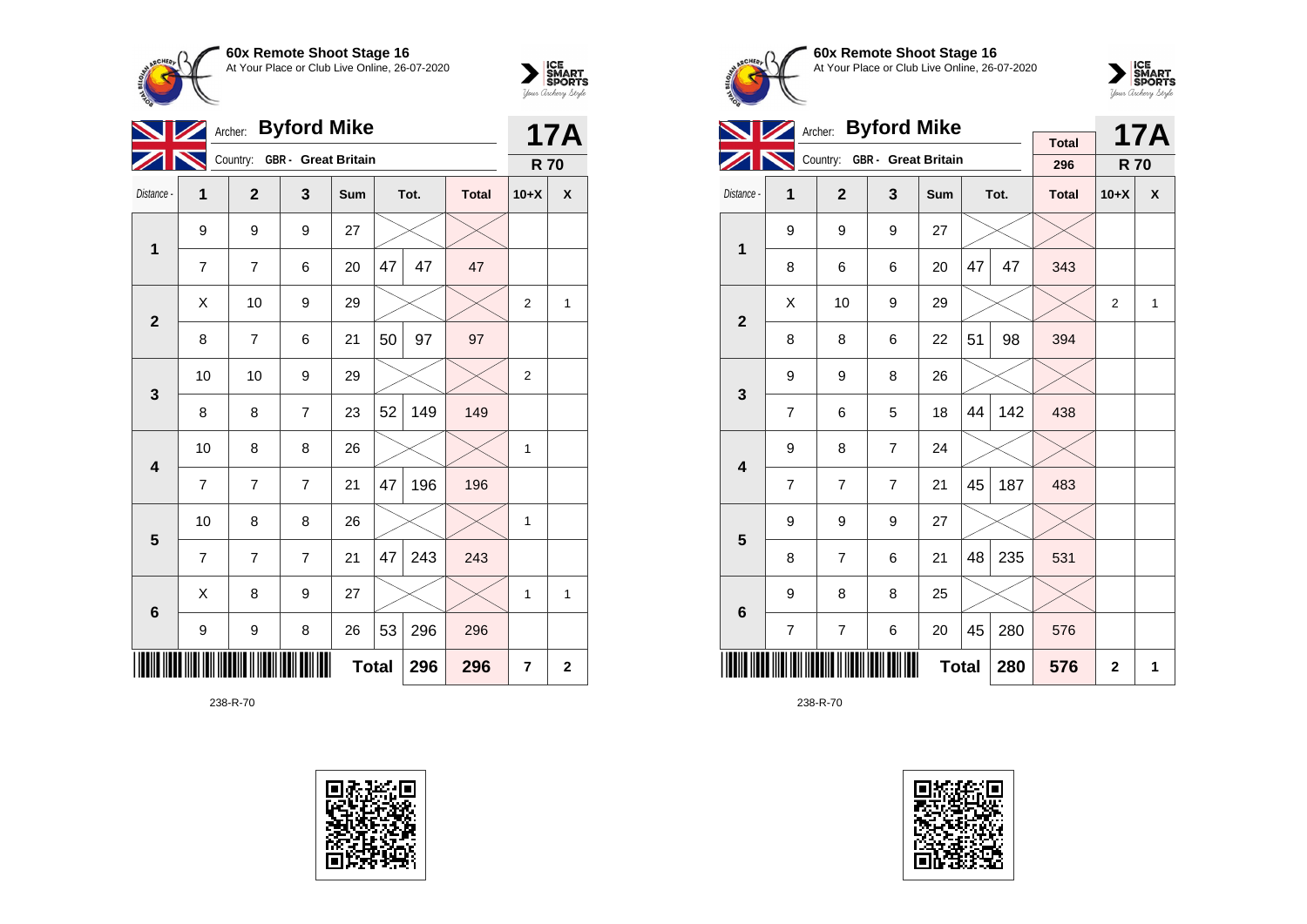



|                         |                            |                | <b>17A</b>                   |            |    |      |              |                |   |  |
|-------------------------|----------------------------|----------------|------------------------------|------------|----|------|--------------|----------------|---|--|
|                         |                            |                | Country: GBR - Great Britain |            |    |      |              | <b>R70</b>     |   |  |
| Distance -              | 1                          | $\overline{2}$ | 3                            | <b>Sum</b> |    | Tot. | <b>Total</b> | $10+X$         | X |  |
| $\mathbf 1$             | 9                          | 9              | 9                            | 27         |    |      |              |                |   |  |
|                         | $\overline{7}$             | $\overline{7}$ | 6                            | 20         | 47 | 47   | 47           |                |   |  |
| $\overline{\mathbf{2}}$ | Χ                          | 10             | 9                            | 29         |    |      |              | $\overline{2}$ | 1 |  |
|                         | 8                          | $\overline{7}$ | 6                            | 21         | 50 | 97   | 97           |                |   |  |
| 3                       | 10                         | 10             | 9                            | 29         |    |      |              | $\overline{2}$ |   |  |
|                         | 8                          | 8              | $\overline{7}$               | 23         | 52 | 149  | 149          |                |   |  |
| $\overline{\mathbf{4}}$ | 10                         | 8              | 8                            | 26         |    |      |              | 1              |   |  |
|                         | $\overline{7}$             | $\overline{7}$ | $\overline{7}$               | 21         | 47 | 196  | 196          |                |   |  |
| 5                       | 10                         | 8              | 8                            | 26         |    |      |              | 1              |   |  |
|                         | $\overline{7}$             | 7              | $\overline{7}$               | 21         | 47 | 243  | 243          |                |   |  |
| $6\phantom{1}6$         | Χ                          | 8              | 9                            | 27         |    |      |              | 1              | 1 |  |
|                         | 9                          | 9              | 8                            | 26         | 53 | 296  | 296          |                |   |  |
|                         | <b>Total</b><br>296<br>296 |                |                              |            |    |      |              |                |   |  |

238-R-70





**60x Remote Shoot Stage 16** At Your Place or Club Live Online, 26-07-2020



|                         |                | <b>Byford Mike</b><br>Archer: |                              |              |    | <b>17A</b> |                     |                |              |
|-------------------------|----------------|-------------------------------|------------------------------|--------------|----|------------|---------------------|----------------|--------------|
|                         |                |                               | Country: GBR - Great Britain |              |    |            | <b>Total</b><br>296 | <b>R70</b>     |              |
| Distance -              | $\overline{1}$ | $\overline{2}$                | 3                            | Sum          |    | Tot.       | <b>Total</b>        | $10+X$         | X            |
| 1                       | 9              | 9                             | 9                            | 27           |    |            |                     |                |              |
|                         | 8              | 6                             | 6                            | 20           | 47 | 47         | 343                 |                |              |
| $\overline{2}$          | X              | 10                            | 9                            | 29           |    |            |                     | $\overline{2}$ | $\mathbf{1}$ |
|                         | 8              | 8                             | 6                            | 22           | 51 | 98         | 394                 |                |              |
| 3                       | 9              | 9                             | 8                            | 26           |    |            |                     |                |              |
|                         | $\overline{7}$ | 6                             | 5                            | 18           | 44 | 142        | 438                 |                |              |
| $\overline{\mathbf{4}}$ | 9              | 8                             | $\overline{7}$               | 24           |    |            |                     |                |              |
|                         | $\overline{7}$ | $\overline{7}$                | $\overline{7}$               | 21           | 45 | 187        | 483                 |                |              |
| 5                       | 9              | 9                             | 9                            | 27           |    |            |                     |                |              |
|                         | 8              | $\overline{7}$                | 6                            | 21           | 48 | 235        | 531                 |                |              |
| $6\phantom{1}6$         | 9              | 8                             | 8                            | 25           |    |            |                     |                |              |
|                         | $\overline{7}$ | $\overline{7}$                | 6                            | 20           | 45 | 280        | 576                 |                |              |
|                         |                |                               |                              | <b>Total</b> |    | 280        | 576                 | $\mathbf{2}$   | 1            |

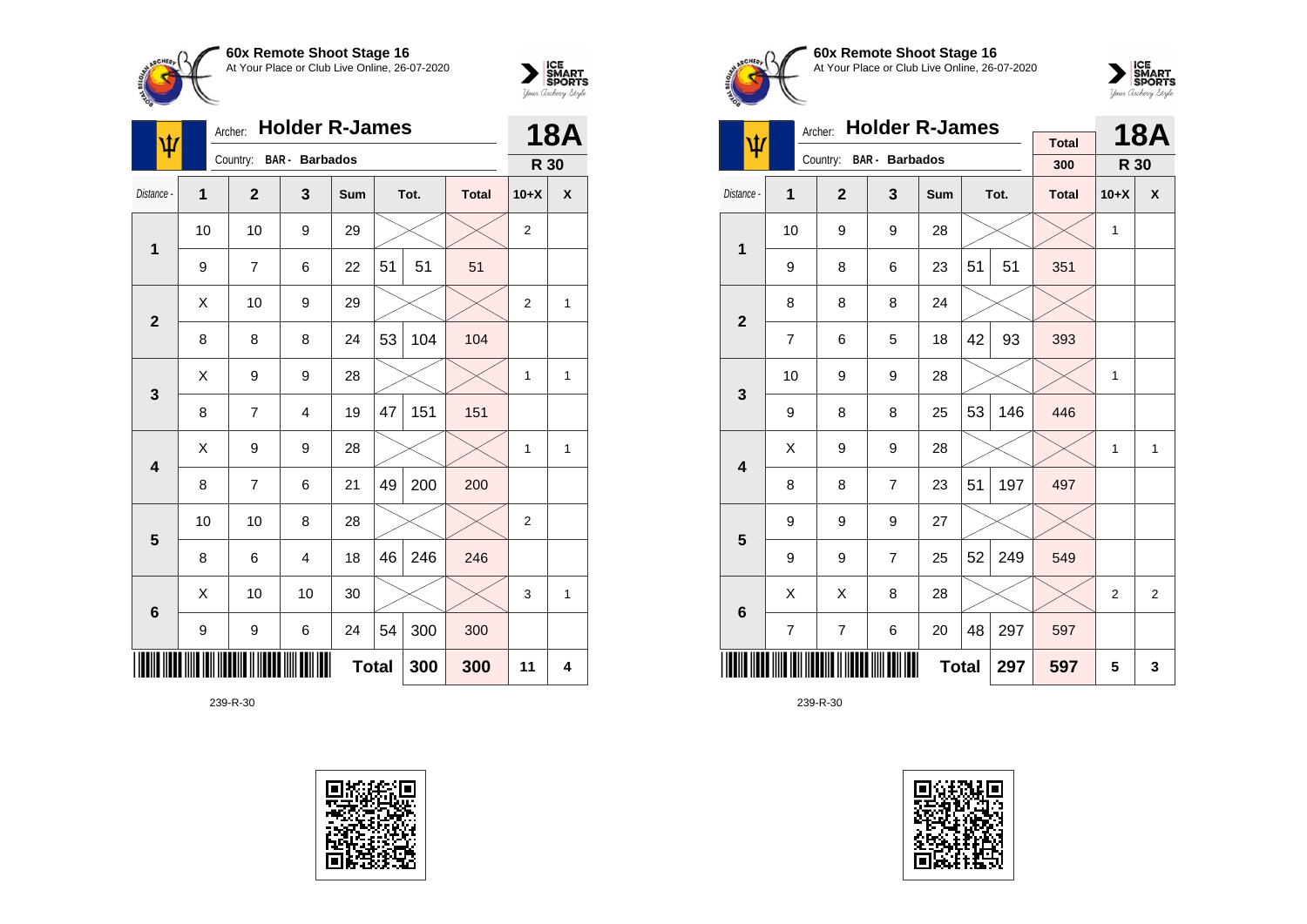



| ψ            | Archer:                    |                | <b>18A</b>              |     |    |      |              |                |              |
|--------------|----------------------------|----------------|-------------------------|-----|----|------|--------------|----------------|--------------|
|              |                            | Country:       | <b>BAR</b> - Barbados   |     |    |      |              | R 30           |              |
| Distance -   | 1                          | $\mathbf{2}$   | 3                       | Sum |    | Tot. | <b>Total</b> | $10+X$         | X            |
| 1            | 10                         | 10             | 9                       | 29  |    |      |              | $\overline{2}$ |              |
|              | 9                          | $\overline{7}$ | 6                       | 22  | 51 | 51   | 51           |                |              |
| $\mathbf{2}$ | Χ                          | 10             | 9                       | 29  |    |      |              | $\overline{2}$ | 1            |
|              | 8                          | 8              | 8                       | 24  | 53 | 104  | 104          |                |              |
| $\mathbf{3}$ | Χ                          | 9              | 9                       | 28  |    |      |              | 1              | 1            |
|              | 8                          | 7              | $\overline{4}$          | 19  | 47 | 151  | 151          |                |              |
| 4            | X                          | 9              | 9                       | 28  |    |      |              | 1              | 1            |
|              | 8                          | 7              | 6                       | 21  | 49 | 200  | 200          |                |              |
| 5            | 10                         | 10             | 8                       | 28  |    |      |              | $\overline{c}$ |              |
|              | 8                          | 6              | $\overline{\mathbf{4}}$ | 18  | 46 | 246  | 246          |                |              |
| 6            | X                          | 10             | 10                      | 30  |    |      |              | 3              | $\mathbf{1}$ |
|              | 9                          | 9              | 6                       | 24  | 54 | 300  | 300          |                |              |
|              | <b>Total</b><br>300<br>300 |                |                         |     |    |      |              |                | 4            |





**60x Remote Shoot Stage 16** At Your Place or Club Live Online, 26-07-2020



|                         |                     | <b>Holder R-James</b><br>Archer: |                |     |    | <b>18A</b> |                     |                |   |
|-------------------------|---------------------|----------------------------------|----------------|-----|----|------------|---------------------|----------------|---|
| ψ                       |                     | Country:                         | BAR - Barbados |     |    |            | <b>Total</b><br>300 | R 30           |   |
| Distance -              | 1                   | $\overline{2}$                   | 3              | Sum |    | Tot.       | <b>Total</b>        | $10+X$         | X |
| 1                       | 10                  | 9                                | 9              | 28  |    |            |                     | 1              |   |
|                         | 9                   | 8                                | 6              | 23  | 51 | 51         | 351                 |                |   |
| $\overline{2}$          | 8                   | 8                                | 8              | 24  |    |            |                     |                |   |
|                         | $\overline{7}$      | 6                                | 5              | 18  | 42 | 93         | 393                 |                |   |
| 3                       | 10                  | 9                                | 9              | 28  |    |            |                     | 1              |   |
|                         | 9                   | 8                                | 8              | 25  | 53 | 146        | 446                 |                |   |
| $\overline{\mathbf{4}}$ | X                   | 9                                | 9              | 28  |    |            |                     | 1              | 1 |
|                         | 8                   | 8                                | $\overline{7}$ | 23  | 51 | 197        | 497                 |                |   |
| 5                       | 9                   | 9                                | 9              | 27  |    |            |                     |                |   |
|                         | 9                   | 9                                | $\overline{7}$ | 25  | 52 | 249        | 549                 |                |   |
| 6                       | Χ                   | X                                | 8              | 28  |    |            |                     | $\overline{2}$ | 2 |
|                         | 7                   | 7                                | 6              | 20  | 48 | 297        | 597                 |                |   |
|                         | <b>Total</b><br>297 |                                  |                |     |    |            |                     | 5              | 3 |

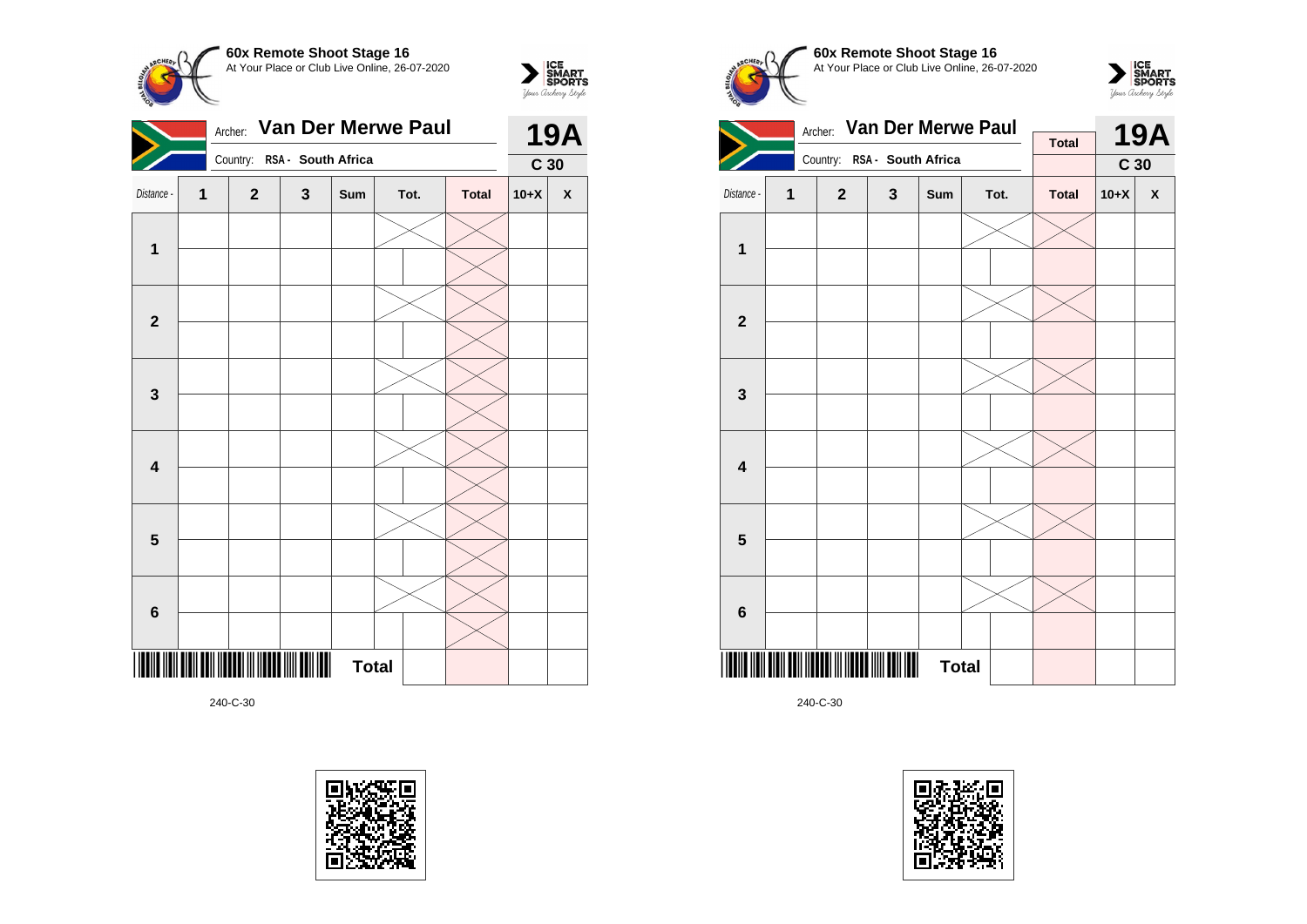

 $\sum_{\text{Vour }\text{Cuchy }\text{StyR}}\begin{matrix}\n\text{ICE} \\
\text{SDORTS} \\
\text{SPORTS}\n\end{matrix}$ 



240-C-30









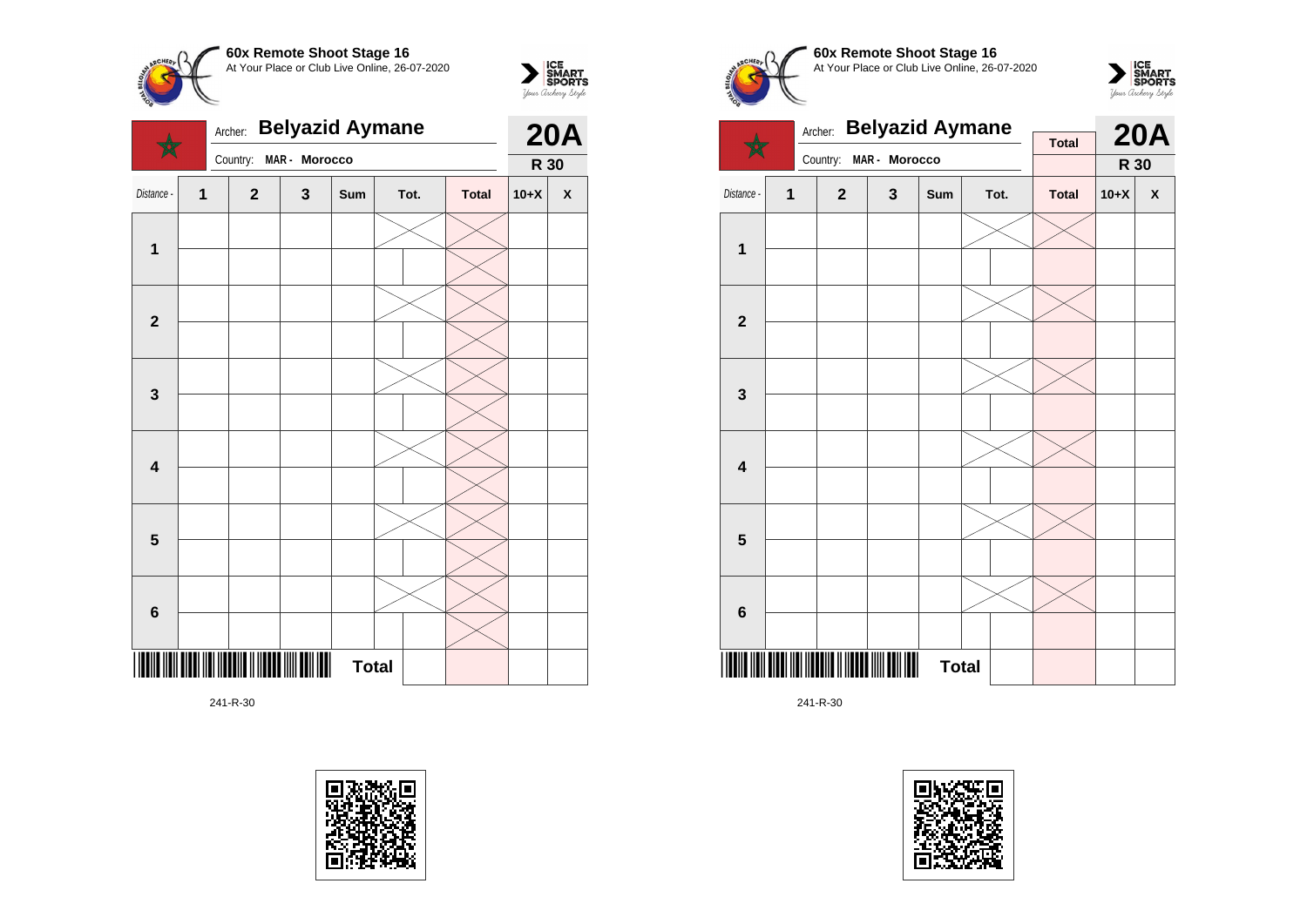



|                  |              | Archer: | <b>Belyazid Aymane</b> |               | <b>20A</b>   |      |              |        |                    |
|------------------|--------------|---------|------------------------|---------------|--------------|------|--------------|--------|--------------------|
|                  |              |         | Country:               | MAR - Morocco |              |      |              | R 30   |                    |
| Distance -       | $\mathbf{1}$ |         | $\overline{2}$         | $\mathbf{3}$  | Sum          | Tot. | <b>Total</b> | $10+X$ | $\pmb{\mathsf{X}}$ |
|                  |              |         |                        |               |              |      |              |        |                    |
| 1                |              |         |                        |               |              |      |              |        |                    |
|                  |              |         |                        |               |              |      |              |        |                    |
| $\mathbf{2}$     |              |         |                        |               |              |      |              |        |                    |
|                  |              |         |                        |               |              |      |              |        |                    |
| 3                |              |         |                        |               |              |      |              |        |                    |
| 4                |              |         |                        |               |              |      |              |        |                    |
|                  |              |         |                        |               |              |      |              |        |                    |
|                  |              |         |                        |               |              |      |              |        |                    |
| 5                |              |         |                        |               |              |      |              |        |                    |
|                  |              |         |                        |               |              |      |              |        |                    |
| $\boldsymbol{6}$ |              |         |                        |               |              |      |              |        |                    |
| 11               |              |         | <br>                   |               | <b>Total</b> |      |              |        |                    |











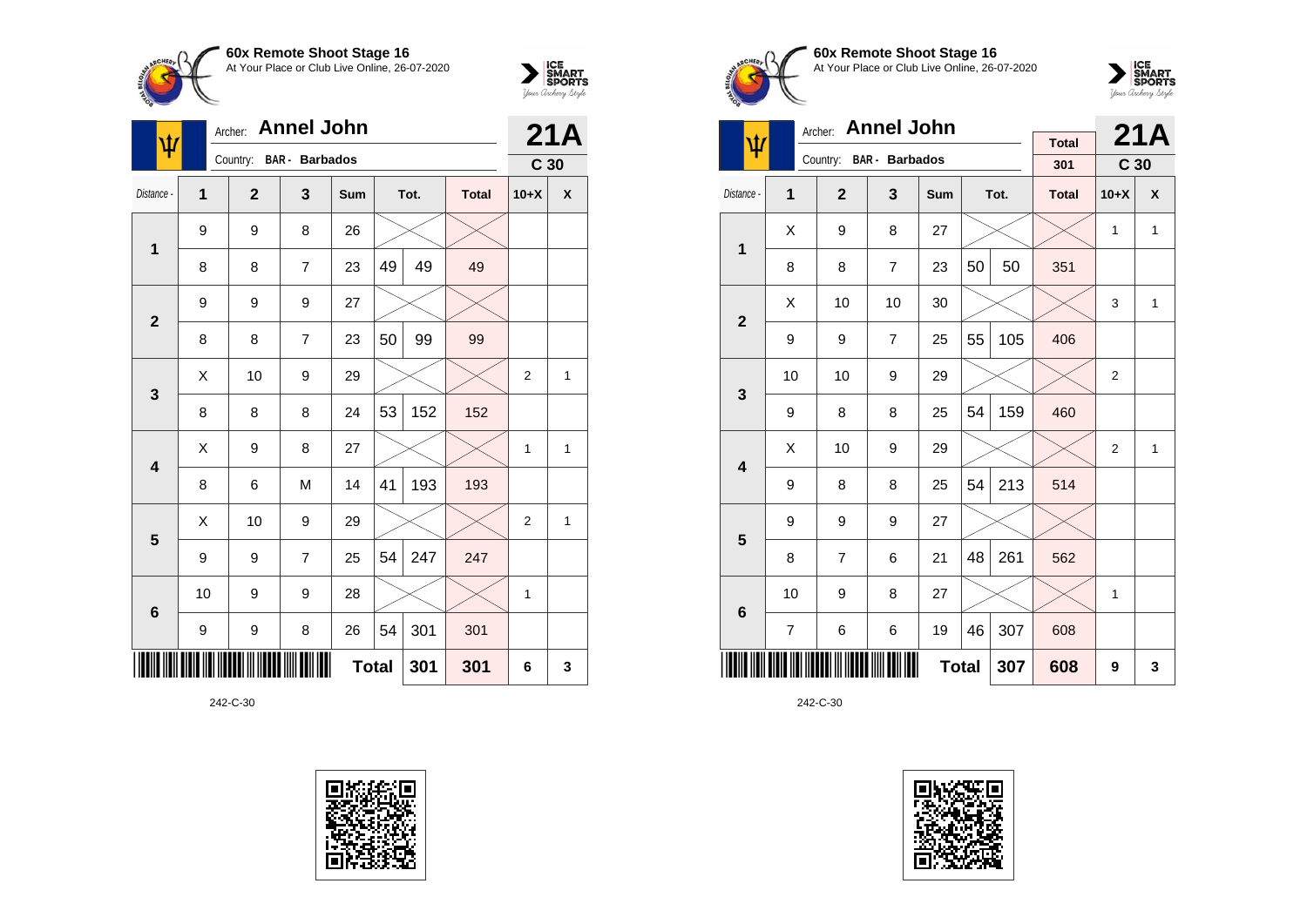



| Ŵ               | Archer: Annel John |                |                         | 21A          |    |      |              |                 |   |
|-----------------|--------------------|----------------|-------------------------|--------------|----|------|--------------|-----------------|---|
|                 |                    |                | Country: BAR - Barbados |              |    |      |              | C <sub>30</sub> |   |
| Distance -      | 1                  | $\overline{2}$ | 3                       | Sum          |    | Tot. | <b>Total</b> | $10+X$          | X |
| 1               | 9                  | 9              | 8                       | 26           |    |      |              |                 |   |
|                 | 8                  | 8              | 7                       | 23           | 49 | 49   | 49           |                 |   |
| $\overline{2}$  | 9                  | 9              | 9                       | 27           |    |      |              |                 |   |
|                 | 8                  | 8              | $\overline{7}$          | 23           | 50 | 99   | 99           |                 |   |
| 3               | X                  | 10             | 9                       | 29           |    |      |              | $\overline{2}$  | 1 |
|                 | 8                  | 8              | 8                       | 24           | 53 | 152  | 152          |                 |   |
| 4               | X                  | 9              | 8                       | 27           |    |      |              | $\mathbf{1}$    | 1 |
|                 | 8                  | 6              | M                       | 14           | 41 | 193  | 193          |                 |   |
| 5               | Χ                  | 10             | 9                       | 29           |    |      |              | $\overline{2}$  | 1 |
|                 | 9                  | 9              | $\overline{7}$          | 25           | 54 | 247  | 247          |                 |   |
| $6\phantom{1}6$ | 10                 | 9              | 9                       | 28           |    |      |              | 1               |   |
|                 | 9                  | 9              | 8                       | 26           | 54 | 301  | 301          |                 |   |
|                 |                    |                |                         | <b>Total</b> |    | 301  | 301          | 6               | 3 |





**60x Remote Shoot Stage 16** At Your Place or Club Live Online, 26-07-2020



|                         |                     | Archer: Annel John |                         | <b>Total</b> |    | 21A  |              |                 |              |
|-------------------------|---------------------|--------------------|-------------------------|--------------|----|------|--------------|-----------------|--------------|
| ψ                       |                     |                    | Country: BAR - Barbados |              |    |      | 301          | C <sub>30</sub> |              |
| Distance -              | 1                   | $\overline{2}$     | 3                       | <b>Sum</b>   |    | Tot. | <b>Total</b> | $10+X$          | X            |
|                         | X                   | 9                  | 8                       | 27           |    |      |              | 1               | $\mathbf{1}$ |
| $\mathbf{1}$            | 8                   | 8                  | $\overline{7}$          | 23           | 50 | 50   | 351          |                 |              |
| $\overline{2}$          | X                   | 10                 | 10                      | 30           |    |      |              | 3               | $\mathbf{1}$ |
|                         | 9                   | 9                  | $\overline{7}$          | 25           | 55 | 105  | 406          |                 |              |
| 3                       | 10                  | 10                 | 9                       | 29           |    |      |              | $\overline{2}$  |              |
|                         | 9                   | 8                  | 8                       | 25           | 54 | 159  | 460          |                 |              |
| $\overline{\mathbf{4}}$ | Χ                   | 10                 | 9                       | 29           |    |      |              | 2               | 1            |
|                         | 9                   | 8                  | 8                       | 25           | 54 | 213  | 514          |                 |              |
| 5                       | 9                   | 9                  | 9                       | 27           |    |      |              |                 |              |
|                         | 8                   | $\overline{7}$     | 6                       | 21           | 48 | 261  | 562          |                 |              |
| $6\phantom{1}6$         | 10                  | 9                  | 8                       | 27           |    |      |              | 1               |              |
|                         | 7                   | 6                  | 6                       | 19           | 46 | 307  | 608          |                 |              |
|                         | <b>Total</b><br>307 |                    |                         |              |    |      |              | 9               | 3            |

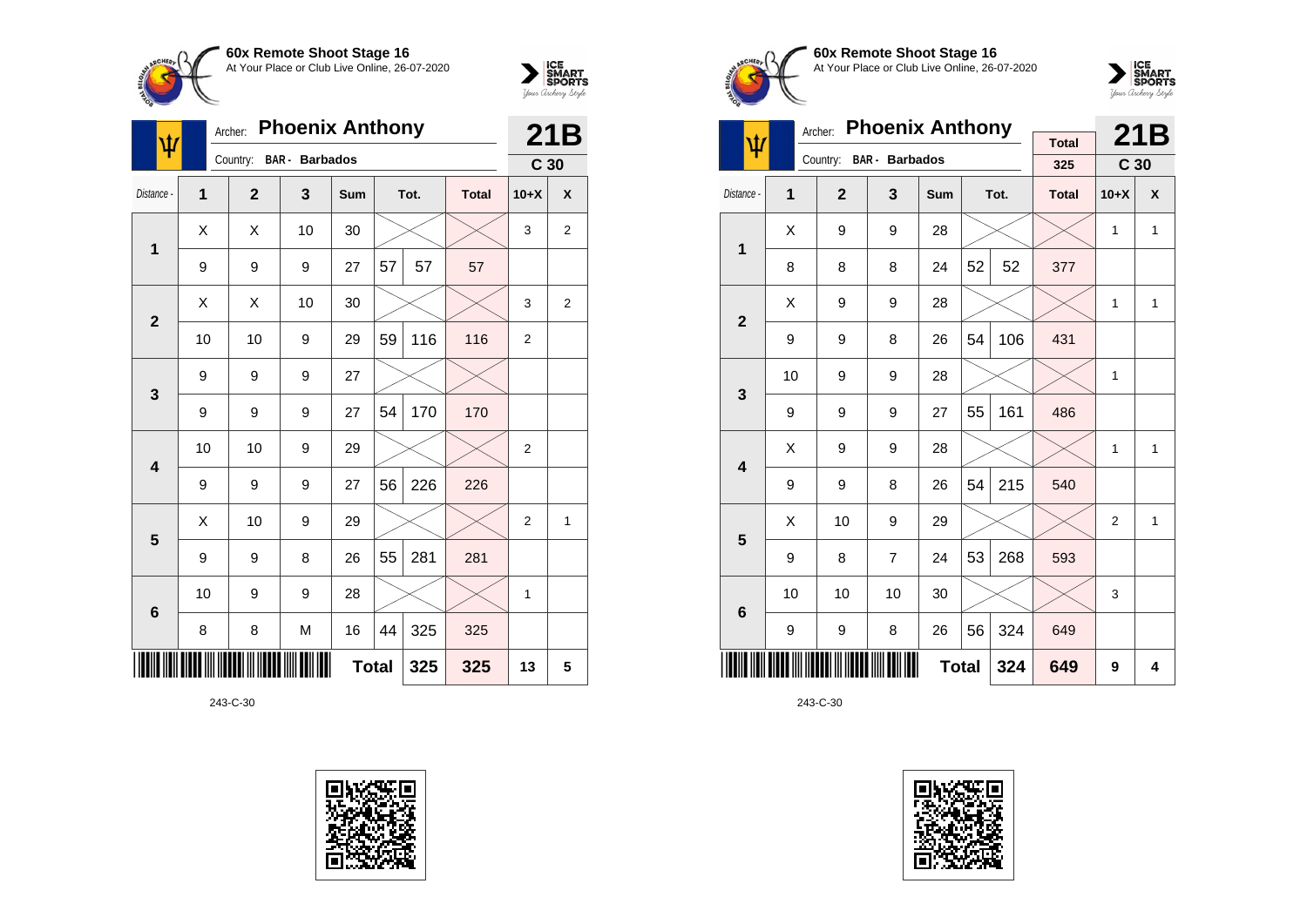



| ψ               | Archer:                    |                |                       | 21B        |    |      |              |                 |                |
|-----------------|----------------------------|----------------|-----------------------|------------|----|------|--------------|-----------------|----------------|
|                 |                            | Country:       | <b>BAR</b> - Barbados |            |    |      |              | C <sub>30</sub> |                |
| Distance -      | 1                          | $\overline{2}$ | 3                     | <b>Sum</b> |    | Tot. | <b>Total</b> | $10+X$          | X              |
| 1               | X                          | X              | 10                    | 30         |    |      |              | 3               | 2              |
|                 | 9                          | 9              | 9                     | 27         | 57 | 57   | 57           |                 |                |
| $\overline{2}$  | X                          | X              | 10                    | 30         |    |      |              | 3               | $\overline{2}$ |
|                 | 10                         | 10             | 9                     | 29         | 59 | 116  | 116          | $\overline{2}$  |                |
| 3               | 9                          | 9              | 9                     | 27         |    |      |              |                 |                |
|                 | 9                          | 9              | 9                     | 27         | 54 | 170  | 170          |                 |                |
| 4               | 10                         | 10             | 9                     | 29         |    |      |              | $\overline{2}$  |                |
|                 | 9                          | 9              | 9                     | 27         | 56 | 226  | 226          |                 |                |
|                 | X                          | 10             | 9                     | 29         |    |      |              | $\overline{2}$  | 1              |
| 5               | 9                          | 9              | 8                     | 26         | 55 | 281  | 281          |                 |                |
| $6\phantom{1}6$ | 10                         | 9              | 9                     | 28         |    |      |              | 1               |                |
|                 | 8                          | 8              | M                     | 16         | 44 | 325  | 325          |                 |                |
|                 | <b>Total</b><br>325<br>325 |                |                       |            |    |      |              |                 | 5              |





**60x Remote Shoot Stage 16** At Your Place or Club Live Online, 26-07-2020



|                         |    | Archer:        | <b>Phoenix Anthony</b> |     | <b>Total</b> |      | 21B          |                 |   |
|-------------------------|----|----------------|------------------------|-----|--------------|------|--------------|-----------------|---|
| ψ                       |    | Country:       | BAR - Barbados         |     |              |      | 325          | C <sub>30</sub> |   |
| Distance -              | 1  | $\overline{2}$ | 3                      | Sum |              | Tot. | <b>Total</b> | $10+X$          | X |
| 1                       | X  | 9              | 9                      | 28  |              |      |              | 1               | 1 |
|                         | 8  | 8              | 8                      | 24  | 52           | 52   | 377          |                 |   |
| $\overline{2}$          | X  | 9              | 9                      | 28  |              |      |              | 1               | 1 |
|                         | 9  | 9              | 8                      | 26  | 54           | 106  | 431          |                 |   |
| 3                       | 10 | 9              | 9                      | 28  |              |      |              | 1               |   |
|                         | 9  | 9              | 9                      | 27  | 55           | 161  | 486          |                 |   |
| $\overline{\mathbf{4}}$ | Χ  | 9              | 9                      | 28  |              |      |              | 1               | 1 |
|                         | 9  | 9              | 8                      | 26  | 54           | 215  | 540          |                 |   |
| 5                       | X  | 10             | 9                      | 29  |              |      |              | $\overline{2}$  | 1 |
|                         | 9  | 8              | $\overline{7}$         | 24  | 53           | 268  | 593          |                 |   |
| 6                       | 10 | 10             | 10                     | 30  |              |      |              | 3               |   |
|                         | 9  | 9              | 8                      | 26  | 56           | 324  | 649          |                 |   |
|                         |    |                | 649                    | 9   | 4            |      |              |                 |   |

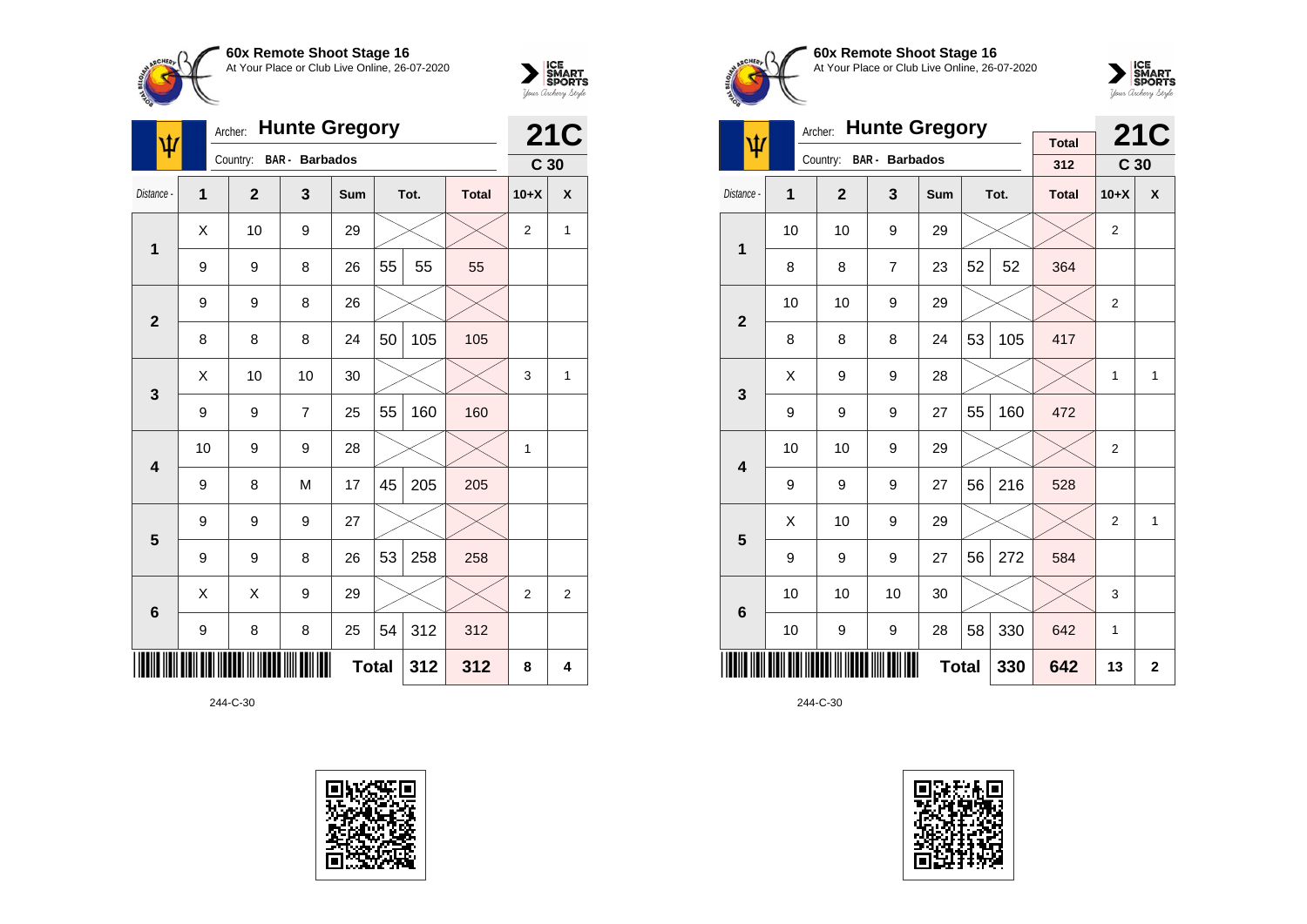



| Ф               |                | <b>Hunte Gregory</b><br>Archer: |                       |              |    |      |              |                 |                |  |
|-----------------|----------------|---------------------------------|-----------------------|--------------|----|------|--------------|-----------------|----------------|--|
|                 |                | Country:                        | <b>BAR</b> - Barbados |              |    |      |              | C <sub>30</sub> | <b>21C</b>     |  |
| Distance -      | $\overline{1}$ | $\overline{2}$                  | 3                     | Sum          |    | Tot. | <b>Total</b> | $10+X$          | X              |  |
| 1               | Χ              | 10                              | 9                     | 29           |    |      |              | $\overline{2}$  | 1              |  |
|                 | 9              | 9                               | 8                     | 26           | 55 | 55   | 55           |                 |                |  |
| $\overline{2}$  | 9              | 9                               | 8                     | 26           |    |      |              |                 |                |  |
|                 | 8              | 8                               | 8                     | 24           | 50 | 105  | 105          |                 |                |  |
| 3               | X              | 10                              | 10                    | 30           |    |      |              | 3               | 1              |  |
|                 | 9              | 9                               | $\overline{7}$        | 25           | 55 | 160  | 160          |                 |                |  |
| 4               | 10             | 9                               | 9                     | 28           |    |      |              | 1               |                |  |
|                 | 9              | 8                               | M                     | 17           | 45 | 205  | 205          |                 |                |  |
| 5               | 9              | 9                               | 9                     | 27           |    |      |              |                 |                |  |
|                 | 9              | 9                               | 8                     | 26           | 53 | 258  | 258          |                 |                |  |
| $6\phantom{1}6$ | Χ              | X                               | 9                     | 29           |    |      |              | $\overline{2}$  | $\overline{2}$ |  |
|                 | 9              | 8                               | 8                     | 25           | 54 | 312  | 312          |                 |                |  |
|                 |                |                                 |                       | <b>Total</b> |    | 312  | 312          | 8               | 4              |  |





**60x Remote Shoot Stage 16** At Your Place or Club Live Online, 26-07-2020



|                         | <b>Hunte Gregory</b><br>Archer: |              |                       |            |                |      |                     |                 | <b>21C</b>   |
|-------------------------|---------------------------------|--------------|-----------------------|------------|----------------|------|---------------------|-----------------|--------------|
| ψ                       |                                 | Country:     | <b>BAR</b> - Barbados |            |                |      | <b>Total</b><br>312 | C <sub>30</sub> |              |
| Distance -              | 1                               | $\mathbf{2}$ | 3                     | <b>Sum</b> |                | Tot. | <b>Total</b>        | $10+X$          | X            |
| 1                       | 10                              | 10           | 9                     | 29         |                |      |                     | $\overline{2}$  |              |
|                         | 8                               | 8            | $\overline{7}$        | 23         | 52             | 52   | 364                 |                 |              |
| $\overline{2}$          | 10                              | 10           | 9                     | 29         |                |      |                     | $\overline{2}$  |              |
|                         | 8                               | 8            | 8                     | 24         | 53             | 105  | 417                 |                 |              |
| 3                       | X                               | 9            | 9                     | 28         |                |      |                     | $\mathbf{1}$    | 1            |
|                         | 9                               | 9            | 9                     | 27         | 55             | 160  | 472                 |                 |              |
| $\overline{\mathbf{4}}$ | 10                              | 10           | 9                     | 29         |                |      |                     | $\overline{2}$  |              |
|                         | 9                               | 9            | 9                     | 27         | 56             | 216  | 528                 |                 |              |
| 5                       | X                               | 10           | 9                     | 29         |                |      |                     | $\overline{2}$  | $\mathbf{1}$ |
|                         | 9                               | 9            | 9                     | 27         | 56             | 272  | 584                 |                 |              |
| $6\phantom{1}6$         | 10                              | 10           | 10                    | 30         |                |      |                     | 3               |              |
|                         | 58<br>330<br>10<br>9<br>9<br>28 |              |                       |            |                |      |                     | 1               |              |
|                         |                                 |              | 642                   | 13         | $\overline{2}$ |      |                     |                 |              |

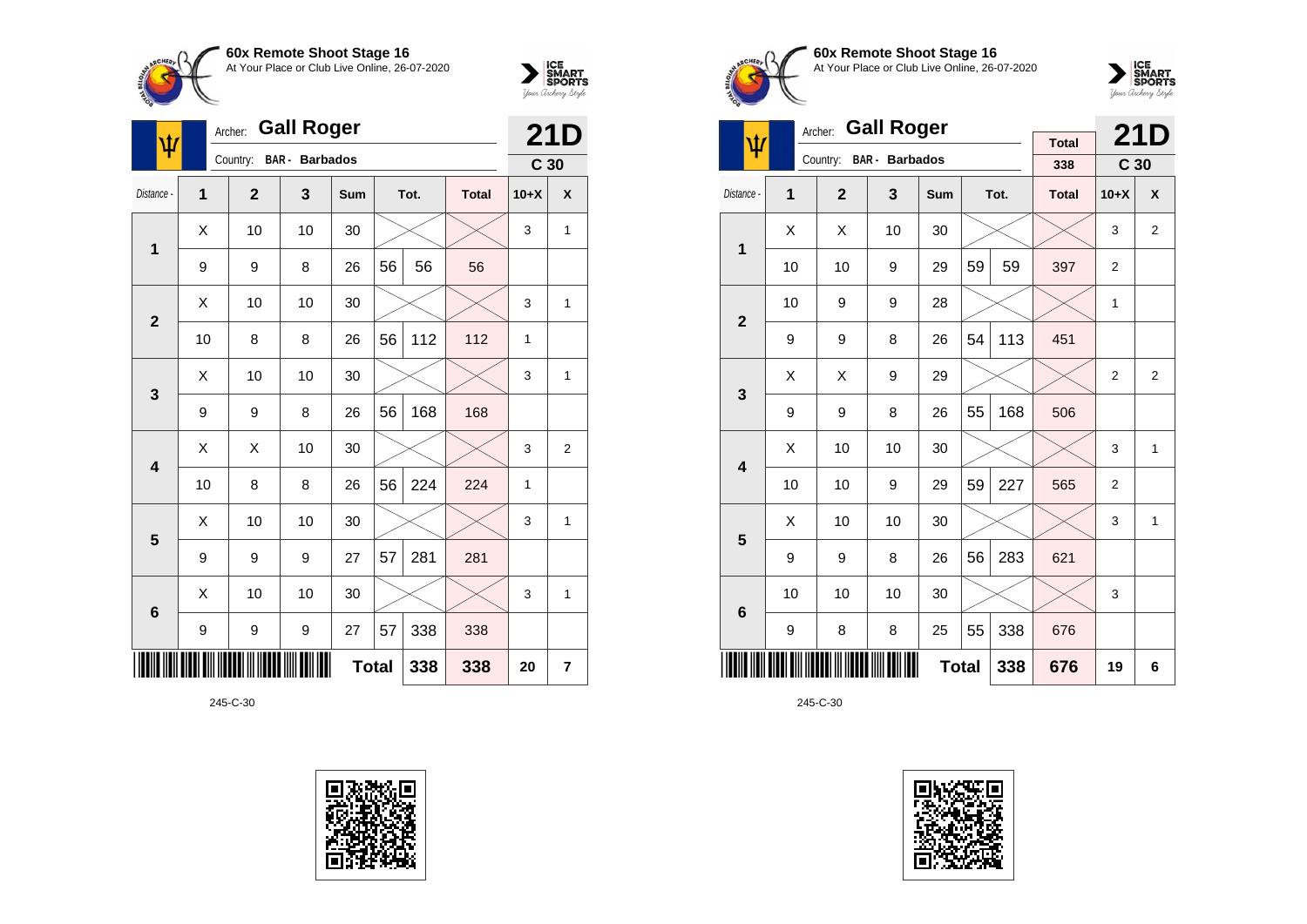



| ψ                       | Archer: |                |                       | <b>21D</b>   |    |      |              |                 |                |
|-------------------------|---------|----------------|-----------------------|--------------|----|------|--------------|-----------------|----------------|
|                         |         | Country:       | <b>BAR</b> - Barbados |              |    |      |              | C <sub>30</sub> |                |
| Distance -              | 1       | $\overline{2}$ | 3                     | Sum          |    | Tot. | <b>Total</b> | $10+X$          | X              |
| 1                       | X       | 10             | 10                    | 30           |    |      |              | 3               | 1              |
|                         | 9       | 9              | 8                     | 26           | 56 | 56   | 56           |                 |                |
| $\overline{2}$          | X       | 10             | 10                    | 30           |    |      |              | 3               | 1              |
|                         | 10      | 8              | 8                     | 26           | 56 | 112  | 112          | 1               |                |
| 3                       | X       | 10             | 10                    | 30           |    |      |              | 3               | 1              |
|                         | 9       | 9              | 8                     | 26           | 56 | 168  | 168          |                 |                |
| $\overline{\mathbf{4}}$ | Χ       | X              | 10                    | 30           |    |      |              | 3               | $\overline{2}$ |
|                         | 10      | 8              | 8                     | 26           | 56 | 224  | 224          | 1               |                |
| 5                       | X       | 10             | 10                    | 30           |    |      |              | 3               | 1              |
|                         | 9       | 9              | 9                     | 27           | 57 | 281  | 281          |                 |                |
| $6\phantom{1}6$         | X       | 10             | 10                    | 30           |    |      |              | 3               | 1              |
|                         | 9       | 9              | $\boldsymbol{9}$      | 27           | 57 | 338  | 338          |                 |                |
|                         |         |                |                       | <b>Total</b> |    | 338  | 338          | 20              | 7              |









|                         |    | <b>Gall Roger</b><br>Archer: |                |              |    | <b>21D</b> |              |                 |                |
|-------------------------|----|------------------------------|----------------|--------------|----|------------|--------------|-----------------|----------------|
| ψ                       |    | Country:                     | BAR - Barbados |              |    |            | <b>Total</b> |                 |                |
|                         |    |                              |                |              |    |            | 338          | C <sub>30</sub> |                |
| Distance -              | 1  | $\overline{2}$               | 3              | Sum          |    | Tot.       | <b>Total</b> | $10+X$          | X              |
| 1                       | X  | X                            | 10             | 30           |    |            |              | 3               | $\overline{2}$ |
|                         | 10 | 10                           | 9              | 29           | 59 | 59         | 397          | 2               |                |
| $\overline{2}$          | 10 | 9                            | 9              | 28           |    |            |              | 1               |                |
|                         | 9  | 9                            | 8              | 26           | 54 | 113        | 451          |                 |                |
| 3                       | X  | X                            | 9              | 29           |    |            |              | $\overline{2}$  | $\overline{2}$ |
|                         | 9  | 9                            | 8              | 26           | 55 | 168        | 506          |                 |                |
| $\overline{\mathbf{4}}$ | X  | 10                           | 10             | 30           |    |            |              | 3               | 1              |
|                         | 10 | 10                           | 9              | 29           | 59 | 227        | 565          | $\overline{2}$  |                |
| 5                       | X  | 10                           | 10             | 30           |    |            |              | 3               | 1              |
|                         | 9  | 9                            | 8              | 26           | 56 | 283        | 621          |                 |                |
| $\bf 6$                 | 10 | 10                           | 10             | 30           |    |            |              | 3               |                |
|                         | 9  | 8                            | 8              | 25           | 55 | 338        | 676          |                 |                |
|                         |    |                              |                | <b>Total</b> |    | 338        | 676          | 19              | 6              |

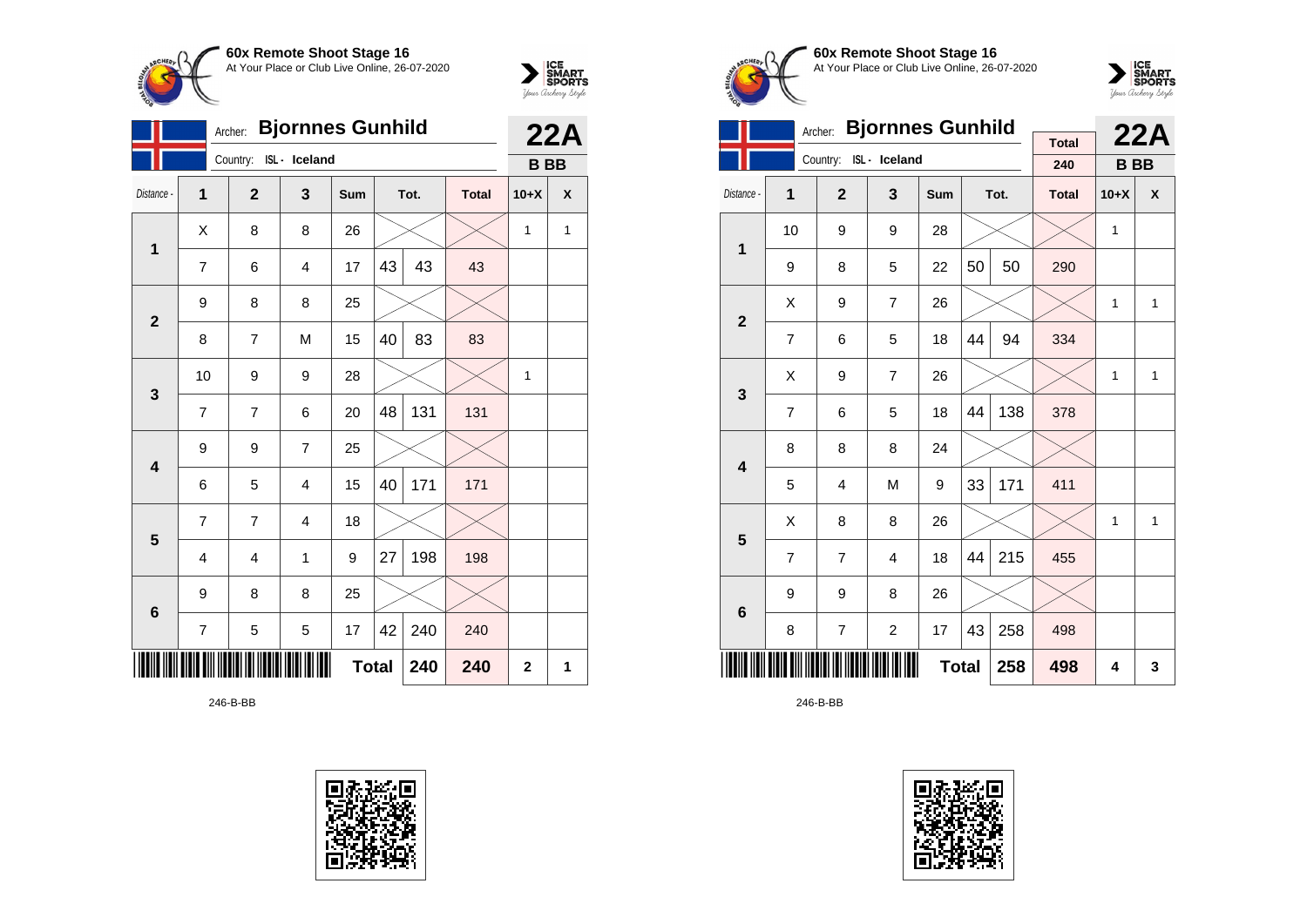



|                |                            | <b>Bjornnes Gunhild</b><br>Archer: |                        |     | 22A |      |              |           |   |
|----------------|----------------------------|------------------------------------|------------------------|-----|-----|------|--------------|-----------|---|
|                |                            |                                    | Country: ISL - Iceland |     |     |      |              | <b>BB</b> |   |
| Distance -     | $\overline{1}$             | $\overline{2}$                     | 3                      | Sum |     | Tot. | <b>Total</b> | $10+X$    | X |
| $\mathbf{1}$   | X                          | 8                                  | 8                      | 26  |     |      |              | 1         | 1 |
|                | 7                          | 6                                  | 4                      | 17  | 43  | 43   | 43           |           |   |
| $\overline{2}$ | 9                          | 8                                  | 8                      | 25  |     |      |              |           |   |
|                | 8                          | $\overline{7}$                     | M                      | 15  | 40  | 83   | 83           |           |   |
| $\mathbf{3}$   | 10                         | 9                                  | 9                      | 28  |     |      |              | 1         |   |
|                | 7                          | $\overline{7}$                     | 6                      | 20  | 48  | 131  | 131          |           |   |
| 4              | 9                          | 9                                  | 7                      | 25  |     |      |              |           |   |
|                | 6                          | 5                                  | 4                      | 15  | 40  | 171  | 171          |           |   |
| 5              | 7                          | 7                                  | 4                      | 18  |     |      |              |           |   |
|                | 4                          | 4                                  | 1                      | 9   | 27  | 198  | 198          |           |   |
| $6\phantom{1}$ | 9                          | 8                                  | 8                      | 25  |     |      |              |           |   |
|                | 7                          | 5                                  | 5                      | 17  | 42  | 240  | 240          |           |   |
|                | <b>Total</b><br>240<br>240 |                                    |                        |     |     |      |              |           | 1 |

246-B-BB





**60x Remote Shoot Stage 16** At Your Place or Club Live Online, 26-07-2020



|                         |                | Archer:        | <b>Bjornnes Gunhild</b> |     | <b>Total</b> |      | 22A          |           |              |
|-------------------------|----------------|----------------|-------------------------|-----|--------------|------|--------------|-----------|--------------|
|                         |                |                | Country: ISL - Iceland  |     |              |      | 240          | <b>BB</b> |              |
| Distance -              | 1              | $\overline{2}$ | 3                       | Sum |              | Tot. | <b>Total</b> | $10+X$    | X            |
| $\mathbf 1$             | 10             | 9              | 9                       | 28  |              |      |              | 1         |              |
|                         | 9              | 8              | 5                       | 22  | 50           | 50   | 290          |           |              |
| $\overline{2}$          | X              | 9              | $\overline{7}$          | 26  |              |      |              | 1         | 1            |
|                         | $\overline{7}$ | 6              | 5                       | 18  | 44           | 94   | 334          |           |              |
| $\mathbf{3}$            | X              | 9              | $\overline{7}$          | 26  |              |      |              | 1         | $\mathbf{1}$ |
|                         | 7              | 6              | 5                       | 18  | 44           | 138  | 378          |           |              |
| $\overline{\mathbf{4}}$ | 8              | 8              | 8                       | 24  |              |      |              |           |              |
|                         | 5              | 4              | M                       | 9   | 33           | 171  | 411          |           |              |
| 5                       | Χ              | 8              | 8                       | 26  |              |      |              | 1         | $\mathbf{1}$ |
|                         | $\overline{7}$ | $\overline{7}$ | $\overline{4}$          | 18  | 44           | 215  | 455          |           |              |
| $6\phantom{1}6$         | 9              | 9              | 8                       | 26  |              |      |              |           |              |
|                         | 8              | 258            | 498                     |     |              |      |              |           |              |
|                         |                |                |                         | 258 | 498          | 4    | 3            |           |              |

246-B-BB

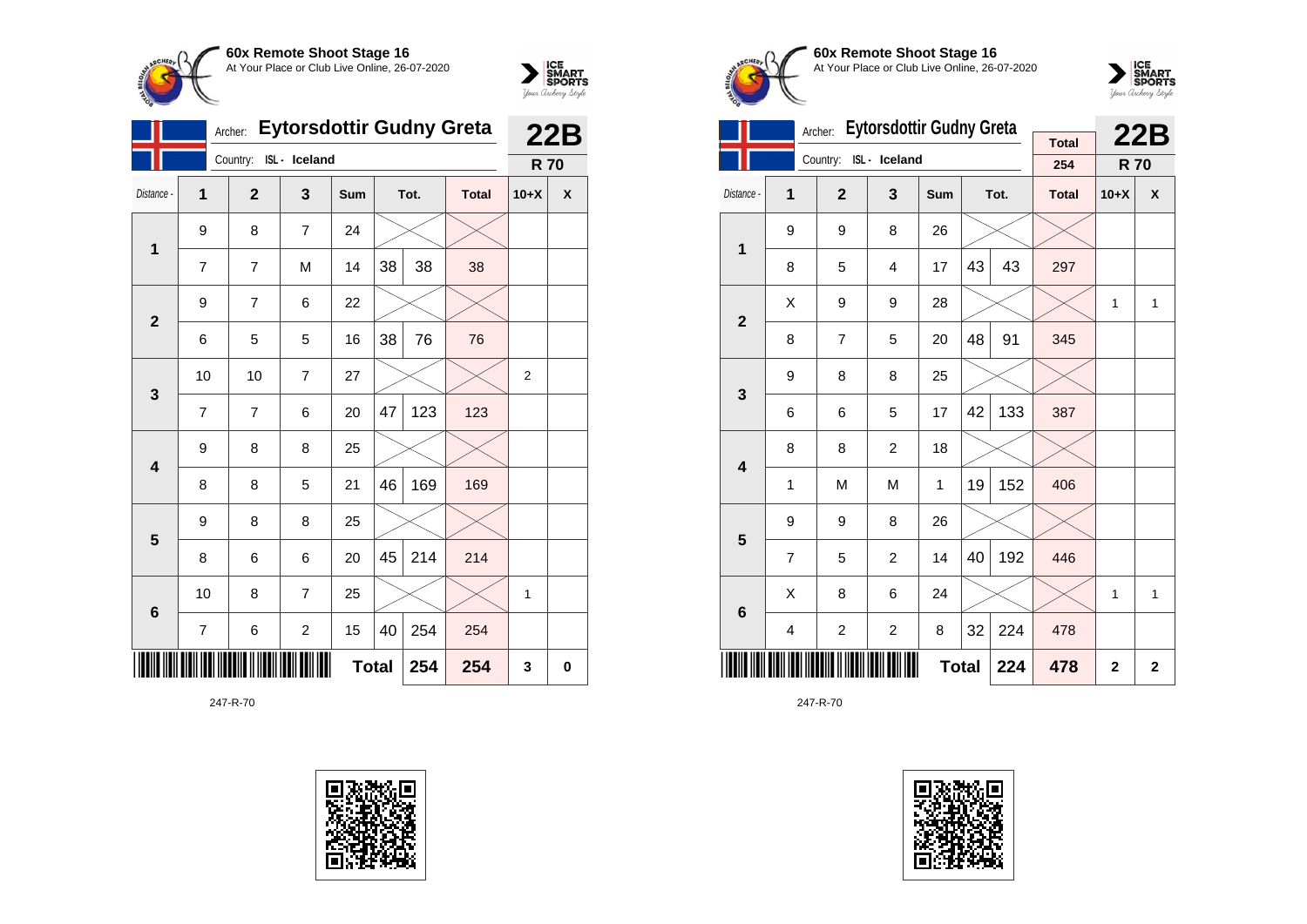



|                         |    | Archer:        | Eytorsdottir Gudny Greta |              | 22B |      |              |                |   |
|-------------------------|----|----------------|--------------------------|--------------|-----|------|--------------|----------------|---|
|                         |    | Country:       | ISL - Iceland            |              |     |      |              | <b>R70</b>     |   |
| Distance -              | 1  | $\mathbf{2}$   | 3                        | Sum          |     | Tot. | <b>Total</b> | $10+X$         | X |
| $\mathbf{1}$            | 9  | 8              | $\overline{7}$           | 24           |     |      |              |                |   |
|                         | 7  | $\overline{7}$ | M                        | 14           | 38  | 38   | 38           |                |   |
| $\overline{2}$          | 9  | 7              | 6                        | 22           |     |      |              |                |   |
|                         | 6  | 5              | 5                        | 16           | 38  | 76   | 76           |                |   |
| 3                       | 10 | 10             | $\overline{7}$           | 27           |     |      |              | $\overline{2}$ |   |
|                         | 7  | $\overline{7}$ | 6                        | 20           | 47  | 123  | 123          |                |   |
| 4                       | 9  | 8              | 8                        | 25           |     |      |              |                |   |
|                         | 8  | 8              | 5                        | 21           | 46  | 169  | 169          |                |   |
| $\overline{\mathbf{5}}$ | 9  | 8              | 8                        | 25           |     |      |              |                |   |
|                         | 8  | 6              | 6                        | 20           | 45  | 214  | 214          |                |   |
| 6                       | 10 | 8              | 7                        | 25           |     |      |              | 1              |   |
|                         | 7  | 6              | 2                        | 15           | 40  | 254  | 254          |                |   |
|                         |    |                |                          | <b>Total</b> |     | 254  | 254          | 3              | 0 |





**60x Remote Shoot Stage 16** At Your Place or Club Live Online, 26-07-2020



|                         |                | Archer:        | <b>Eytorsdottir Gudny Greta</b> |             | <b>Total</b> |      | <b>22B</b>   |            |   |
|-------------------------|----------------|----------------|---------------------------------|-------------|--------------|------|--------------|------------|---|
|                         |                |                | Country: ISL - Iceland          |             |              |      | 254          | <b>R70</b> |   |
| Distance -              | 1              | $\overline{2}$ | 3                               | Sum         |              | Tot. | <b>Total</b> | $10+X$     | X |
| 1                       | 9              | 9              | 8                               | 26          |              |      |              |            |   |
|                         | 8              | 5              | 4                               | 17          | 43           | 43   | 297          |            |   |
| $\overline{2}$          | X              | 9              | 9                               | 28          |              |      |              | 1          | 1 |
|                         | 8              | $\overline{7}$ | 5                               | 20          | 48           | 91   | 345          |            |   |
| 3                       | 9              | 8              | 8                               | 25          |              |      |              |            |   |
|                         | 6              | 6              | 5                               | 17          | 42           | 133  | 387          |            |   |
| $\overline{\mathbf{4}}$ | 8              | 8              | $\overline{c}$                  | 18          |              |      |              |            |   |
|                         | 1              | M              | M                               | 1           | 19           | 152  | 406          |            |   |
| 5                       | 9              | 9              | 8                               | 26          |              |      |              |            |   |
|                         | $\overline{7}$ | 5              | $\overline{c}$                  | 14          | 40           | 192  | 446          |            |   |
| 6                       | Χ              | 8              | 6                               | 24          |              |      |              | 1          | 1 |
|                         | 4              | $\overline{c}$ | 2                               | 8           | 32           | 224  | 478          |            |   |
|                         |                |                | 478                             | $\mathbf 2$ | $\mathbf 2$  |      |              |            |   |

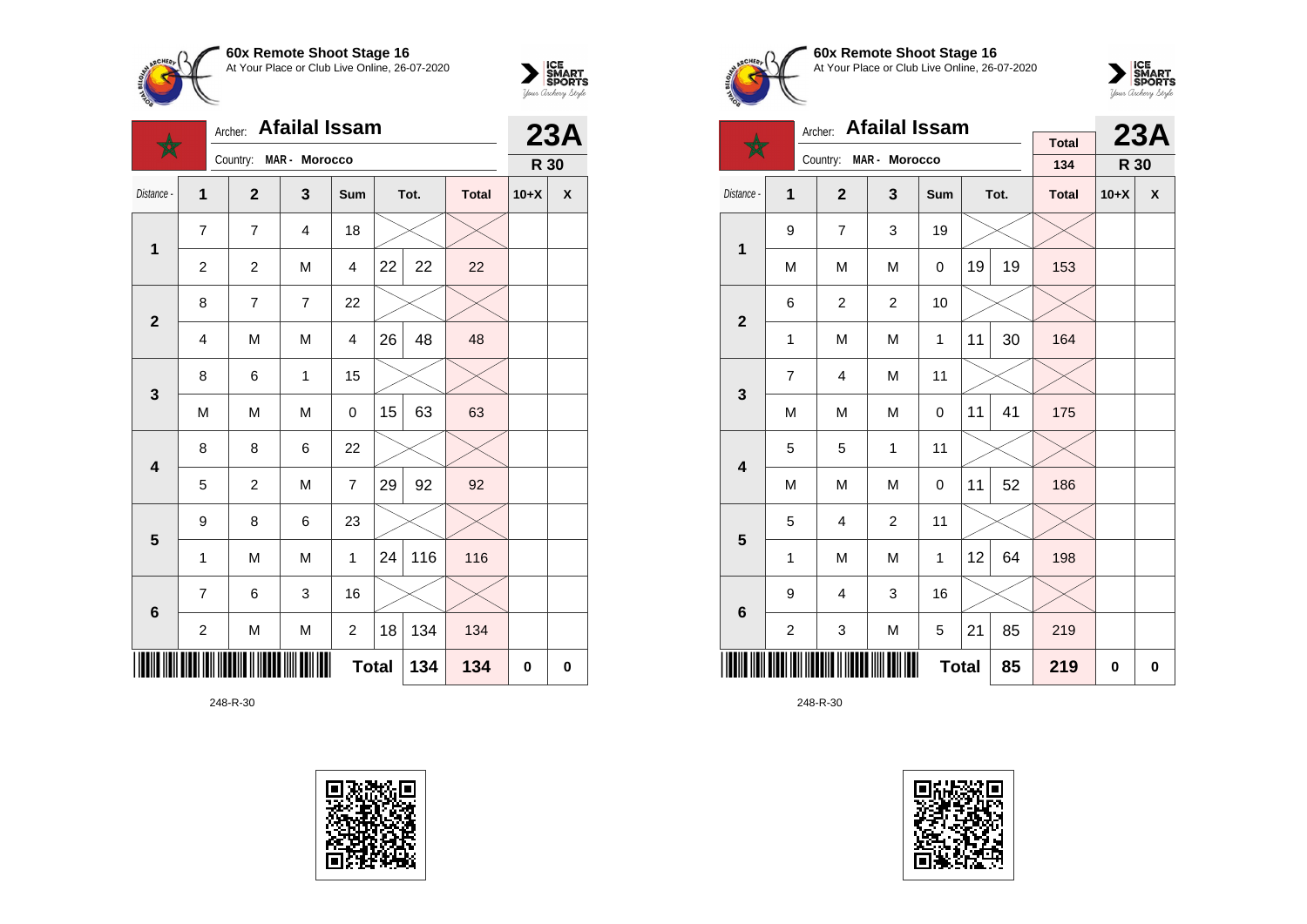



|                         |                         | Archer: Afailal Issam |                         |                |              |      |              |        | 23A                |
|-------------------------|-------------------------|-----------------------|-------------------------|----------------|--------------|------|--------------|--------|--------------------|
|                         |                         | Country:              | MAR - Morocco           |                |              |      |              | R 30   |                    |
| Distance -              | 1                       | $\overline{2}$        | $\overline{\mathbf{3}}$ | Sum            |              | Tot. | <b>Total</b> | $10+X$ | $\pmb{\mathsf{X}}$ |
| $\mathbf{1}$            | 7                       | $\overline{7}$        | 4                       | 18             |              |      |              |        |                    |
|                         | $\overline{\mathbf{c}}$ | $\overline{c}$        | M                       | $\overline{4}$ | 22           | 22   | 22           |        |                    |
| $\mathbf{2}$            | 8                       | $\overline{7}$        | $\overline{7}$          | 22             |              |      |              |        |                    |
|                         | 4                       | M                     | M                       | $\overline{4}$ | 26           | 48   | 48           |        |                    |
| $\mathbf{3}$            | 8                       | 6                     | $\mathbf{1}$            | 15             |              |      |              |        |                    |
|                         | M                       | M                     | M                       | 0              | 15           | 63   | 63           |        |                    |
| $\overline{\mathbf{4}}$ | 8                       | 8                     | 6                       | 22             |              |      |              |        |                    |
|                         | 5                       | $\overline{c}$        | M                       | $\overline{7}$ | 29           | 92   | 92           |        |                    |
| 5                       | 9                       | 8                     | 6                       | 23             |              |      |              |        |                    |
|                         | $\mathbf{1}$            | M                     | M                       | 1              | 24           | 116  | 116          |        |                    |
| $6\phantom{1}6$         | $\overline{7}$          | 6                     | 3                       | 16             |              |      |              |        |                    |
|                         | $\overline{\mathbf{c}}$ | M                     | M                       | $\overline{c}$ | 18           | 134  | 134          |        |                    |
|                         |                         |                       |                         |                | <b>Total</b> | 134  | 134          | 0      | 0                  |





**60x Remote Shoot Stage 16** At Your Place or Club Live Online, 26-07-2020



|                         |                                                             | Archer: Afailal Issam |                |     |     |      | 23A                 |        |   |
|-------------------------|-------------------------------------------------------------|-----------------------|----------------|-----|-----|------|---------------------|--------|---|
|                         |                                                             | Country:              | MAR - Morocco  |     |     |      | <b>Total</b><br>134 | R 30   |   |
| Distance -              | 1                                                           | $\mathbf{2}$          | $\mathbf{3}$   | Sum |     | Tot. | <b>Total</b>        | $10+X$ | X |
| $\mathbf{1}$            | 9                                                           | $\overline{7}$        | 3              | 19  |     |      |                     |        |   |
|                         | M                                                           | M                     | M              | 0   | 19  | 19   | 153                 |        |   |
| $\overline{\mathbf{2}}$ | 6                                                           | $\boldsymbol{2}$      | $\overline{c}$ | 10  |     |      |                     |        |   |
|                         | 1                                                           | M                     | M              | 1   | 11  | 30   | 164                 |        |   |
| 3                       | 7                                                           | 4                     | M              | 11  |     |      |                     |        |   |
|                         | M                                                           | M                     | M              | 0   | 11  | 41   | 175                 |        |   |
| $\overline{\mathbf{4}}$ | 5                                                           | 5                     | $\mathbf{1}$   | 11  |     |      |                     |        |   |
|                         | M                                                           | M                     | M              | 0   | 11  | 52   | 186                 |        |   |
| 5                       | 5                                                           | $\overline{4}$        | $\overline{c}$ | 11  |     |      |                     |        |   |
|                         | $\mathbf{1}$                                                | M                     | M              | 1   | 12  | 64   | 198                 |        |   |
| $\bf 6$                 | 9                                                           | $\overline{4}$        | 3              | 16  |     |      |                     |        |   |
|                         | M<br>21<br>$\overline{c}$<br>$\ensuremath{\mathsf{3}}$<br>5 |                       |                |     |     |      | 219                 |        |   |
|                         |                                                             |                       |                | 85  | 219 | 0    | 0                   |        |   |

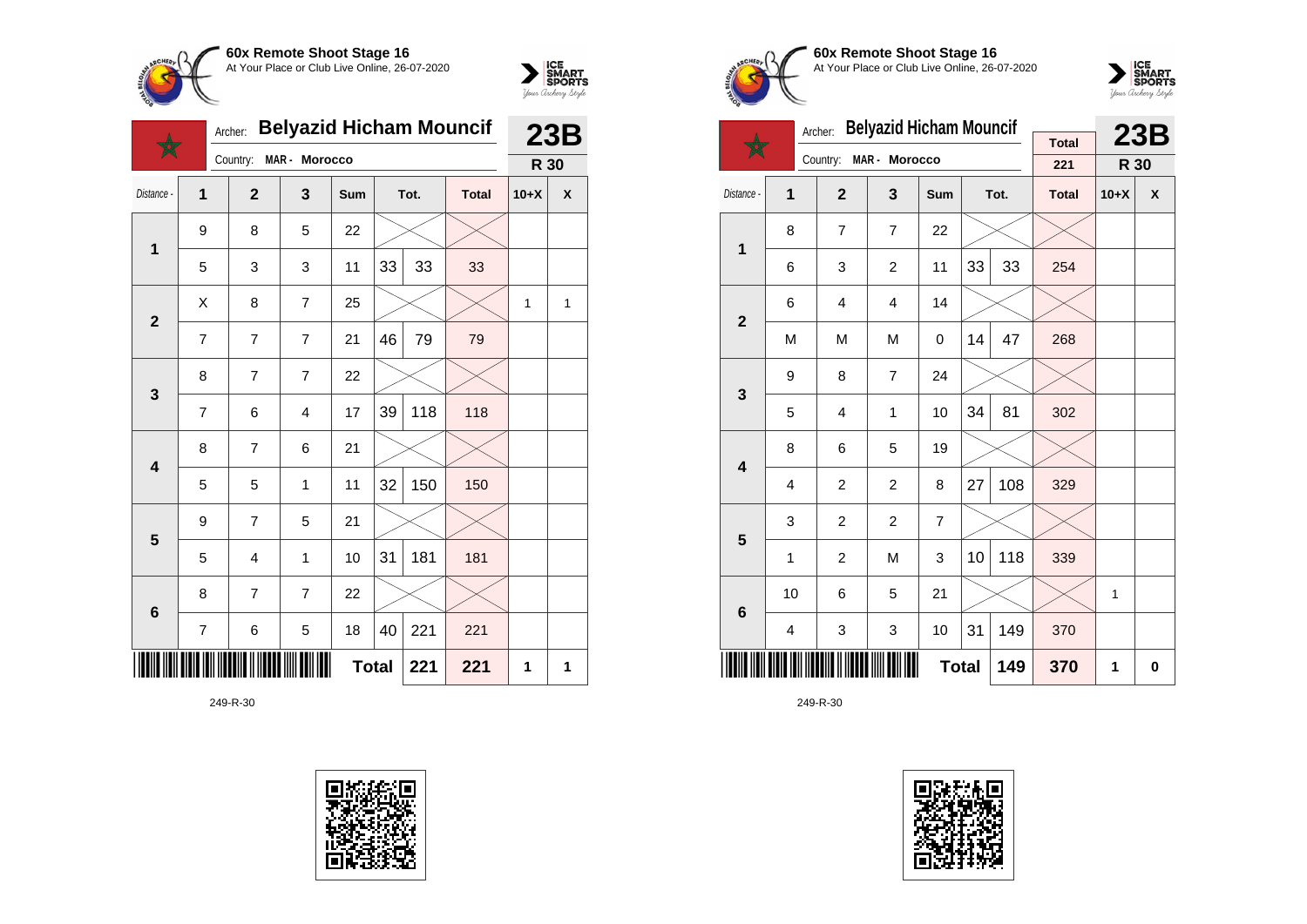



|                         |                | Archer:        | <b>Belyazid Hicham Mouncif</b> |            |              |      |              | 23B    |   |
|-------------------------|----------------|----------------|--------------------------------|------------|--------------|------|--------------|--------|---|
|                         |                | Country:       | MAR - Morocco                  |            |              |      |              | R 30   |   |
| Distance -              | $\overline{1}$ | $\overline{2}$ | 3                              | <b>Sum</b> |              | Tot. | <b>Total</b> | $10+X$ | X |
| $\mathbf 1$             | 9              | 8              | 5                              | 22         |              |      |              |        |   |
|                         | 5              | 3              | 3                              | 11         | 33           | 33   | 33           |        |   |
| $\mathbf{2}$            | X              | 8              | $\overline{7}$                 | 25         |              |      |              | 1      | 1 |
|                         | 7              | $\overline{7}$ | $\overline{7}$                 | 21         | 46           | 79   | 79           |        |   |
| $\mathbf{3}$            | 8              | $\overline{7}$ | $\overline{7}$                 | 22         |              |      |              |        |   |
|                         | $\overline{7}$ | 6              | $\overline{\mathbf{4}}$        | 17         | 39           | 118  | 118          |        |   |
| $\overline{\mathbf{4}}$ | 8              | $\overline{7}$ | 6                              | 21         |              |      |              |        |   |
|                         | 5              | 5              | 1                              | 11         | 32           | 150  | 150          |        |   |
| 5                       | 9              | $\overline{7}$ | 5                              | 21         |              |      |              |        |   |
|                         | 5              | $\overline{4}$ | 1                              | 10         | 31           | 181  | 181          |        |   |
| $6\phantom{1}$          | 8              | $\overline{7}$ | $\overline{7}$                 | 22         |              |      |              |        |   |
|                         | $\overline{7}$ | 6              | 5                              | 18         | 40           | 221  | 221          |        |   |
|                         |                |                |                                |            | <b>Total</b> | 221  | 221          | 1      | 1 |





**60x Remote Shoot Stage 16** At Your Place or Club Live Online, 26-07-2020



|                         |    | Archer:        | <b>Belyazid Hicham Mouncif</b> | <b>Total</b>   | 23B |      |              |        |                           |
|-------------------------|----|----------------|--------------------------------|----------------|-----|------|--------------|--------|---------------------------|
|                         |    | Country:       | MAR - Morocco                  |                |     |      | 221          | R 30   |                           |
| Distance -              | 1  | $\overline{2}$ | 3                              | <b>Sum</b>     |     | Tot. | <b>Total</b> | $10+X$ | $\boldsymbol{\mathsf{x}}$ |
| $\mathbf 1$             | 8  | $\overline{7}$ | $\overline{7}$                 | 22             |     |      |              |        |                           |
|                         | 6  | 3              | $\overline{2}$                 | 11             | 33  | 33   | 254          |        |                           |
| $\overline{2}$          | 6  | 4              | 4                              | 14             |     |      |              |        |                           |
|                         | M  | M              | M                              | 0              | 14  | 47   | 268          |        |                           |
| 3                       | 9  | 8              | $\overline{7}$                 | 24             |     |      |              |        |                           |
|                         | 5  | 4              | 1                              | 10             | 34  | 81   | 302          |        |                           |
| $\overline{\mathbf{4}}$ | 8  | 6              | 5                              | 19             |     |      |              |        |                           |
|                         | 4  | $\overline{c}$ | $\overline{c}$                 | 8              | 27  | 108  | 329          |        |                           |
| 5                       | 3  | $\overline{c}$ | $\overline{c}$                 | $\overline{7}$ |     |      |              |        |                           |
|                         | 1  | $\overline{2}$ | M                              | 3              | 10  | 118  | 339          |        |                           |
| $6\phantom{1}6$         | 10 | 6              | 5                              | 21             |     |      |              | 1      |                           |
|                         | 4  | 3              | 3                              | 10             | 31  | 149  | 370          |        |                           |
|                         |    |                |                                | <b>Total</b>   |     | 149  | 370          | 1      | 0                         |

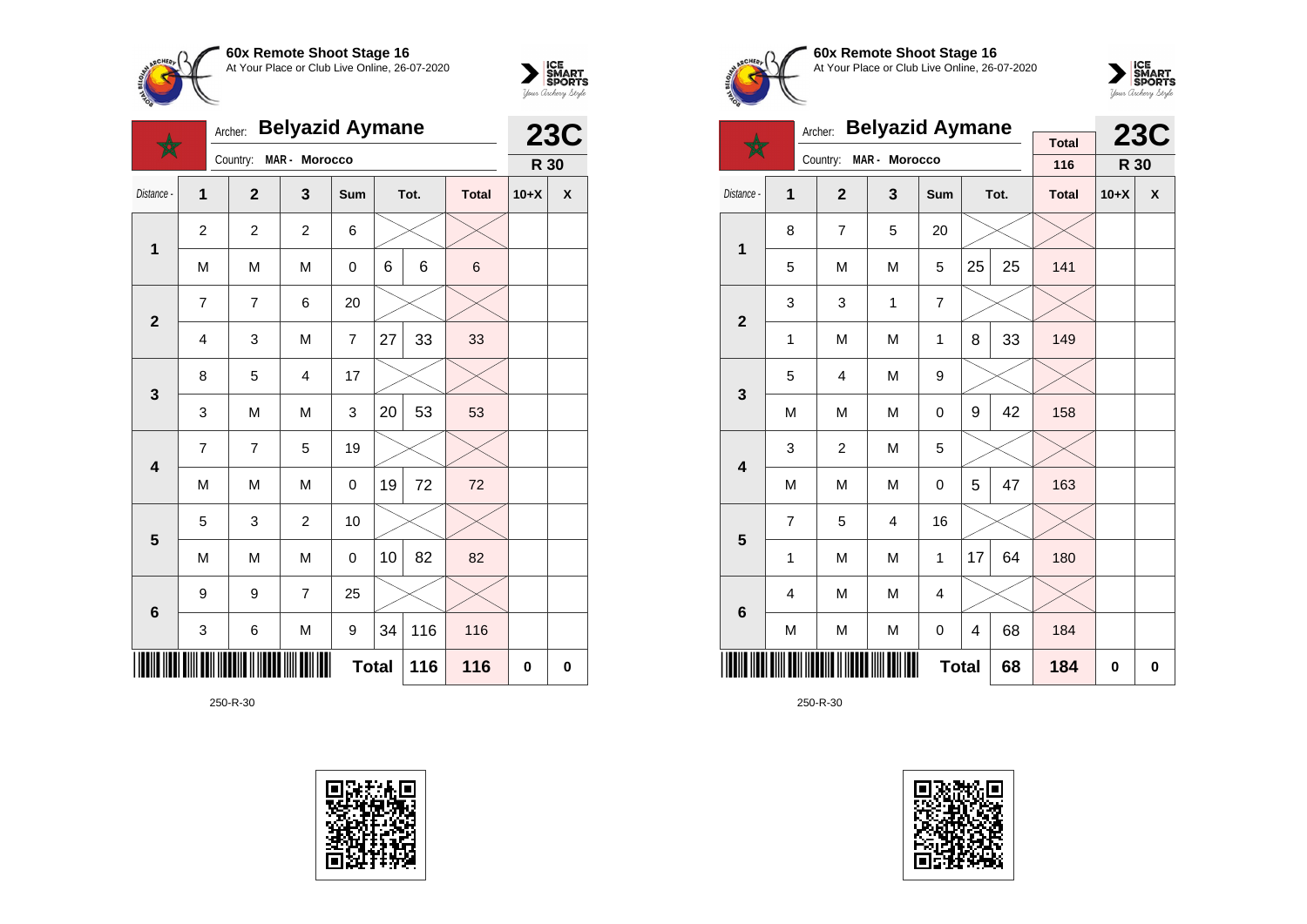



|                         | <b>Belyazid Aymane</b><br>Archer: |                |                |                |    |      |              | <b>23C</b> |   |  |
|-------------------------|-----------------------------------|----------------|----------------|----------------|----|------|--------------|------------|---|--|
|                         |                                   | Country:       | MAR - Morocco  |                |    |      |              | R 30       |   |  |
| Distance -              | $\overline{1}$                    | $\overline{2}$ | 3              | Sum            |    | Tot. | <b>Total</b> | $10+X$     | X |  |
| $\mathbf 1$             | $\overline{2}$                    | $\overline{2}$ | $\overline{2}$ | 6              |    |      |              |            |   |  |
|                         | M                                 | M              | M              | 0              | 6  | 6    | $\,$ 6 $\,$  |            |   |  |
| $\overline{2}$          | $\overline{7}$                    | $\overline{7}$ | 6              | 20             |    |      |              |            |   |  |
|                         | $\overline{4}$                    | 3              | M              | $\overline{7}$ | 27 | 33   | 33           |            |   |  |
| 3                       | 8                                 | 5              | $\overline{4}$ | 17             |    |      |              |            |   |  |
|                         | 3                                 | M              | M              | 3              | 20 | 53   | 53           |            |   |  |
| $\overline{\mathbf{4}}$ | 7                                 | $\overline{7}$ | 5              | 19             |    |      |              |            |   |  |
|                         | M                                 | M              | M              | 0              | 19 | 72   | 72           |            |   |  |
| 5                       | 5                                 | 3              | $\overline{2}$ | 10             |    |      |              |            |   |  |
|                         | M                                 | M              | M              | 0              | 10 | 82   | 82           |            |   |  |
| $6\phantom{1}6$         | 9                                 | 9              | $\overline{7}$ | 25             |    |      |              |            |   |  |
|                         | 3                                 | 6              | M              | 9              | 34 | 116  | 116          |            |   |  |
|                         |                                   |                |                | <b>Total</b>   |    | 116  | 116          | 0          | 0 |  |





**60x Remote Shoot Stage 16** At Your Place or Club Live Online, 26-07-2020



|                         | <b>Belyazid Aymane</b><br>Archer: |                |                |                |    |      | <b>Total</b> |        | <b>23C</b> |
|-------------------------|-----------------------------------|----------------|----------------|----------------|----|------|--------------|--------|------------|
|                         |                                   | Country:       | MAR - Morocco  |                |    |      | 116          | R 30   |            |
| Distance -              | 1                                 | $\overline{2}$ | 3              | Sum            |    | Tot. | <b>Total</b> | $10+X$ | X          |
| 1                       | 8                                 | $\overline{7}$ | 5              | 20             |    |      |              |        |            |
|                         | 5                                 | M              | M              | 5              | 25 | 25   | 141          |        |            |
| $\overline{\mathbf{2}}$ | 3                                 | 3              | 1              | $\overline{7}$ |    |      |              |        |            |
|                         | 1                                 | M              | M              | 1              | 8  | 33   | 149          |        |            |
| 3                       | 5                                 | 4              | M              | 9              |    |      |              |        |            |
|                         | M                                 | M              | M              | $\mathbf 0$    | 9  | 42   | 158          |        |            |
| $\overline{\mathbf{4}}$ | 3                                 | $\overline{c}$ | M              | 5              |    |      |              |        |            |
|                         | M                                 | M              | M              | $\mathbf 0$    | 5  | 47   | 163          |        |            |
| 5                       | 7                                 | 5              | $\overline{4}$ | 16             |    |      |              |        |            |
|                         | 1                                 | M              | M              | 1              | 17 | 64   | 180          |        |            |
| $\bf 6$                 | $\overline{4}$                    | M              | M              | 4              |    |      |              |        |            |
|                         | M<br>M<br>M                       |                |                |                | 4  | 68   | 184          |        |            |
|                         |                                   |                |                | <b>Total</b>   |    | 68   | 184          | 0      | 0          |

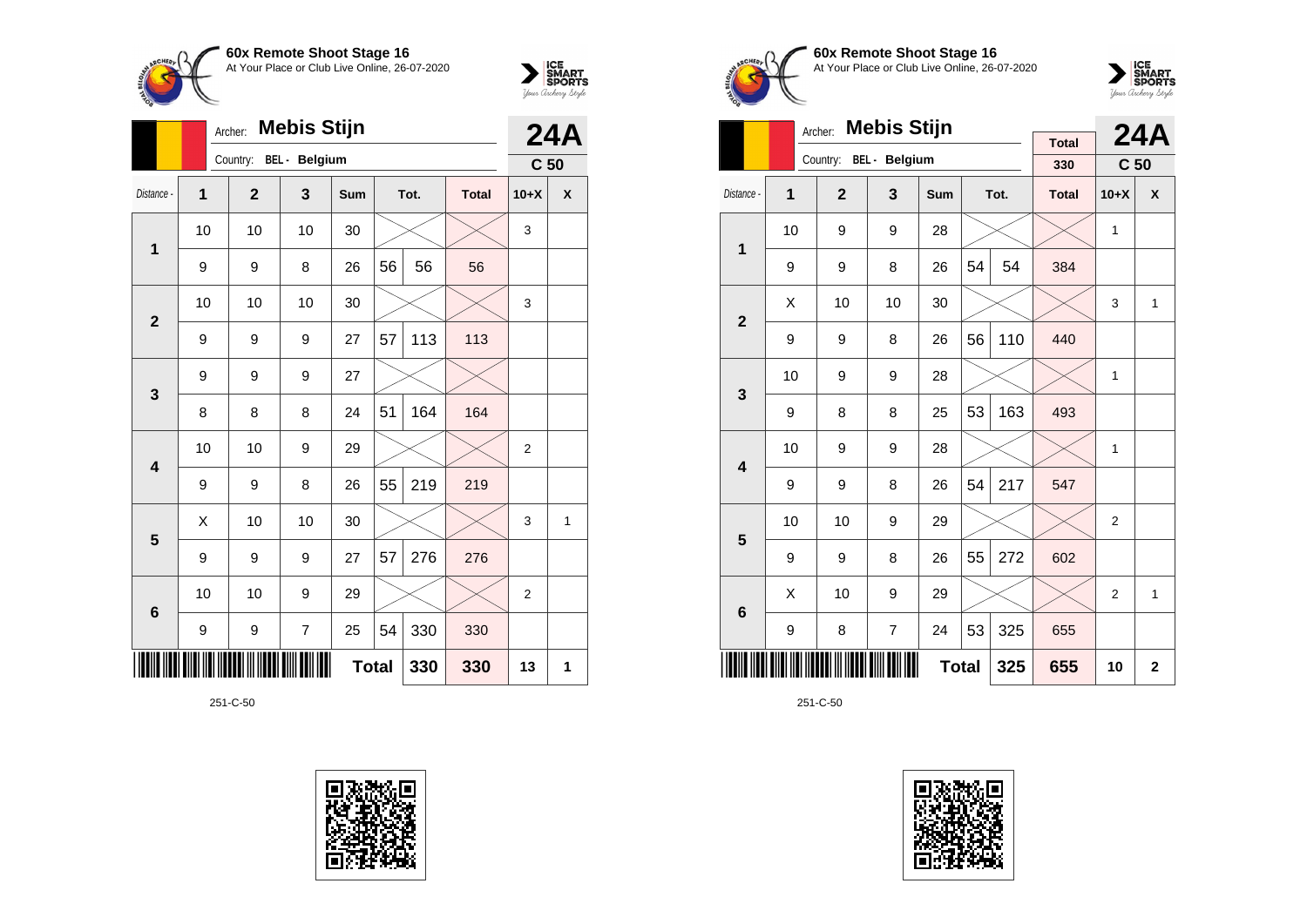



|                | Archer: |                | <b>24A</b>           |              |    |      |              |                 |   |
|----------------|---------|----------------|----------------------|--------------|----|------|--------------|-----------------|---|
|                |         | Country:       | <b>BEL</b> - Belgium |              |    |      |              | C <sub>50</sub> |   |
| Distance -     | 1       | $\overline{2}$ | 3                    | <b>Sum</b>   |    | Tot. | <b>Total</b> | $10+X$          | X |
| 1              | 10      | 10             | 10                   | 30           |    |      |              | 3               |   |
|                | 9       | 9              | 8                    | 26           | 56 | 56   | 56           |                 |   |
| $\overline{2}$ | 10      | 10             | 10                   | 30           |    |      |              | 3               |   |
|                | 9       | 9              | 9                    | 27           | 57 | 113  | 113          |                 |   |
| 3              | 9       | 9              | 9                    | 27           |    |      |              |                 |   |
|                | 8       | 8              | 8                    | 24           | 51 | 164  | 164          |                 |   |
| 4              | 10      | 10             | 9                    | 29           |    |      |              | $\overline{2}$  |   |
|                | 9       | 9              | 8                    | 26           | 55 | 219  | 219          |                 |   |
| 5              | X       | 10             | 10                   | 30           |    |      |              | 3               | 1 |
|                | 9       | 9              | 9                    | 27           | 57 | 276  | 276          |                 |   |
| 6              | 10      | 10             | 9                    | 29           |    |      |              | $\overline{2}$  |   |
|                | 9       | 9              | 7                    | 25           | 54 | 330  | 330          |                 |   |
|                |         |                |                      | <b>Total</b> |    | 330  | 330          | 13              | 1 |

251-C-50





**60x Remote Shoot Stage 16** At Your Place or Club Live Online, 26-07-2020



|                         |                     | <b>Mebis Stijn</b><br>Archer: |                |            |    | <b>24A</b> |                     |                 |              |
|-------------------------|---------------------|-------------------------------|----------------|------------|----|------------|---------------------|-----------------|--------------|
|                         |                     | Country:                      | BEL - Belgium  |            |    |            | <b>Total</b><br>330 | C <sub>50</sub> |              |
| Distance -              | 1                   | $\overline{2}$                | 3              | <b>Sum</b> |    | Tot.       | <b>Total</b>        | $10+X$          | X            |
| 1                       | 10                  | 9                             | 9              | 28         |    |            |                     | 1               |              |
|                         | 9                   | 9                             | 8              | 26         | 54 | 54         | 384                 |                 |              |
| $\overline{2}$          | X                   | 10                            | 10             | 30         |    |            |                     | 3               | 1            |
|                         | 9                   | 9                             | 8              | 26         | 56 | 110        | 440                 |                 |              |
| 3                       | 10                  | 9                             | 9              | 28         |    |            |                     | 1               |              |
|                         | 9                   | 8                             | 8              | 25         | 53 | 163        | 493                 |                 |              |
| $\overline{\mathbf{4}}$ | 10                  | 9                             | 9              | 28         |    |            |                     | 1               |              |
|                         | 9                   | 9                             | 8              | 26         | 54 | 217        | 547                 |                 |              |
| 5                       | 10                  | 10                            | 9              | 29         |    |            |                     | 2               |              |
|                         | 9                   | 9                             | 8              | 26         | 55 | 272        | 602                 |                 |              |
| 6                       | X                   | 10                            | 9              | 29         |    |            |                     | $\overline{2}$  | 1            |
|                         | 9                   | 8                             | $\overline{7}$ | 24         | 53 | 325        | 655                 |                 |              |
|                         | <b>Total</b><br>325 |                               |                |            |    |            |                     | 10              | $\mathbf{2}$ |

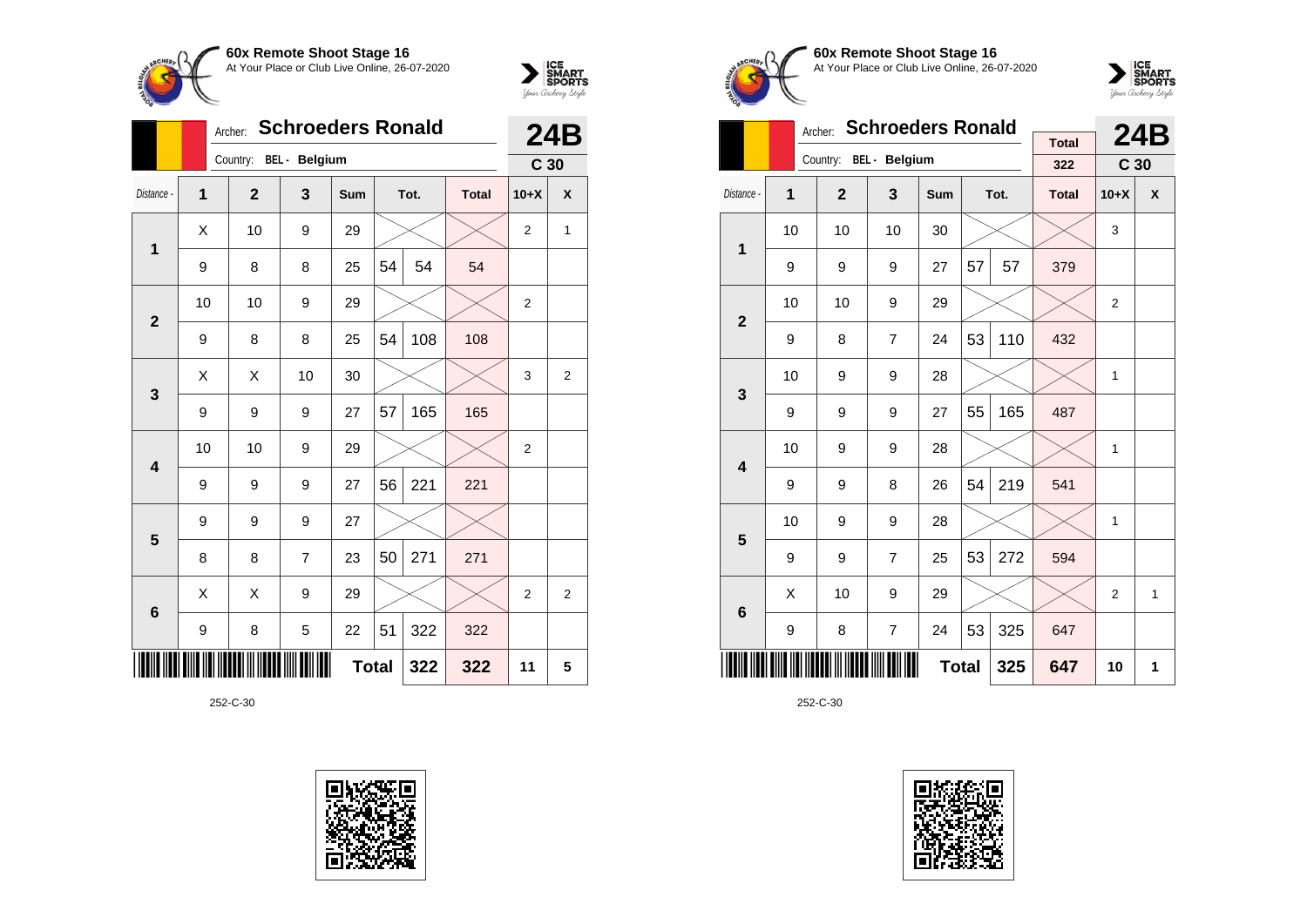



|                 |              | <b>Schroeders Ronald</b><br>Archer: |                        |     | <b>24B</b>   |      |              |                 |                |
|-----------------|--------------|-------------------------------------|------------------------|-----|--------------|------|--------------|-----------------|----------------|
|                 |              |                                     | Country: BEL - Belgium |     |              |      |              | C <sub>30</sub> |                |
| Distance -      | $\mathbf{1}$ | $\mathbf{2}$                        | 3                      | Sum |              | Tot. | <b>Total</b> | $10+X$          | X              |
| $\mathbf 1$     | Χ            | 10                                  | 9                      | 29  |              |      |              | $\overline{2}$  | 1              |
|                 | 9            | 8                                   | 8                      | 25  | 54           | 54   | 54           |                 |                |
| $\overline{2}$  | 10           | 10                                  | 9                      | 29  |              |      |              | $\overline{2}$  |                |
|                 | 9            | 8                                   | 8                      | 25  | 54           | 108  | 108          |                 |                |
| 3               | X            | X                                   | 10                     | 30  |              |      |              | 3               | $\overline{2}$ |
|                 | 9            | 9                                   | 9                      | 27  | 57           | 165  | 165          |                 |                |
| 4               | 10           | 10                                  | 9                      | 29  |              |      |              | $\overline{c}$  |                |
|                 | 9            | 9                                   | 9                      | 27  | 56           | 221  | 221          |                 |                |
| 5               | 9            | 9                                   | 9                      | 27  |              |      |              |                 |                |
|                 | 8            | 8                                   | $\overline{7}$         | 23  | 50           | 271  | 271          |                 |                |
| $6\phantom{1}6$ | X            | X                                   | 9                      | 29  |              |      |              | $\overline{2}$  | $\overline{2}$ |
|                 | 9            | 8                                   | 5                      | 22  | 51           | 322  | 322          |                 |                |
|                 |              |                                     |                        |     | <b>Total</b> | 322  | 322          | 11              | 5              |





**60x Remote Shoot Stage 16** At Your Place or Club Live Online, 26-07-2020



|                         |    | Archer:        | <b>Schroeders Ronald</b> |              |    | <b>24B</b> |                     |                 |   |
|-------------------------|----|----------------|--------------------------|--------------|----|------------|---------------------|-----------------|---|
|                         |    | Country:       | <b>BEL</b> - Belgium     |              |    |            | <b>Total</b><br>322 | C <sub>30</sub> |   |
| Distance -              | 1  | $\overline{2}$ | 3                        | <b>Sum</b>   |    | Tot.       | <b>Total</b>        | $10+X$          | X |
| 1                       | 10 | 10             | 10                       | 30           |    |            |                     | 3               |   |
|                         | 9  | 9              | 9                        | 27           | 57 | 57         | 379                 |                 |   |
| $\overline{2}$          | 10 | 10             | 9                        | 29           |    |            |                     | $\overline{2}$  |   |
|                         | 9  | 8              | $\overline{7}$           | 24           | 53 | 110        | 432                 |                 |   |
| 3                       | 10 | 9              | 9                        | 28           |    |            |                     | 1               |   |
|                         | 9  | 9              | 9                        | 27           | 55 | 165        | 487                 |                 |   |
| $\overline{\mathbf{4}}$ | 10 | 9              | 9                        | 28           |    |            |                     | 1               |   |
|                         | 9  | 9              | 8                        | 26           | 54 | 219        | 541                 |                 |   |
| 5                       | 10 | 9              | 9                        | 28           |    |            |                     | 1               |   |
|                         | 9  | 9              | $\overline{7}$           | 25           | 53 | 272        | 594                 |                 |   |
| 6                       | Χ  | 10             | 9                        | 29           |    |            |                     | $\overline{2}$  | 1 |
|                         | 9  | 8              | $\overline{7}$           | 24           | 53 | 325        | 647                 |                 |   |
|                         |    |                |                          | <b>Total</b> |    | 325        | 647                 | 10              | 1 |

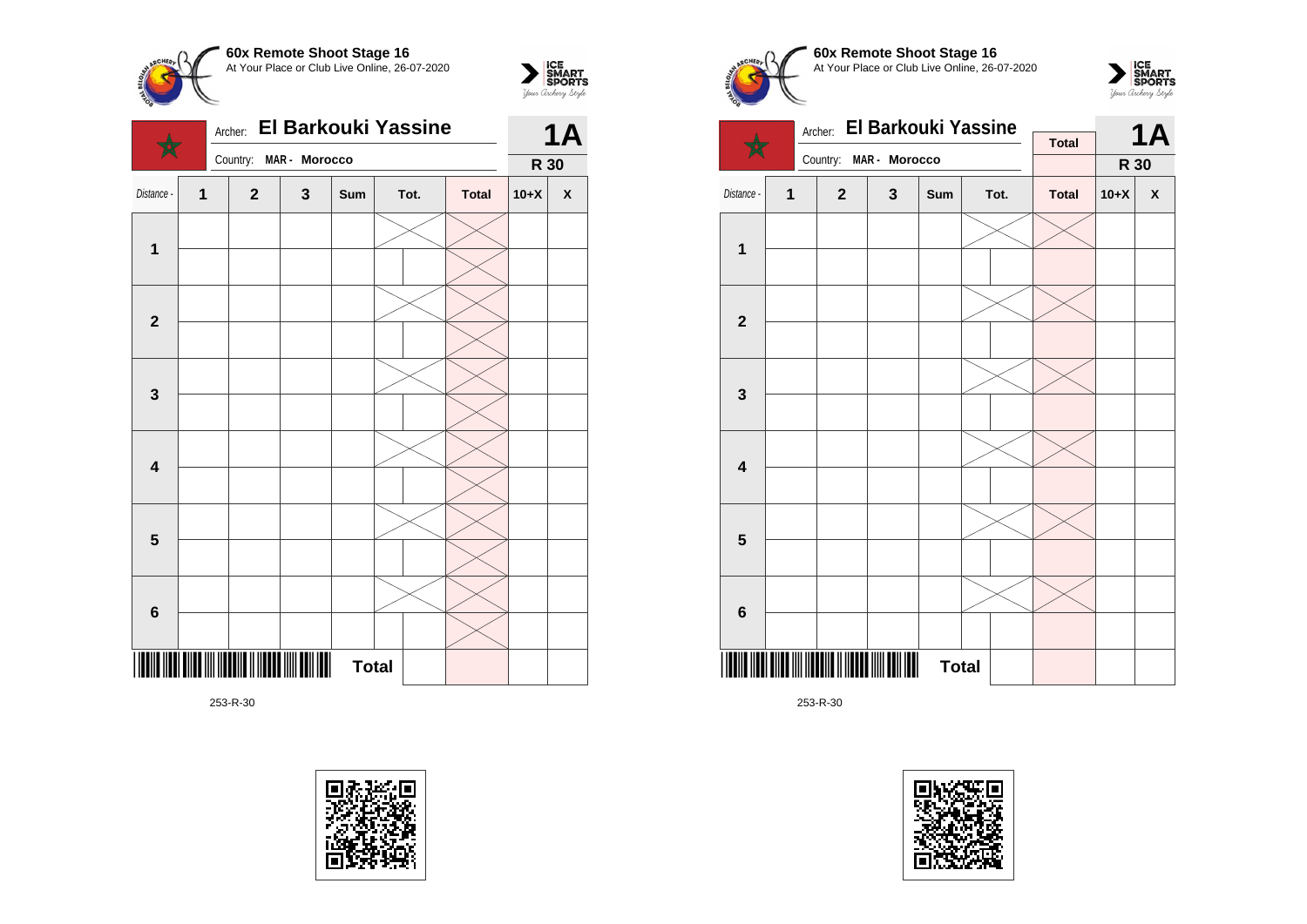



|                         |                         | El Barkouki Yassine<br>Archer: |               | <b>1A</b>    |      |              |        |                    |
|-------------------------|-------------------------|--------------------------------|---------------|--------------|------|--------------|--------|--------------------|
|                         |                         | Country:                       | MAR - Morocco |              |      |              | R 30   |                    |
| Distance -              | $\overline{\mathbf{1}}$ | $\mathbf{2}$                   | 3             | Sum          | Tot. | <b>Total</b> | $10+X$ | $\pmb{\mathsf{X}}$ |
|                         |                         |                                |               |              |      |              |        |                    |
| $\mathbf 1$             |                         |                                |               |              |      |              |        |                    |
|                         |                         |                                |               |              |      |              |        |                    |
| $\overline{\mathbf{2}}$ |                         |                                |               |              |      |              |        |                    |
|                         |                         |                                |               |              |      |              |        |                    |
| 3                       |                         |                                |               |              |      |              |        |                    |
|                         |                         |                                |               |              |      |              |        |                    |
| $\overline{\mathbf{4}}$ |                         |                                |               |              |      |              |        |                    |
|                         |                         |                                |               |              |      |              |        |                    |
| $5\phantom{1}$          |                         |                                |               |              |      |              |        |                    |
|                         |                         |                                |               |              |      |              |        |                    |
| $\bf 6$                 |                         |                                |               |              |      |              |        |                    |
|                         |                         |                                |               | <b>Total</b> |      |              |        |                    |











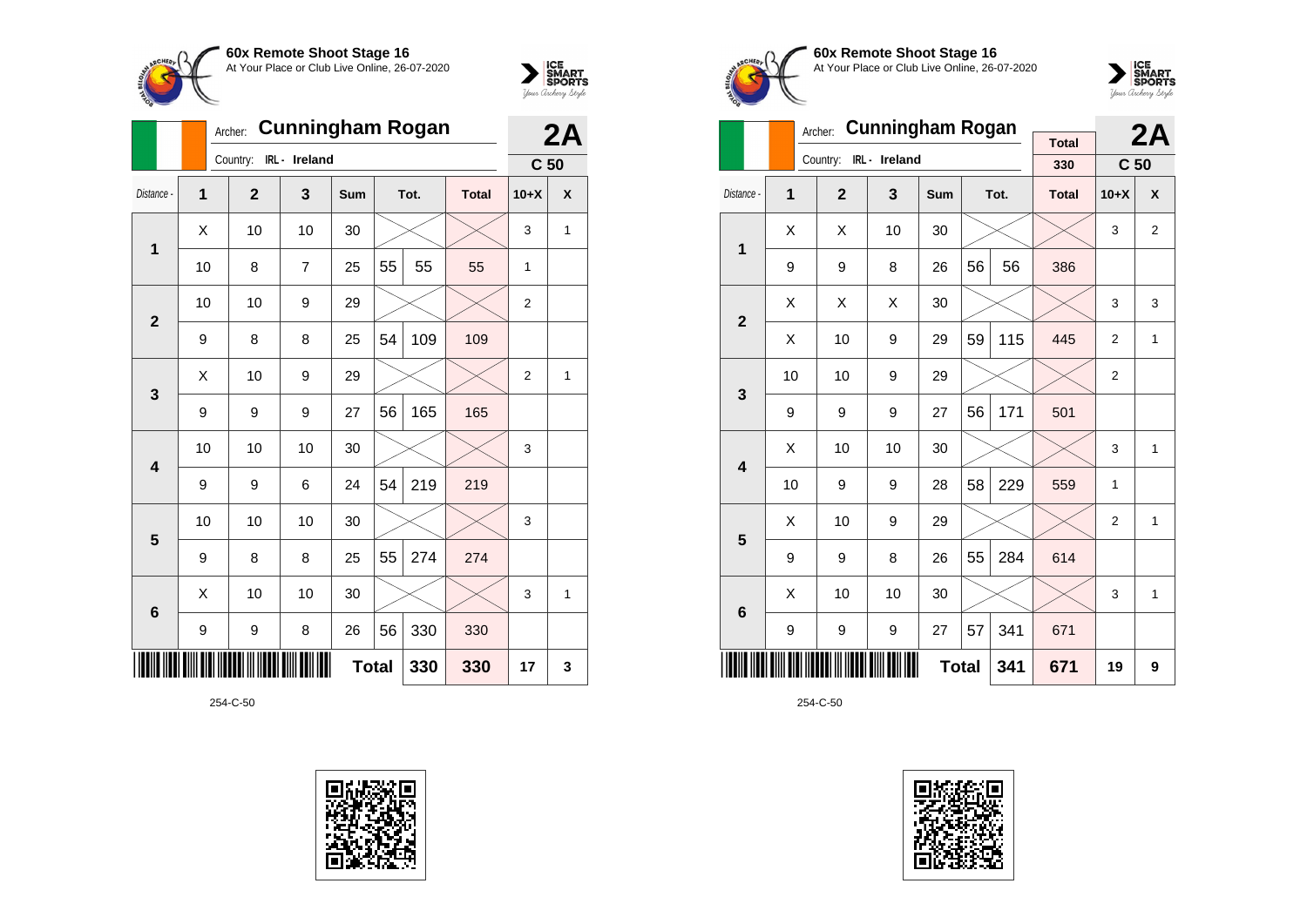



|                |                | <b>Cunningham Rogan</b><br>Archer: |                |     | 2A           |      |              |                 |                    |
|----------------|----------------|------------------------------------|----------------|-----|--------------|------|--------------|-----------------|--------------------|
|                |                | Country:                           | IRL - Ireland  |     |              |      |              | C <sub>50</sub> |                    |
| Distance -     | $\overline{1}$ | $\overline{2}$                     | 3              | Sum |              | Tot. | <b>Total</b> | $10+X$          | $\pmb{\mathsf{X}}$ |
| 1              | X              | 10                                 | 10             | 30  |              |      |              | 3               | $\mathbf{1}$       |
|                | 10             | 8                                  | $\overline{7}$ | 25  | 55           | 55   | 55           | 1               |                    |
| $\overline{2}$ | 10             | 10                                 | 9              | 29  |              |      |              | $\overline{2}$  |                    |
|                | 9              | 8                                  | 8              | 25  | 54           | 109  | 109          |                 |                    |
| 3              | X              | 10                                 | 9              | 29  |              |      |              | $\overline{2}$  | 1                  |
|                | 9              | 9                                  | 9              | 27  | 56           | 165  | 165          |                 |                    |
| 4              | 10             | 10                                 | 10             | 30  |              |      |              | 3               |                    |
|                | 9              | 9                                  | 6              | 24  | 54           | 219  | 219          |                 |                    |
| 5              | 10             | 10                                 | 10             | 30  |              |      |              | 3               |                    |
|                | 9              | 8                                  | 8              | 25  | 55           | 274  | 274          |                 |                    |
| 6              | X              | 10                                 | 10             | 30  |              |      |              | 3               | 1                  |
|                | 9              | 9                                  | 8              | 26  | 56           | 330  | 330          |                 |                    |
|                |                |                                    |                |     | <b>Total</b> | 330  | 330          | 17              | 3                  |









|                         |                | Archer:        | <b>Cunningham Rogan</b> |            |    | 2A   |                     |                 |                |
|-------------------------|----------------|----------------|-------------------------|------------|----|------|---------------------|-----------------|----------------|
|                         |                | Country:       | IRL - Ireland           |            |    |      | <b>Total</b><br>330 | C <sub>50</sub> |                |
| Distance -              | $\overline{1}$ | $\overline{2}$ | 3                       | <b>Sum</b> |    | Tot. | <b>Total</b>        | $10+X$          | X              |
| 1                       | X              | X              | 10                      | 30         |    |      |                     | 3               | $\overline{2}$ |
|                         | 9              | 9              | 8                       | 26         | 56 | 56   | 386                 |                 |                |
| $\overline{2}$          | Χ              | Χ              | Χ                       | 30         |    |      |                     | 3               | 3              |
|                         | Χ              | 10             | 9                       | 29         | 59 | 115  | 445                 | $\overline{2}$  | $\mathbf{1}$   |
|                         | 10             | 10             | 9                       | 29         |    |      |                     | $\overline{2}$  |                |
| 3                       | 9              | 9              | 9                       | 27         | 56 | 171  | 501                 |                 |                |
|                         | Χ              | 10             | 10                      | 30         |    |      |                     | 3               | 1              |
| $\overline{\mathbf{4}}$ | 10             | 9              | 9                       | 28         | 58 | 229  | 559                 | 1               |                |
| 5                       | X              | 10             | 9                       | 29         |    |      |                     | $\overline{2}$  | 1              |
|                         | 9              | 9              | 8                       | 26         | 55 | 284  | 614                 |                 |                |
| 6                       | Χ              | 10             | 10                      | 30         |    |      |                     | 3               | 1              |
|                         | 9              | 9              | 9                       | 27         | 57 | 341  | 671                 |                 |                |
|                         |                |                | 341                     | 671        | 19 | 9    |                     |                 |                |

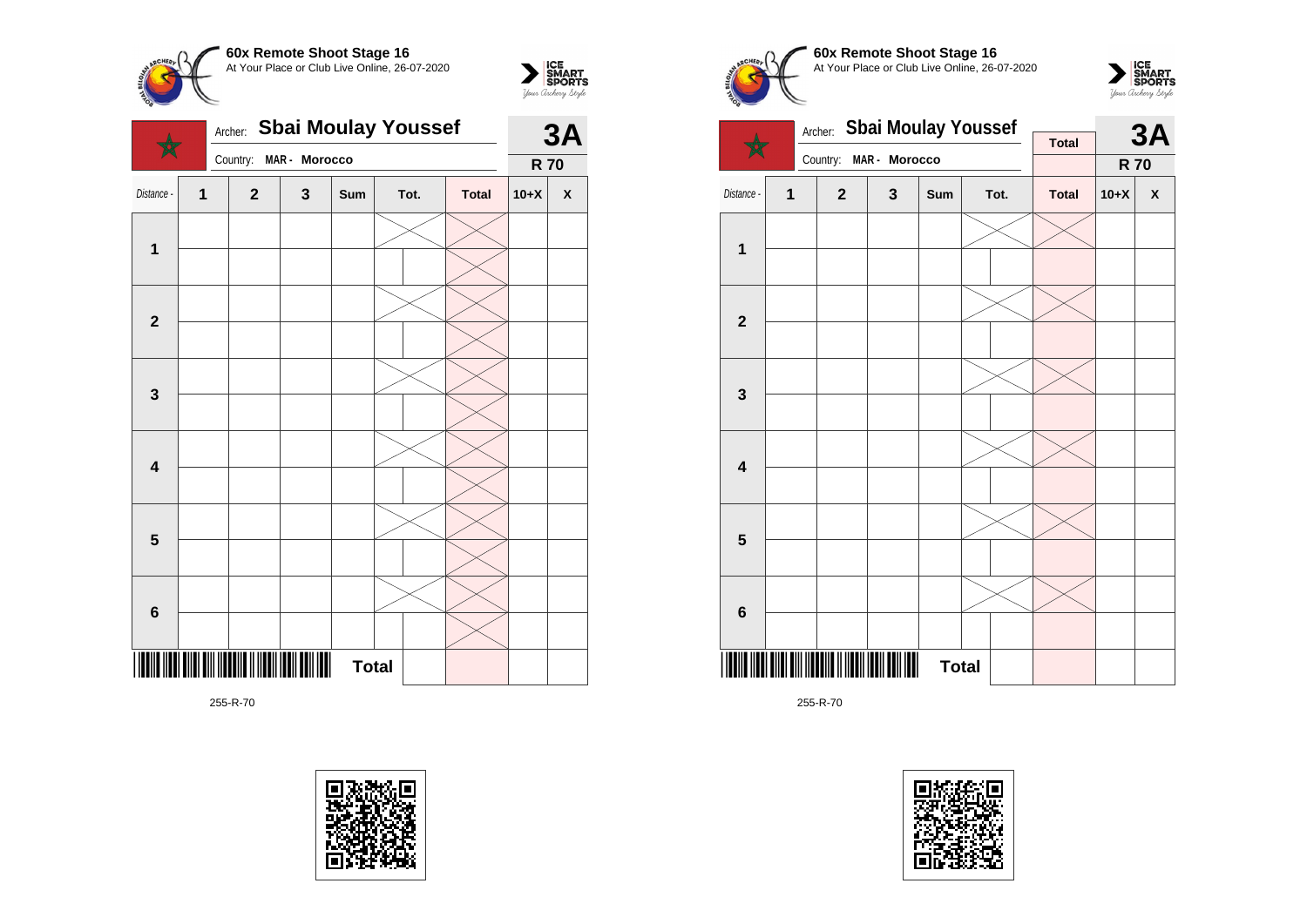



|                         | Archer: | <b>Sbai Moulay Youssef</b> | <b>3A</b>     |     |              |              |            |                    |
|-------------------------|---------|----------------------------|---------------|-----|--------------|--------------|------------|--------------------|
|                         |         | Country:                   | MAR - Morocco |     |              |              | <b>R70</b> |                    |
| Distance -              | 1       | $\mathbf{2}$               | 3             | Sum | Tot.         | <b>Total</b> | $10+X$     | $\pmb{\mathsf{X}}$ |
|                         |         |                            |               |     |              |              |            |                    |
| $\mathbf 1$             |         |                            |               |     |              |              |            |                    |
|                         |         |                            |               |     |              |              |            |                    |
| $\mathbf{2}$            |         |                            |               |     |              |              |            |                    |
|                         |         |                            |               |     |              |              |            |                    |
| 3                       |         |                            |               |     |              |              |            |                    |
|                         |         |                            |               |     |              |              |            |                    |
| $\overline{\mathbf{4}}$ |         |                            |               |     |              |              |            |                    |
|                         |         |                            |               |     |              |              |            |                    |
|                         |         |                            |               |     |              |              |            |                    |
| $\overline{\mathbf{5}}$ |         |                            |               |     |              |              |            |                    |
|                         |         |                            |               |     |              |              |            |                    |
| 6                       |         |                            |               |     |              |              |            |                    |
|                         |         |                            |               |     |              |              |            |                    |
|                         |         |                            |               |     | <b>Total</b> |              |            |                    |











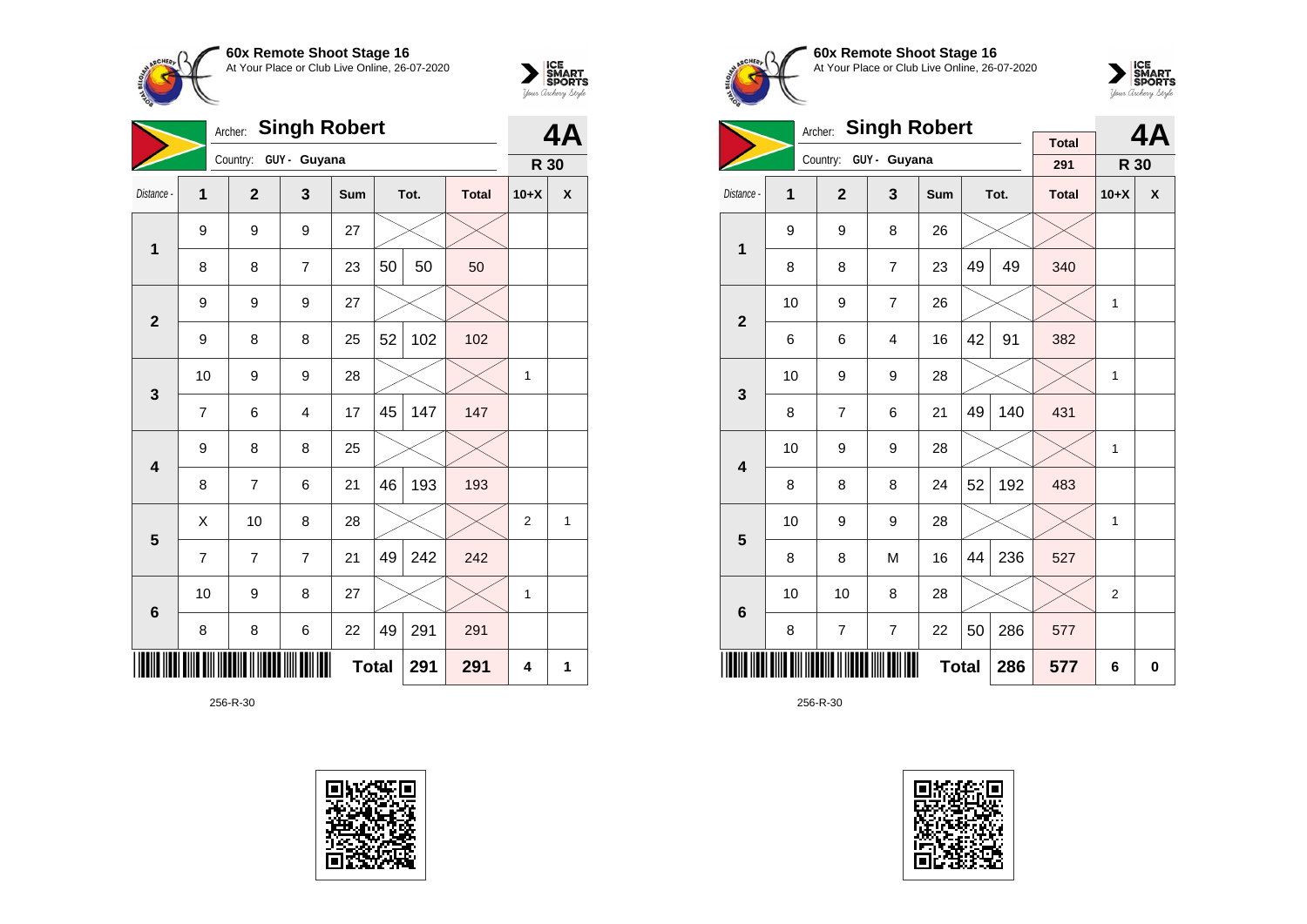



|                         | <b>Singh Robert</b><br>Archer: |                |                       |     |              |      |              |                |   |
|-------------------------|--------------------------------|----------------|-----------------------|-----|--------------|------|--------------|----------------|---|
|                         |                                |                | Country: GUY - Guyana |     |              |      |              | R 30           |   |
| Distance -              | 1                              | $\overline{2}$ | 3                     | Sum |              | Tot. | <b>Total</b> | $10+X$         | χ |
| $\mathbf 1$             | 9                              | 9              | 9                     | 27  |              |      |              |                |   |
|                         | 8                              | 8              | $\overline{7}$        | 23  | 50           | 50   | 50           |                |   |
| $\overline{2}$          | 9                              | 9              | 9                     | 27  |              |      |              |                |   |
|                         | 9                              | 8              | 8                     | 25  | 52           | 102  | 102          |                |   |
| 3                       | 10                             | 9              | 9                     | 28  |              |      |              | 1              |   |
|                         | 7                              | 6              | $\overline{4}$        | 17  | 45           | 147  | 147          |                |   |
| $\overline{\mathbf{4}}$ | 9                              | 8              | 8                     | 25  |              |      |              |                |   |
|                         | 8                              | $\overline{7}$ | 6                     | 21  | 46           | 193  | 193          |                |   |
| 5                       | X                              | 10             | 8                     | 28  |              |      |              | $\overline{2}$ | 1 |
|                         | 7                              | $\overline{7}$ | $\overline{7}$        | 21  | 49           | 242  | 242          |                |   |
| $6\phantom{1}6$         | 10                             | 9              | 8                     | 27  |              |      |              | 1              |   |
|                         | 8                              | 8              | 6                     | 22  | 49           | 291  | 291          |                |   |
|                         |                                |                |                       |     | <b>Total</b> | 291  | 291          | 4              | 1 |









|                         |    | <b>Singh Robert</b><br>Archer: |                |              |    | 4Α   |                     |                |   |
|-------------------------|----|--------------------------------|----------------|--------------|----|------|---------------------|----------------|---|
|                         |    | Country:                       | GUY - Guyana   |              |    |      | <b>Total</b><br>291 | <b>R</b> 30    |   |
| Distance -              | 1  | $\overline{2}$                 | 3              | <b>Sum</b>   |    | Tot. | <b>Total</b>        | $10+X$         | X |
| 1                       | 9  | 9                              | 8              | 26           |    |      |                     |                |   |
|                         | 8  | 8                              | $\overline{7}$ | 23           | 49 | 49   | 340                 |                |   |
| $\overline{2}$          | 10 | 9                              | $\overline{7}$ | 26           |    |      |                     | 1              |   |
|                         | 6  | 6                              | 4              | 16           | 42 | 91   | 382                 |                |   |
| 3                       | 10 | 9                              | 9              | 28           |    |      |                     | 1              |   |
|                         | 8  | $\overline{7}$                 | 6              | 21           | 49 | 140  | 431                 |                |   |
| $\overline{\mathbf{4}}$ | 10 | 9                              | 9              | 28           |    |      |                     | 1              |   |
|                         | 8  | 8                              | 8              | 24           | 52 | 192  | 483                 |                |   |
| 5                       | 10 | 9                              | 9              | 28           |    |      |                     | 1              |   |
|                         | 8  | 8                              | M              | 16           | 44 | 236  | 527                 |                |   |
| $6\phantom{1}6$         | 10 | 10                             | 8              | 28           |    |      |                     | $\overline{2}$ |   |
|                         | 8  | $\overline{7}$                 | $\overline{7}$ | 22           | 50 | 286  | 577                 |                |   |
|                         |    |                                |                | <b>Total</b> |    | 286  | 577                 | 6              | 0 |

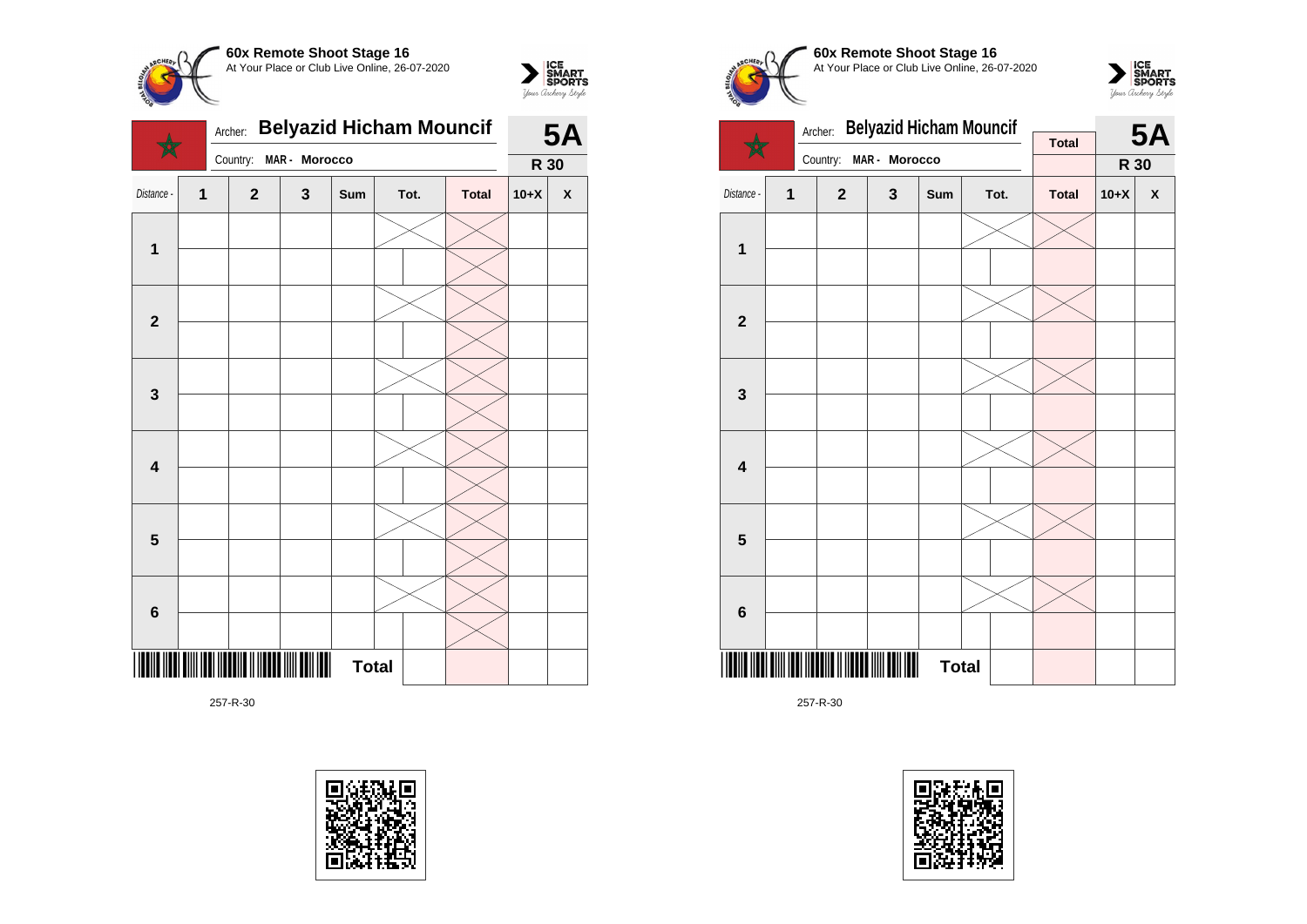







**60x Remote Shoot Stage 16** At Your Place or Club Live Online, 26-07-2020



![](_page_56_Figure_7.jpeg)

![](_page_56_Picture_9.jpeg)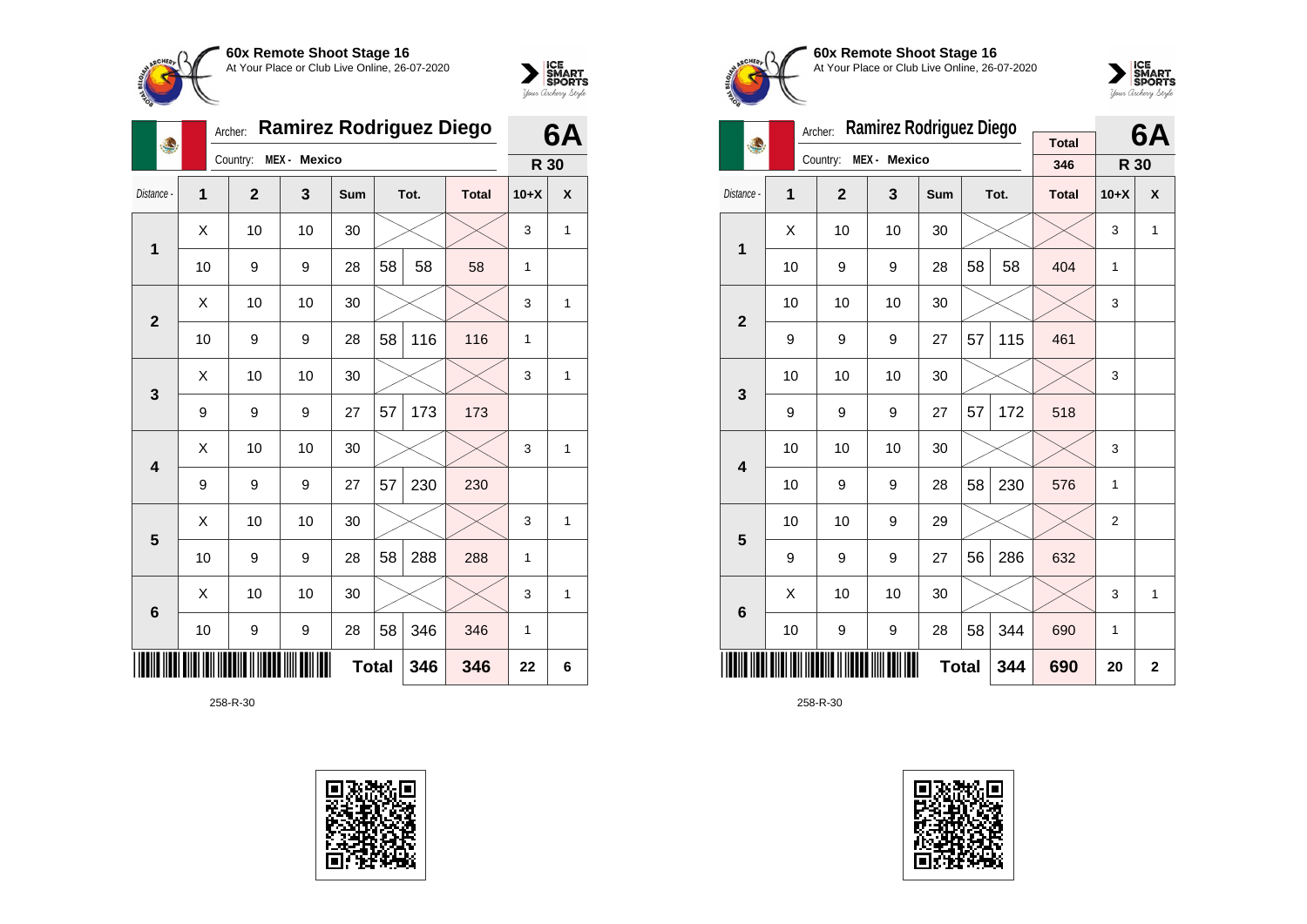![](_page_57_Picture_0.jpeg)

![](_page_57_Picture_1.jpeg)

|                |    | Archer:      | <b>Ramirez Rodriguez Diego</b> |     |              |      |              |              | 6Α |
|----------------|----|--------------|--------------------------------|-----|--------------|------|--------------|--------------|----|
|                |    | Country:     | MEX - Mexico                   |     |              |      |              | R 30         |    |
| Distance -     | 1  | $\mathbf{2}$ | 3                              | Sum |              | Tot. | <b>Total</b> | $10+X$       | X  |
| 1              | X  | 10           | 10                             | 30  |              |      |              | 3            | 1  |
|                | 10 | 9            | 9                              | 28  | 58           | 58   | 58           | 1            |    |
| $\mathbf{2}$   | Χ  | 10           | 10                             | 30  |              |      |              | 3            | 1  |
|                | 10 | 9            | 9                              | 28  | 58           | 116  | 116          | 1            |    |
| 3              | X  | 10           | 10                             | 30  |              |      |              | 3            | 1  |
|                | 9  | 9            | 9                              | 27  | 57           | 173  | 173          |              |    |
| 4              | X  | 10           | 10                             | 30  |              |      |              | 3            | 1  |
|                | 9  | 9            | 9                              | 27  | 57           | 230  | 230          |              |    |
| 5              | X  | 10           | 10                             | 30  |              |      |              | 3            | 1  |
|                | 10 | 9            | 9                              | 28  | 58           | 288  | 288          | $\mathbf{1}$ |    |
| $6\phantom{1}$ | X  | 10           | 10                             | 30  |              |      |              | 3            | 1  |
|                | 10 | 9            | 9                              | 28  | 58           | 346  | 346          | 1            |    |
|                |    |              |                                |     | <b>Total</b> | 346  | 346          | 22           | 6  |

![](_page_57_Picture_4.jpeg)

![](_page_57_Picture_5.jpeg)

**60x Remote Shoot Stage 16** At Your Place or Club Live Online, 26-07-2020

![](_page_57_Picture_7.jpeg)

|                         |    | Archer:          | Ramirez Rodriguez Diego | <b>Total</b> |    | 6A   |              |                |                           |
|-------------------------|----|------------------|-------------------------|--------------|----|------|--------------|----------------|---------------------------|
|                         |    | Country:<br>MEX- | <b>Mexico</b>           |              |    |      | 346          | R 30           |                           |
| Distance -              | 1  | $\overline{2}$   | 3                       | <b>Sum</b>   |    | Tot. | <b>Total</b> | $10+X$         | $\boldsymbol{\mathsf{x}}$ |
| 1                       | X  | 10               | 10                      | 30           |    |      |              | 3              | 1                         |
|                         | 10 | 9                | 9                       | 28           | 58 | 58   | 404          | 1              |                           |
| $\overline{2}$          | 10 | 10               | 10                      | 30           |    |      |              | 3              |                           |
|                         | 9  | 9                | 9                       | 27           | 57 | 115  | 461          |                |                           |
| 3                       | 10 | 10               | 10                      | 30           |    |      |              | 3              |                           |
|                         | 9  | 9                | 9                       | 27           | 57 | 172  | 518          |                |                           |
| $\overline{\mathbf{4}}$ | 10 | 10               | 10                      | 30           |    |      |              | 3              |                           |
|                         | 10 | 9                | 9                       | 28           | 58 | 230  | 576          | 1              |                           |
| 5                       | 10 | 10               | 9                       | 29           |    |      |              | $\overline{2}$ |                           |
|                         | 9  | 9                | 9                       | 27           | 56 | 286  | 632          |                |                           |
| 6                       | Χ  | 10               | 10                      | 30           |    |      |              | 3              | 1                         |
|                         | 10 | 9                | 9                       | 28           | 58 | 344  | 690          | 1              |                           |
|                         |    |                  |                         | <b>Total</b> |    | 344  | 690          | 20             | $\mathbf{2}$              |

![](_page_57_Picture_10.jpeg)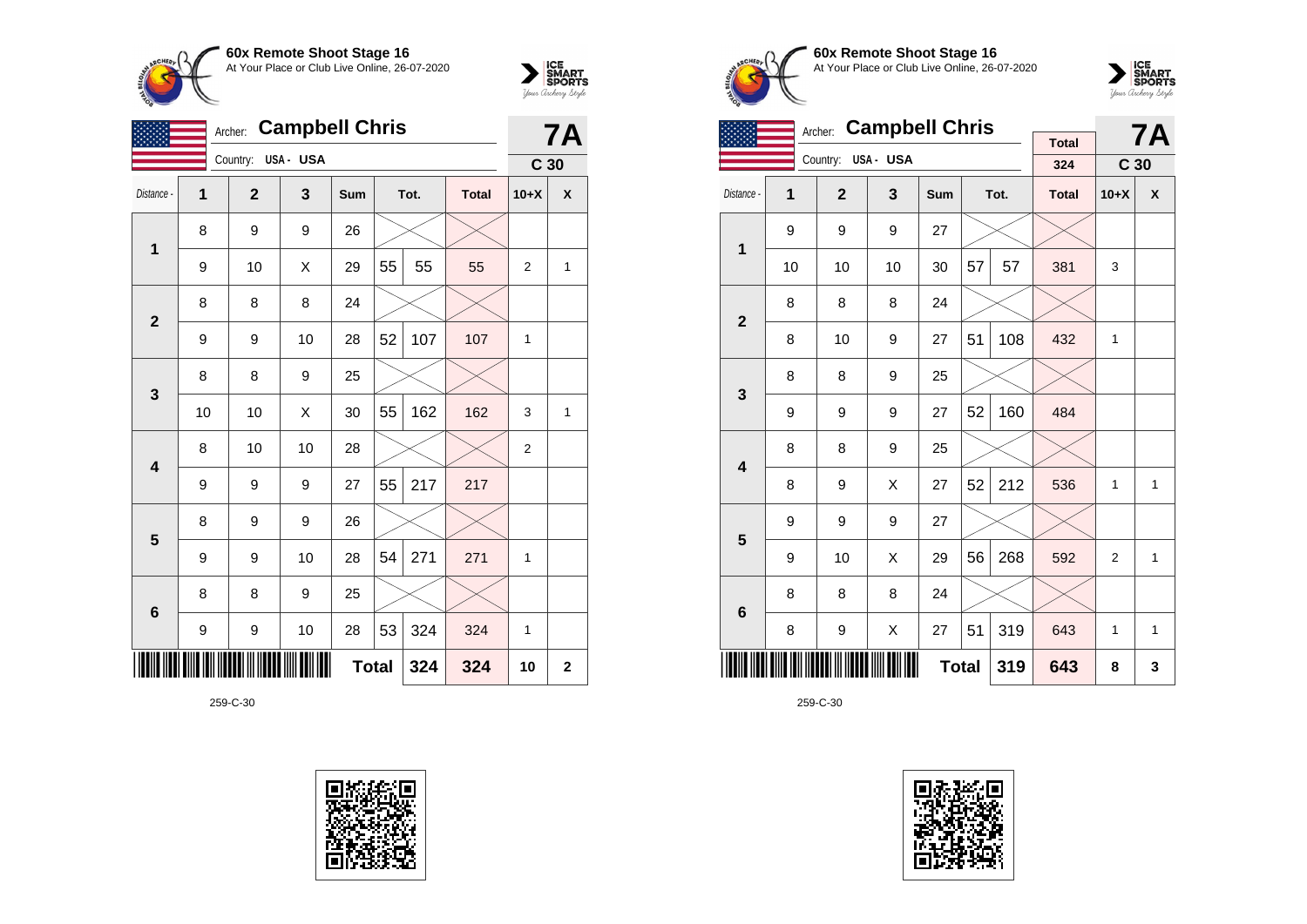![](_page_58_Picture_0.jpeg)

|                         |                  | Archer:        | <b>Campbell Chris</b> |              |    |      |              |                 | <b>7A</b>   |
|-------------------------|------------------|----------------|-----------------------|--------------|----|------|--------------|-----------------|-------------|
|                         |                  | Country:       | USA- USA              |              |    |      |              | C <sub>30</sub> |             |
| Distance -              | 1                | $\overline{2}$ | 3                     | Sum          |    | Tot. | <b>Total</b> | $10+X$          | X           |
| $\mathbf 1$             | 8                | 9              | 9                     | 26           |    |      |              |                 |             |
|                         | 9                | 10             | X                     | 29           | 55 | 55   | 55           | 2               | 1           |
| $\overline{2}$          | 8                | 8              | 8                     | 24           |    |      |              |                 |             |
|                         | 9                | 9              | 10                    | 28           | 52 | 107  | 107          | 1               |             |
| $\mathbf{3}$            | 8                | 8              | 9                     | 25           |    |      |              |                 |             |
|                         | 10               | 10             | X                     | 30           | 55 | 162  | 162          | 3               | 1           |
| $\overline{\mathbf{4}}$ | 8                | 10             | 10                    | 28           |    |      |              | $\overline{2}$  |             |
|                         | 9                | 9              | 9                     | 27           | 55 | 217  | 217          |                 |             |
| 5                       | 8                | 9              | 9                     | 26           |    |      |              |                 |             |
|                         | 9                | 9              | 10                    | 28           | 54 | 271  | 271          | 1               |             |
| $\bf 6$                 | 8                | 8              | 9                     | 25           |    |      |              |                 |             |
|                         | $\boldsymbol{9}$ | 9              | 10                    | 28           | 53 | 324  | 324          | 1               |             |
| ║║║                     |                  |                |                       | <b>Total</b> |    | 324  | 324          | 10              | $\mathbf 2$ |

![](_page_58_Picture_3.jpeg)

![](_page_58_Picture_4.jpeg)

 $\sum_{\text{Vour }\text{Cuchy }\text{Sty} \text{over}}\left|\underset{\text{SPORTS}}{\text{SIMART}}\right|$ 

**60x Remote Shoot Stage 16** At Your Place or Club Live Online, 26-07-2020

![](_page_58_Picture_6.jpeg)

|                         |    | <b>Campbell Chris</b><br>Archer: |          | <b>Total</b> |    | <b>7A</b> |              |                 |   |
|-------------------------|----|----------------------------------|----------|--------------|----|-----------|--------------|-----------------|---|
|                         |    | Country:                         | USA- USA |              |    |           | 324          | C <sub>30</sub> |   |
| Distance -              | 1  | $\overline{2}$                   | 3        | Sum          |    | Tot.      | <b>Total</b> | $10+X$          | X |
| 1                       | 9  | 9                                | 9        | 27           |    |           |              |                 |   |
|                         | 10 | 10                               | 10       | 30           | 57 | 57        | 381          | 3               |   |
| $\overline{2}$          | 8  | 8                                | 8        | 24           |    |           |              |                 |   |
|                         | 8  | 10                               | 9        | 27           | 51 | 108       | 432          | 1               |   |
| 3                       | 8  | 8                                | 9        | 25           |    |           |              |                 |   |
|                         | 9  | 9                                | 9        | 27           | 52 | 160       | 484          |                 |   |
| $\overline{\mathbf{4}}$ | 8  | 8                                | 9        | 25           |    |           |              |                 |   |
|                         | 8  | 9                                | X        | 27           | 52 | 212       | 536          | 1               | 1 |
| 5                       | 9  | 9                                | 9        | 27           |    |           |              |                 |   |
|                         | 9  | 10                               | X        | 29           | 56 | 268       | 592          | $\overline{2}$  | 1 |
| $6\phantom{1}6$         | 8  | 8                                | 8        | 24           |    |           |              |                 |   |
|                         | 8  | 9                                | Χ        | 27           | 51 | 319       | 643          | 1               | 1 |
|                         |    |                                  |          | <b>Total</b> |    | 319       | 643          | 8               | 3 |

![](_page_58_Picture_9.jpeg)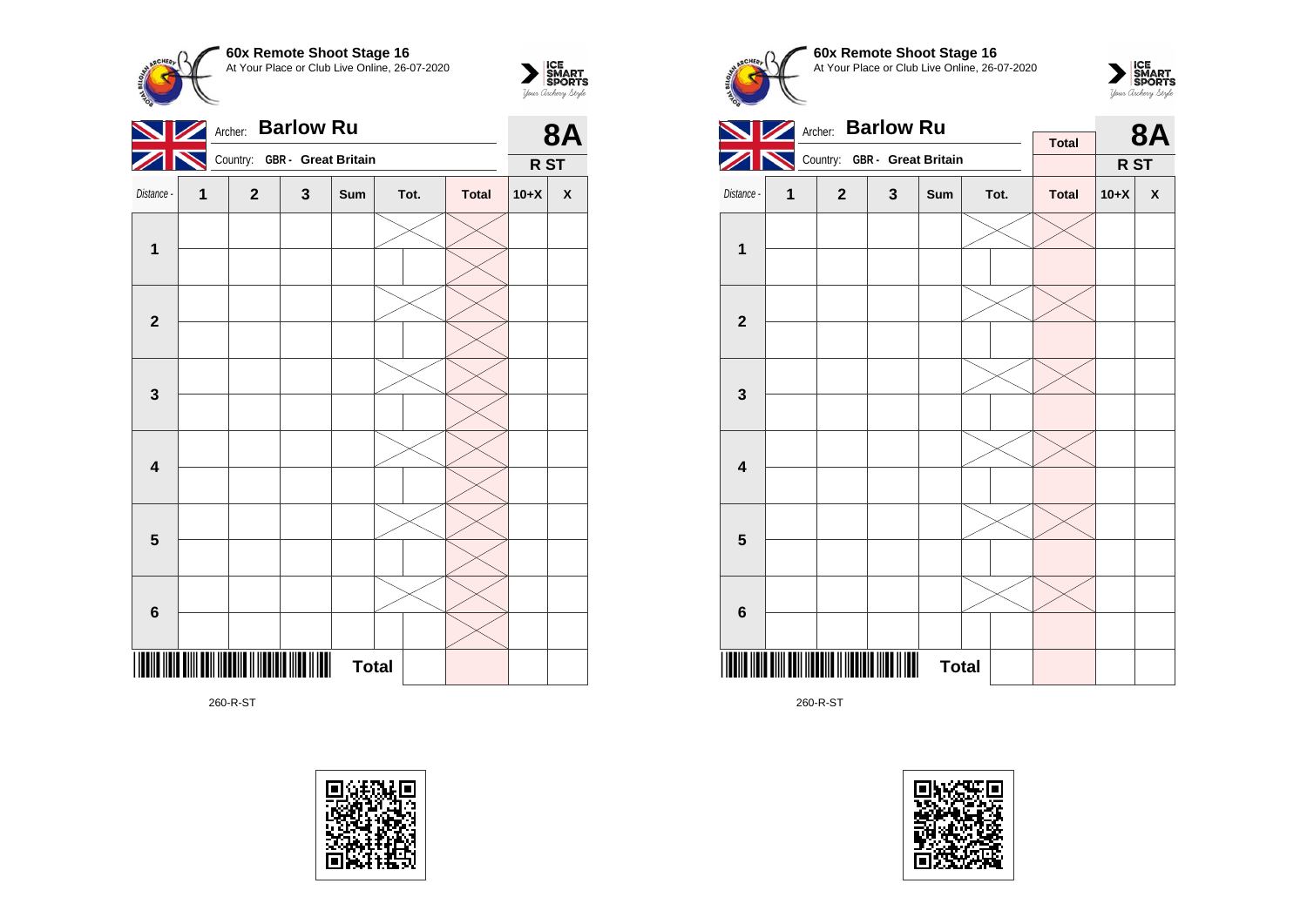**60x Remote Shoot Stage 16**  $\sum_{\text{Vour }\text{Cuchy }\text{StyR}}\begin{matrix}\n\text{ICE} \\
\text{SDORTS} \\
\text{SPORTS}\n\end{matrix}$ At Your Place or Club Live Online, 26-07-2020 Archer: **Barlow Ru 8A**  $\blacktriangleright$ Country: **GBR - Great Britain R ST** Distance - **1 2 3 Sum Tot. Total 10+X X 1 2 3 4 5 6** <u>\*260-R-ST\*10-R-ST\*10-R-ST\*10-R-ST\*10-R-ST\*10-R-ST\*10-R-ST\*10-R-ST\*10-R-ST\*10-R-ST\*10-R-ST\*10-R-ST\*10-R-ST\*10-R</u> **Total** 

260-R-ST

![](_page_59_Picture_2.jpeg)

![](_page_59_Figure_3.jpeg)

260-R-ST

![](_page_59_Picture_5.jpeg)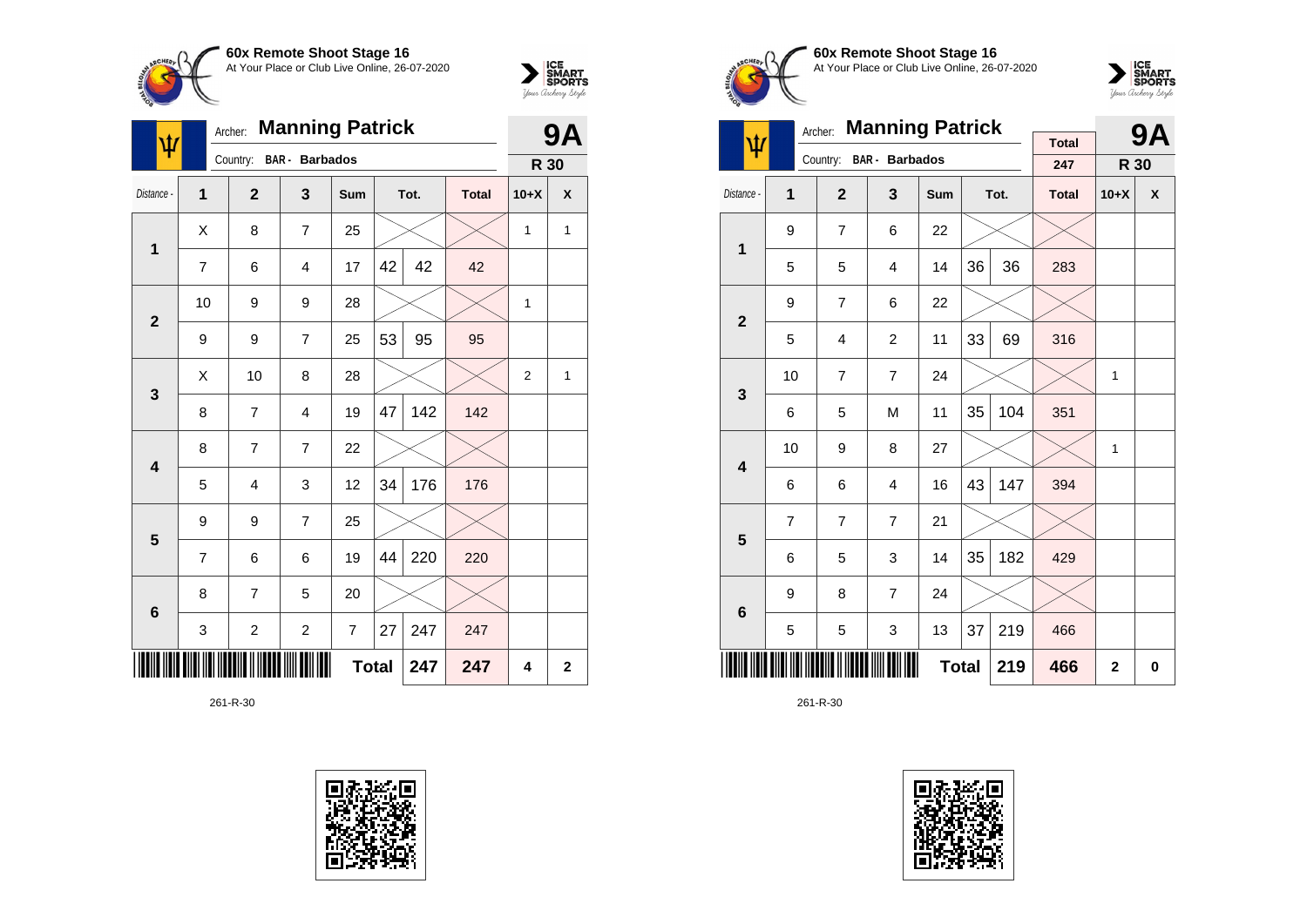![](_page_60_Picture_0.jpeg)

![](_page_60_Picture_1.jpeg)

| Ŵ                       |    | Archer:                 | <b>Manning Patrick</b> |              |    |      |              |                | <b>9A</b>    |
|-------------------------|----|-------------------------|------------------------|--------------|----|------|--------------|----------------|--------------|
|                         |    | Country:                | <b>BAR</b> - Barbados  |              |    |      |              | R 30           |              |
| Distance -              | 1  | $\overline{2}$          | 3                      | Sum          |    | Tot. | <b>Total</b> | $10+X$         | X            |
| 1                       | Χ  | 8                       | $\overline{7}$         | 25           |    |      |              | 1              | $\mathbf{1}$ |
|                         | 7  | 6                       | 4                      | 17           | 42 | 42   | 42           |                |              |
| $\overline{2}$          | 10 | 9                       | 9                      | 28           |    |      |              | 1              |              |
|                         | 9  | 9                       | $\overline{7}$         | 25           | 53 | 95   | 95           |                |              |
| $\mathbf{3}$            | X  | 10                      | 8                      | 28           |    |      |              | $\overline{2}$ | $\mathbf{1}$ |
|                         | 8  | 7                       | $\overline{4}$         | 19           | 47 | 142  | 142          |                |              |
| $\overline{\mathbf{4}}$ | 8  | 7                       | $\overline{7}$         | 22           |    |      |              |                |              |
|                         | 5  | $\overline{4}$          | 3                      | 12           | 34 | 176  | 176          |                |              |
| 5                       | 9  | 9                       | $\overline{7}$         | 25           |    |      |              |                |              |
|                         | 7  | 6                       | 6                      | 19           | 44 | 220  | 220          |                |              |
| $\bf 6$                 | 8  | 7                       | 5                      | 20           |    |      |              |                |              |
|                         | 3  | $\overline{\mathbf{c}}$ | $\overline{c}$         | 7            | 27 | 247  | 247          |                |              |
|                         |    |                         |                        | <b>Total</b> |    | 247  | 247          | 4              | $\mathbf{2}$ |

![](_page_60_Picture_4.jpeg)

![](_page_60_Picture_5.jpeg)

![](_page_60_Picture_6.jpeg)

![](_page_60_Picture_7.jpeg)

|                         |    | Archer:        | <b>Manning Patrick</b>  |              |    |      |                     |              | <b>9A</b> |
|-------------------------|----|----------------|-------------------------|--------------|----|------|---------------------|--------------|-----------|
| ψ                       |    |                | Country: BAR - Barbados |              |    |      | <b>Total</b><br>247 | R 30         |           |
| Distance -              | 1  | $\overline{2}$ | $\mathbf{3}$            | Sum          |    | Tot. | <b>Total</b>        | $10+X$       | X         |
| 1                       | 9  | $\overline{7}$ | 6                       | 22           |    |      |                     |              |           |
|                         | 5  | 5              | 4                       | 14           | 36 | 36   | 283                 |              |           |
| $\overline{2}$          | 9  | $\overline{7}$ | 6                       | 22           |    |      |                     |              |           |
|                         | 5  | 4              | 2                       | 11           | 33 | 69   | 316                 |              |           |
| 3                       | 10 | $\overline{7}$ | $\overline{7}$          | 24           |    |      |                     | 1            |           |
|                         | 6  | 5              | M                       | 11           | 35 | 104  | 351                 |              |           |
| $\overline{\mathbf{4}}$ | 10 | 9              | 8                       | 27           |    |      |                     | 1            |           |
|                         | 6  | 6              | 4                       | 16           | 43 | 147  | 394                 |              |           |
| 5                       | 7  | $\overline{7}$ | $\overline{7}$          | 21           |    |      |                     |              |           |
|                         | 6  | 5              | 3                       | 14           | 35 | 182  | 429                 |              |           |
| $6\phantom{1}6$         | 9  | 8              | $\overline{7}$          | 24           |    |      |                     |              |           |
|                         | 5  | 5              | 3                       | 13           | 37 | 219  | 466                 |              |           |
|                         |    |                |                         | <b>Total</b> |    | 219  | 466                 | $\mathbf{2}$ | 0         |

![](_page_60_Picture_10.jpeg)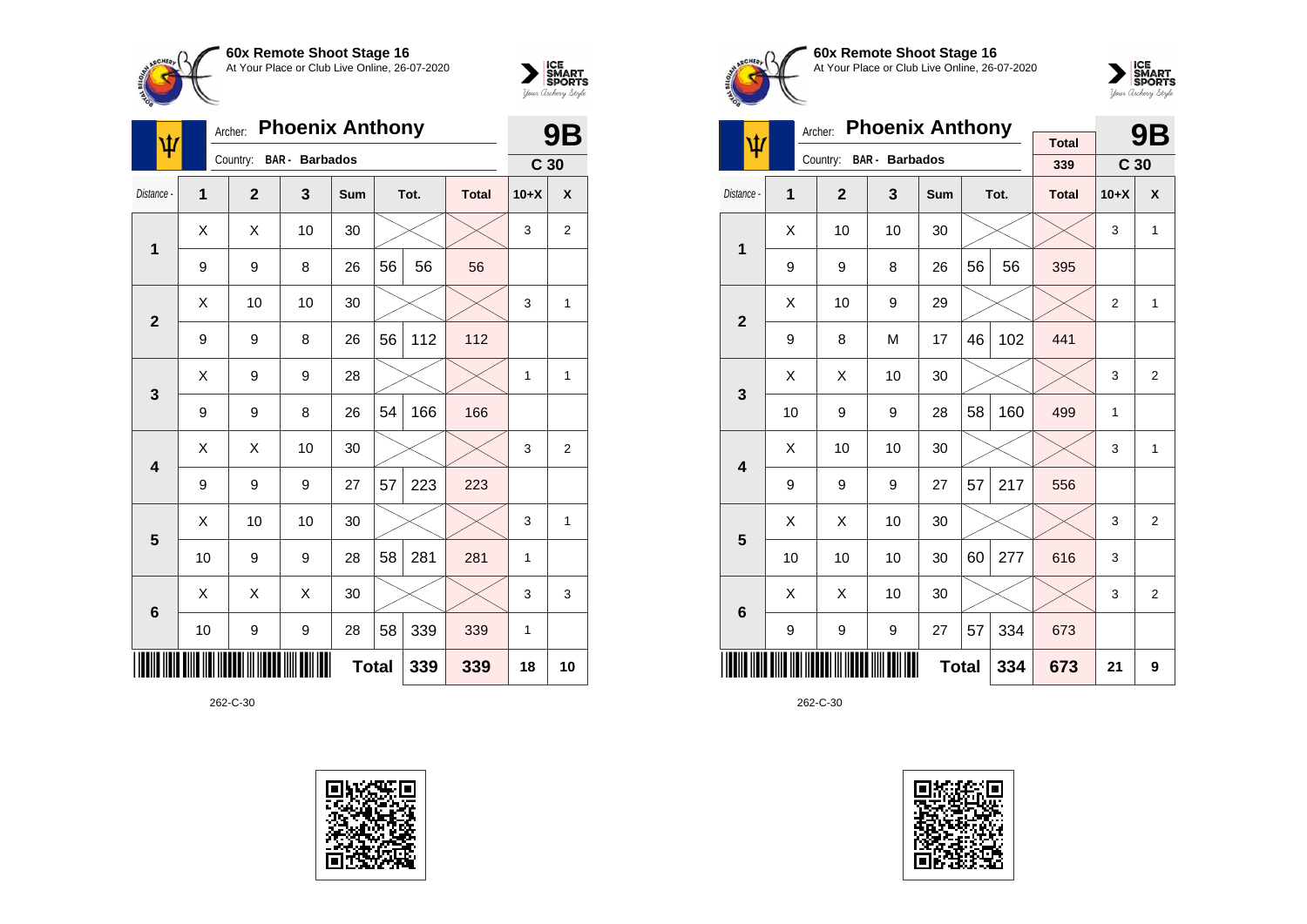![](_page_61_Picture_0.jpeg)

![](_page_61_Picture_1.jpeg)

| ψ                       |    | <b>Phoenix Anthony</b><br>Archer:<br><b>BAR</b> - Barbados |    |              |    |      |              |                 | 9Β             |
|-------------------------|----|------------------------------------------------------------|----|--------------|----|------|--------------|-----------------|----------------|
|                         |    | Country:                                                   |    |              |    |      |              | C <sub>30</sub> |                |
| Distance -              | 1  | $\overline{2}$                                             | 3  | Sum          |    | Tot. | <b>Total</b> | $10+X$          | X              |
| 1                       | X  | X                                                          | 10 | 30           |    |      |              | 3               | $\overline{2}$ |
|                         | 9  | 9                                                          | 8  | 26           | 56 | 56   | 56           |                 |                |
| $\overline{2}$          | X  | 10                                                         | 10 | 30           |    |      |              | 3               | $\mathbf{1}$   |
|                         | 9  | 9                                                          | 8  | 26           | 56 | 112  | 112          |                 |                |
| 3                       | Χ  | 9                                                          | 9  | 28           |    |      |              | $\mathbf{1}$    | $\mathbf{1}$   |
|                         | 9  | 9                                                          | 8  | 26           | 54 | 166  | 166          |                 |                |
| $\overline{\mathbf{4}}$ | X  | Χ                                                          | 10 | 30           |    |      |              | 3               | $\overline{2}$ |
|                         | 9  | 9                                                          | 9  | 27           | 57 | 223  | 223          |                 |                |
| 5                       | Χ  | 10                                                         | 10 | 30           |    |      |              | 3               | $\mathbf{1}$   |
|                         | 10 | 9                                                          | 9  | 28           | 58 | 281  | 281          | $\mathbf{1}$    |                |
| $6\phantom{1}6$         | X  | X                                                          | X  | 30           |    |      |              | 3               | 3              |
|                         | 10 | 9                                                          | 9  | 28           | 58 | 339  | 339          | 1               |                |
|                         |    |                                                            |    | <b>Total</b> |    | 339  | 339          | 18              | 10             |

![](_page_61_Picture_4.jpeg)

![](_page_61_Picture_5.jpeg)

**60x Remote Shoot Stage 16** At Your Place or Club Live Online, 26-07-2020

![](_page_61_Picture_7.jpeg)

|                         | Archer: | <b>Phoenix Anthony</b> |                       |              | 9B |      |                     |                 |                  |
|-------------------------|---------|------------------------|-----------------------|--------------|----|------|---------------------|-----------------|------------------|
| ψ                       |         | Country:               | <b>BAR</b> - Barbados |              |    |      | <b>Total</b><br>339 | C <sub>30</sub> |                  |
| Distance -              | 1       | $\overline{2}$         | 3                     | <b>Sum</b>   |    | Tot. | <b>Total</b>        | $10+X$          | $\boldsymbol{x}$ |
| $\overline{\mathbf{1}}$ | Χ       | 10                     | 10                    | 30           |    |      |                     | 3               | 1                |
|                         | 9       | 9                      | 8                     | 26           | 56 | 56   | 395                 |                 |                  |
| $\overline{2}$          | X       | 10                     | 9                     | 29           |    |      |                     | $\overline{2}$  | 1                |
|                         | 9       | 8                      | M                     | 17           | 46 | 102  | 441                 |                 |                  |
| 3                       | X       | X                      | 10                    | 30           |    |      |                     | 3               | $\overline{2}$   |
|                         | 10      | 9                      | 9                     | 28           | 58 | 160  | 499                 | 1               |                  |
| $\overline{\mathbf{4}}$ | X       | 10                     | 10                    | 30           |    |      |                     | 3               | 1                |
|                         | 9       | 9                      | 9                     | 27           | 57 | 217  | 556                 |                 |                  |
| 5                       | X       | Χ                      | 10                    | 30           |    |      |                     | 3               | $\overline{2}$   |
|                         | 10      | 10                     | 10                    | 30           | 60 | 277  | 616                 | 3               |                  |
| 6                       | X       | X                      | 10                    | 30           |    |      |                     | 3               | $\overline{2}$   |
|                         | 9       | 9                      | 9                     | 27           | 57 | 334  | 673                 |                 |                  |
|                         |         |                        |                       | <b>Total</b> |    | 334  | 673                 | 21              | 9                |

![](_page_61_Picture_10.jpeg)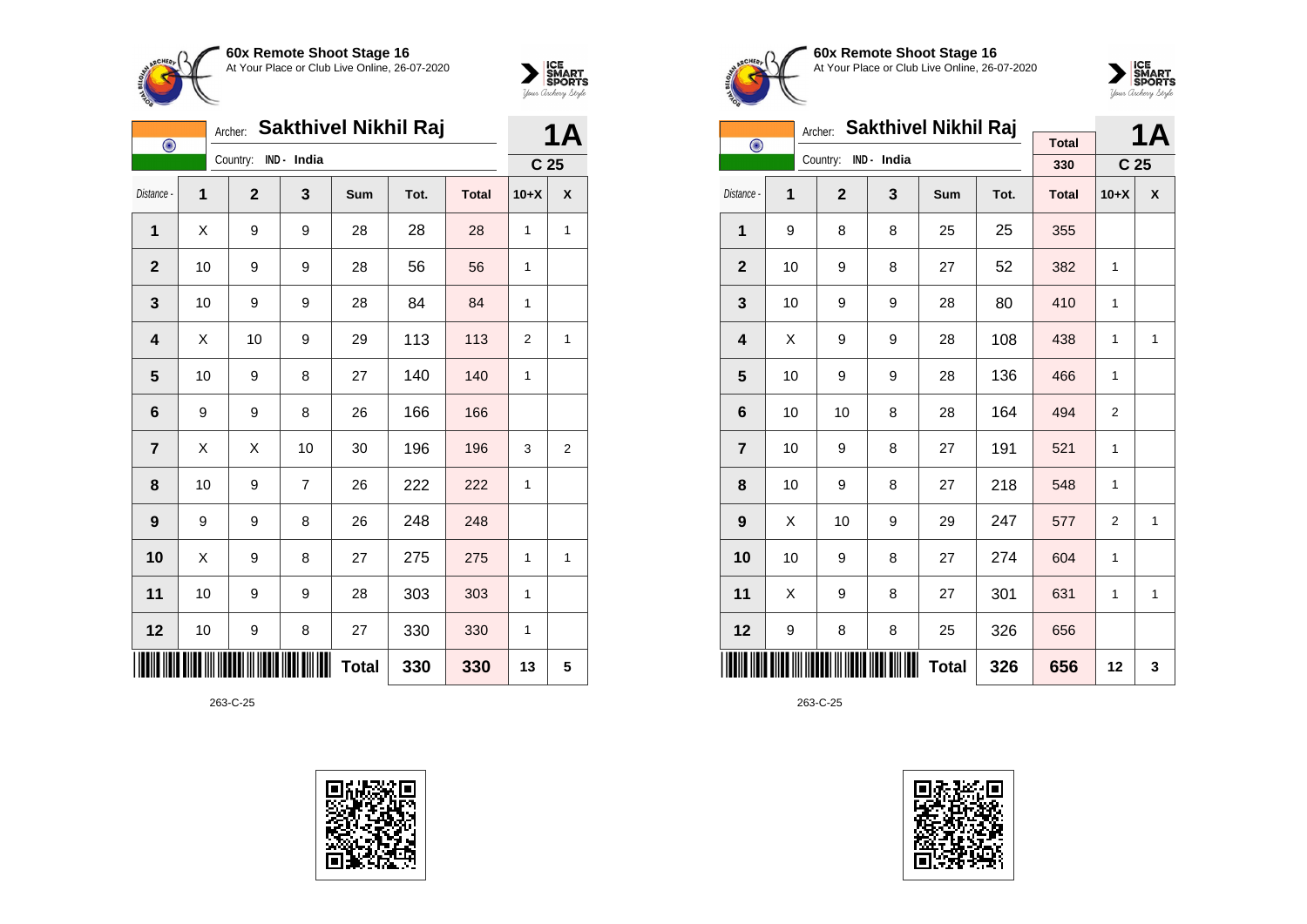![](_page_62_Picture_0.jpeg)

![](_page_62_Picture_1.jpeg)

| $\bigodot$     |    | Archer:      |                | <b>Sakthivel Nikhil Raj</b> |      |              | <b>1A</b>       |   |
|----------------|----|--------------|----------------|-----------------------------|------|--------------|-----------------|---|
|                |    | Country:     | IND - India    |                             |      |              | C <sub>25</sub> |   |
| Distance -     | 1  | $\mathbf{2}$ | 3              | Sum                         | Tot. | <b>Total</b> | $10+X$          | X |
| 1              | X  | 9            | 9              | 28                          | 28   | 28           | 1               | 1 |
| $\mathbf{2}$   | 10 | 9            | 9              | 28                          | 56   | 56           | 1               |   |
| 3              | 10 | 9            | 9              | 28                          | 84   | 84           | 1               |   |
| 4              | X  | 10           | 9              | 29                          | 113  | 113          | $\overline{2}$  | 1 |
| 5              | 10 | 9            | 8              | 27                          | 140  | 140          | 1               |   |
| 6              | 9  | 9            | 8              | 26                          | 166  | 166          |                 |   |
| $\overline{7}$ | Χ  | Χ            | 10             | 30                          | 196  | 196          | 3               | 2 |
| 8              | 10 | 9            | $\overline{7}$ | 26                          | 222  | 222          | 1               |   |
| 9              | 9  | 9            | 8              | 26                          | 248  | 248          |                 |   |
| 10             | Χ  | 9            | 8              | 27                          | 275  | 275          | 1               | 1 |
| 11             | 10 | 9            | 9              | 28                          | 303  | 303          | 1               |   |
| 12             | 10 | 9            | 8              | 27                          | 330  | 330          | 1               |   |
|                |    |              |                | <b>Total</b>                | 330  | 330          | 13              | 5 |

![](_page_62_Picture_4.jpeg)

![](_page_62_Picture_5.jpeg)

**60x Remote Shoot Stage 16** At Your Place or Club Live Online, 26-07-2020

![](_page_62_Picture_7.jpeg)

| Sakthivel Nikhil Raj<br>Archer: |    |                |             |              |      |              |                 | <b>1A</b>    |
|---------------------------------|----|----------------|-------------|--------------|------|--------------|-----------------|--------------|
| $\bigodot$                      |    | Country:       | IND - India |              |      | <b>Total</b> |                 |              |
|                                 |    |                |             |              |      | 330          | C <sub>25</sub> |              |
| Distance -                      | 1  | $\overline{2}$ | 3           | <b>Sum</b>   | Tot. | <b>Total</b> | $10+X$          | X            |
| 1                               | 9  | 8              | 8           | 25           | 25   | 355          |                 |              |
| $\overline{2}$                  | 10 | 9              | 8           | 27           | 52   | 382          | 1               |              |
| 3                               | 10 | 9              | 9           | 28           | 80   | 410          | 1               |              |
| $\overline{\mathbf{4}}$         | X  | 9              | 9           | 28           | 108  | 438          | 1               | $\mathbf{1}$ |
| 5                               | 10 | 9              | 9           | 28           | 136  | 466          | 1               |              |
| 6                               | 10 | 10             | 8           | 28           | 164  | 494          | $\overline{2}$  |              |
| $\overline{7}$                  | 10 | 9              | 8           | 27           | 191  | 521          | 1               |              |
| 8                               | 10 | 9              | 8           | 27           | 218  | 548          | 1               |              |
| 9                               | X  | 10             | 9           | 29           | 247  | 577          | $\overline{2}$  | 1            |
| 10                              | 10 | 9              | 8           | 27           | 274  | 604          | 1               |              |
| 11                              | Χ  | 9              | 8           | 27           | 301  | 631          | 1               | 1            |
| 12                              | 9  | 8              | 8           | 25           | 326  | 656          |                 |              |
|                                 |    |                |             | <b>Total</b> | 326  | 656          | 12              | 3            |

![](_page_62_Picture_10.jpeg)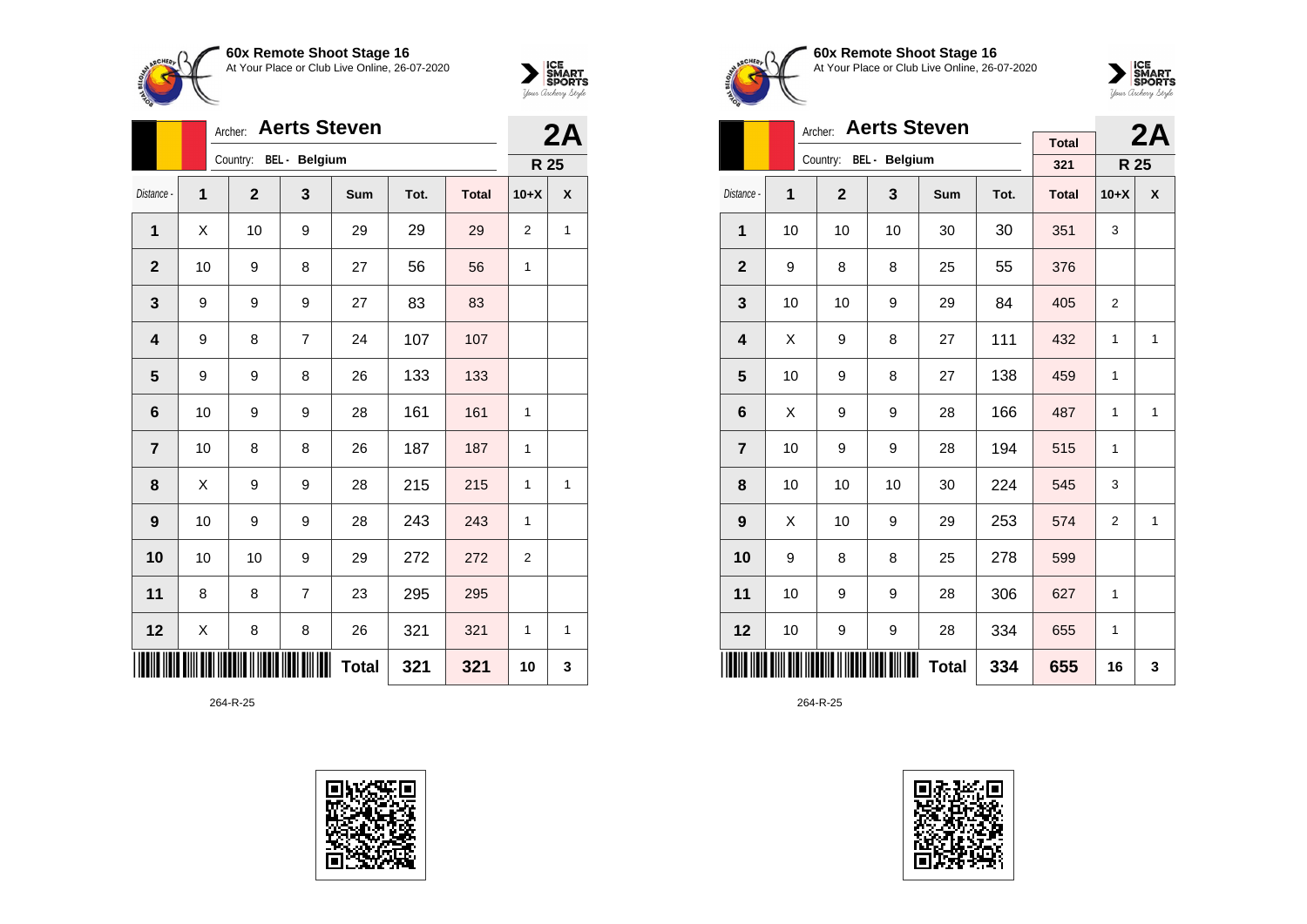![](_page_63_Picture_0.jpeg)

![](_page_63_Picture_1.jpeg)

|                         |    | <b>Aerts Steven</b><br>Archer: |                |              | 2A   |              |                |   |
|-------------------------|----|--------------------------------|----------------|--------------|------|--------------|----------------|---|
|                         |    | Country: BEL - Belgium         |                |              |      |              | R 25           |   |
| Distance -              | 1  | $\mathbf{2}$                   | 3              | Sum          | Tot. | <b>Total</b> | $10+X$         | X |
| 1                       | X  | 10                             | 9              | 29           | 29   | 29           | 2              | 1 |
| $\mathbf{2}$            | 10 | 9                              | 8              | 27           | 56   | 56           | 1              |   |
| 3                       | 9  | 9                              | 9              | 27           | 83   | 83           |                |   |
| 4                       | 9  | 8                              | $\overline{7}$ | 24           | 107  | 107          |                |   |
| 5                       | 9  | 9                              | 8              | 26           | 133  | 133          |                |   |
| 6                       | 10 | 9                              | 9              | 28           | 161  | 161          | $\mathbf{1}$   |   |
| $\overline{\mathbf{7}}$ | 10 | 8                              | 8              | 26           | 187  | 187          | 1              |   |
| 8                       | X  | 9                              | 9              | 28           | 215  | 215          | 1              | 1 |
| 9                       | 10 | 9                              | 9              | 28           | 243  | 243          | 1              |   |
| 10                      | 10 | 10                             | 9              | 29           | 272  | 272          | $\overline{2}$ |   |
| 11                      | 8  | 8                              | $\overline{7}$ | 23           | 295  | 295          |                |   |
| 12                      | Χ  | 8                              | 8              | 26           | 321  | 321          | 1              | 1 |
|                         |    |                                |                | <b>Total</b> | 321  | 321          | 10             | 3 |

![](_page_63_Picture_4.jpeg)

![](_page_63_Picture_5.jpeg)

**60x Remote Shoot Stage 16** At Your Place or Club Live Online, 26-07-2020

![](_page_63_Picture_7.jpeg)

|                         |    | <b>Aerts Steven</b><br>Archer: |     |            |      | 2A                  |                |              |
|-------------------------|----|--------------------------------|-----|------------|------|---------------------|----------------|--------------|
|                         |    | Country: BEL - Belgium         |     |            |      | <b>Total</b><br>321 | R 25           |              |
| Distance -              | 1  | $\overline{2}$                 | 3   | <b>Sum</b> | Tot. | <b>Total</b>        | $10+X$         | X            |
|                         |    |                                |     |            |      |                     |                |              |
| $\mathbf{1}$            | 10 | 10                             | 10  | 30         | 30   | 351                 | 3              |              |
| $\overline{2}$          | 9  | 8                              | 8   | 25         | 55   | 376                 |                |              |
| 3                       | 10 | 10                             | 9   | 29         | 84   | 405                 | $\overline{2}$ |              |
| $\overline{\mathbf{4}}$ | Χ  | 9                              | 8   | 27         | 111  | 432                 | 1              | $\mathbf{1}$ |
| 5                       | 10 | 9                              | 8   | 27         | 138  | 459                 | 1              |              |
| 6                       | X  | 9                              | 9   | 28         | 166  | 487                 | 1              | $\mathbf{1}$ |
| $\overline{7}$          | 10 | 9                              | 9   | 28         | 194  | 515                 | 1              |              |
| 8                       | 10 | 10                             | 10  | 30         | 224  | 545                 | 3              |              |
| 9                       | X  | 10                             | 9   | 29         | 253  | 574                 | $\overline{2}$ | 1            |
| 10                      | 9  | 8                              | 8   | 25         | 278  | 599                 |                |              |
| 11                      | 10 | 9                              | 9   | 28         | 306  | 627                 | 1              |              |
| 12                      | 10 | 9                              | 9   | 28         | 334  | 655                 | 1              |              |
|                         |    |                                | 655 | 16         | 3    |                     |                |              |

![](_page_63_Picture_10.jpeg)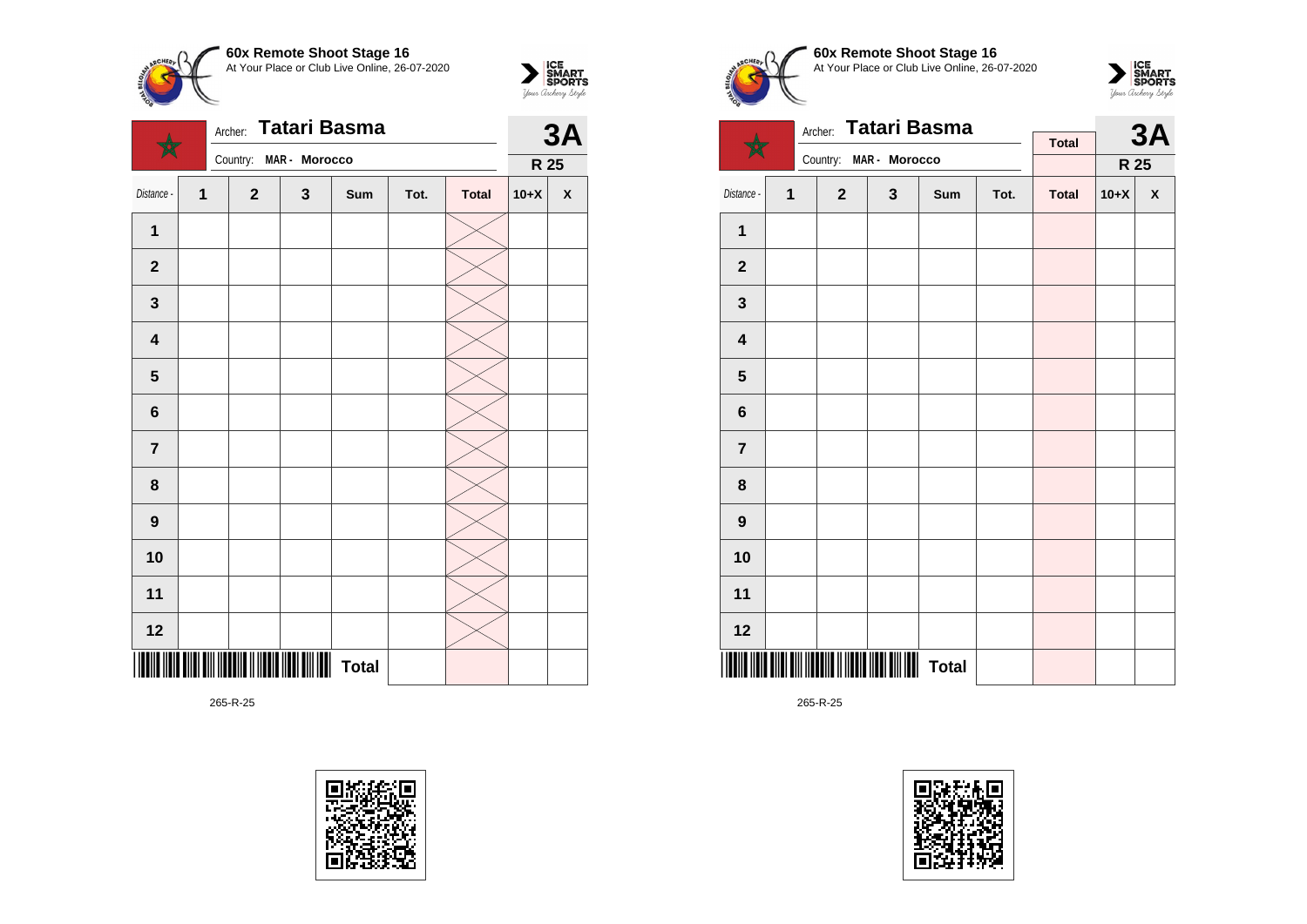![](_page_64_Picture_0.jpeg)

| Tatari Basma<br>Archer: |                             |              |                                    |     |      |              |        | <b>3A</b>          |  |
|-------------------------|-----------------------------|--------------|------------------------------------|-----|------|--------------|--------|--------------------|--|
|                         |                             | Country:     | MAR - Morocco                      |     |      |              | R 25   |                    |  |
| Distance -              | 1                           | $\mathbf{2}$ | 3                                  | Sum | Tot. | <b>Total</b> | $10+X$ | $\pmb{\mathsf{X}}$ |  |
| 1                       |                             |              |                                    |     |      |              |        |                    |  |
| $\mathbf 2$             |                             |              |                                    |     |      |              |        |                    |  |
| $\mathbf{3}$            |                             |              |                                    |     |      |              |        |                    |  |
| $\overline{\mathbf{4}}$ |                             |              |                                    |     |      |              |        |                    |  |
| $\overline{\mathbf{5}}$ |                             |              |                                    |     |      |              |        |                    |  |
| $\bf 6$                 |                             |              |                                    |     |      |              |        |                    |  |
| $\overline{7}$          |                             |              |                                    |     |      |              |        |                    |  |
| 8                       |                             |              |                                    |     |      |              |        |                    |  |
| $\boldsymbol{9}$        |                             |              |                                    |     |      |              |        |                    |  |
| 10                      |                             |              |                                    |     |      |              |        |                    |  |
| 11                      |                             |              |                                    |     |      |              |        |                    |  |
| 12                      |                             |              |                                    |     |      |              |        |                    |  |
|                         | III IIIII IIII IIIIII IIIII |              | <b>                   </b>   Total |     |      |              |        |                    |  |

![](_page_64_Picture_3.jpeg)

![](_page_64_Picture_4.jpeg)

 $\sum_{\text{M}}\left|\underset{\text{GPORTS}}{\text{SIMART}}\right|$ 

![](_page_64_Picture_5.jpeg)

![](_page_64_Picture_6.jpeg)

|                         |   | <b>Tatari Basma</b><br>Archer: |                                             |              |      | <b>3A</b>    |        |      |
|-------------------------|---|--------------------------------|---------------------------------------------|--------------|------|--------------|--------|------|
|                         |   |                                | Country: MAR - Morocco                      |              |      | <b>Total</b> |        |      |
|                         |   |                                |                                             |              |      |              |        | R 25 |
| Distance -              | 1 | $\mathbf 2$                    | $\mathbf 3$                                 | Sum          | Tot. | <b>Total</b> | $10+X$ | X    |
| 1                       |   |                                |                                             |              |      |              |        |      |
| $\mathbf 2$             |   |                                |                                             |              |      |              |        |      |
| $\mathbf{3}$            |   |                                |                                             |              |      |              |        |      |
| $\overline{\mathbf{4}}$ |   |                                |                                             |              |      |              |        |      |
| $\overline{\mathbf{5}}$ |   |                                |                                             |              |      |              |        |      |
| 6                       |   |                                |                                             |              |      |              |        |      |
| $\overline{\mathbf{7}}$ |   |                                |                                             |              |      |              |        |      |
| 8                       |   |                                |                                             |              |      |              |        |      |
| $\boldsymbol{9}$        |   |                                |                                             |              |      |              |        |      |
| 10                      |   |                                |                                             |              |      |              |        |      |
| 11                      |   |                                |                                             |              |      |              |        |      |
| 12                      |   |                                |                                             |              |      |              |        |      |
|                         |   |                                | <b>TIII IITTIII II IITTII IIII TIII ITT</b> | <b>Total</b> |      |              |        |      |

![](_page_64_Picture_9.jpeg)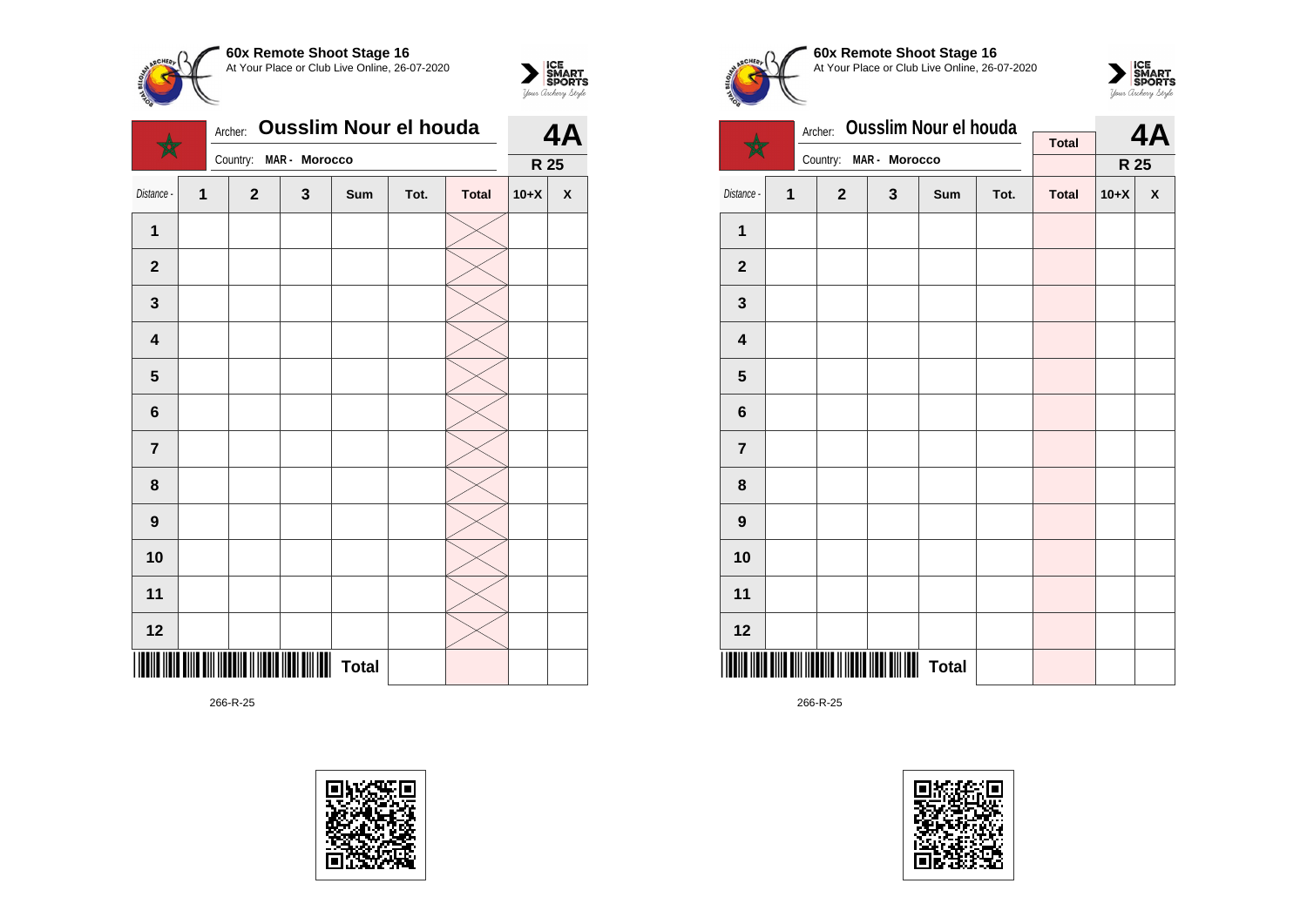![](_page_65_Picture_0.jpeg)

![](_page_65_Picture_1.jpeg)

|                         | <b>Ousslim Nour el houda</b><br>Archer: |  |              |               |              |      |              |        | 4A           |  |
|-------------------------|-----------------------------------------|--|--------------|---------------|--------------|------|--------------|--------|--------------|--|
|                         |                                         |  | Country:     | MAR - Morocco |              |      |              | R 25   |              |  |
| Distance -              | $\mathbf{1}$                            |  | $\mathbf{2}$ | 3             | Sum          | Tot. | <b>Total</b> | $10+X$ | $\pmb{\chi}$ |  |
| 1                       |                                         |  |              |               |              |      |              |        |              |  |
| $\mathbf{2}$            |                                         |  |              |               |              |      |              |        |              |  |
| $\mathbf{3}$            |                                         |  |              |               |              |      |              |        |              |  |
| $\overline{\mathbf{4}}$ |                                         |  |              |               |              |      |              |        |              |  |
| $\overline{\mathbf{5}}$ |                                         |  |              |               |              |      |              |        |              |  |
| $6\phantom{1}6$         |                                         |  |              |               |              |      |              |        |              |  |
| $\overline{7}$          |                                         |  |              |               |              |      |              |        |              |  |
| 8                       |                                         |  |              |               |              |      |              |        |              |  |
| $\boldsymbol{9}$        |                                         |  |              |               |              |      |              |        |              |  |
| 10                      |                                         |  |              |               |              |      |              |        |              |  |
| 11                      |                                         |  |              |               |              |      |              |        |              |  |
| 12                      |                                         |  |              |               |              |      |              |        |              |  |
|                         |                                         |  |              |               | <b>Total</b> |      |              |        |              |  |

![](_page_65_Picture_4.jpeg)

![](_page_65_Picture_5.jpeg)

**60x Remote Shoot Stage 16** At Your Place or Club Live Online, 26-07-2020

![](_page_65_Picture_7.jpeg)

|                         |   | Archer:      | <b>Ousslim Nour el houda</b> |              |      | 4A           |        |      |
|-------------------------|---|--------------|------------------------------|--------------|------|--------------|--------|------|
|                         |   | Country:     | MAR - Morocco                |              |      | <b>Total</b> |        |      |
|                         |   |              |                              |              |      |              |        | R 25 |
| Distance -              | 1 | $\mathbf{2}$ | $\mathbf 3$                  | Sum          | Tot. | <b>Total</b> | $10+X$ | X    |
| $\mathbf{1}$            |   |              |                              |              |      |              |        |      |
| $\mathbf{2}$            |   |              |                              |              |      |              |        |      |
| 3                       |   |              |                              |              |      |              |        |      |
| $\overline{\mathbf{4}}$ |   |              |                              |              |      |              |        |      |
| ${\bf 5}$               |   |              |                              |              |      |              |        |      |
| 6                       |   |              |                              |              |      |              |        |      |
| $\overline{7}$          |   |              |                              |              |      |              |        |      |
| 8                       |   |              |                              |              |      |              |        |      |
| $\boldsymbol{9}$        |   |              |                              |              |      |              |        |      |
| 10                      |   |              |                              |              |      |              |        |      |
| 11                      |   |              |                              |              |      |              |        |      |
| 12                      |   |              |                              |              |      |              |        |      |
|                         |   |              |                              | <b>Total</b> |      |              |        |      |

![](_page_65_Picture_10.jpeg)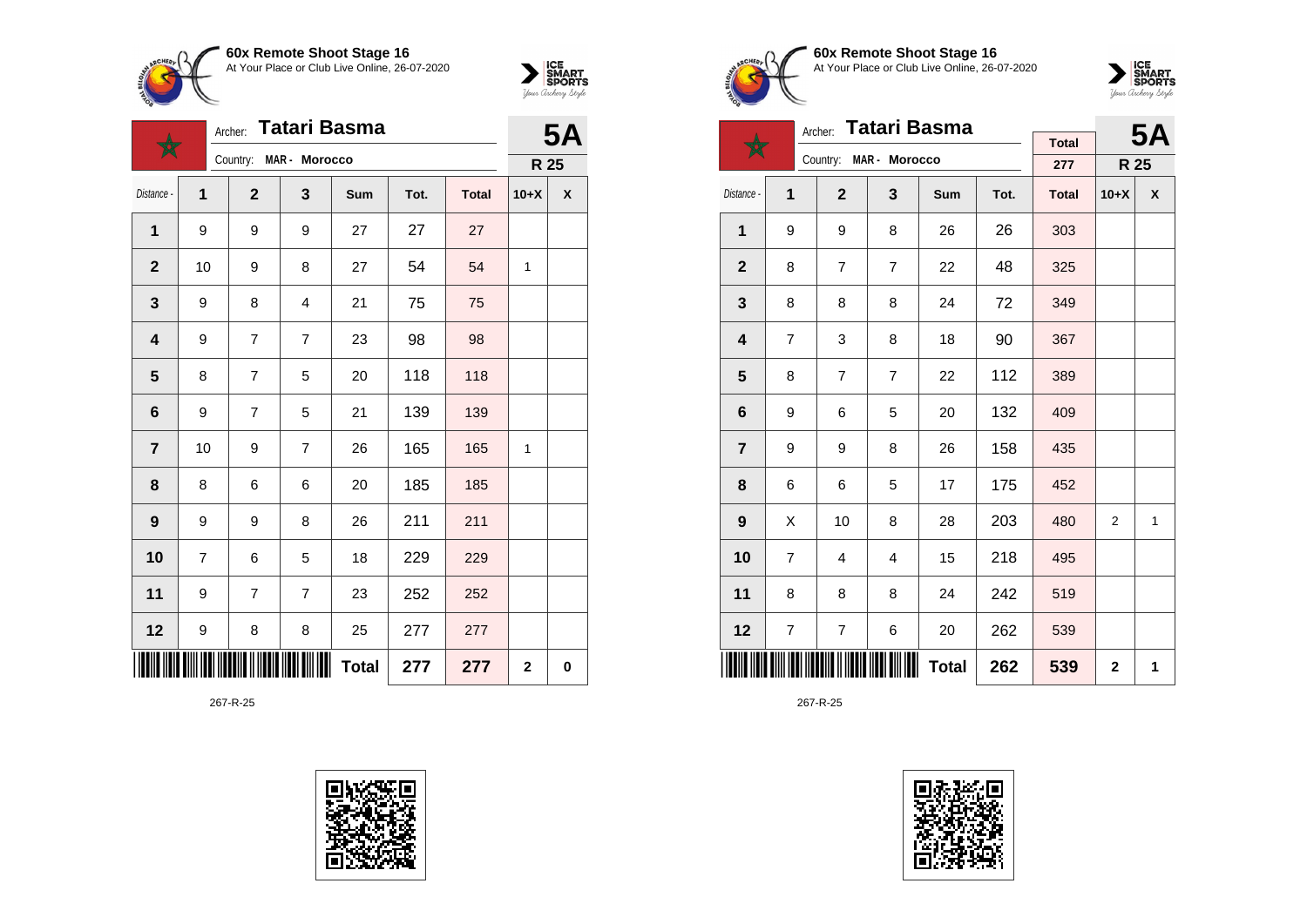![](_page_66_Picture_0.jpeg)

![](_page_66_Picture_1.jpeg)

|                         | Tatari Basma<br>Archer: |                |                |              |      |              |                | <b>5A</b> |  |
|-------------------------|-------------------------|----------------|----------------|--------------|------|--------------|----------------|-----------|--|
|                         |                         | Country:       | MAR - Morocco  |              |      |              | R 25           |           |  |
| Distance -              | $\mathbf{1}$            | $\mathbf{2}$   | 3              | Sum          | Tot. | <b>Total</b> | $10+X$         | X         |  |
| 1                       | 9                       | 9              | 9              | 27           | 27   | 27           |                |           |  |
| $\mathbf{2}$            | 10                      | 9              | 8              | 27           | 54   | 54           | 1              |           |  |
| $\mathbf{3}$            | 9                       | 8              | $\overline{4}$ | 21           | 75   | 75           |                |           |  |
| 4                       | 9                       | $\overline{7}$ | $\overline{7}$ | 23           | 98   | 98           |                |           |  |
| 5                       | 8                       | $\overline{7}$ | 5              | 20           | 118  | 118          |                |           |  |
| $6\phantom{1}6$         | 9                       | $\overline{7}$ | 5              | 21           | 139  | 139          |                |           |  |
| $\overline{\mathbf{7}}$ | 10                      | 9              | 7              | 26           | 165  | 165          | 1              |           |  |
| 8                       | 8                       | 6              | 6              | 20           | 185  | 185          |                |           |  |
| $\boldsymbol{9}$        | 9                       | 9              | 8              | 26           | 211  | 211          |                |           |  |
| 10                      | 7                       | 6              | 5              | 18           | 229  | 229          |                |           |  |
| 11                      | 9                       | 7              | $\overline{7}$ | 23           | 252  | 252          |                |           |  |
| 12                      | 9                       | 8              | 8              | 25           | 277  | 277          |                |           |  |
|                         |                         |                |                | <b>Total</b> | 277  | 277          | $\overline{2}$ | $\bf{0}$  |  |

![](_page_66_Picture_4.jpeg)

![](_page_66_Picture_5.jpeg)

**60x Remote Shoot Stage 16** At Your Place or Club Live Online, 26-07-2020

![](_page_66_Picture_7.jpeg)

|                         |   | <b>Tatari Basma</b><br>Archer: |                        |     |              | <b>5A</b>           |        |              |
|-------------------------|---|--------------------------------|------------------------|-----|--------------|---------------------|--------|--------------|
|                         |   |                                | Country: MAR - Morocco |     |              | <b>Total</b><br>277 | R 25   |              |
| Distance -              | 1 | $\mathbf{2}$                   | 3                      | Sum | Tot.         | <b>Total</b>        | $10+X$ | X            |
| 1                       | 9 | 9                              | 8                      | 26  | 26           | 303                 |        |              |
| $\overline{2}$          | 8 | $\overline{7}$                 | $\overline{7}$         | 22  | 48           | 325                 |        |              |
| 3                       | 8 | 8                              | 8                      | 24  | 72           | 349                 |        |              |
| $\overline{\mathbf{4}}$ | 7 | 3                              | 8                      | 18  | 90           | 367                 |        |              |
| 5                       | 8 | $\overline{7}$                 | $\overline{7}$         | 22  | 112          | 389                 |        |              |
| 6                       | 9 | 6                              | 5                      | 20  | 132          | 409                 |        |              |
| $\overline{7}$          | 9 | 9                              | 8                      | 26  | 158          | 435                 |        |              |
| 8                       | 6 | 6                              | 5                      | 17  | 175          | 452                 |        |              |
| $\boldsymbol{9}$        | Χ | 10                             | 8                      | 28  | 203          | 480                 | 2      | $\mathbf{1}$ |
| 10                      | 7 | $\overline{4}$                 | 4                      | 15  | 218          | 495                 |        |              |
| 11                      | 8 | 8                              | 8                      | 24  | 242          | 519                 |        |              |
| 12                      | 7 | 7                              | 6                      | 20  | 262          | 539                 |        |              |
|                         |   |                                | 262                    | 539 | $\mathbf{2}$ | 1                   |        |              |

![](_page_66_Picture_10.jpeg)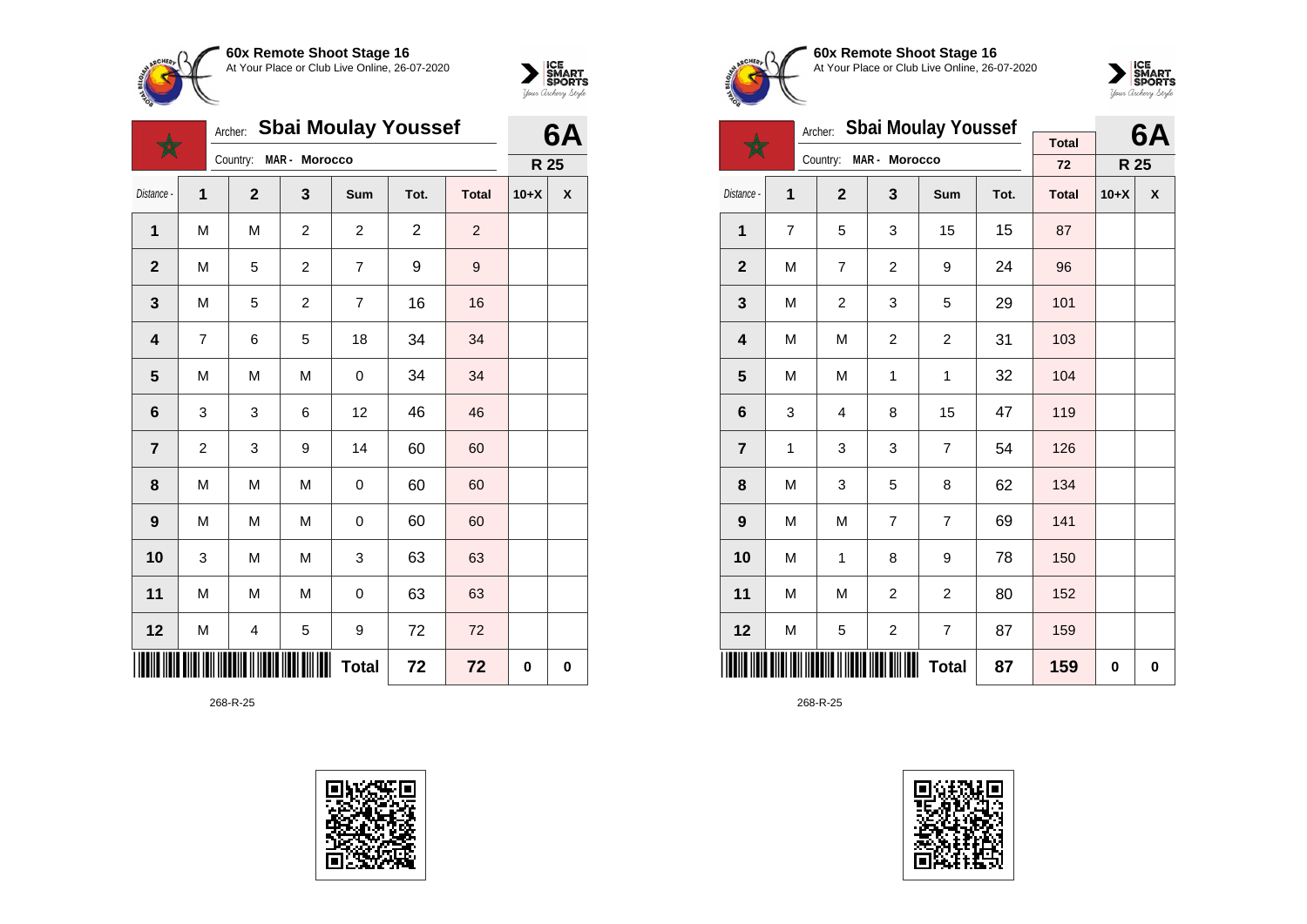![](_page_67_Picture_0.jpeg)

![](_page_67_Picture_1.jpeg)

![](_page_67_Picture_2.jpeg)

|                         |                         | Archer:      | <b>Sbai Moulay Youssef</b> |                         | 6A             |                  |        |           |
|-------------------------|-------------------------|--------------|----------------------------|-------------------------|----------------|------------------|--------|-----------|
|                         |                         | Country:     | MAR - Morocco              |                         |                |                  | R 25   |           |
| Distance -              | 1                       | $\mathbf{2}$ | 3                          | Sum                     | Tot.           | <b>Total</b>     | $10+X$ | X         |
| 1                       | M                       | M            | $\overline{c}$             | $\overline{\mathbf{c}}$ | $\overline{c}$ | $\overline{c}$   |        |           |
| $\mathbf{2}$            | M                       | 5            | 2                          | 7                       | 9              | $\boldsymbol{9}$ |        |           |
| $\mathbf{3}$            | M                       | 5            | $\overline{c}$             | $\overline{7}$          | 16             | 16               |        |           |
| $\overline{\mathbf{4}}$ | $\overline{7}$          | 6            | 5                          | 18                      | 34             | 34               |        |           |
| $5\phantom{1}$          | M                       | M            | M                          | 0                       | 34             | 34               |        |           |
| 6                       | 3                       | 3            | 6                          | 12                      | 46             | 46               |        |           |
| $\overline{7}$          | $\overline{\mathbf{c}}$ | 3            | 9                          | 14                      | 60             | 60               |        |           |
| 8                       | M                       | M            | M                          | 0                       | 60             | 60               |        |           |
| $\boldsymbol{9}$        | M                       | M            | M                          | 0                       | 60             | 60               |        |           |
| 10                      | 3                       | М            | M                          | 3                       | 63             | 63               |        |           |
| 11                      | M                       | M            | M                          | 0                       | 63             | 63               |        |           |
| 12                      | M                       | 4            | 5                          | 9                       | 72             | 72               |        |           |
|                         |                         |              |                            | <b>Total</b>            | 72             | 72               | 0      | $\pmb{0}$ |

![](_page_67_Picture_5.jpeg)

![](_page_67_Picture_6.jpeg)

**60x Remote Shoot Stage 16** At Your Place or Club Live Online, 26-07-2020

![](_page_67_Picture_8.jpeg)

|                 |   | Archer:        | <b>Sbai Moulay Youssef</b> |                |      | 6Α           |        |   |
|-----------------|---|----------------|----------------------------|----------------|------|--------------|--------|---|
|                 |   | Country:       | MAR - Morocco              |                |      | <b>Total</b> |        |   |
|                 |   |                |                            |                |      | 72           | R 25   |   |
| Distance -      | 1 | $\overline{2}$ | 3                          | Sum            | Tot. | <b>Total</b> | $10+X$ | X |
| 1               | 7 | 5              | 3                          | 15             | 15   | 87           |        |   |
| $\overline{2}$  | M | $\overline{7}$ | $\overline{c}$             | 9              | 24   | 96           |        |   |
| 3               | M | $\overline{c}$ | 3                          | 5              | 29   | 101          |        |   |
| 4               | M | M              | 2                          | 2              | 31   | 103          |        |   |
| 5               | M | M              | $\mathbf 1$                | $\mathbf{1}$   | 32   | 104          |        |   |
| $6\phantom{1}6$ | 3 | $\overline{4}$ | 8                          | 15             | 47   | 119          |        |   |
| $\overline{7}$  | 1 | 3              | 3                          | $\overline{7}$ | 54   | 126          |        |   |
| 8               | M | 3              | 5                          | 8              | 62   | 134          |        |   |
| 9               | M | M              | $\overline{7}$             | $\overline{7}$ | 69   | 141          |        |   |
| 10              | M | 1              | 8                          | 9              | 78   | 150          |        |   |
| 11              | M | M              | $\overline{2}$             | $\overline{2}$ | 80   | 152          |        |   |
| 12              | M | 5              | $\overline{\mathbf{c}}$    | 7              | 87   | 159          |        |   |
|                 |   |                | 87                         | 159            | 0    | 0            |        |   |

![](_page_67_Picture_11.jpeg)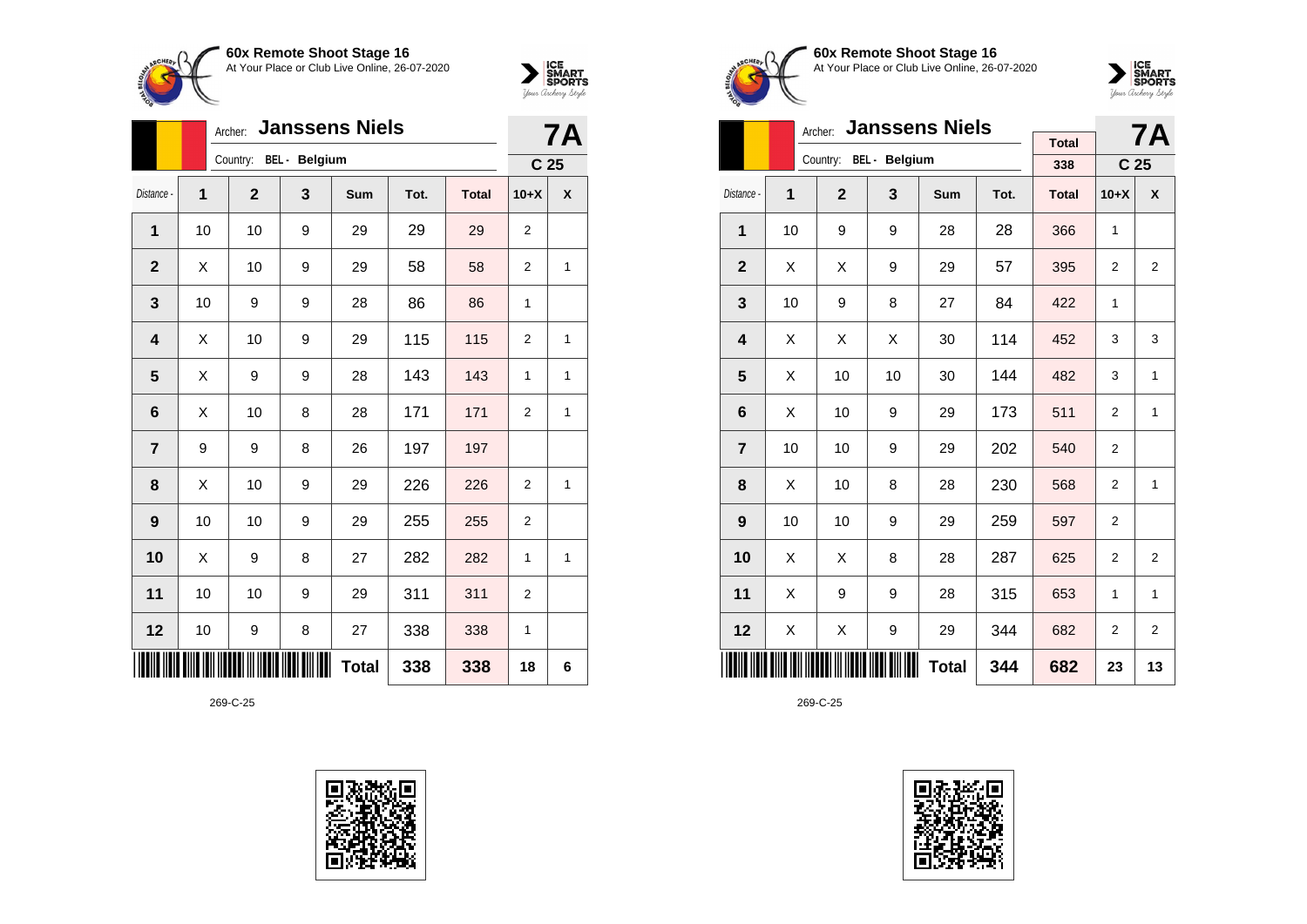![](_page_68_Picture_0.jpeg)

![](_page_68_Picture_1.jpeg)

|                |    | <b>Janssens Niels</b><br>Archer: |   |              | <b>7A</b> |              |                 |   |
|----------------|----|----------------------------------|---|--------------|-----------|--------------|-----------------|---|
|                |    | Country: BEL - Belgium           |   |              |           |              | C <sub>25</sub> |   |
| Distance -     | 1  | $\mathbf{2}$                     | 3 | Sum          | Tot.      | <b>Total</b> | $10+X$          | X |
| 1              | 10 | 10                               | 9 | 29           | 29        | 29           | $\overline{2}$  |   |
| $\mathbf 2$    | х  | 10                               | 9 | 29           | 58        | 58           | $\overline{2}$  | 1 |
| 3              | 10 | 9                                | 9 | 28           | 86        | 86           | 1               |   |
| 4              | X  | 10                               | 9 | 29           | 115       | 115          | 2               | 1 |
| 5              | Χ  | 9                                | 9 | 28           | 143       | 143          | 1               | 1 |
| 6              | Χ  | 10                               | 8 | 28           | 171       | 171          | $\overline{2}$  | 1 |
| $\overline{7}$ | 9  | 9                                | 8 | 26           | 197       | 197          |                 |   |
| 8              | Χ  | 10                               | 9 | 29           | 226       | 226          | $\overline{2}$  | 1 |
| 9              | 10 | 10                               | 9 | 29           | 255       | 255          | 2               |   |
| 10             | X  | 9                                | 8 | 27           | 282       | 282          | 1               | 1 |
| 11             | 10 | 10                               | 9 | 29           | 311       | 311          | $\overline{2}$  |   |
| 12             | 10 | 9                                | 8 | 27           | 338       | 338          | 1               |   |
|                |    |                                  |   | <b>Total</b> | 338       | 338          | 18              | 6 |

![](_page_68_Picture_4.jpeg)

![](_page_68_Picture_5.jpeg)

**60x Remote Shoot Stage 16** At Your Place or Club Live Online, 26-07-2020

![](_page_68_Picture_7.jpeg)

|                         |    | <b>Janssens Niels</b><br>Archer: |                        |            |      | <b>7A</b>           |                 |                |
|-------------------------|----|----------------------------------|------------------------|------------|------|---------------------|-----------------|----------------|
|                         |    |                                  | Country: BEL - Belgium |            |      | <b>Total</b><br>338 | C <sub>25</sub> |                |
| Distance -              | 1  | $\overline{2}$                   | $\mathbf{3}$           | <b>Sum</b> | Tot. | <b>Total</b>        | $10+X$          | X              |
| 1                       | 10 | 9                                | 9                      | 28         | 28   | 366                 | 1               |                |
| $\overline{2}$          | Χ  | Χ                                | 9                      | 29         | 57   | 395                 | $\overline{2}$  | $\overline{2}$ |
| 3                       | 10 | 9                                | 8                      | 27         | 84   | 422                 | 1               |                |
| $\overline{\mathbf{4}}$ | X  | Χ                                | X                      | 30         | 114  | 452                 | 3               | 3              |
| 5                       | X  | 10                               | 10                     | 30         | 144  | 482                 | 3               | 1              |
| 6                       | X  | 10                               | 9                      | 29         | 173  | 511                 | $\overline{2}$  | 1              |
| $\overline{7}$          | 10 | 10                               | 9                      | 29         | 202  | 540                 | 2               |                |
| 8                       | X  | 10                               | 8                      | 28         | 230  | 568                 | $\overline{2}$  | 1              |
| 9                       | 10 | 10                               | 9                      | 29         | 259  | 597                 | 2               |                |
| 10                      | X  | X                                | 8                      | 28         | 287  | 625                 | $\overline{2}$  | $\overline{2}$ |
| 11                      | Χ  | 9                                | 9                      | 28         | 315  | 653                 | 1               | 1              |
| 12                      | Χ  | Χ                                | 9                      | 29         | 344  | 682                 | 2               | 2              |
|                         |    |                                  | 344                    | 682        | 23   | 13                  |                 |                |

![](_page_68_Picture_10.jpeg)